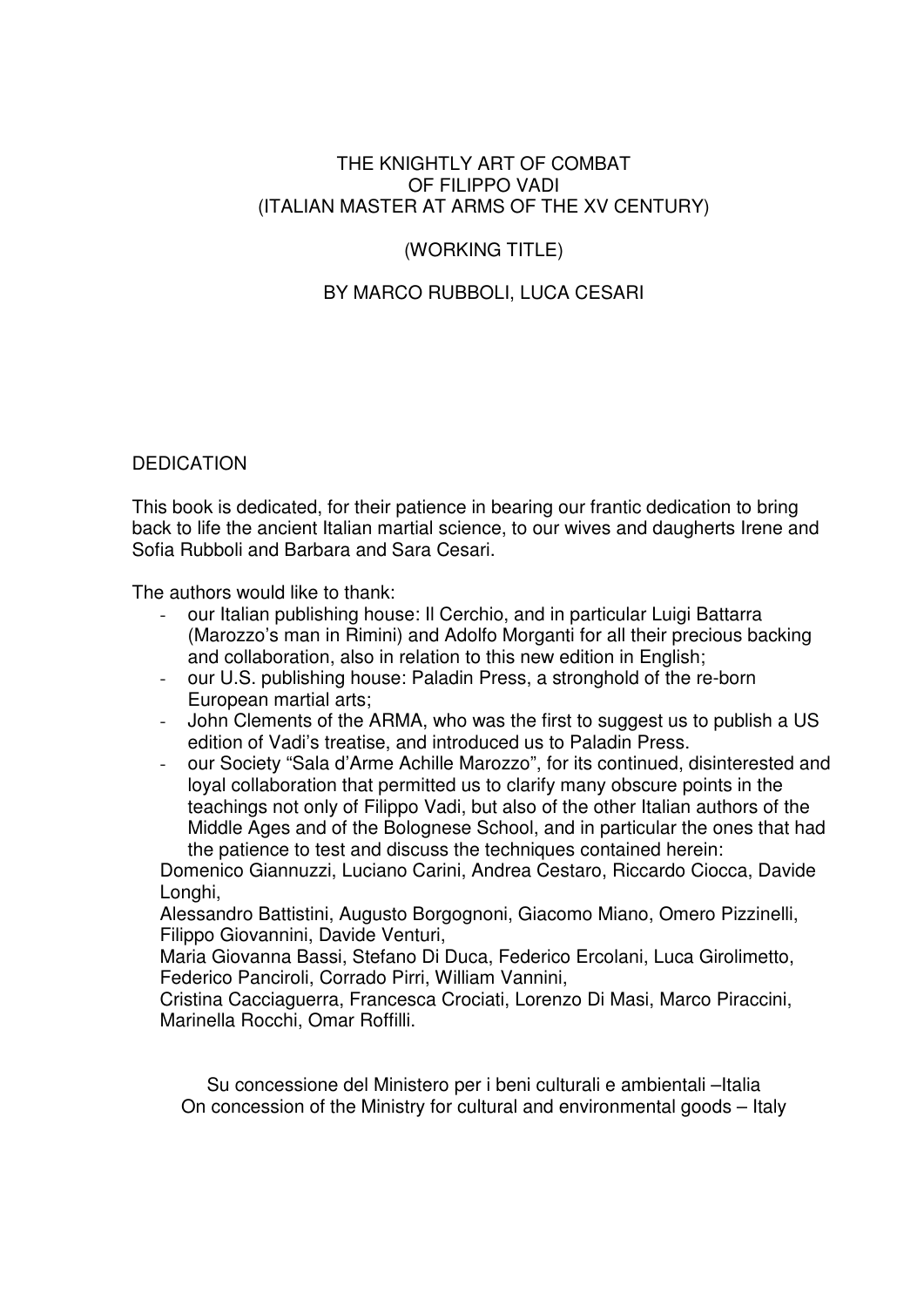# THE KNIGHTLY ART OF COMBAT OF FILIPPO VADI (ITALIAN MASTER AT ARMS OF THE XV CENTURY)

# (WORKING TITLE)

# BY MARCO RUBBOLI, LUCA CESARI

# DEDICATION

This book is dedicated, for their patience in bearing our frantic dedication to bring back to life the ancient Italian martial science, to our wives and daugherts Irene and Sofia Rubboli and Barbara and Sara Cesari.

The authors would like to thank:

- our Italian publishing house: Il Cerchio, and in particular Luigi Battarra (Marozzo's man in Rimini) and Adolfo Morganti for all their precious backing and collaboration, also in relation to this new edition in English;
- our U.S. publishing house: Paladin Press, a stronghold of the re-born European martial arts;
- John Clements of the ARMA, who was the first to suggest us to publish a US edition of Vadi's treatise, and introduced us to Paladin Press.
- our Society "Sala d'Arme Achille Marozzo", for its continued, disinterested and loyal collaboration that permitted us to clarify many obscure points in the teachings not only of Filippo Vadi, but also of the other Italian authors of the Middle Ages and of the Bolognese School, and in particular the ones that had the patience to test and discuss the techniques contained herein:

Domenico Giannuzzi, Luciano Carini, Andrea Cestaro, Riccardo Ciocca, Davide Longhi.

Alessandro Battistini, Augusto Borgognoni, Giacomo Miano, Omero Pizzinelli, Filippo Giovannini, Davide Venturi,

Maria Giovanna Bassi, Stefano Di Duca, Federico Ercolani, Luca Girolimetto, Federico Panciroli, Corrado Pirri, William Vannini,

Cristina Cacciaguerra, Francesca Crociati, Lorenzo Di Masi, Marco Piraccini, Marinella Rocchi, Omar Roffilli.

Su concessione del Ministero per i beni culturali e ambientali –Italia On concession of the Ministry for cultural and environmental goods – Italy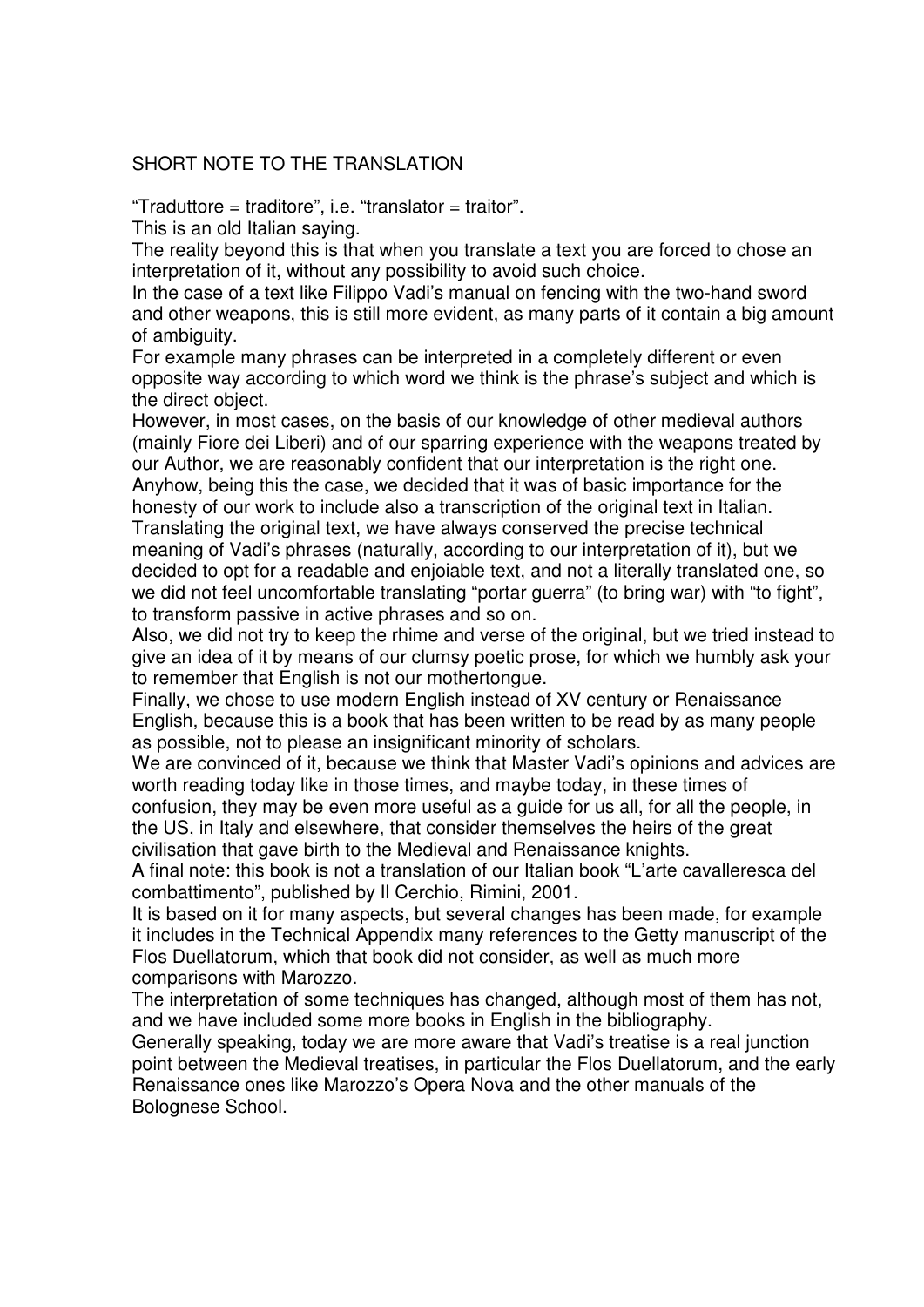# SHORT NOTE TO THE TRANSLATION

"Traduttore = traditore", i.e. "translator = traitor".

This is an old Italian saying.

The reality beyond this is that when you translate a text you are forced to chose an interpretation of it, without any possibility to avoid such choice.

In the case of a text like Filippo Vadi's manual on fencing with the two-hand sword and other weapons, this is still more evident, as many parts of it contain a big amount of ambiguity.

For example many phrases can be interpreted in a completely different or even opposite way according to which word we think is the phrase's subject and which is the direct object.

However, in most cases, on the basis of our knowledge of other medieval authors (mainly Fiore dei Liberi) and of our sparring experience with the weapons treated by our Author, we are reasonably confident that our interpretation is the right one. Anyhow, being this the case, we decided that it was of basic importance for the honesty of our work to include also a transcription of the original text in Italian. Translating the original text, we have always conserved the precise technical meaning of Vadi's phrases (naturally, according to our interpretation of it), but we decided to opt for a readable and enjoiable text, and not a literally translated one, so we did not feel uncomfortable translating "portar guerra" (to bring war) with "to fight", to transform passive in active phrases and so on.

Also, we did not try to keep the rhime and verse of the original, but we tried instead to give an idea of it by means of our clumsy poetic prose, for which we humbly ask your to remember that English is not our mothertongue.

Finally, we chose to use modern English instead of XV century or Renaissance English, because this is a book that has been written to be read by as many people as possible, not to please an insignificant minority of scholars.

We are convinced of it, because we think that Master Vadi's opinions and advices are worth reading today like in those times, and maybe today, in these times of

confusion, they may be even more useful as a guide for us all, for all the people, in the US, in Italy and elsewhere, that consider themselves the heirs of the great civilisation that gave birth to the Medieval and Renaissance knights.

A final note: this book is not a translation of our Italian book "L'arte cavalleresca del combattimento", published by Il Cerchio, Rimini, 2001.

It is based on it for many aspects, but several changes has been made, for example it includes in the Technical Appendix many references to the Getty manuscript of the Flos Duellatorum, which that book did not consider, as well as much more comparisons with Marozzo.

The interpretation of some techniques has changed, although most of them has not, and we have included some more books in English in the bibliography.

Generally speaking, today we are more aware that Vadi's treatise is a real junction point between the Medieval treatises, in particular the Flos Duellatorum, and the early Renaissance ones like Marozzo's Opera Nova and the other manuals of the Bolognese School.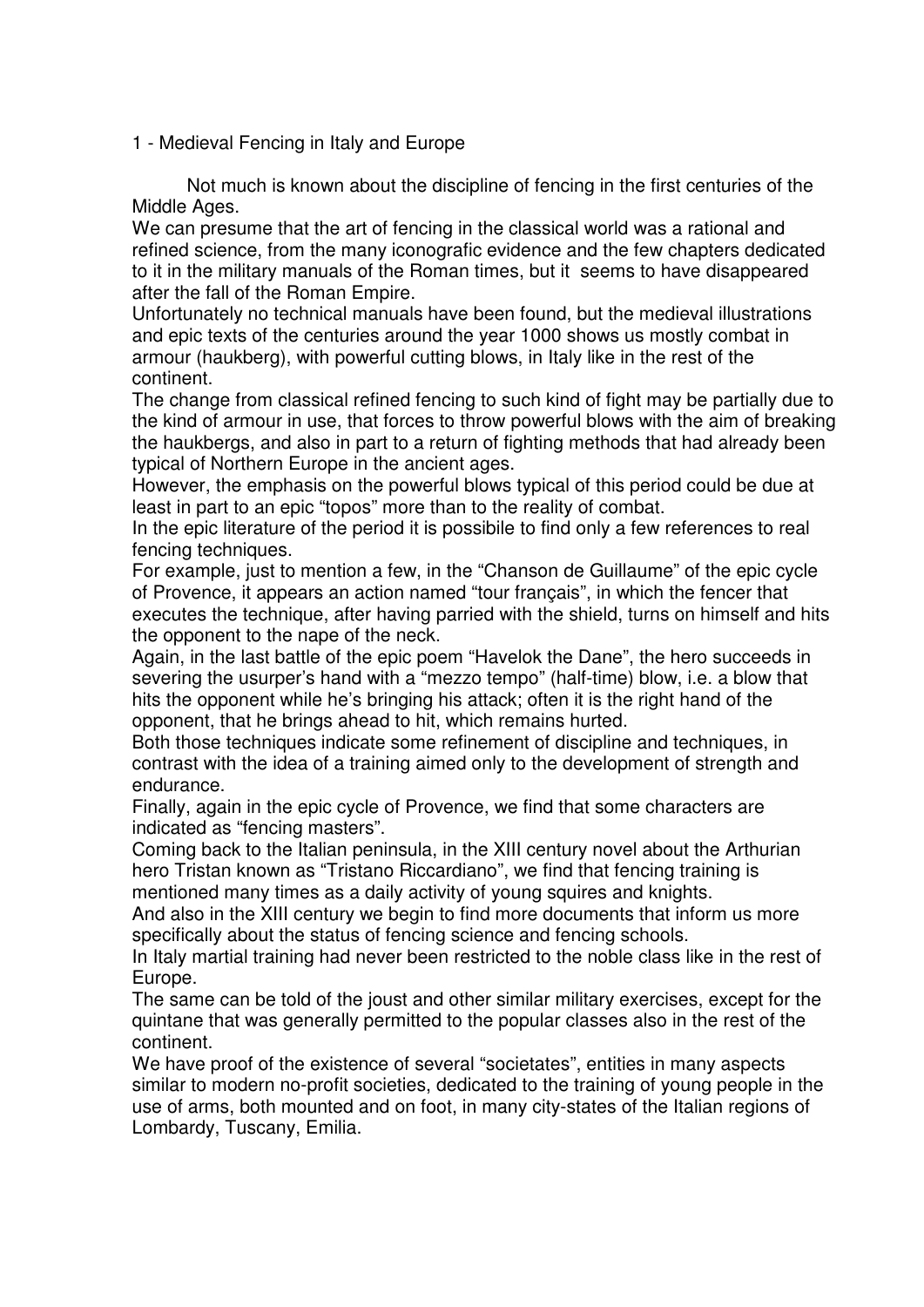1 - Medieval Fencing in Italy and Europe

Not much is known about the discipline of fencing in the first centuries of the Middle Ages.

We can presume that the art of fencing in the classical world was a rational and refined science, from the many iconografic evidence and the few chapters dedicated to it in the military manuals of the Roman times, but it seems to have disappeared after the fall of the Roman Empire.

Unfortunately no technical manuals have been found, but the medieval illustrations and epic texts of the centuries around the year 1000 shows us mostly combat in armour (haukberg), with powerful cutting blows, in Italy like in the rest of the continent.

The change from classical refined fencing to such kind of fight may be partially due to the kind of armour in use, that forces to throw powerful blows with the aim of breaking the haukbergs, and also in part to a return of fighting methods that had already been typical of Northern Europe in the ancient ages.

However, the emphasis on the powerful blows typical of this period could be due at least in part to an epic "topos" more than to the reality of combat.

In the epic literature of the period it is possibile to find only a few references to real fencing techniques.

For example, just to mention a few, in the "Chanson de Guillaume" of the epic cycle of Provence, it appears an action named "tour français", in which the fencer that executes the technique, after having parried with the shield, turns on himself and hits the opponent to the nape of the neck.

Again, in the last battle of the epic poem "Havelok the Dane", the hero succeeds in severing the usurper's hand with a "mezzo tempo" (half-time) blow, i.e. a blow that hits the opponent while he's bringing his attack; often it is the right hand of the opponent, that he brings ahead to hit, which remains hurted.

Both those techniques indicate some refinement of discipline and techniques, in contrast with the idea of a training aimed only to the development of strength and endurance.

Finally, again in the epic cycle of Provence, we find that some characters are indicated as "fencing masters".

Coming back to the Italian peninsula, in the XIII century novel about the Arthurian hero Tristan known as "Tristano Riccardiano", we find that fencing training is mentioned many times as a daily activity of young squires and knights.

And also in the XIII century we begin to find more documents that inform us more specifically about the status of fencing science and fencing schools.

In Italy martial training had never been restricted to the noble class like in the rest of Europe.

The same can be told of the joust and other similar military exercises, except for the quintane that was generally permitted to the popular classes also in the rest of the continent.

We have proof of the existence of several "societates", entities in many aspects similar to modern no-profit societies, dedicated to the training of young people in the use of arms, both mounted and on foot, in many city-states of the Italian regions of Lombardy, Tuscany, Emilia.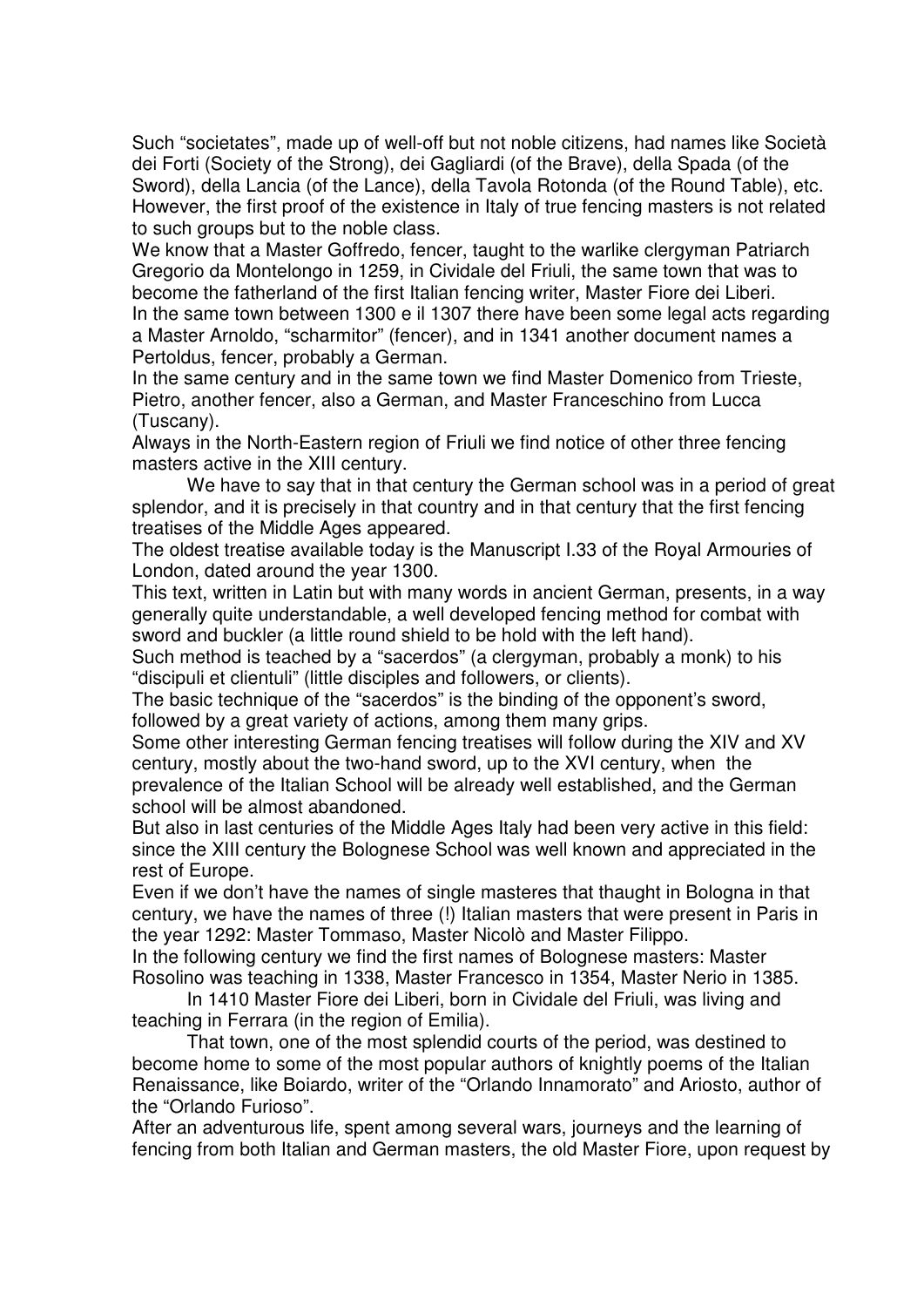Such "societates", made up of well-off but not noble citizens, had names like Società dei Forti (Society of the Strong), dei Gagliardi (of the Brave), della Spada (of the Sword), della Lancia (of the Lance), della Tavola Rotonda (of the Round Table), etc. However, the first proof of the existence in Italy of true fencing masters is not related to such groups but to the noble class.

We know that a Master Goffredo, fencer, taught to the warlike clergyman Patriarch Gregorio da Montelongo in 1259, in Cividale del Friuli, the same town that was to become the fatherland of the first Italian fencing writer, Master Fiore dei Liberi. In the same town between 1300 e il 1307 there have been some legal acts regarding a Master Arnoldo, "scharmitor" (fencer), and in 1341 another document names a Pertoldus, fencer, probably a German.

In the same century and in the same town we find Master Domenico from Trieste, Pietro, another fencer, also a German, and Master Franceschino from Lucca (Tuscany).

Always in the North-Eastern region of Friuli we find notice of other three fencing masters active in the XIII century.

We have to say that in that century the German school was in a period of great splendor, and it is precisely in that country and in that century that the first fencing treatises of the Middle Ages appeared.

The oldest treatise available today is the Manuscript I.33 of the Royal Armouries of London, dated around the year 1300.

This text, written in Latin but with many words in ancient German, presents, in a way generally quite understandable, a well developed fencing method for combat with sword and buckler (a little round shield to be hold with the left hand).

Such method is teached by a "sacerdos" (a clergyman, probably a monk) to his "discipuli et clientuli" (little disciples and followers, or clients).

The basic technique of the "sacerdos" is the binding of the opponent's sword, followed by a great variety of actions, among them many grips.

Some other interesting German fencing treatises will follow during the XIV and XV century, mostly about the two-hand sword, up to the XVI century, when the prevalence of the Italian School will be already well established, and the German school will be almost abandoned.

But also in last centuries of the Middle Ages Italy had been very active in this field: since the XIII century the Bolognese School was well known and appreciated in the rest of Europe.

Even if we don't have the names of single masteres that thaught in Bologna in that century, we have the names of three (!) Italian masters that were present in Paris in the year 1292: Master Tommaso, Master Nicolò and Master Filippo.

In the following century we find the first names of Bolognese masters: Master Rosolino was teaching in 1338, Master Francesco in 1354, Master Nerio in 1385.

In 1410 Master Fiore dei Liberi, born in Cividale del Friuli, was living and teaching in Ferrara (in the region of Emilia).

That town, one of the most splendid courts of the period, was destined to become home to some of the most popular authors of knightly poems of the Italian Renaissance, like Boiardo, writer of the "Orlando Innamorato" and Ariosto, author of the "Orlando Furioso".

After an adventurous life, spent among several wars, journeys and the learning of fencing from both Italian and German masters, the old Master Fiore, upon request by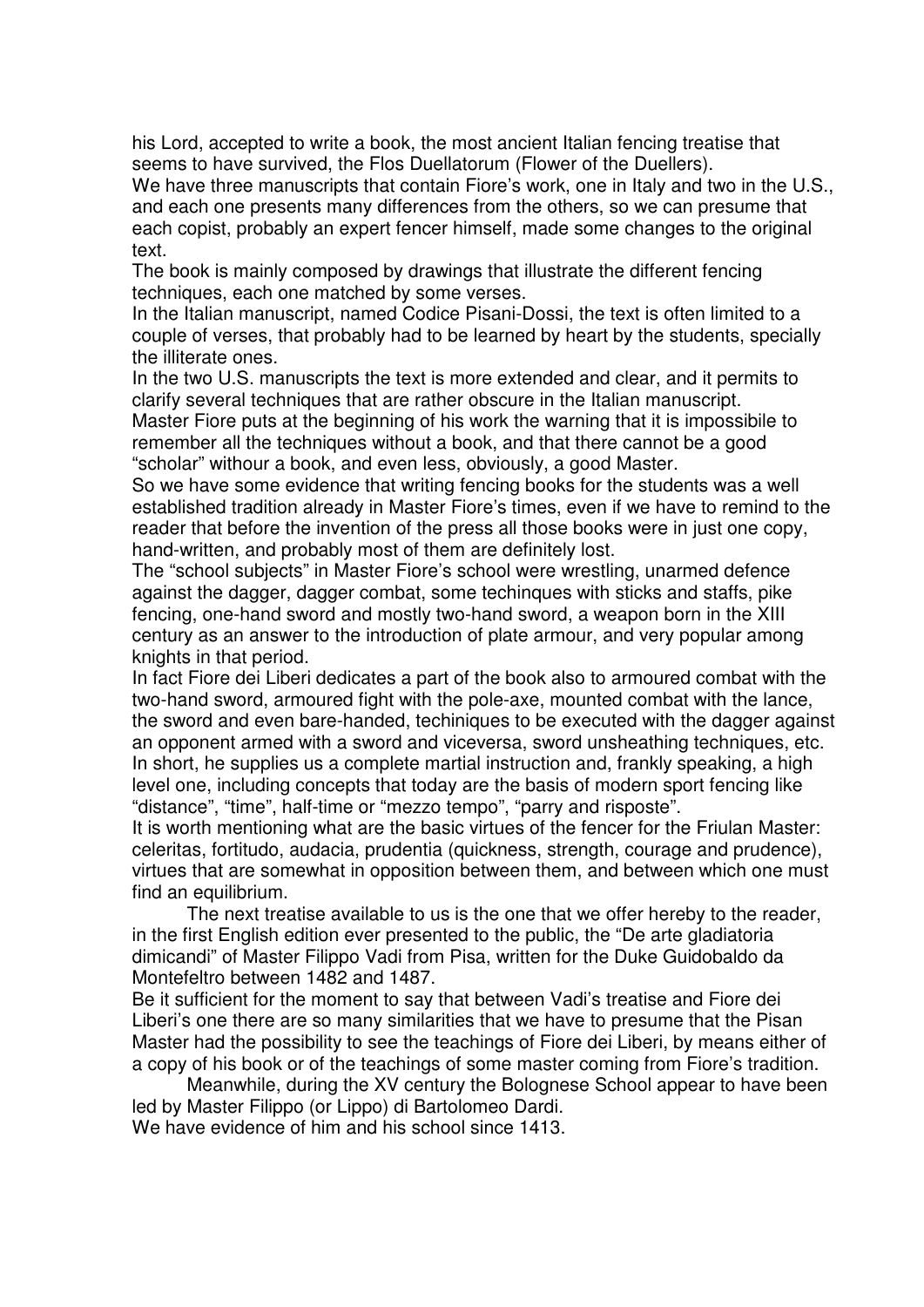his Lord, accepted to write a book, the most ancient Italian fencing treatise that seems to have survived, the Flos Duellatorum (Flower of the Duellers).

We have three manuscripts that contain Fiore's work, one in Italy and two in the U.S., and each one presents many differences from the others, so we can presume that each copist, probably an expert fencer himself, made some changes to the original text.

The book is mainly composed by drawings that illustrate the different fencing techniques, each one matched by some verses.

In the Italian manuscript, named Codice Pisani-Dossi, the text is often limited to a couple of verses, that probably had to be learned by heart by the students, specially the illiterate ones.

In the two U.S. manuscripts the text is more extended and clear, and it permits to clarify several techniques that are rather obscure in the Italian manuscript.

Master Fiore puts at the beginning of his work the warning that it is impossibile to remember all the techniques without a book, and that there cannot be a good "scholar" withour a book, and even less, obviously, a good Master.

So we have some evidence that writing fencing books for the students was a well established tradition already in Master Fiore's times, even if we have to remind to the reader that before the invention of the press all those books were in just one copy, hand-written, and probably most of them are definitely lost.

The "school subjects" in Master Fiore's school were wrestling, unarmed defence against the dagger, dagger combat, some techinques with sticks and staffs, pike fencing, one-hand sword and mostly two-hand sword, a weapon born in the XIII century as an answer to the introduction of plate armour, and very popular among knights in that period.

In fact Fiore dei Liberi dedicates a part of the book also to armoured combat with the two-hand sword, armoured fight with the pole-axe, mounted combat with the lance, the sword and even bare-handed, techiniques to be executed with the dagger against an opponent armed with a sword and viceversa, sword unsheathing techniques, etc. In short, he supplies us a complete martial instruction and, frankly speaking, a high level one, including concepts that today are the basis of modern sport fencing like "distance", "time", half-time or "mezzo tempo", "parry and risposte".

It is worth mentioning what are the basic virtues of the fencer for the Friulan Master: celeritas, fortitudo, audacia, prudentia (quickness, strength, courage and prudence), virtues that are somewhat in opposition between them, and between which one must find an equilibrium.

The next treatise available to us is the one that we offer hereby to the reader, in the first English edition ever presented to the public, the "De arte gladiatoria dimicandi" of Master Filippo Vadi from Pisa, written for the Duke Guidobaldo da Montefeltro between 1482 and 1487.

Be it sufficient for the moment to say that between Vadi's treatise and Fiore dei Liberi's one there are so many similarities that we have to presume that the Pisan Master had the possibility to see the teachings of Fiore dei Liberi, by means either of a copy of his book or of the teachings of some master coming from Fiore's tradition.

Meanwhile, during the XV century the Bolognese School appear to have been led by Master Filippo (or Lippo) di Bartolomeo Dardi.

We have evidence of him and his school since 1413.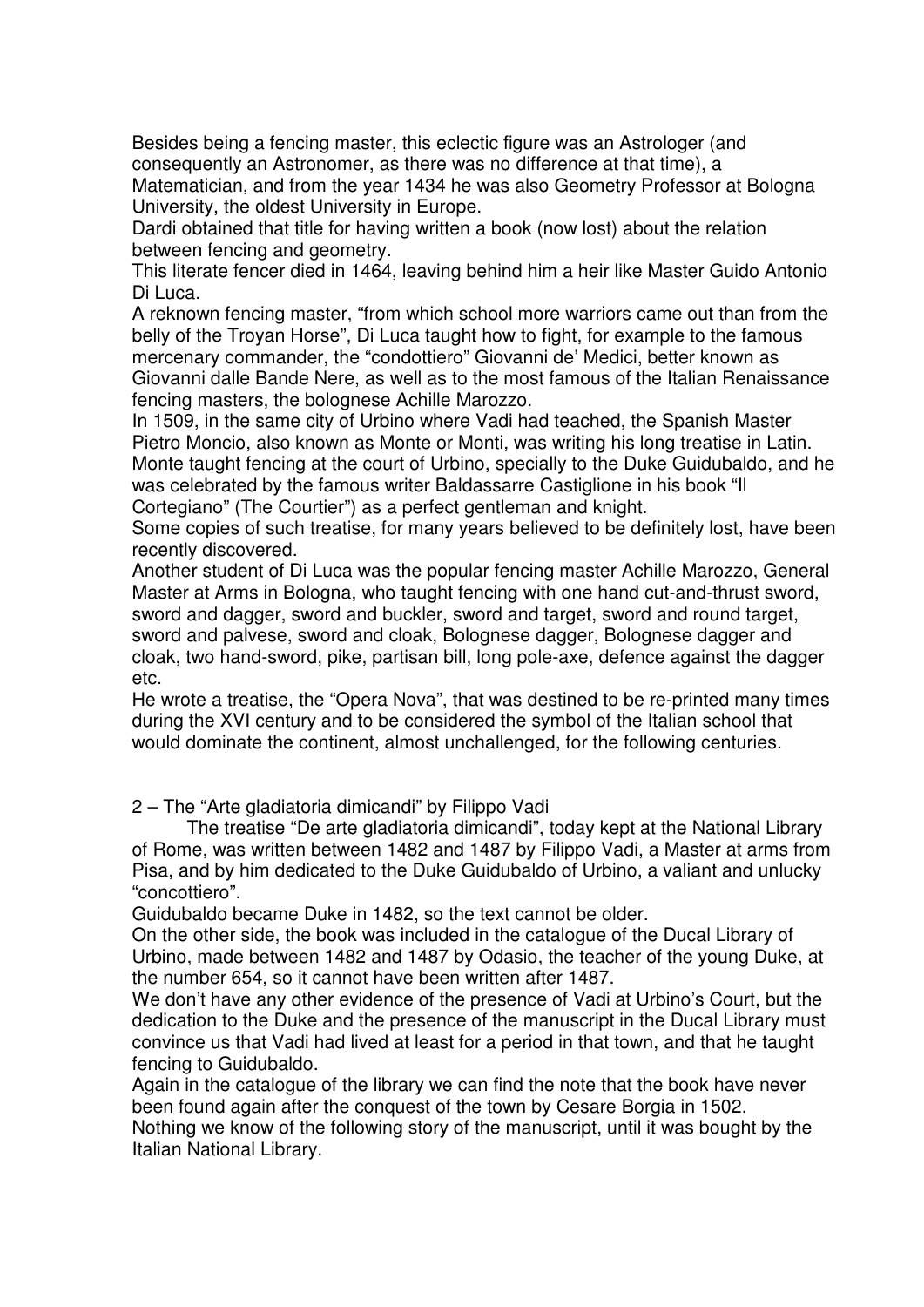Besides being a fencing master, this eclectic figure was an Astrologer (and consequently an Astronomer, as there was no difference at that time), a Matematician, and from the year 1434 he was also Geometry Professor at Bologna University, the oldest University in Europe.

Dardi obtained that title for having written a book (now lost) about the relation between fencing and geometry.

This literate fencer died in 1464, leaving behind him a heir like Master Guido Antonio Di Luca.

A reknown fencing master, "from which school more warriors came out than from the belly of the Troyan Horse", Di Luca taught how to fight, for example to the famous mercenary commander, the "condottiero" Giovanni de' Medici, better known as Giovanni dalle Bande Nere, as well as to the most famous of the Italian Renaissance fencing masters, the bolognese Achille Marozzo.

In 1509, in the same city of Urbino where Vadi had teached, the Spanish Master Pietro Moncio, also known as Monte or Monti, was writing his long treatise in Latin. Monte taught fencing at the court of Urbino, specially to the Duke Guidubaldo, and he was celebrated by the famous writer Baldassarre Castiglione in his book "Il Cortegiano" (The Courtier") as a perfect gentleman and knight.

Some copies of such treatise, for many years believed to be definitely lost, have been recently discovered.

Another student of Di Luca was the popular fencing master Achille Marozzo, General Master at Arms in Bologna, who taught fencing with one hand cut-and-thrust sword, sword and dagger, sword and buckler, sword and target, sword and round target, sword and palvese, sword and cloak, Bolognese dagger, Bolognese dagger and cloak, two hand-sword, pike, partisan bill, long pole-axe, defence against the dagger etc.

He wrote a treatise, the "Opera Nova", that was destined to be re-printed many times during the XVI century and to be considered the symbol of the Italian school that would dominate the continent, almost unchallenged, for the following centuries.

2 – The "Arte gladiatoria dimicandi" by Filippo Vadi

The treatise "De arte gladiatoria dimicandi", today kept at the National Library of Rome, was written between 1482 and 1487 by Filippo Vadi, a Master at arms from Pisa, and by him dedicated to the Duke Guidubaldo of Urbino, a valiant and unlucky "concottiero".

Guidubaldo became Duke in 1482, so the text cannot be older.

On the other side, the book was included in the catalogue of the Ducal Library of Urbino, made between 1482 and 1487 by Odasio, the teacher of the young Duke, at the number 654, so it cannot have been written after 1487.

We don't have any other evidence of the presence of Vadi at Urbino's Court, but the dedication to the Duke and the presence of the manuscript in the Ducal Library must convince us that Vadi had lived at least for a period in that town, and that he taught fencing to Guidubaldo.

Again in the catalogue of the library we can find the note that the book have never been found again after the conquest of the town by Cesare Borgia in 1502.

Nothing we know of the following story of the manuscript, until it was bought by the Italian National Library.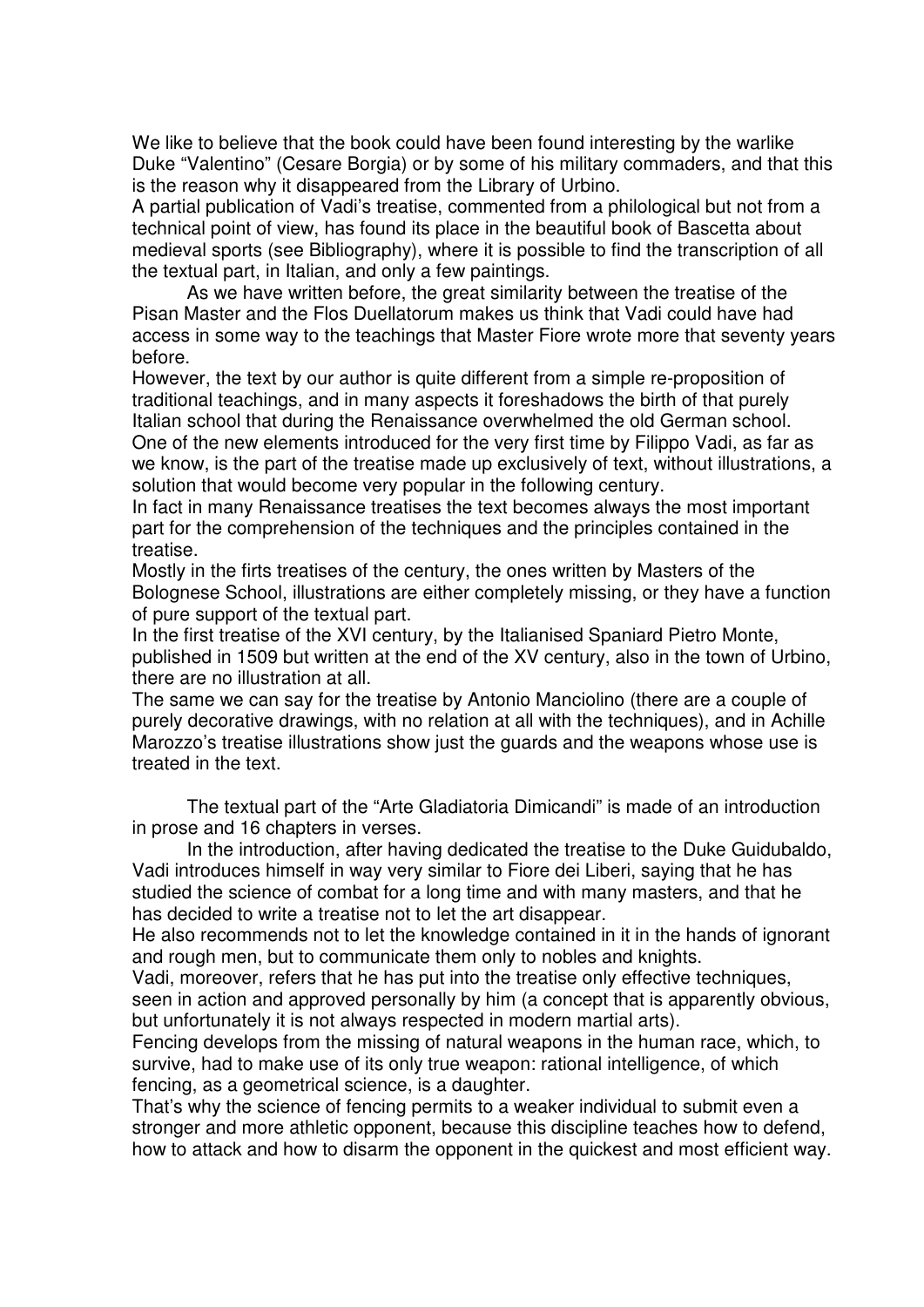We like to believe that the book could have been found interesting by the warlike Duke "Valentino" (Cesare Borgia) or by some of his military commaders, and that this is the reason why it disappeared from the Library of Urbino.

A partial publication of Vadi's treatise, commented from a philological but not from a technical point of view, has found its place in the beautiful book of Bascetta about medieval sports (see Bibliography), where it is possible to find the transcription of all the textual part, in Italian, and only a few paintings.

As we have written before, the great similarity between the treatise of the Pisan Master and the Flos Duellatorum makes us think that Vadi could have had access in some way to the teachings that Master Fiore wrote more that seventy years before.

However, the text by our author is quite different from a simple re-proposition of traditional teachings, and in many aspects it foreshadows the birth of that purely Italian school that during the Renaissance overwhelmed the old German school. One of the new elements introduced for the very first time by Filippo Vadi, as far as we know, is the part of the treatise made up exclusively of text, without illustrations, a solution that would become very popular in the following century.

In fact in many Renaissance treatises the text becomes always the most important part for the comprehension of the techniques and the principles contained in the treatise.

Mostly in the firts treatises of the century, the ones written by Masters of the Bolognese School, illustrations are either completely missing, or they have a function of pure support of the textual part.

In the first treatise of the XVI century, by the Italianised Spaniard Pietro Monte, published in 1509 but written at the end of the XV century, also in the town of Urbino, there are no illustration at all.

The same we can say for the treatise by Antonio Manciolino (there are a couple of purely decorative drawings, with no relation at all with the techniques), and in Achille Marozzo's treatise illustrations show just the guards and the weapons whose use is treated in the text.

The textual part of the "Arte Gladiatoria Dimicandi" is made of an introduction in prose and 16 chapters in verses.

In the introduction, after having dedicated the treatise to the Duke Guidubaldo, Vadi introduces himself in way very similar to Fiore dei Liberi, saying that he has studied the science of combat for a long time and with many masters, and that he has decided to write a treatise not to let the art disappear.

He also recommends not to let the knowledge contained in it in the hands of ignorant and rough men, but to communicate them only to nobles and knights.

Vadi, moreover, refers that he has put into the treatise only effective techniques, seen in action and approved personally by him (a concept that is apparently obvious, but unfortunately it is not always respected in modern martial arts).

Fencing develops from the missing of natural weapons in the human race, which, to survive, had to make use of its only true weapon: rational intelligence, of which fencing, as a geometrical science, is a daughter.

That's why the science of fencing permits to a weaker individual to submit even a stronger and more athletic opponent, because this discipline teaches how to defend, how to attack and how to disarm the opponent in the quickest and most efficient way.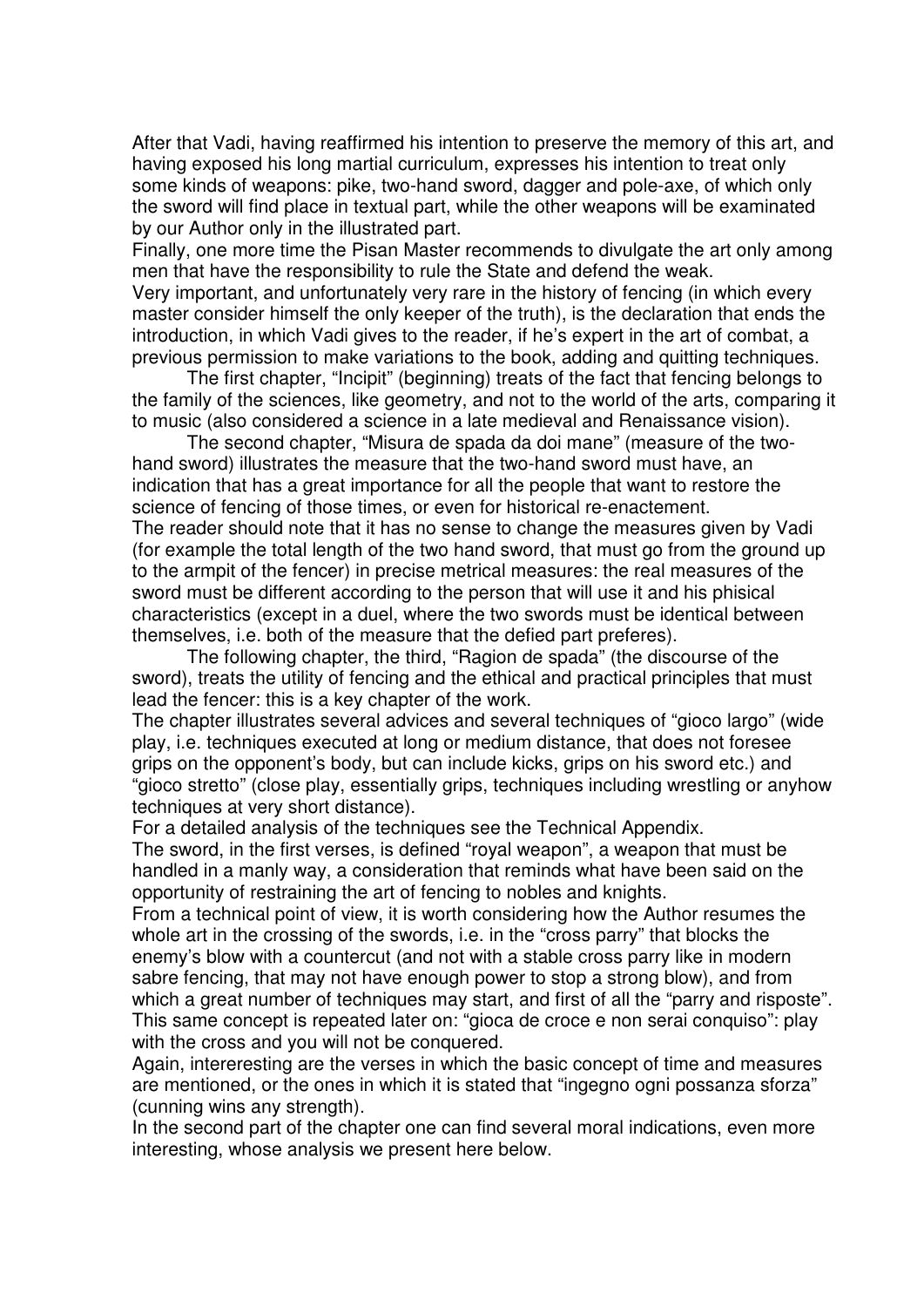After that Vadi, having reaffirmed his intention to preserve the memory of this art, and having exposed his long martial curriculum, expresses his intention to treat only some kinds of weapons: pike, two-hand sword, dagger and pole-axe, of which only the sword will find place in textual part, while the other weapons will be examinated by our Author only in the illustrated part.

Finally, one more time the Pisan Master recommends to divulgate the art only among men that have the responsibility to rule the State and defend the weak. Very important, and unfortunately very rare in the history of fencing (in which every master consider himself the only keeper of the truth), is the declaration that ends the introduction, in which Vadi gives to the reader, if he's expert in the art of combat, a previous permission to make variations to the book, adding and quitting techniques.

The first chapter, "Incipit" (beginning) treats of the fact that fencing belongs to the family of the sciences, like geometry, and not to the world of the arts, comparing it to music (also considered a science in a late medieval and Renaissance vision).

The second chapter, "Misura de spada da doi mane" (measure of the twohand sword) illustrates the measure that the two-hand sword must have, an indication that has a great importance for all the people that want to restore the science of fencing of those times, or even for historical re-enactement. The reader should note that it has no sense to change the measures given by Vadi (for example the total length of the two hand sword, that must go from the ground up to the armpit of the fencer) in precise metrical measures: the real measures of the sword must be different according to the person that will use it and his phisical characteristics (except in a duel, where the two swords must be identical between themselves, i.e. both of the measure that the defied part preferes).

The following chapter, the third, "Ragion de spada" (the discourse of the sword), treats the utility of fencing and the ethical and practical principles that must lead the fencer: this is a key chapter of the work.

The chapter illustrates several advices and several techniques of "gioco largo" (wide play, i.e. techniques executed at long or medium distance, that does not foresee grips on the opponent's body, but can include kicks, grips on his sword etc.) and "gioco stretto" (close play, essentially grips, techniques including wrestling or anyhow techniques at very short distance).

For a detailed analysis of the techniques see the Technical Appendix.

The sword, in the first verses, is defined "royal weapon", a weapon that must be handled in a manly way, a consideration that reminds what have been said on the opportunity of restraining the art of fencing to nobles and knights.

From a technical point of view, it is worth considering how the Author resumes the whole art in the crossing of the swords, i.e. in the "cross parry" that blocks the enemy's blow with a countercut (and not with a stable cross parry like in modern sabre fencing, that may not have enough power to stop a strong blow), and from which a great number of techniques may start, and first of all the "parry and risposte". This same concept is repeated later on: "gioca de croce e non serai conquiso": play with the cross and you will not be conquered.

Again, intereresting are the verses in which the basic concept of time and measures are mentioned, or the ones in which it is stated that "ingegno ogni possanza sforza" (cunning wins any strength).

In the second part of the chapter one can find several moral indications, even more interesting, whose analysis we present here below.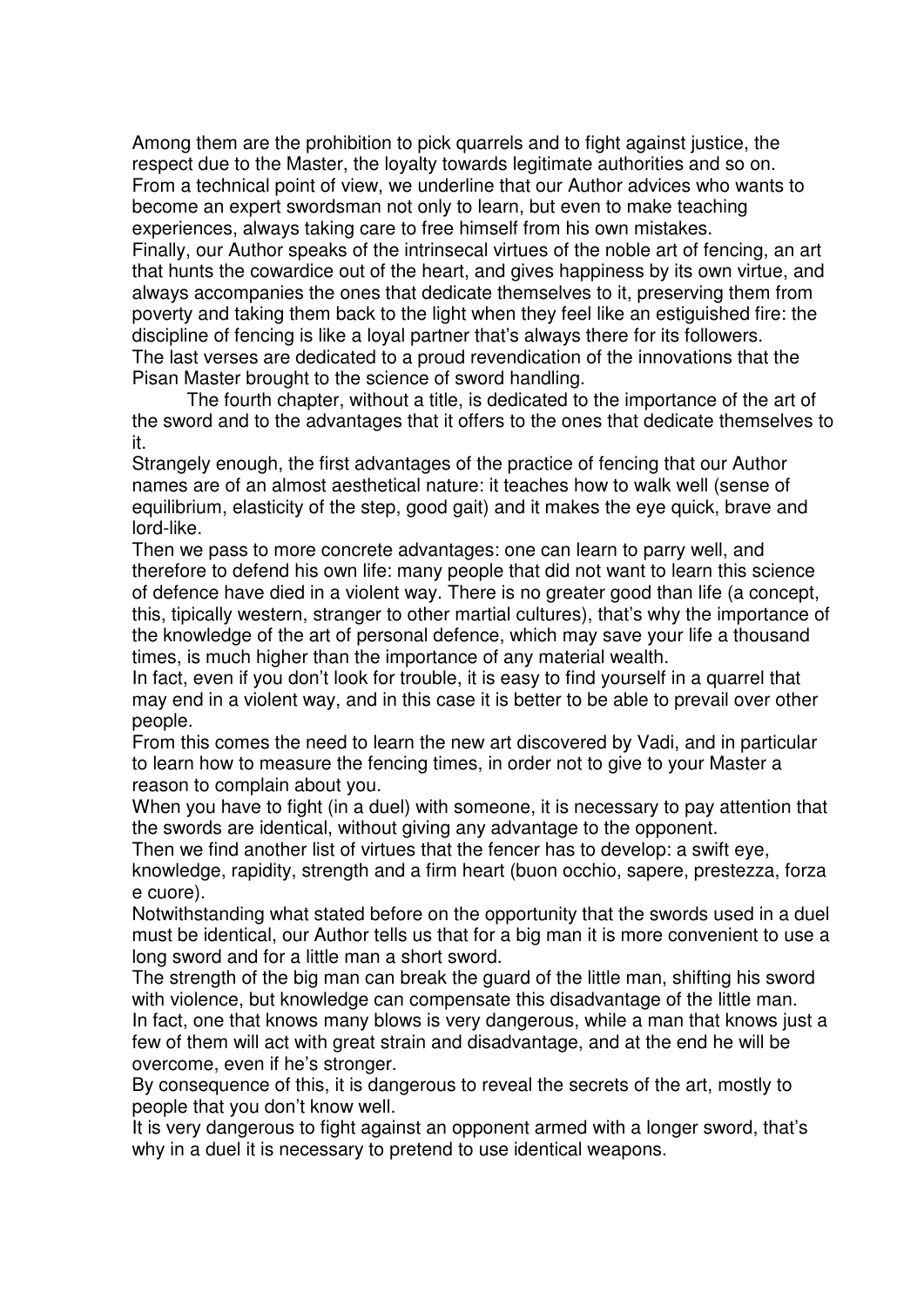Among them are the prohibition to pick quarrels and to fight against justice, the respect due to the Master, the loyalty towards legitimate authorities and so on. From a technical point of view, we underline that our Author advices who wants to become an expert swordsman not only to learn, but even to make teaching experiences, always taking care to free himself from his own mistakes. Finally, our Author speaks of the intrinsecal virtues of the noble art of fencing, an art that hunts the cowardice out of the heart, and gives happiness by its own virtue, and always accompanies the ones that dedicate themselves to it, preserving them from poverty and taking them back to the light when they feel like an estiguished fire: the discipline of fencing is like a loyal partner that's always there for its followers. The last verses are dedicated to a proud revendication of the innovations that the

Pisan Master brought to the science of sword handling. The fourth chapter, without a title, is dedicated to the importance of the art of the sword and to the advantages that it offers to the ones that dedicate themselves to it.

Strangely enough, the first advantages of the practice of fencing that our Author names are of an almost aesthetical nature: it teaches how to walk well (sense of equilibrium, elasticity of the step, good gait) and it makes the eye quick, brave and lord-like.

Then we pass to more concrete advantages: one can learn to parry well, and therefore to defend his own life: many people that did not want to learn this science of defence have died in a violent way. There is no greater good than life (a concept, this, tipically western, stranger to other martial cultures), that's why the importance of the knowledge of the art of personal defence, which may save your life a thousand times, is much higher than the importance of any material wealth.

In fact, even if you don't look for trouble, it is easy to find yourself in a quarrel that may end in a violent way, and in this case it is better to be able to prevail over other people.

From this comes the need to learn the new art discovered by Vadi, and in particular to learn how to measure the fencing times, in order not to give to your Master a reason to complain about you.

When you have to fight (in a duel) with someone, it is necessary to pay attention that the swords are identical, without giving any advantage to the opponent.

Then we find another list of virtues that the fencer has to develop: a swift eye,

knowledge, rapidity, strength and a firm heart (buon occhio, sapere, prestezza, forza e cuore).

Notwithstanding what stated before on the opportunity that the swords used in a duel must be identical, our Author tells us that for a big man it is more convenient to use a long sword and for a little man a short sword.

The strength of the big man can break the guard of the little man, shifting his sword with violence, but knowledge can compensate this disadvantage of the little man. In fact, one that knows many blows is very dangerous, while a man that knows just a few of them will act with great strain and disadvantage, and at the end he will be overcome, even if he's stronger.

By consequence of this, it is dangerous to reveal the secrets of the art, mostly to people that you don't know well.

It is very dangerous to fight against an opponent armed with a longer sword, that's why in a duel it is necessary to pretend to use identical weapons.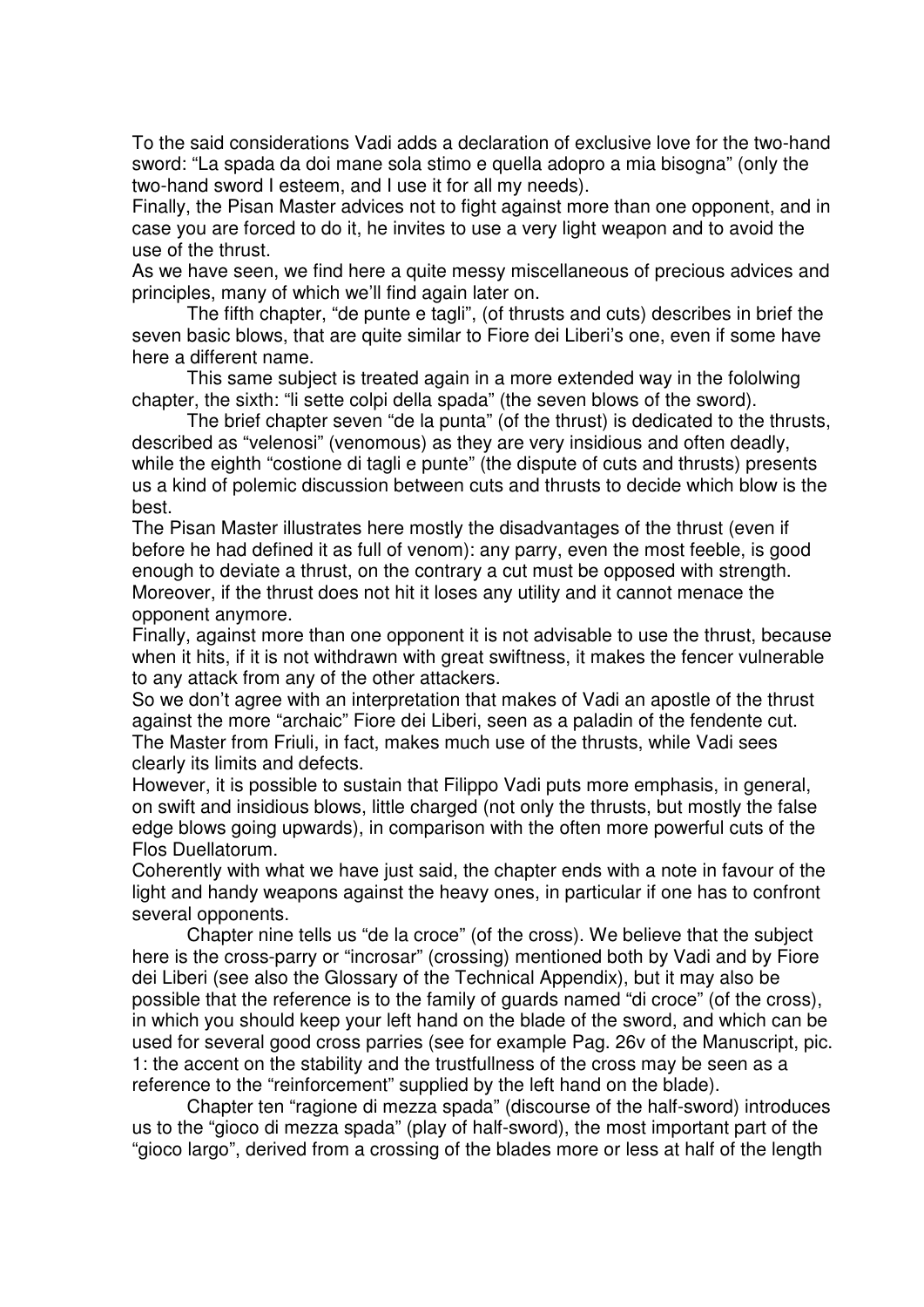To the said considerations Vadi adds a declaration of exclusive love for the two-hand sword: "La spada da doi mane sola stimo e quella adopro a mia bisogna" (only the two-hand sword I esteem, and I use it for all my needs).

Finally, the Pisan Master advices not to fight against more than one opponent, and in case you are forced to do it, he invites to use a very light weapon and to avoid the use of the thrust.

As we have seen, we find here a quite messy miscellaneous of precious advices and principles, many of which we'll find again later on.

The fifth chapter, "de punte e tagli", (of thrusts and cuts) describes in brief the seven basic blows, that are quite similar to Fiore dei Liberi's one, even if some have here a different name.

This same subject is treated again in a more extended way in the fololwing chapter, the sixth: "li sette colpi della spada" (the seven blows of the sword).

The brief chapter seven "de la punta" (of the thrust) is dedicated to the thrusts, described as "velenosi" (venomous) as they are very insidious and often deadly, while the eighth "costione di tagli e punte" (the dispute of cuts and thrusts) presents us a kind of polemic discussion between cuts and thrusts to decide which blow is the best.

The Pisan Master illustrates here mostly the disadvantages of the thrust (even if before he had defined it as full of venom): any parry, even the most feeble, is good enough to deviate a thrust, on the contrary a cut must be opposed with strength. Moreover, if the thrust does not hit it loses any utility and it cannot menace the opponent anymore.

Finally, against more than one opponent it is not advisable to use the thrust, because when it hits, if it is not withdrawn with great swiftness, it makes the fencer vulnerable to any attack from any of the other attackers.

So we don't agree with an interpretation that makes of Vadi an apostle of the thrust against the more "archaic" Fiore dei Liberi, seen as a paladin of the fendente cut. The Master from Friuli, in fact, makes much use of the thrusts, while Vadi sees clearly its limits and defects.

However, it is possible to sustain that Filippo Vadi puts more emphasis, in general, on swift and insidious blows, little charged (not only the thrusts, but mostly the false edge blows going upwards), in comparison with the often more powerful cuts of the Flos Duellatorum.

Coherently with what we have just said, the chapter ends with a note in favour of the light and handy weapons against the heavy ones, in particular if one has to confront several opponents.

Chapter nine tells us "de la croce" (of the cross). We believe that the subject here is the cross-parry or "incrosar" (crossing) mentioned both by Vadi and by Fiore dei Liberi (see also the Glossary of the Technical Appendix), but it may also be possible that the reference is to the family of guards named "di croce" (of the cross), in which you should keep your left hand on the blade of the sword, and which can be used for several good cross parries (see for example Pag. 26v of the Manuscript, pic. 1: the accent on the stability and the trustfullness of the cross may be seen as a reference to the "reinforcement" supplied by the left hand on the blade).

Chapter ten "ragione di mezza spada" (discourse of the half-sword) introduces us to the "gioco di mezza spada" (play of half-sword), the most important part of the "gioco largo", derived from a crossing of the blades more or less at half of the length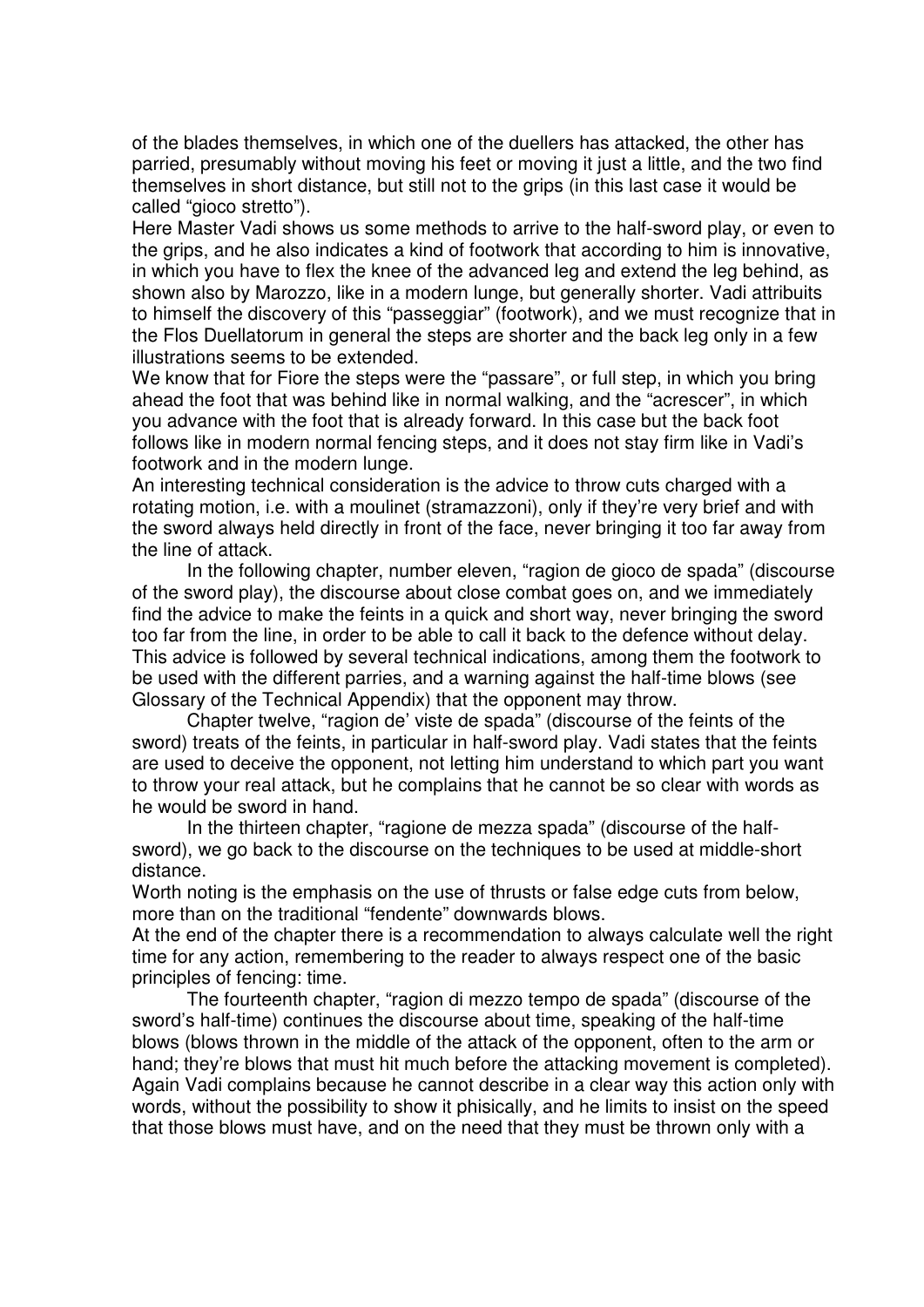of the blades themselves, in which one of the duellers has attacked, the other has parried, presumably without moving his feet or moving it just a little, and the two find themselves in short distance, but still not to the grips (in this last case it would be called "gioco stretto").

Here Master Vadi shows us some methods to arrive to the half-sword play, or even to the grips, and he also indicates a kind of footwork that according to him is innovative, in which you have to flex the knee of the advanced leg and extend the leg behind, as shown also by Marozzo, like in a modern lunge, but generally shorter. Vadi attribuits to himself the discovery of this "passeggiar" (footwork), and we must recognize that in the Flos Duellatorum in general the steps are shorter and the back leg only in a few illustrations seems to be extended.

We know that for Fiore the steps were the "passare", or full step, in which you bring ahead the foot that was behind like in normal walking, and the "acrescer", in which you advance with the foot that is already forward. In this case but the back foot follows like in modern normal fencing steps, and it does not stay firm like in Vadi's footwork and in the modern lunge.

An interesting technical consideration is the advice to throw cuts charged with a rotating motion, i.e. with a moulinet (stramazzoni), only if they're very brief and with the sword always held directly in front of the face, never bringing it too far away from the line of attack.

In the following chapter, number eleven, "ragion de gioco de spada" (discourse of the sword play), the discourse about close combat goes on, and we immediately find the advice to make the feints in a quick and short way, never bringing the sword too far from the line, in order to be able to call it back to the defence without delay. This advice is followed by several technical indications, among them the footwork to be used with the different parries, and a warning against the half-time blows (see Glossary of the Technical Appendix) that the opponent may throw.

Chapter twelve, "ragion de' viste de spada" (discourse of the feints of the sword) treats of the feints, in particular in half-sword play. Vadi states that the feints are used to deceive the opponent, not letting him understand to which part you want to throw your real attack, but he complains that he cannot be so clear with words as he would be sword in hand.

In the thirteen chapter, "ragione de mezza spada" (discourse of the halfsword), we go back to the discourse on the techniques to be used at middle-short distance.

Worth noting is the emphasis on the use of thrusts or false edge cuts from below, more than on the traditional "fendente" downwards blows.

At the end of the chapter there is a recommendation to always calculate well the right time for any action, remembering to the reader to always respect one of the basic principles of fencing: time.

The fourteenth chapter, "ragion di mezzo tempo de spada" (discourse of the sword's half-time) continues the discourse about time, speaking of the half-time blows (blows thrown in the middle of the attack of the opponent, often to the arm or hand; they're blows that must hit much before the attacking movement is completed). Again Vadi complains because he cannot describe in a clear way this action only with words, without the possibility to show it phisically, and he limits to insist on the speed that those blows must have, and on the need that they must be thrown only with a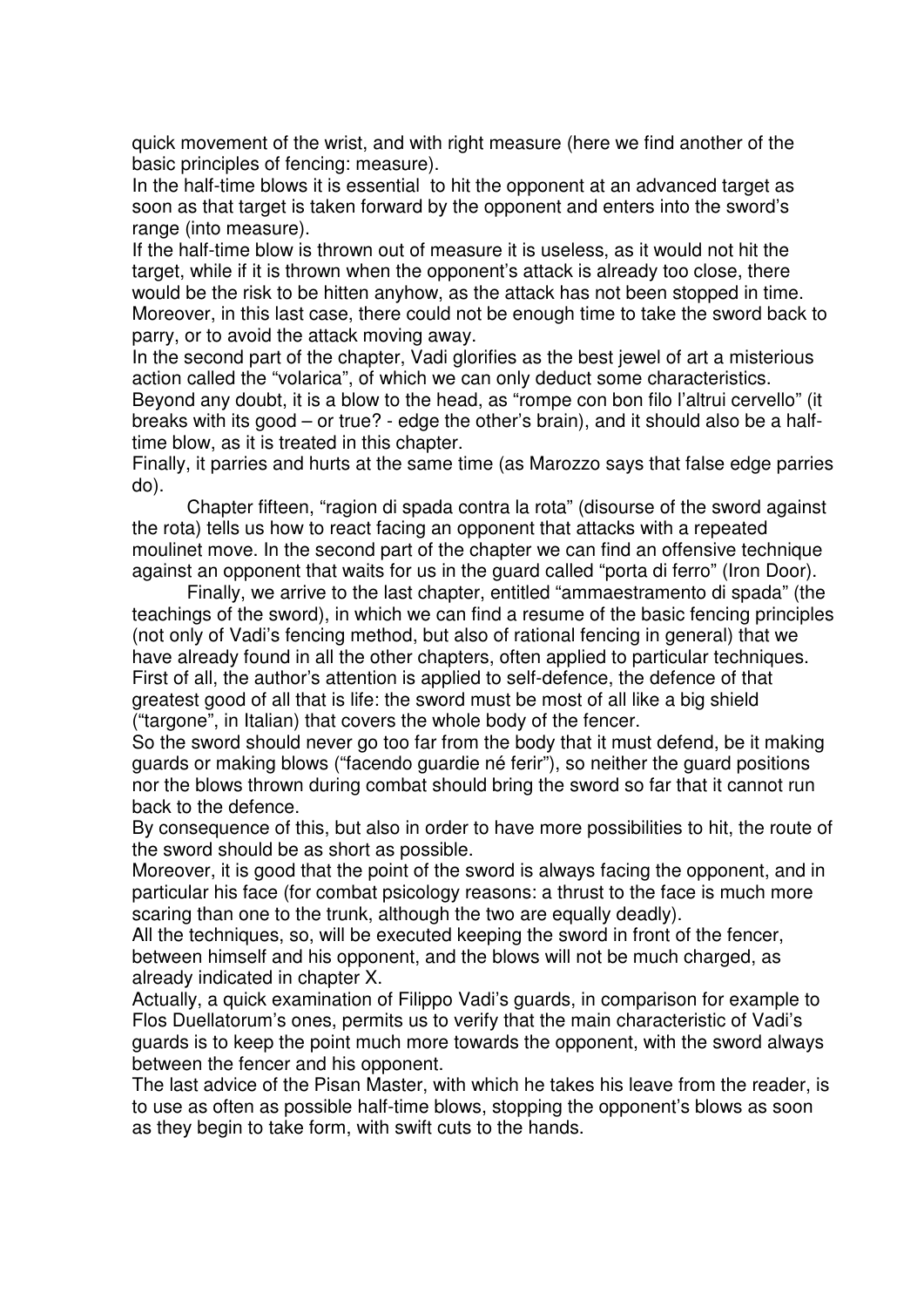quick movement of the wrist, and with right measure (here we find another of the basic principles of fencing: measure).

In the half-time blows it is essential to hit the opponent at an advanced target as soon as that target is taken forward by the opponent and enters into the sword's range (into measure).

If the half-time blow is thrown out of measure it is useless, as it would not hit the target, while if it is thrown when the opponent's attack is already too close, there would be the risk to be hitten anyhow, as the attack has not been stopped in time. Moreover, in this last case, there could not be enough time to take the sword back to parry, or to avoid the attack moving away.

In the second part of the chapter, Vadi glorifies as the best jewel of art a misterious action called the "volarica", of which we can only deduct some characteristics. Beyond any doubt, it is a blow to the head, as "rompe con bon filo l'altrui cervello" (it breaks with its good – or true? - edge the other's brain), and it should also be a halftime blow, as it is treated in this chapter.

Finally, it parries and hurts at the same time (as Marozzo says that false edge parries do).

Chapter fifteen, "ragion di spada contra la rota" (disourse of the sword against the rota) tells us how to react facing an opponent that attacks with a repeated moulinet move. In the second part of the chapter we can find an offensive technique against an opponent that waits for us in the guard called "porta di ferro" (Iron Door).

Finally, we arrive to the last chapter, entitled "ammaestramento di spada" (the teachings of the sword), in which we can find a resume of the basic fencing principles (not only of Vadi's fencing method, but also of rational fencing in general) that we have already found in all the other chapters, often applied to particular techniques. First of all, the author's attention is applied to self-defence, the defence of that greatest good of all that is life: the sword must be most of all like a big shield ("targone", in Italian) that covers the whole body of the fencer.

So the sword should never go too far from the body that it must defend, be it making guards or making blows ("facendo guardie né ferir"), so neither the guard positions nor the blows thrown during combat should bring the sword so far that it cannot run back to the defence.

By consequence of this, but also in order to have more possibilities to hit, the route of the sword should be as short as possible.

Moreover, it is good that the point of the sword is always facing the opponent, and in particular his face (for combat psicology reasons: a thrust to the face is much more scaring than one to the trunk, although the two are equally deadly).

All the techniques, so, will be executed keeping the sword in front of the fencer, between himself and his opponent, and the blows will not be much charged, as already indicated in chapter X.

Actually, a quick examination of Filippo Vadi's guards, in comparison for example to Flos Duellatorum's ones, permits us to verify that the main characteristic of Vadi's guards is to keep the point much more towards the opponent, with the sword always between the fencer and his opponent.

The last advice of the Pisan Master, with which he takes his leave from the reader, is to use as often as possible half-time blows, stopping the opponent's blows as soon as they begin to take form, with swift cuts to the hands.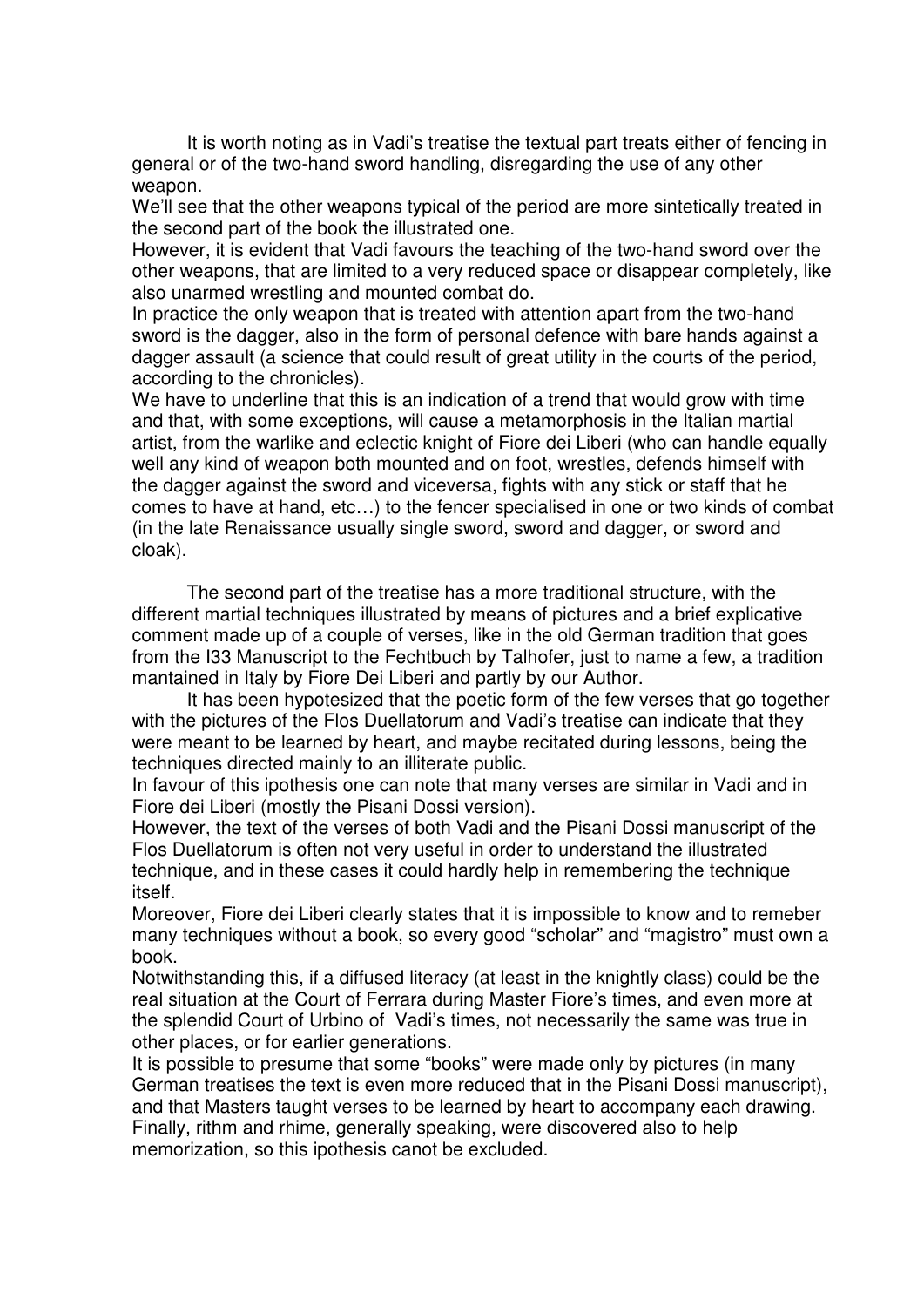It is worth noting as in Vadi's treatise the textual part treats either of fencing in general or of the two-hand sword handling, disregarding the use of any other weapon.

We'll see that the other weapons typical of the period are more sintetically treated in the second part of the book the illustrated one.

However, it is evident that Vadi favours the teaching of the two-hand sword over the other weapons, that are limited to a very reduced space or disappear completely, like also unarmed wrestling and mounted combat do.

In practice the only weapon that is treated with attention apart from the two-hand sword is the dagger, also in the form of personal defence with bare hands against a dagger assault (a science that could result of great utility in the courts of the period, according to the chronicles).

We have to underline that this is an indication of a trend that would grow with time and that, with some exceptions, will cause a metamorphosis in the Italian martial artist, from the warlike and eclectic knight of Fiore dei Liberi (who can handle equally well any kind of weapon both mounted and on foot, wrestles, defends himself with the dagger against the sword and viceversa, fights with any stick or staff that he comes to have at hand, etc…) to the fencer specialised in one or two kinds of combat (in the late Renaissance usually single sword, sword and dagger, or sword and cloak).

The second part of the treatise has a more traditional structure, with the different martial techniques illustrated by means of pictures and a brief explicative comment made up of a couple of verses, like in the old German tradition that goes from the I33 Manuscript to the Fechtbuch by Talhofer, just to name a few, a tradition mantained in Italy by Fiore Dei Liberi and partly by our Author.

It has been hypotesized that the poetic form of the few verses that go together with the pictures of the Flos Duellatorum and Vadi's treatise can indicate that they were meant to be learned by heart, and maybe recitated during lessons, being the techniques directed mainly to an illiterate public.

In favour of this ipothesis one can note that many verses are similar in Vadi and in Fiore dei Liberi (mostly the Pisani Dossi version).

However, the text of the verses of both Vadi and the Pisani Dossi manuscript of the Flos Duellatorum is often not very useful in order to understand the illustrated technique, and in these cases it could hardly help in remembering the technique itself.

Moreover, Fiore dei Liberi clearly states that it is impossible to know and to remeber many techniques without a book, so every good "scholar" and "magistro" must own a book.

Notwithstanding this, if a diffused literacy (at least in the knightly class) could be the real situation at the Court of Ferrara during Master Fiore's times, and even more at the splendid Court of Urbino of Vadi's times, not necessarily the same was true in other places, or for earlier generations.

It is possible to presume that some "books" were made only by pictures (in many German treatises the text is even more reduced that in the Pisani Dossi manuscript), and that Masters taught verses to be learned by heart to accompany each drawing. Finally, rithm and rhime, generally speaking, were discovered also to help memorization, so this ipothesis canot be excluded.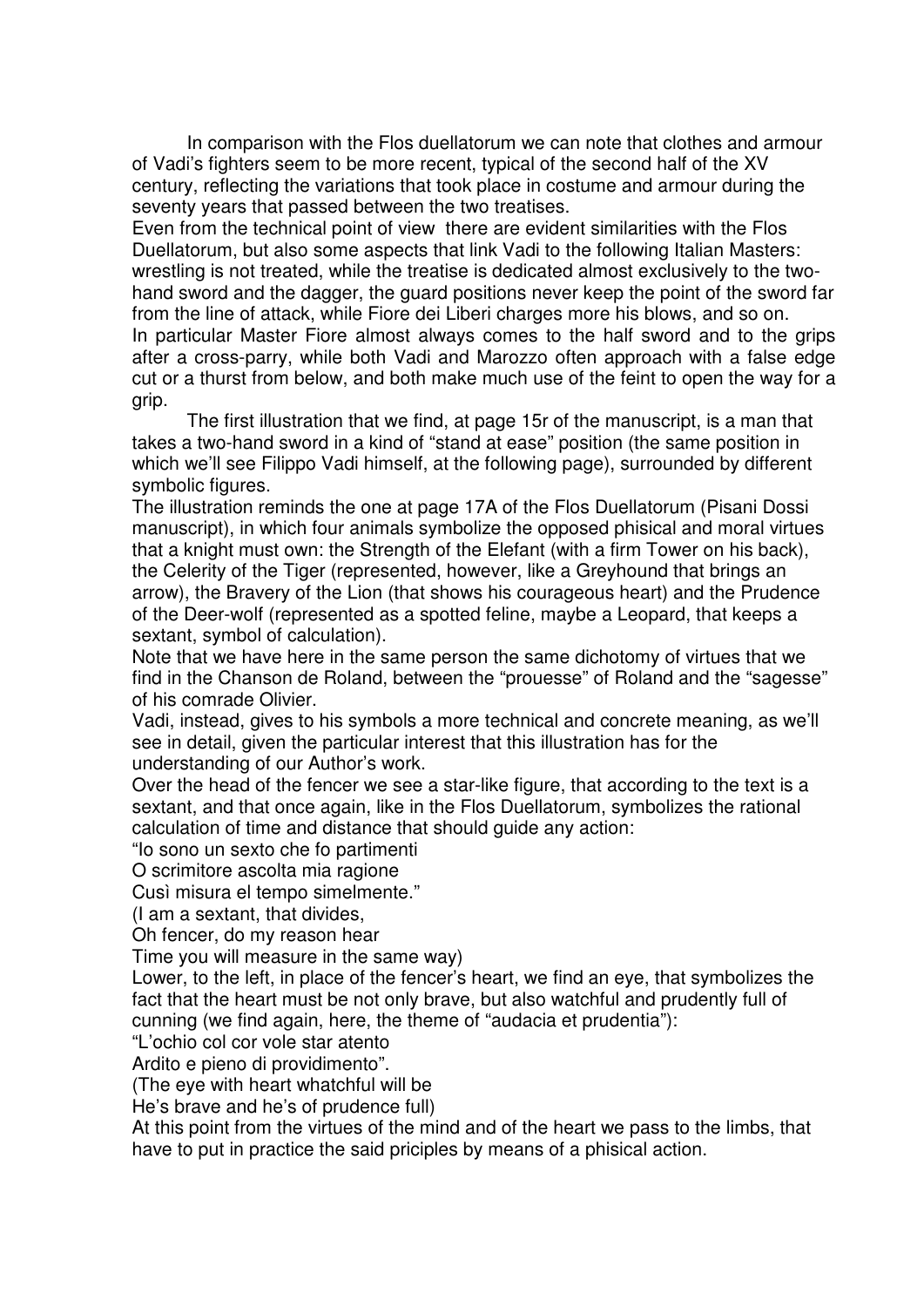In comparison with the Flos duellatorum we can note that clothes and armour of Vadi's fighters seem to be more recent, typical of the second half of the XV century, reflecting the variations that took place in costume and armour during the seventy years that passed between the two treatises.

Even from the technical point of view there are evident similarities with the Flos Duellatorum, but also some aspects that link Vadi to the following Italian Masters: wrestling is not treated, while the treatise is dedicated almost exclusively to the twohand sword and the dagger, the guard positions never keep the point of the sword far from the line of attack, while Fiore dei Liberi charges more his blows, and so on. In particular Master Fiore almost always comes to the half sword and to the grips after a cross-parry, while both Vadi and Marozzo often approach with a false edge cut or a thurst from below, and both make much use of the feint to open the way for a grip.

The first illustration that we find, at page 15r of the manuscript, is a man that takes a two-hand sword in a kind of "stand at ease" position (the same position in which we'll see Filippo Vadi himself, at the following page), surrounded by different symbolic figures.

The illustration reminds the one at page 17A of the Flos Duellatorum (Pisani Dossi manuscript), in which four animals symbolize the opposed phisical and moral virtues that a knight must own: the Strength of the Elefant (with a firm Tower on his back), the Celerity of the Tiger (represented, however, like a Greyhound that brings an arrow), the Bravery of the Lion (that shows his courageous heart) and the Prudence of the Deer-wolf (represented as a spotted feline, maybe a Leopard, that keeps a sextant, symbol of calculation).

Note that we have here in the same person the same dichotomy of virtues that we find in the Chanson de Roland, between the "prouesse" of Roland and the "sagesse" of his comrade Olivier.

Vadi, instead, gives to his symbols a more technical and concrete meaning, as we'll see in detail, given the particular interest that this illustration has for the understanding of our Author's work.

Over the head of the fencer we see a star-like figure, that according to the text is a sextant, and that once again, like in the Flos Duellatorum, symbolizes the rational calculation of time and distance that should guide any action:

"Io sono un sexto che fo partimenti

O scrimitore ascolta mia ragione

Cusì misura el tempo simelmente."

(I am a sextant, that divides,

Oh fencer, do my reason hear

Time you will measure in the same way)

Lower, to the left, in place of the fencer's heart, we find an eye, that symbolizes the fact that the heart must be not only brave, but also watchful and prudently full of cunning (we find again, here, the theme of "audacia et prudentia"):

"L'ochio col cor vole star atento

Ardito e pieno di providimento".

(The eye with heart whatchful will be

He's brave and he's of prudence full)

At this point from the virtues of the mind and of the heart we pass to the limbs, that have to put in practice the said priciples by means of a phisical action.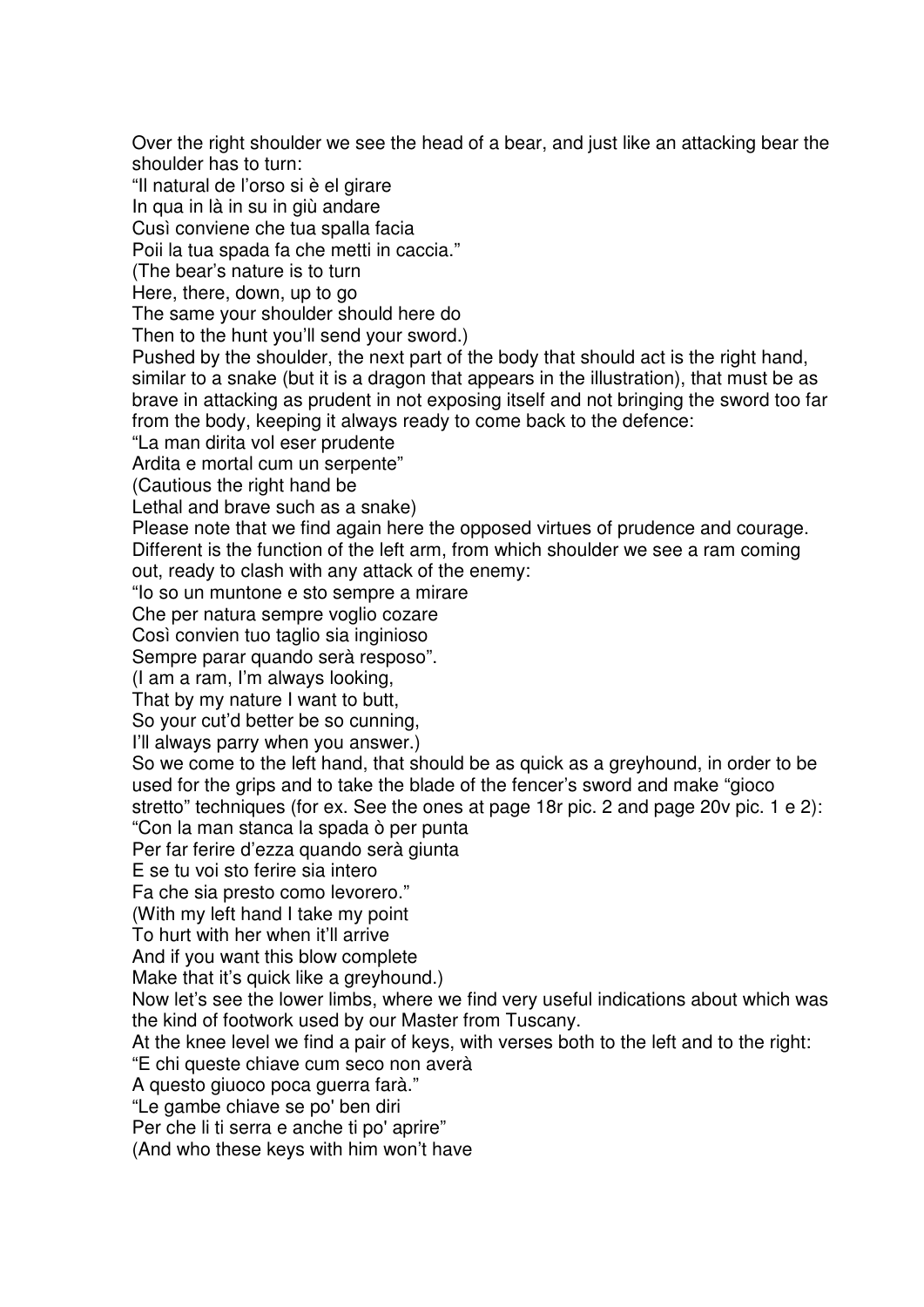Over the right shoulder we see the head of a bear, and just like an attacking bear the shoulder has to turn: "Il natural de l'orso si è el girare In qua in là in su in giù andare Cusì conviene che tua spalla facia Poii la tua spada fa che metti in caccia." (The bear's nature is to turn Here, there, down, up to go The same your shoulder should here do Then to the hunt you'll send your sword.) Pushed by the shoulder, the next part of the body that should act is the right hand, similar to a snake (but it is a dragon that appears in the illustration), that must be as brave in attacking as prudent in not exposing itself and not bringing the sword too far from the body, keeping it always ready to come back to the defence: "La man dirita vol eser prudente Ardita e mortal cum un serpente" (Cautious the right hand be Lethal and brave such as a snake) Please note that we find again here the opposed virtues of prudence and courage. Different is the function of the left arm, from which shoulder we see a ram coming out, ready to clash with any attack of the enemy: "Io so un muntone e sto sempre a mirare Che per natura sempre voglio cozare Così convien tuo taglio sia inginioso Sempre parar quando serà resposo". (I am a ram, I'm always looking, That by my nature I want to butt, So your cut'd better be so cunning, I'll always parry when you answer.) So we come to the left hand, that should be as quick as a greyhound, in order to be used for the grips and to take the blade of the fencer's sword and make "gioco stretto" techniques (for ex. See the ones at page 18r pic. 2 and page 20v pic. 1 e 2): "Con la man stanca la spada ò per punta Per far ferire d'ezza quando serà giunta E se tu voi sto ferire sia intero Fa che sia presto como levorero." (With my left hand I take my point To hurt with her when it'll arrive And if you want this blow complete Make that it's quick like a greyhound.) Now let's see the lower limbs, where we find very useful indications about which was the kind of footwork used by our Master from Tuscany. At the knee level we find a pair of keys, with verses both to the left and to the right: "E chi queste chiave cum seco non averà A questo giuoco poca guerra farà." "Le gambe chiave se po' ben diri Per che li ti serra e anche ti po' aprire" (And who these keys with him won't have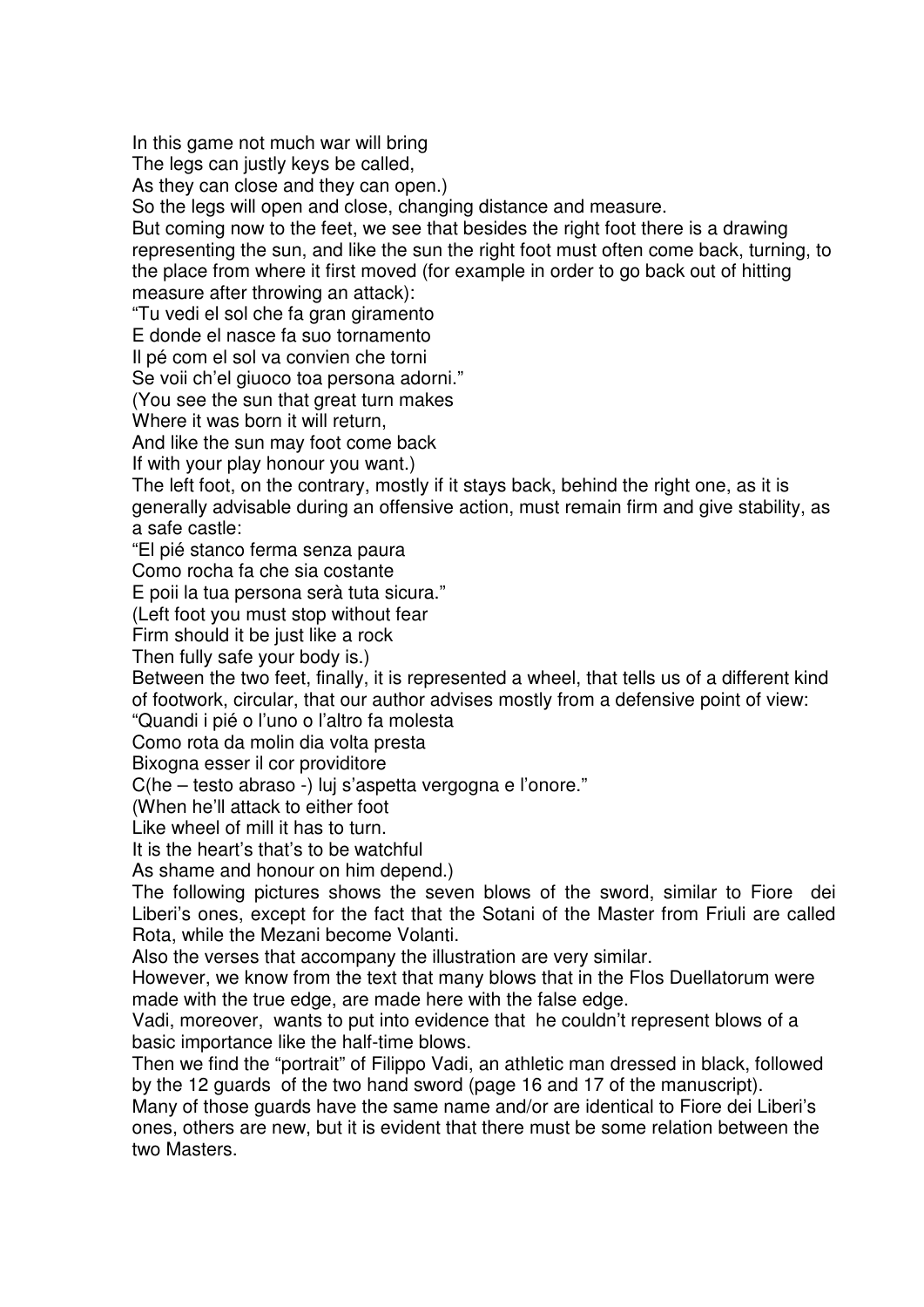In this game not much war will bring

The legs can justly keys be called.

As they can close and they can open.)

So the legs will open and close, changing distance and measure.

But coming now to the feet, we see that besides the right foot there is a drawing representing the sun, and like the sun the right foot must often come back, turning, to the place from where it first moved (for example in order to go back out of hitting measure after throwing an attack):

"Tu vedi el sol che fa gran giramento

E donde el nasce fa suo tornamento

Il pé com el sol va convien che torni

Se voii ch'el giuoco toa persona adorni."

(You see the sun that great turn makes

Where it was born it will return.

And like the sun may foot come back

If with your play honour you want.)

The left foot, on the contrary, mostly if it stays back, behind the right one, as it is generally advisable during an offensive action, must remain firm and give stability, as a safe castle:

"El pié stanco ferma senza paura

Como rocha fa che sia costante

E poii la tua persona serà tuta sicura."

(Left foot you must stop without fear

Firm should it be just like a rock

Then fully safe your body is.)

Between the two feet, finally, it is represented a wheel, that tells us of a different kind of footwork, circular, that our author advises mostly from a defensive point of view:

"Quandi i pié o l'uno o l'altro fa molesta

Como rota da molin dia volta presta

Bixogna esser il cor providitore

C(he – testo abraso -) luj s'aspetta vergogna e l'onore."

(When he'll attack to either foot

Like wheel of mill it has to turn.

It is the heart's that's to be watchful

As shame and honour on him depend.)

The following pictures shows the seven blows of the sword, similar to Fiore dei Liberi's ones, except for the fact that the Sotani of the Master from Friuli are called Rota, while the Mezani become Volanti.

Also the verses that accompany the illustration are very similar.

However, we know from the text that many blows that in the Flos Duellatorum were made with the true edge, are made here with the false edge.

Vadi, moreover, wants to put into evidence that he couldn't represent blows of a basic importance like the half-time blows.

Then we find the "portrait" of Filippo Vadi, an athletic man dressed in black, followed by the 12 guards of the two hand sword (page 16 and 17 of the manuscript).

Many of those guards have the same name and/or are identical to Fiore dei Liberi's ones, others are new, but it is evident that there must be some relation between the two Masters.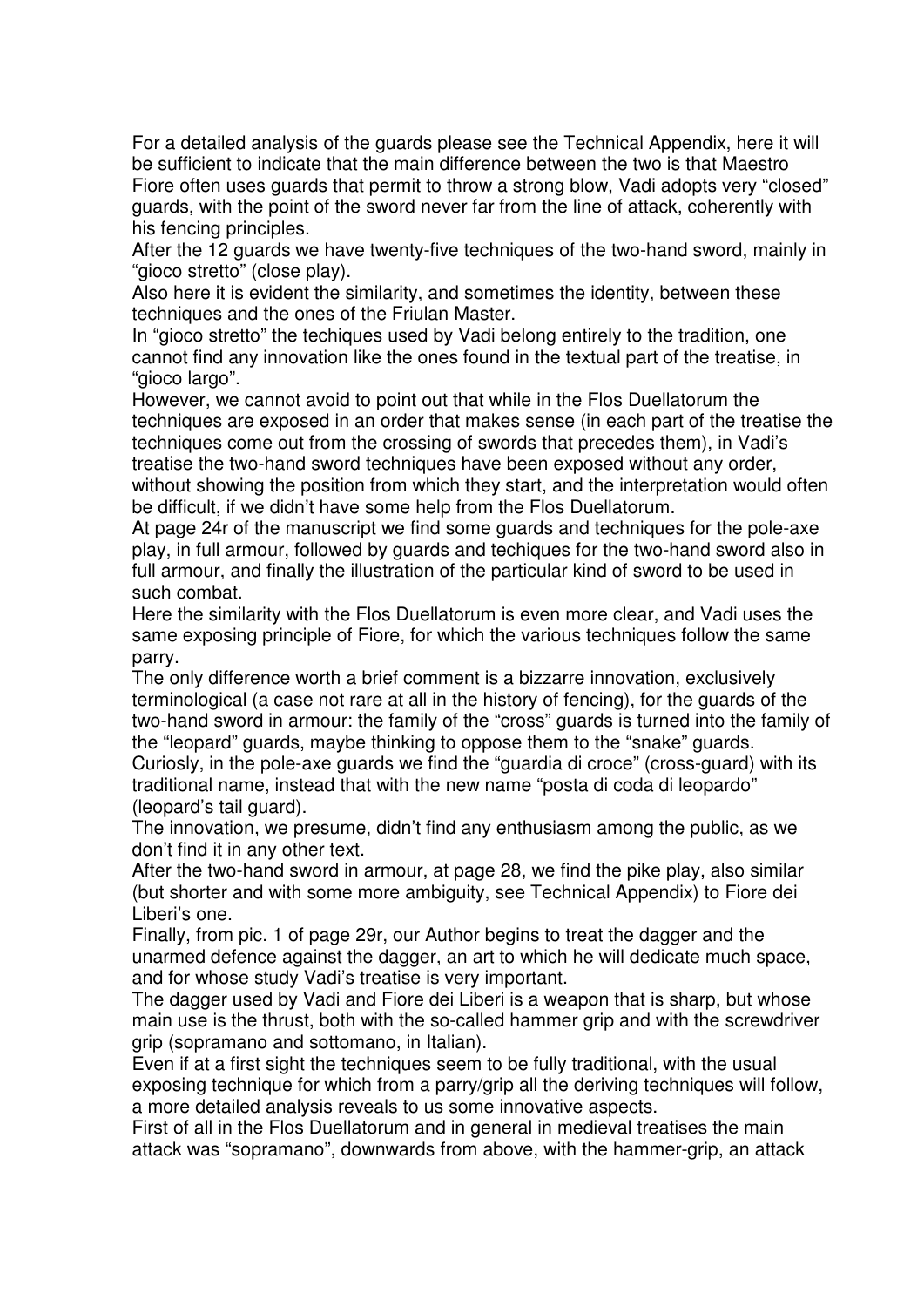For a detailed analysis of the guards please see the Technical Appendix, here it will be sufficient to indicate that the main difference between the two is that Maestro Fiore often uses guards that permit to throw a strong blow, Vadi adopts very "closed" guards, with the point of the sword never far from the line of attack, coherently with his fencing principles.

After the 12 guards we have twenty-five techniques of the two-hand sword, mainly in "gioco stretto" (close play).

Also here it is evident the similarity, and sometimes the identity, between these techniques and the ones of the Friulan Master.

In "gioco stretto" the techiques used by Vadi belong entirely to the tradition, one cannot find any innovation like the ones found in the textual part of the treatise, in "gioco largo".

However, we cannot avoid to point out that while in the Flos Duellatorum the techniques are exposed in an order that makes sense (in each part of the treatise the techniques come out from the crossing of swords that precedes them), in Vadi's treatise the two-hand sword techniques have been exposed without any order, without showing the position from which they start, and the interpretation would often be difficult, if we didn't have some help from the Flos Duellatorum.

At page 24r of the manuscript we find some guards and techniques for the pole-axe play, in full armour, followed by guards and techiques for the two-hand sword also in full armour, and finally the illustration of the particular kind of sword to be used in such combat.

Here the similarity with the Flos Duellatorum is even more clear, and Vadi uses the same exposing principle of Fiore, for which the various techniques follow the same parry.

The only difference worth a brief comment is a bizzarre innovation, exclusively terminological (a case not rare at all in the history of fencing), for the guards of the two-hand sword in armour: the family of the "cross" guards is turned into the family of the "leopard" guards, maybe thinking to oppose them to the "snake" guards. Curiosly, in the pole-axe guards we find the "guardia di croce" (cross-guard) with its

traditional name, instead that with the new name "posta di coda di leopardo" (leopard's tail guard).

The innovation, we presume, didn't find any enthusiasm among the public, as we don't find it in any other text.

After the two-hand sword in armour, at page 28, we find the pike play, also similar (but shorter and with some more ambiguity, see Technical Appendix) to Fiore dei Liberi's one.

Finally, from pic. 1 of page 29r, our Author begins to treat the dagger and the unarmed defence against the dagger, an art to which he will dedicate much space, and for whose study Vadi's treatise is very important.

The dagger used by Vadi and Fiore dei Liberi is a weapon that is sharp, but whose main use is the thrust, both with the so-called hammer grip and with the screwdriver grip (sopramano and sottomano, in Italian).

Even if at a first sight the techniques seem to be fully traditional, with the usual exposing technique for which from a parry/grip all the deriving techniques will follow, a more detailed analysis reveals to us some innovative aspects.

First of all in the Flos Duellatorum and in general in medieval treatises the main attack was "sopramano", downwards from above, with the hammer-grip, an attack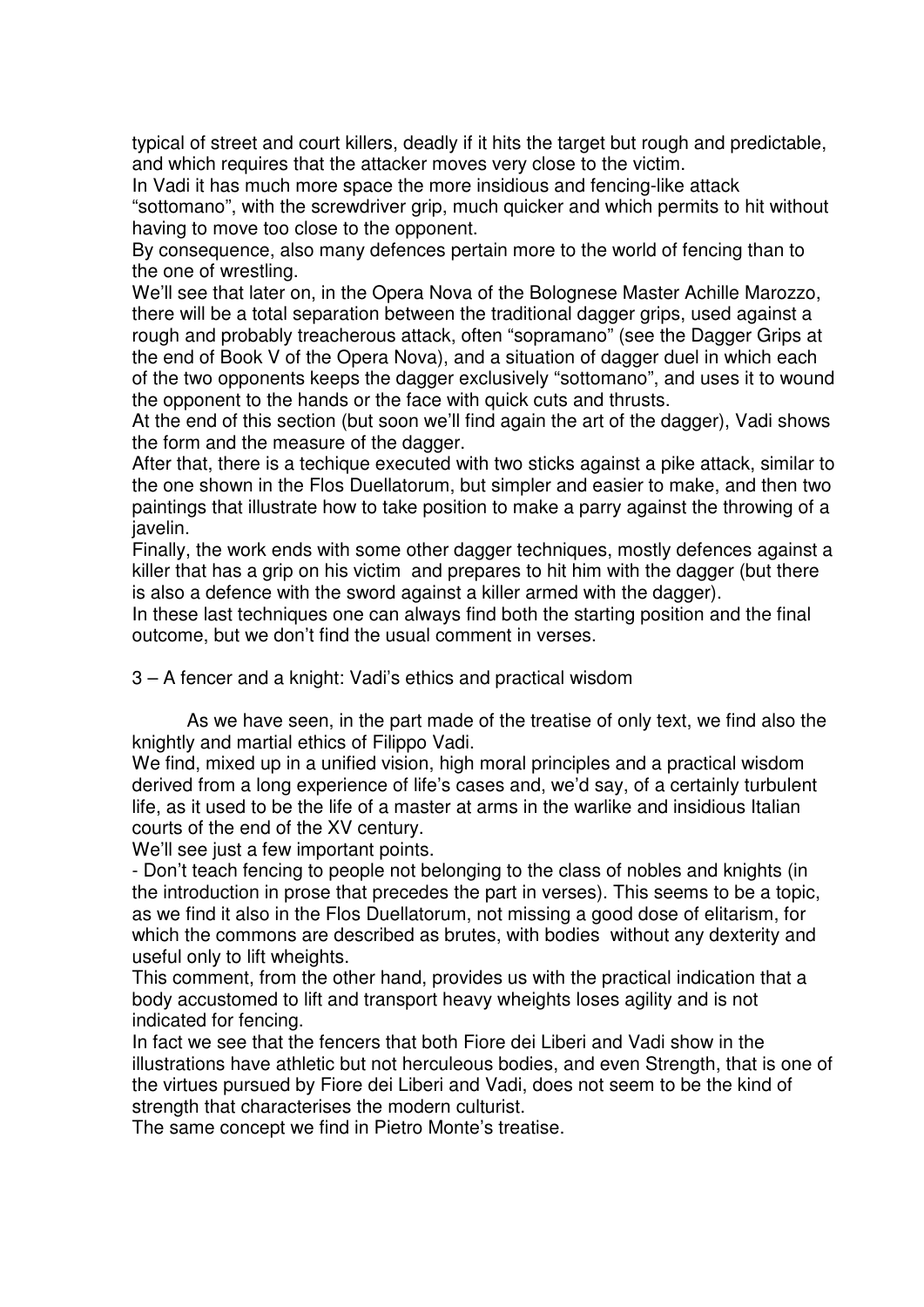typical of street and court killers, deadly if it hits the target but rough and predictable, and which requires that the attacker moves very close to the victim.

In Vadi it has much more space the more insidious and fencing-like attack "sottomano", with the screwdriver grip, much quicker and which permits to hit without having to move too close to the opponent.

By consequence, also many defences pertain more to the world of fencing than to the one of wrestling.

We'll see that later on, in the Opera Nova of the Bolognese Master Achille Marozzo, there will be a total separation between the traditional dagger grips, used against a rough and probably treacherous attack, often "sopramano" (see the Dagger Grips at the end of Book V of the Opera Nova), and a situation of dagger duel in which each of the two opponents keeps the dagger exclusively "sottomano", and uses it to wound the opponent to the hands or the face with quick cuts and thrusts.

At the end of this section (but soon we'll find again the art of the dagger), Vadi shows the form and the measure of the dagger.

After that, there is a techique executed with two sticks against a pike attack, similar to the one shown in the Flos Duellatorum, but simpler and easier to make, and then two paintings that illustrate how to take position to make a parry against the throwing of a javelin.

Finally, the work ends with some other dagger techniques, mostly defences against a killer that has a grip on his victim and prepares to hit him with the dagger (but there is also a defence with the sword against a killer armed with the dagger).

In these last techniques one can always find both the starting position and the final outcome, but we don't find the usual comment in verses.

3 – A fencer and a knight: Vadi's ethics and practical wisdom

As we have seen, in the part made of the treatise of only text, we find also the knightly and martial ethics of Filippo Vadi.

We find, mixed up in a unified vision, high moral principles and a practical wisdom derived from a long experience of life's cases and, we'd say, of a certainly turbulent life, as it used to be the life of a master at arms in the warlike and insidious Italian courts of the end of the XV century.

We'll see just a few important points.

- Don't teach fencing to people not belonging to the class of nobles and knights (in the introduction in prose that precedes the part in verses). This seems to be a topic, as we find it also in the Flos Duellatorum, not missing a good dose of elitarism, for which the commons are described as brutes, with bodies without any dexterity and useful only to lift wheights.

This comment, from the other hand, provides us with the practical indication that a body accustomed to lift and transport heavy wheights loses agility and is not indicated for fencing.

In fact we see that the fencers that both Fiore dei Liberi and Vadi show in the illustrations have athletic but not herculeous bodies, and even Strength, that is one of the virtues pursued by Fiore dei Liberi and Vadi, does not seem to be the kind of strength that characterises the modern culturist.

The same concept we find in Pietro Monte's treatise.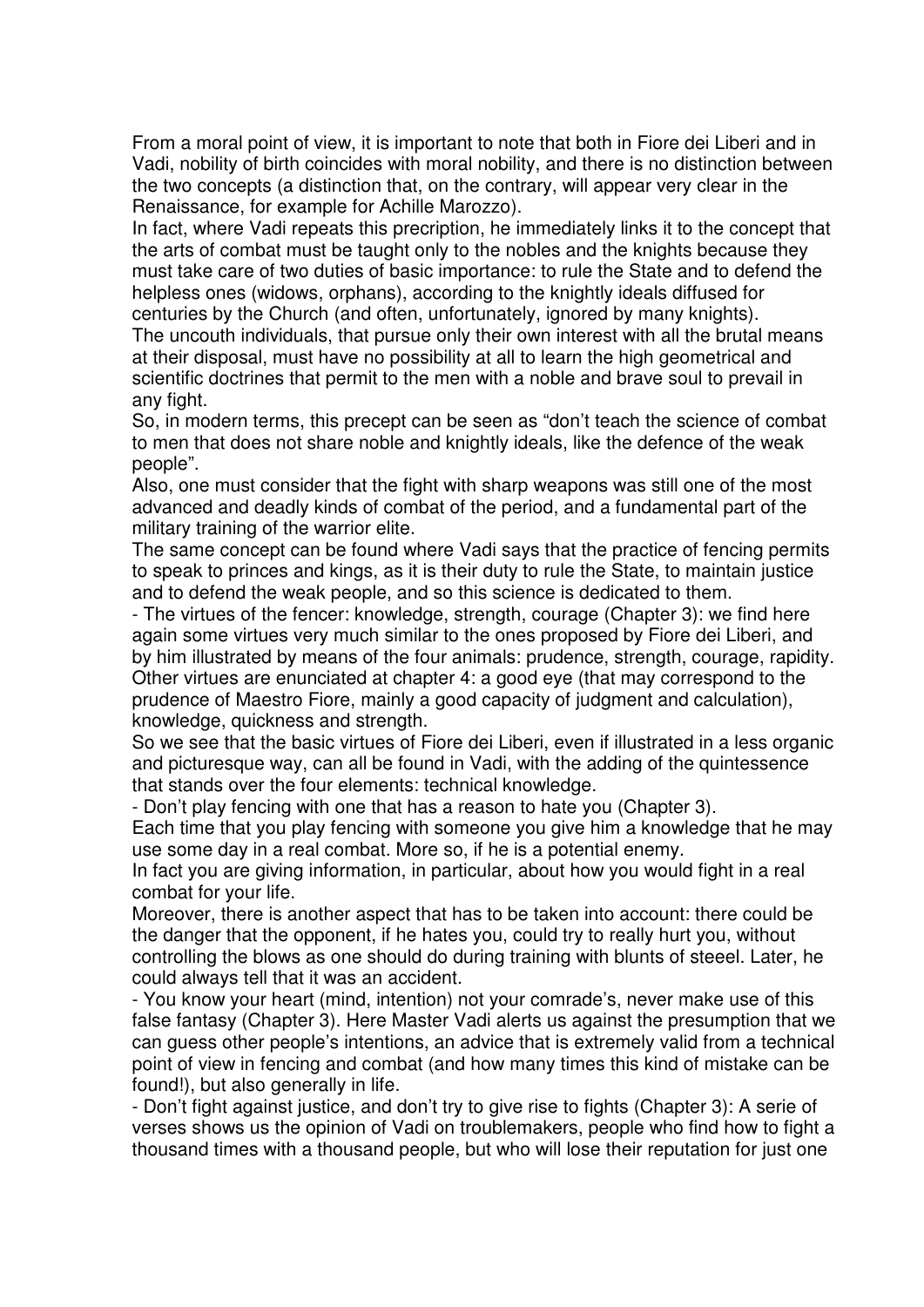From a moral point of view, it is important to note that both in Fiore dei Liberi and in Vadi, nobility of birth coincides with moral nobility, and there is no distinction between the two concepts (a distinction that, on the contrary, will appear very clear in the Renaissance, for example for Achille Marozzo).

In fact, where Vadi repeats this precription, he immediately links it to the concept that the arts of combat must be taught only to the nobles and the knights because they must take care of two duties of basic importance: to rule the State and to defend the helpless ones (widows, orphans), according to the knightly ideals diffused for centuries by the Church (and often, unfortunately, ignored by many knights).

The uncouth individuals, that pursue only their own interest with all the brutal means at their disposal, must have no possibility at all to learn the high geometrical and scientific doctrines that permit to the men with a noble and brave soul to prevail in any fight.

So, in modern terms, this precept can be seen as "don't teach the science of combat to men that does not share noble and knightly ideals, like the defence of the weak people".

Also, one must consider that the fight with sharp weapons was still one of the most advanced and deadly kinds of combat of the period, and a fundamental part of the military training of the warrior elite.

The same concept can be found where Vadi says that the practice of fencing permits to speak to princes and kings, as it is their duty to rule the State, to maintain justice and to defend the weak people, and so this science is dedicated to them.

- The virtues of the fencer: knowledge, strength, courage (Chapter 3): we find here again some virtues very much similar to the ones proposed by Fiore dei Liberi, and by him illustrated by means of the four animals: prudence, strength, courage, rapidity. Other virtues are enunciated at chapter 4: a good eye (that may correspond to the prudence of Maestro Fiore, mainly a good capacity of judgment and calculation), knowledge, quickness and strength.

So we see that the basic virtues of Fiore dei Liberi, even if illustrated in a less organic and picturesque way, can all be found in Vadi, with the adding of the quintessence that stands over the four elements: technical knowledge.

- Don't play fencing with one that has a reason to hate you (Chapter 3).

Each time that you play fencing with someone you give him a knowledge that he may use some day in a real combat. More so, if he is a potential enemy.

In fact you are giving information, in particular, about how you would fight in a real combat for your life.

Moreover, there is another aspect that has to be taken into account: there could be the danger that the opponent, if he hates you, could try to really hurt you, without controlling the blows as one should do during training with blunts of steeel. Later, he could always tell that it was an accident.

- You know your heart (mind, intention) not your comrade's, never make use of this false fantasy (Chapter 3). Here Master Vadi alerts us against the presumption that we can guess other people's intentions, an advice that is extremely valid from a technical point of view in fencing and combat (and how many times this kind of mistake can be found!), but also generally in life.

- Don't fight against justice, and don't try to give rise to fights (Chapter 3): A serie of verses shows us the opinion of Vadi on troublemakers, people who find how to fight a thousand times with a thousand people, but who will lose their reputation for just one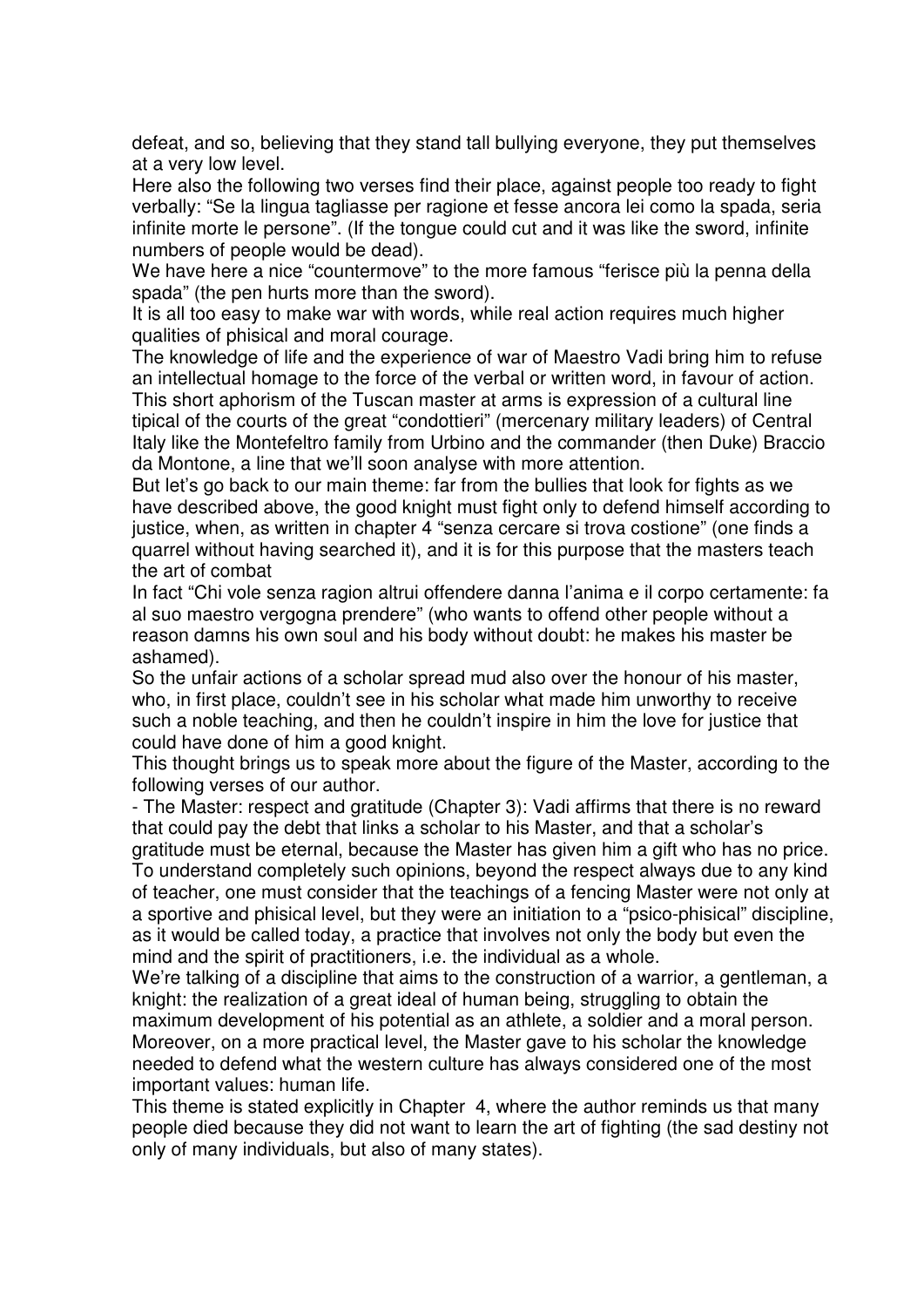defeat, and so, believing that they stand tall bullying everyone, they put themselves at a very low level.

Here also the following two verses find their place, against people too ready to fight verbally: "Se la lingua tagliasse per ragione et fesse ancora lei como la spada, seria infinite morte le persone". (If the tongue could cut and it was like the sword, infinite numbers of people would be dead).

We have here a nice "countermove" to the more famous "ferisce più la penna della spada" (the pen hurts more than the sword).

It is all too easy to make war with words, while real action requires much higher qualities of phisical and moral courage.

The knowledge of life and the experience of war of Maestro Vadi bring him to refuse an intellectual homage to the force of the verbal or written word, in favour of action. This short aphorism of the Tuscan master at arms is expression of a cultural line tipical of the courts of the great "condottieri" (mercenary military leaders) of Central Italy like the Montefeltro family from Urbino and the commander (then Duke) Braccio da Montone, a line that we'll soon analyse with more attention.

But let's go back to our main theme: far from the bullies that look for fights as we have described above, the good knight must fight only to defend himself according to justice, when, as written in chapter 4 "senza cercare si trova costione" (one finds a quarrel without having searched it), and it is for this purpose that the masters teach the art of combat

In fact "Chi vole senza ragion altrui offendere danna l'anima e il corpo certamente: fa al suo maestro vergogna prendere" (who wants to offend other people without a reason damns his own soul and his body without doubt: he makes his master be ashamed).

So the unfair actions of a scholar spread mud also over the honour of his master, who, in first place, couldn't see in his scholar what made him unworthy to receive such a noble teaching, and then he couldn't inspire in him the love for justice that could have done of him a good knight.

This thought brings us to speak more about the figure of the Master, according to the following verses of our author.

- The Master: respect and gratitude (Chapter 3): Vadi affirms that there is no reward that could pay the debt that links a scholar to his Master, and that a scholar's

gratitude must be eternal, because the Master has given him a gift who has no price. To understand completely such opinions, beyond the respect always due to any kind of teacher, one must consider that the teachings of a fencing Master were not only at a sportive and phisical level, but they were an initiation to a "psico-phisical" discipline, as it would be called today, a practice that involves not only the body but even the mind and the spirit of practitioners, i.e. the individual as a whole.

We're talking of a discipline that aims to the construction of a warrior, a gentleman, a knight: the realization of a great ideal of human being, struggling to obtain the maximum development of his potential as an athlete, a soldier and a moral person. Moreover, on a more practical level, the Master gave to his scholar the knowledge needed to defend what the western culture has always considered one of the most important values: human life.

This theme is stated explicitly in Chapter 4, where the author reminds us that many people died because they did not want to learn the art of fighting (the sad destiny not only of many individuals, but also of many states).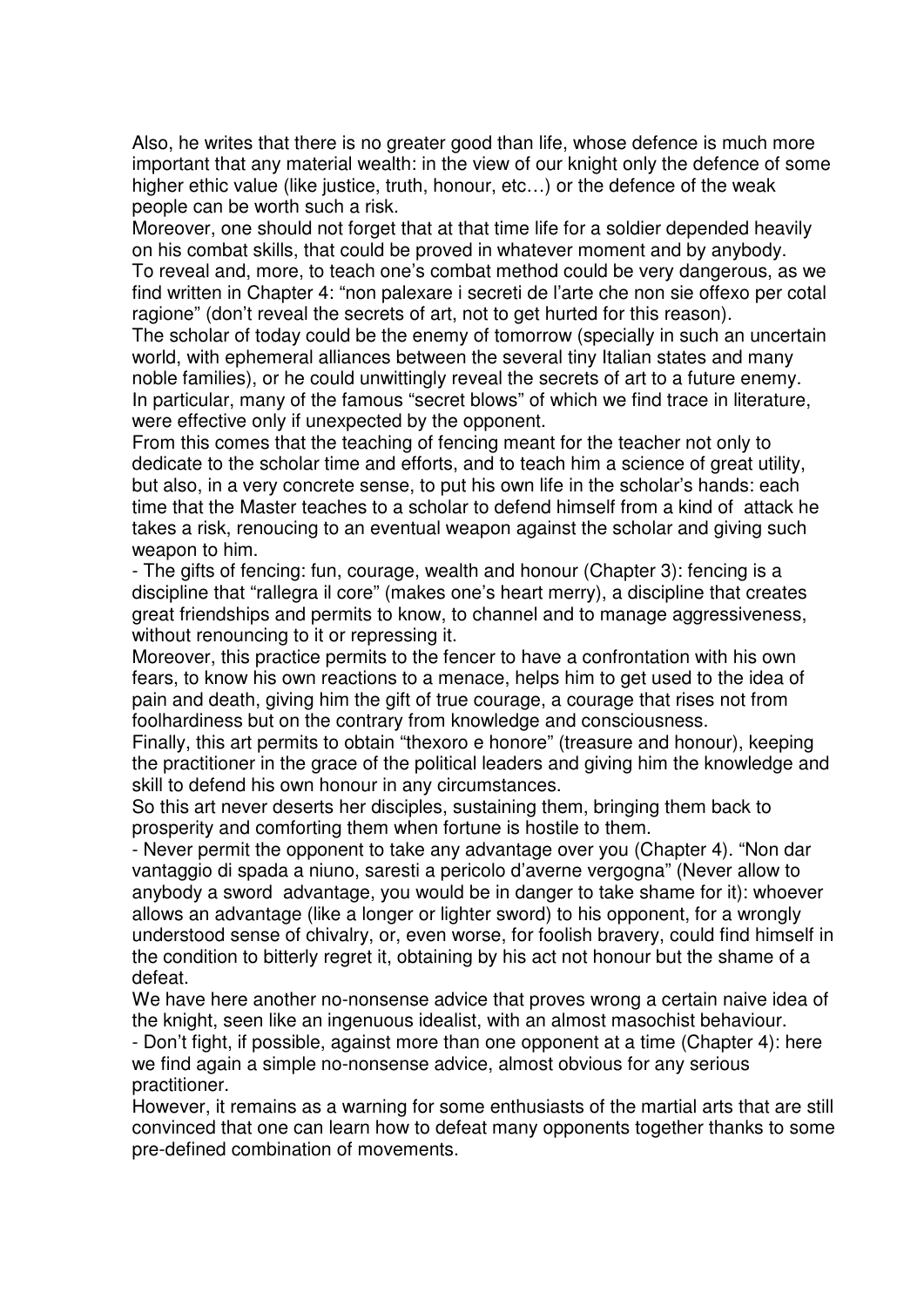Also, he writes that there is no greater good than life, whose defence is much more important that any material wealth: in the view of our knight only the defence of some higher ethic value (like justice, truth, honour, etc…) or the defence of the weak people can be worth such a risk.

Moreover, one should not forget that at that time life for a soldier depended heavily on his combat skills, that could be proved in whatever moment and by anybody. To reveal and, more, to teach one's combat method could be very dangerous, as we find written in Chapter 4: "non palexare i secreti de l'arte che non sie offexo per cotal ragione" (don't reveal the secrets of art, not to get hurted for this reason).

The scholar of today could be the enemy of tomorrow (specially in such an uncertain world, with ephemeral alliances between the several tiny Italian states and many noble families), or he could unwittingly reveal the secrets of art to a future enemy. In particular, many of the famous "secret blows" of which we find trace in literature, were effective only if unexpected by the opponent.

From this comes that the teaching of fencing meant for the teacher not only to dedicate to the scholar time and efforts, and to teach him a science of great utility, but also, in a very concrete sense, to put his own life in the scholar's hands: each time that the Master teaches to a scholar to defend himself from a kind of attack he takes a risk, renoucing to an eventual weapon against the scholar and giving such weapon to him.

- The gifts of fencing: fun, courage, wealth and honour (Chapter 3): fencing is a discipline that "rallegra il core" (makes one's heart merry), a discipline that creates great friendships and permits to know, to channel and to manage aggressiveness, without renouncing to it or repressing it.

Moreover, this practice permits to the fencer to have a confrontation with his own fears, to know his own reactions to a menace, helps him to get used to the idea of pain and death, giving him the gift of true courage, a courage that rises not from foolhardiness but on the contrary from knowledge and consciousness.

Finally, this art permits to obtain "thexoro e honore" (treasure and honour), keeping the practitioner in the grace of the political leaders and giving him the knowledge and skill to defend his own honour in any circumstances.

So this art never deserts her disciples, sustaining them, bringing them back to prosperity and comforting them when fortune is hostile to them.

- Never permit the opponent to take any advantage over you (Chapter 4). "Non dar vantaggio di spada a niuno, saresti a pericolo d'averne vergogna" (Never allow to anybody a sword advantage, you would be in danger to take shame for it): whoever allows an advantage (like a longer or lighter sword) to his opponent, for a wrongly understood sense of chivalry, or, even worse, for foolish bravery, could find himself in the condition to bitterly regret it, obtaining by his act not honour but the shame of a defeat.

We have here another no-nonsense advice that proves wrong a certain naive idea of the knight, seen like an ingenuous idealist, with an almost masochist behaviour.

- Don't fight, if possible, against more than one opponent at a time (Chapter 4): here we find again a simple no-nonsense advice, almost obvious for any serious practitioner.

However, it remains as a warning for some enthusiasts of the martial arts that are still convinced that one can learn how to defeat many opponents together thanks to some pre-defined combination of movements.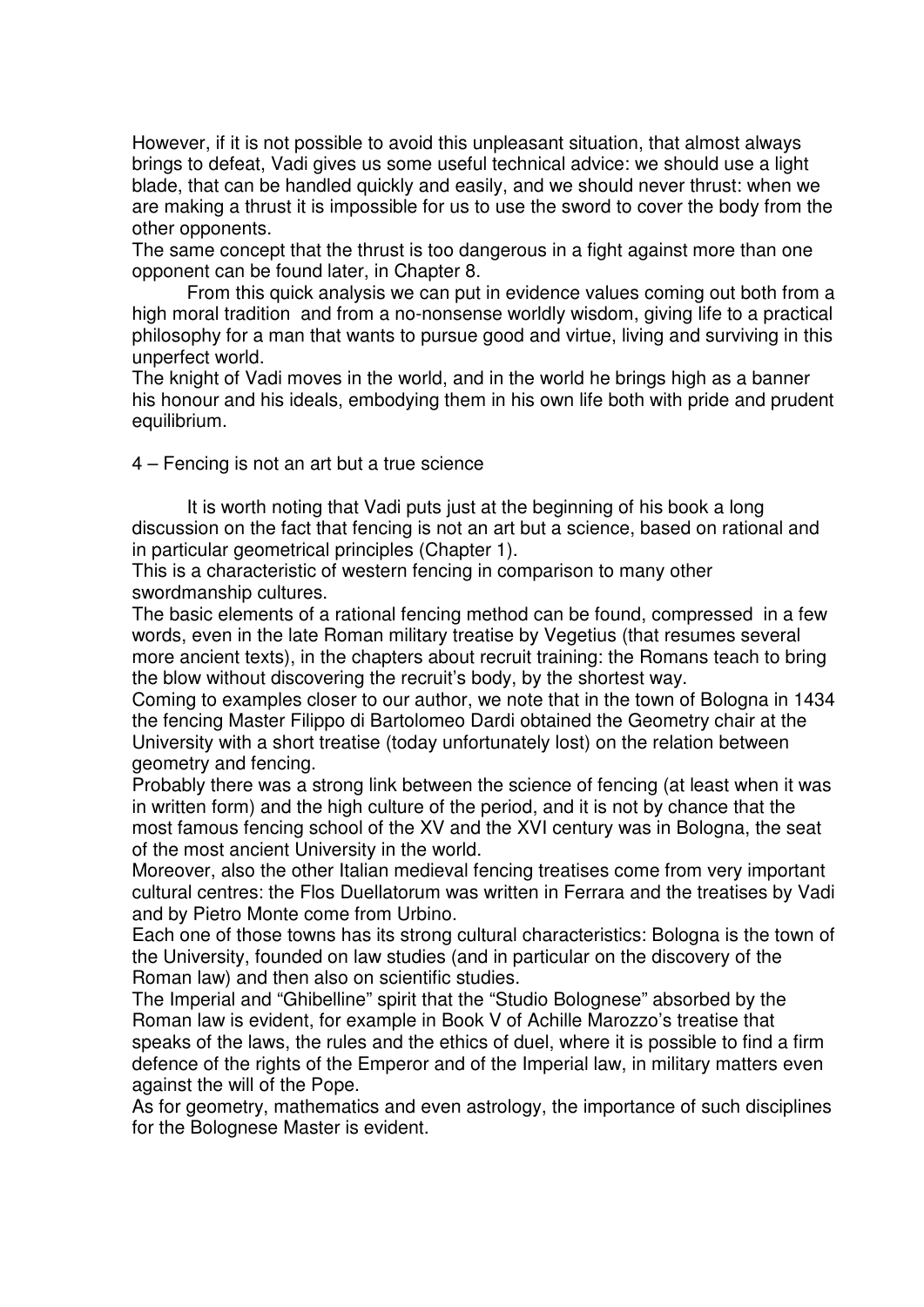However, if it is not possible to avoid this unpleasant situation, that almost always brings to defeat, Vadi gives us some useful technical advice: we should use a light blade, that can be handled quickly and easily, and we should never thrust: when we are making a thrust it is impossible for us to use the sword to cover the body from the other opponents.

The same concept that the thrust is too dangerous in a fight against more than one opponent can be found later, in Chapter 8.

From this quick analysis we can put in evidence values coming out both from a high moral tradition and from a no-nonsense worldly wisdom, giving life to a practical philosophy for a man that wants to pursue good and virtue, living and surviving in this unperfect world.

The knight of Vadi moves in the world, and in the world he brings high as a banner his honour and his ideals, embodying them in his own life both with pride and prudent equilibrium.

4 – Fencing is not an art but a true science

It is worth noting that Vadi puts just at the beginning of his book a long discussion on the fact that fencing is not an art but a science, based on rational and in particular geometrical principles (Chapter 1).

This is a characteristic of western fencing in comparison to many other swordmanship cultures.

The basic elements of a rational fencing method can be found, compressed in a few words, even in the late Roman military treatise by Vegetius (that resumes several more ancient texts), in the chapters about recruit training: the Romans teach to bring the blow without discovering the recruit's body, by the shortest way.

Coming to examples closer to our author, we note that in the town of Bologna in 1434 the fencing Master Filippo di Bartolomeo Dardi obtained the Geometry chair at the University with a short treatise (today unfortunately lost) on the relation between geometry and fencing.

Probably there was a strong link between the science of fencing (at least when it was in written form) and the high culture of the period, and it is not by chance that the most famous fencing school of the XV and the XVI century was in Bologna, the seat of the most ancient University in the world.

Moreover, also the other Italian medieval fencing treatises come from very important cultural centres: the Flos Duellatorum was written in Ferrara and the treatises by Vadi and by Pietro Monte come from Urbino.

Each one of those towns has its strong cultural characteristics: Bologna is the town of the University, founded on law studies (and in particular on the discovery of the Roman law) and then also on scientific studies.

The Imperial and "Ghibelline" spirit that the "Studio Bolognese" absorbed by the Roman law is evident, for example in Book V of Achille Marozzo's treatise that speaks of the laws, the rules and the ethics of duel, where it is possible to find a firm defence of the rights of the Emperor and of the Imperial law, in military matters even against the will of the Pope.

As for geometry, mathematics and even astrology, the importance of such disciplines for the Bolognese Master is evident.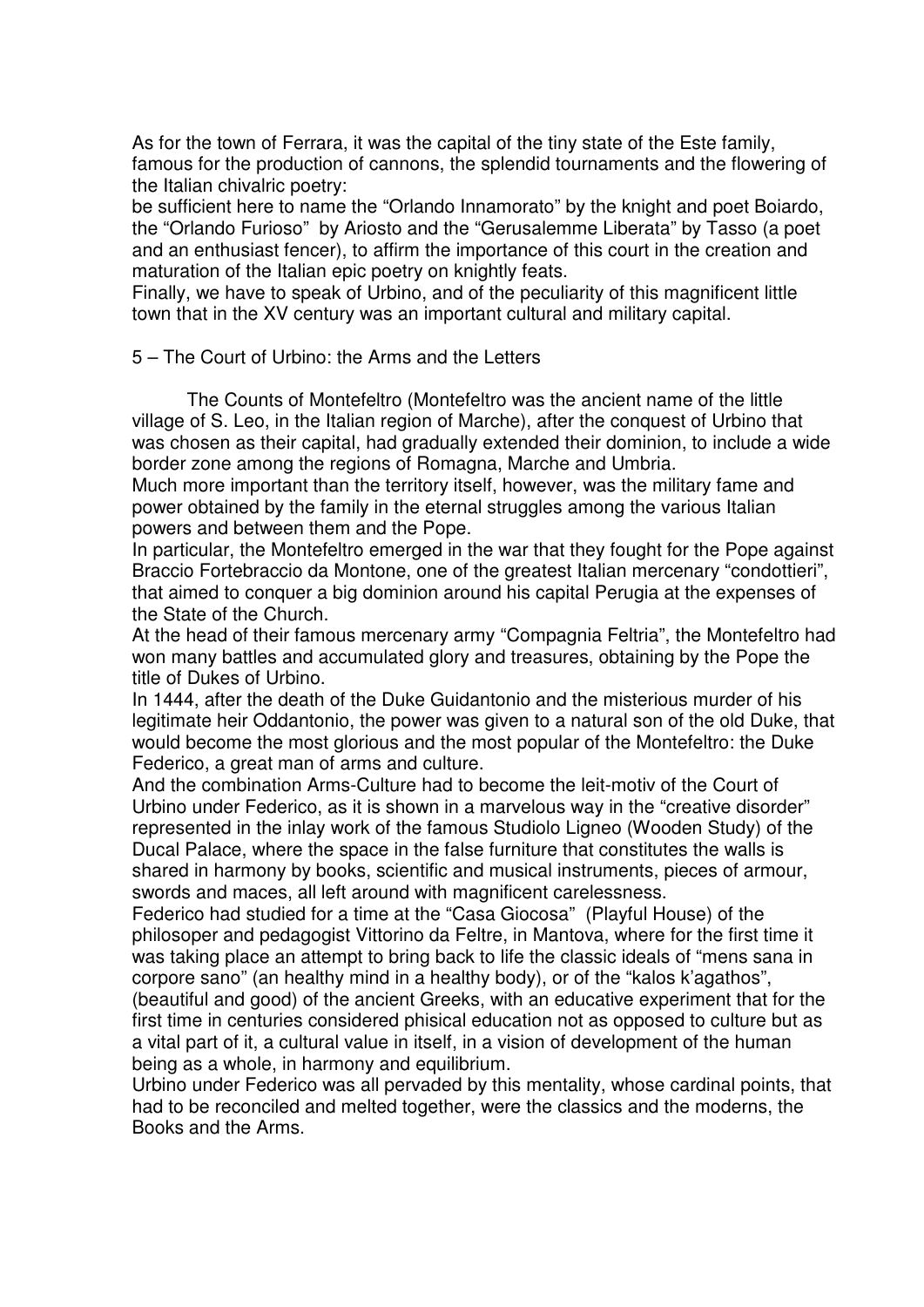As for the town of Ferrara, it was the capital of the tiny state of the Este family, famous for the production of cannons, the splendid tournaments and the flowering of the Italian chivalric poetry:

be sufficient here to name the "Orlando Innamorato" by the knight and poet Boiardo, the "Orlando Furioso" by Ariosto and the "Gerusalemme Liberata" by Tasso (a poet and an enthusiast fencer), to affirm the importance of this court in the creation and maturation of the Italian epic poetry on knightly feats.

Finally, we have to speak of Urbino, and of the peculiarity of this magnificent little town that in the XV century was an important cultural and military capital.

5 – The Court of Urbino: the Arms and the Letters

The Counts of Montefeltro (Montefeltro was the ancient name of the little village of S. Leo, in the Italian region of Marche), after the conquest of Urbino that was chosen as their capital, had gradually extended their dominion, to include a wide border zone among the regions of Romagna, Marche and Umbria.

Much more important than the territory itself, however, was the military fame and power obtained by the family in the eternal struggles among the various Italian powers and between them and the Pope.

In particular, the Montefeltro emerged in the war that they fought for the Pope against Braccio Fortebraccio da Montone, one of the greatest Italian mercenary "condottieri", that aimed to conquer a big dominion around his capital Perugia at the expenses of the State of the Church.

At the head of their famous mercenary army "Compagnia Feltria", the Montefeltro had won many battles and accumulated glory and treasures, obtaining by the Pope the title of Dukes of Urbino.

In 1444, after the death of the Duke Guidantonio and the misterious murder of his legitimate heir Oddantonio, the power was given to a natural son of the old Duke, that would become the most glorious and the most popular of the Montefeltro: the Duke Federico, a great man of arms and culture.

And the combination Arms-Culture had to become the leit-motiv of the Court of Urbino under Federico, as it is shown in a marvelous way in the "creative disorder" represented in the inlay work of the famous Studiolo Ligneo (Wooden Study) of the Ducal Palace, where the space in the false furniture that constitutes the walls is shared in harmony by books, scientific and musical instruments, pieces of armour, swords and maces, all left around with magnificent carelessness.

Federico had studied for a time at the "Casa Giocosa" (Playful House) of the philosoper and pedagogist Vittorino da Feltre, in Mantova, where for the first time it was taking place an attempt to bring back to life the classic ideals of "mens sana in corpore sano" (an healthy mind in a healthy body), or of the "kalos k'agathos", (beautiful and good) of the ancient Greeks, with an educative experiment that for the first time in centuries considered phisical education not as opposed to culture but as a vital part of it, a cultural value in itself, in a vision of development of the human being as a whole, in harmony and equilibrium.

Urbino under Federico was all pervaded by this mentality, whose cardinal points, that had to be reconciled and melted together, were the classics and the moderns, the Books and the Arms.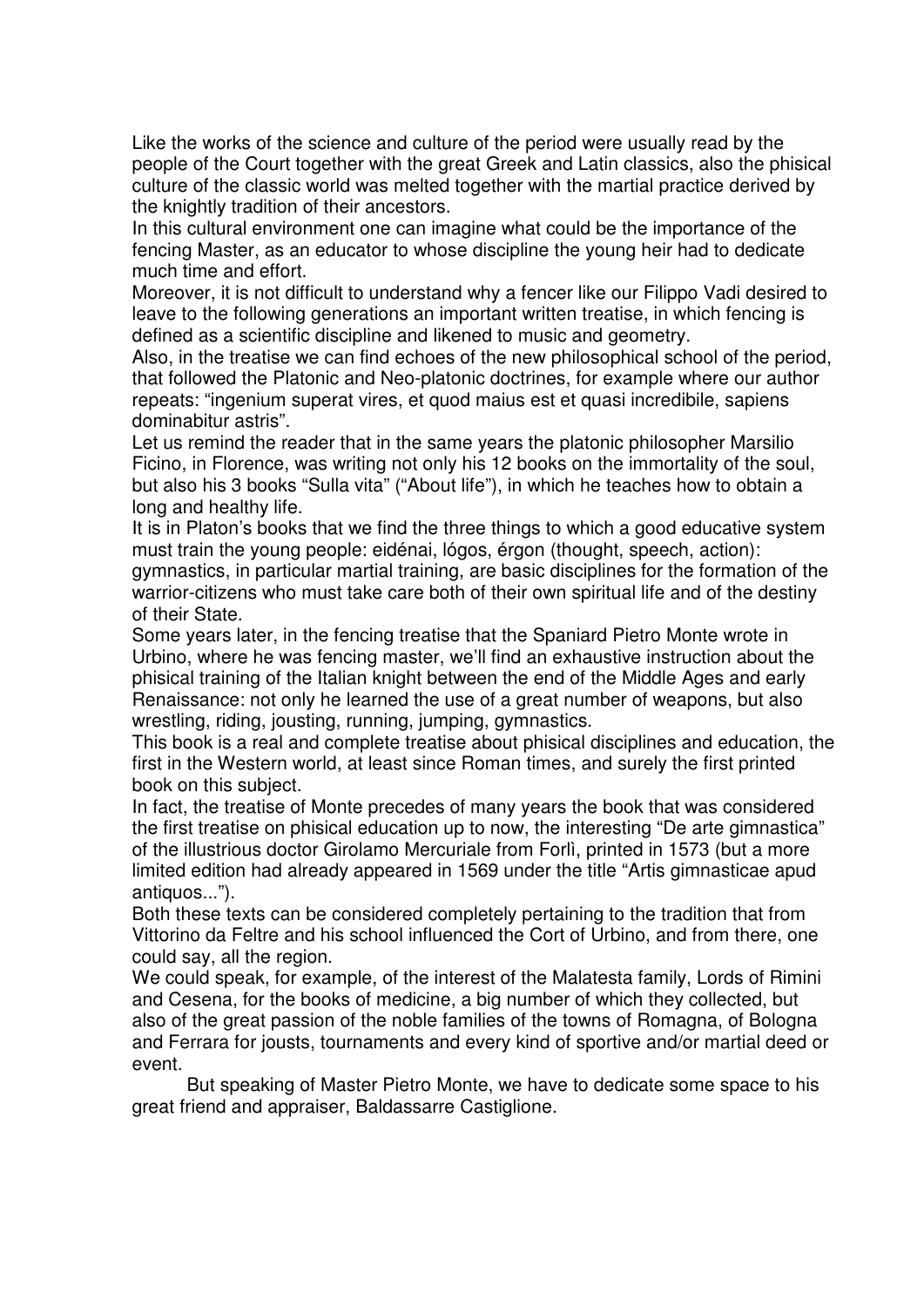Like the works of the science and culture of the period were usually read by the people of the Court together with the great Greek and Latin classics, also the phisical culture of the classic world was melted together with the martial practice derived by the knightly tradition of their ancestors.

In this cultural environment one can imagine what could be the importance of the fencing Master, as an educator to whose discipline the young heir had to dedicate much time and effort.

Moreover, it is not difficult to understand why a fencer like our Filippo Vadi desired to leave to the following generations an important written treatise, in which fencing is defined as a scientific discipline and likened to music and geometry.

Also, in the treatise we can find echoes of the new philosophical school of the period, that followed the Platonic and Neo-platonic doctrines, for example where our author repeats: "ingenium superat vires, et quod maius est et quasi incredibile, sapiens dominabitur astris".

Let us remind the reader that in the same years the platonic philosopher Marsilio Ficino, in Florence, was writing not only his 12 books on the immortality of the soul, but also his 3 books "Sulla vita" ("About life"), in which he teaches how to obtain a long and healthy life.

It is in Platon's books that we find the three things to which a good educative system must train the young people: eidénai, lógos, érgon (thought, speech, action): gymnastics, in particular martial training, are basic disciplines for the formation of the warrior-citizens who must take care both of their own spiritual life and of the destiny of their State.

Some years later, in the fencing treatise that the Spaniard Pietro Monte wrote in Urbino, where he was fencing master, we'll find an exhaustive instruction about the phisical training of the Italian knight between the end of the Middle Ages and early Renaissance: not only he learned the use of a great number of weapons, but also wrestling, riding, jousting, running, jumping, gymnastics.

This book is a real and complete treatise about phisical disciplines and education, the first in the Western world, at least since Roman times, and surely the first printed book on this subject.

In fact, the treatise of Monte precedes of many years the book that was considered the first treatise on phisical education up to now, the interesting "De arte gimnastica" of the illustrious doctor Girolamo Mercuriale from Forlì, printed in 1573 (but a more limited edition had already appeared in 1569 under the title "Artis gimnasticae apud antiquos...").

Both these texts can be considered completely pertaining to the tradition that from Vittorino da Feltre and his school influenced the Cort of Urbino, and from there, one could say, all the region.

We could speak, for example, of the interest of the Malatesta family, Lords of Rimini and Cesena, for the books of medicine, a big number of which they collected, but also of the great passion of the noble families of the towns of Romagna, of Bologna and Ferrara for jousts, tournaments and every kind of sportive and/or martial deed or event.

But speaking of Master Pietro Monte, we have to dedicate some space to his great friend and appraiser, Baldassarre Castiglione.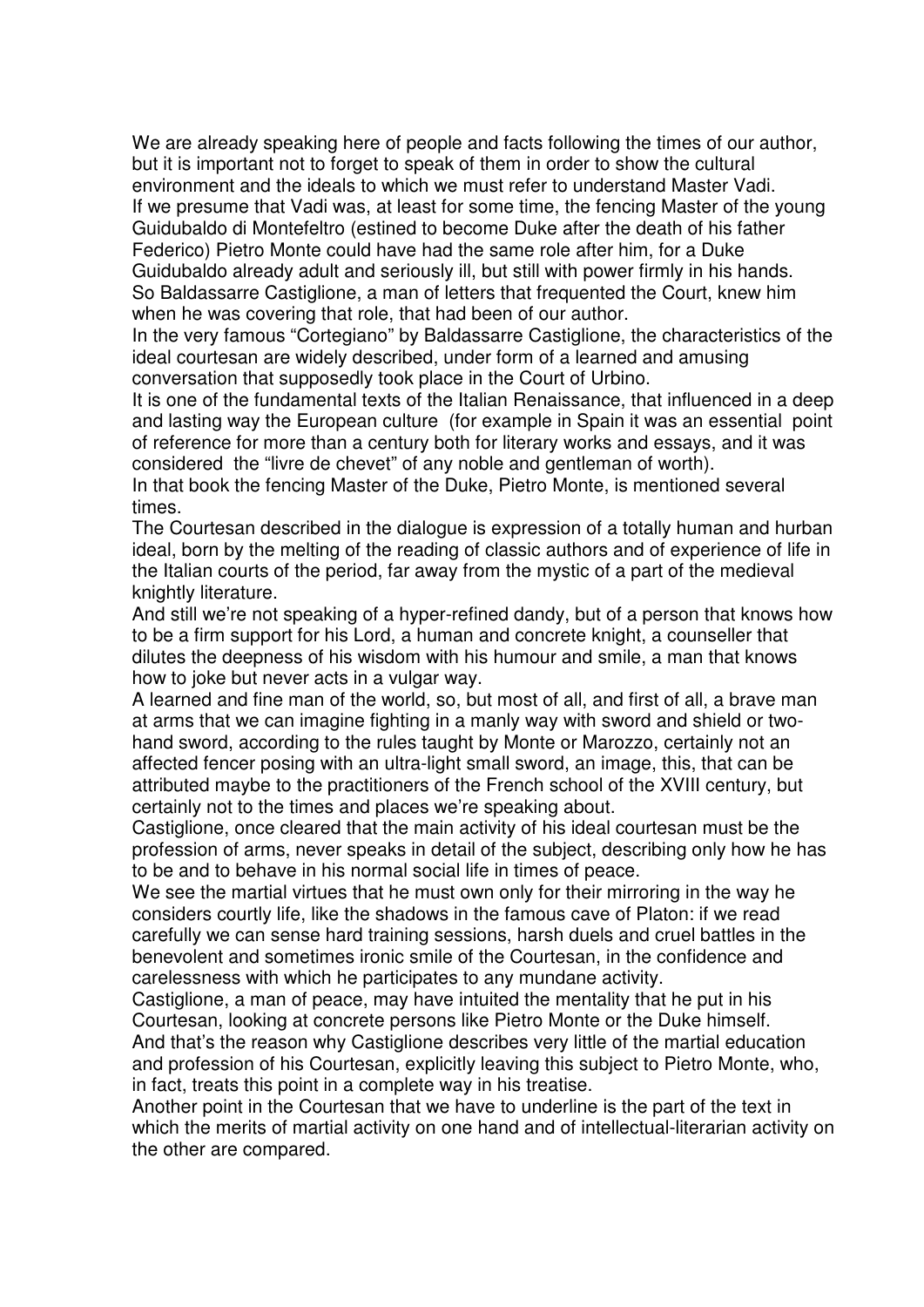We are already speaking here of people and facts following the times of our author, but it is important not to forget to speak of them in order to show the cultural environment and the ideals to which we must refer to understand Master Vadi. If we presume that Vadi was, at least for some time, the fencing Master of the young Guidubaldo di Montefeltro (estined to become Duke after the death of his father Federico) Pietro Monte could have had the same role after him, for a Duke Guidubaldo already adult and seriously ill, but still with power firmly in his hands. So Baldassarre Castiglione, a man of letters that frequented the Court, knew him when he was covering that role, that had been of our author.

In the very famous "Cortegiano" by Baldassarre Castiglione, the characteristics of the ideal courtesan are widely described, under form of a learned and amusing conversation that supposedly took place in the Court of Urbino.

It is one of the fundamental texts of the Italian Renaissance, that influenced in a deep and lasting way the European culture (for example in Spain it was an essential point of reference for more than a century both for literary works and essays, and it was considered the "livre de chevet" of any noble and gentleman of worth).

In that book the fencing Master of the Duke, Pietro Monte, is mentioned several times.

The Courtesan described in the dialogue is expression of a totally human and hurban ideal, born by the melting of the reading of classic authors and of experience of life in the Italian courts of the period, far away from the mystic of a part of the medieval knightly literature.

And still we're not speaking of a hyper-refined dandy, but of a person that knows how to be a firm support for his Lord, a human and concrete knight, a counseller that dilutes the deepness of his wisdom with his humour and smile, a man that knows how to joke but never acts in a vulgar way.

A learned and fine man of the world, so, but most of all, and first of all, a brave man at arms that we can imagine fighting in a manly way with sword and shield or twohand sword, according to the rules taught by Monte or Marozzo, certainly not an affected fencer posing with an ultra-light small sword, an image, this, that can be attributed maybe to the practitioners of the French school of the XVIII century, but certainly not to the times and places we're speaking about.

Castiglione, once cleared that the main activity of his ideal courtesan must be the profession of arms, never speaks in detail of the subject, describing only how he has to be and to behave in his normal social life in times of peace.

We see the martial virtues that he must own only for their mirroring in the way he considers courtly life, like the shadows in the famous cave of Platon: if we read carefully we can sense hard training sessions, harsh duels and cruel battles in the benevolent and sometimes ironic smile of the Courtesan, in the confidence and carelessness with which he participates to any mundane activity.

Castiglione, a man of peace, may have intuited the mentality that he put in his Courtesan, looking at concrete persons like Pietro Monte or the Duke himself. And that's the reason why Castiglione describes very little of the martial education and profession of his Courtesan, explicitly leaving this subject to Pietro Monte, who, in fact, treats this point in a complete way in his treatise.

Another point in the Courtesan that we have to underline is the part of the text in which the merits of martial activity on one hand and of intellectual-literarian activity on the other are compared.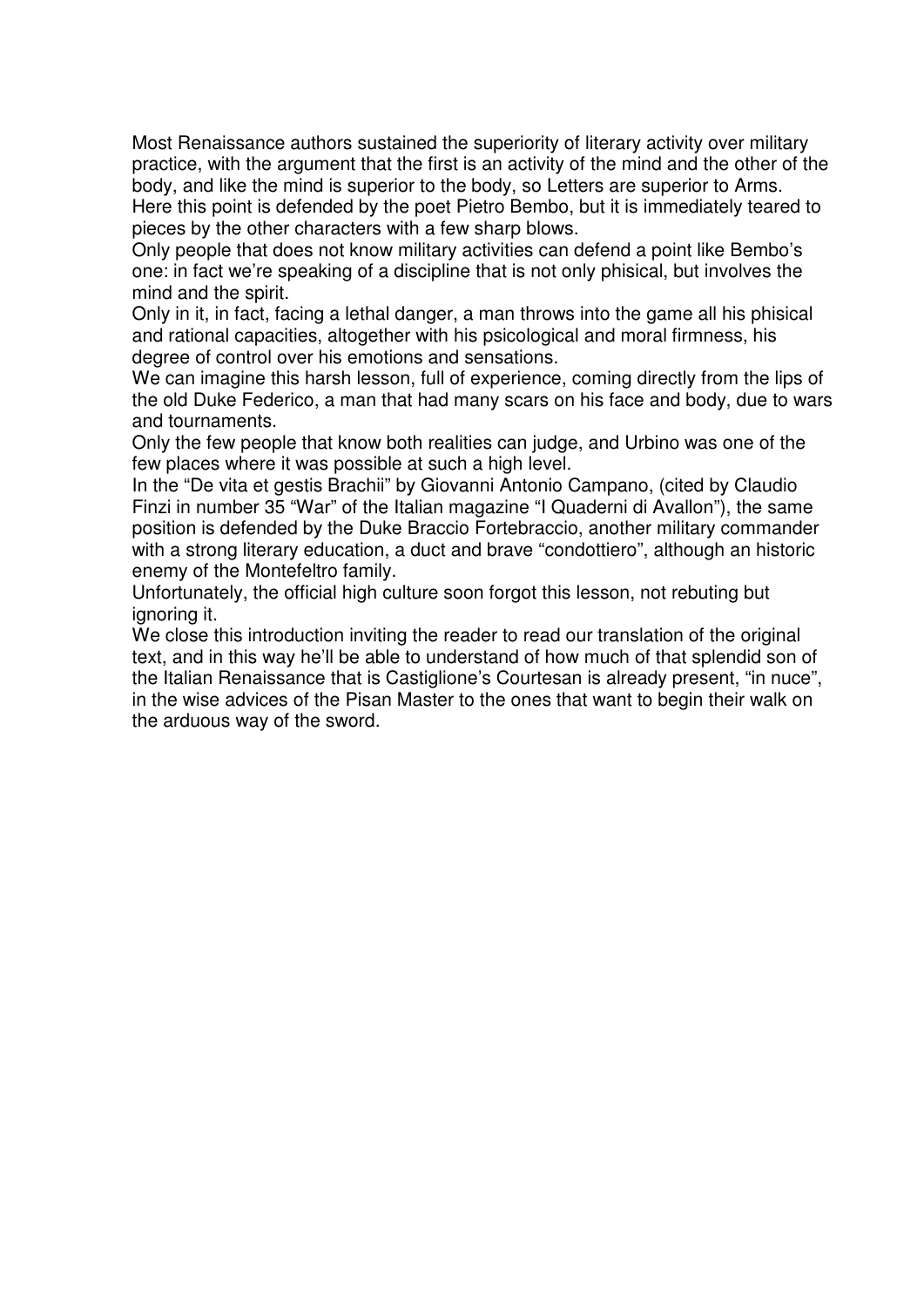Most Renaissance authors sustained the superiority of literary activity over military practice, with the argument that the first is an activity of the mind and the other of the body, and like the mind is superior to the body, so Letters are superior to Arms. Here this point is defended by the poet Pietro Bembo, but it is immediately teared to pieces by the other characters with a few sharp blows.

Only people that does not know military activities can defend a point like Bembo's one: in fact we're speaking of a discipline that is not only phisical, but involves the mind and the spirit.

Only in it, in fact, facing a lethal danger, a man throws into the game all his phisical and rational capacities, altogether with his psicological and moral firmness, his degree of control over his emotions and sensations.

We can imagine this harsh lesson, full of experience, coming directly from the lips of the old Duke Federico, a man that had many scars on his face and body, due to wars and tournaments.

Only the few people that know both realities can judge, and Urbino was one of the few places where it was possible at such a high level.

In the "De vita et gestis Brachii" by Giovanni Antonio Campano, (cited by Claudio Finzi in number 35 "War" of the Italian magazine "I Quaderni di Avallon"), the same position is defended by the Duke Braccio Fortebraccio, another military commander with a strong literary education, a duct and brave "condottiero", although an historic enemy of the Montefeltro family.

Unfortunately, the official high culture soon forgot this lesson, not rebuting but ignoring it.

We close this introduction inviting the reader to read our translation of the original text, and in this way he'll be able to understand of how much of that splendid son of the Italian Renaissance that is Castiglione's Courtesan is already present, "in nuce", in the wise advices of the Pisan Master to the ones that want to begin their walk on the arduous way of the sword.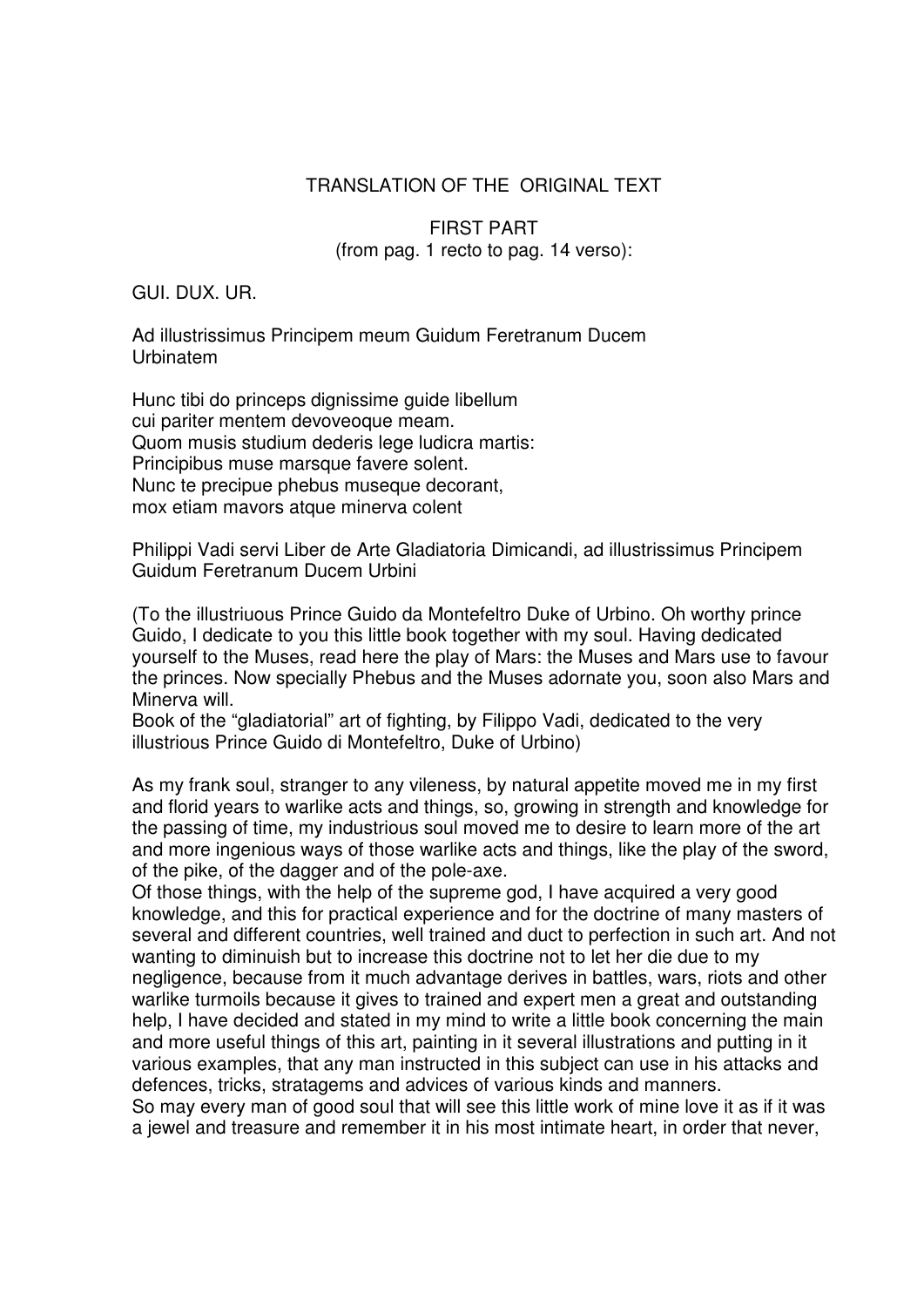## TRANSLATION OF THE ORIGINAL TEXT

FIRST PART (from pag. 1 recto to pag. 14 verso):

GUI. DUX. UR.

Ad illustrissimus Principem meum Guidum Feretranum Ducem Urbinatem

Hunc tibi do princeps dignissime guide libellum cui pariter mentem devoveoque meam. Quom musis studium dederis lege ludicra martis: Principibus muse marsque favere solent. Nunc te precipue phebus museque decorant, mox etiam mavors atque minerva colent

Philippi Vadi servi Liber de Arte Gladiatoria Dimicandi, ad illustrissimus Principem Guidum Feretranum Ducem Urbini

(To the illustriuous Prince Guido da Montefeltro Duke of Urbino. Oh worthy prince Guido, I dedicate to you this little book together with my soul. Having dedicated yourself to the Muses, read here the play of Mars: the Muses and Mars use to favour the princes. Now specially Phebus and the Muses adornate you, soon also Mars and Minerva will.

Book of the "gladiatorial" art of fighting, by Filippo Vadi, dedicated to the very illustrious Prince Guido di Montefeltro, Duke of Urbino)

As my frank soul, stranger to any vileness, by natural appetite moved me in my first and florid years to warlike acts and things, so, growing in strength and knowledge for the passing of time, my industrious soul moved me to desire to learn more of the art and more ingenious ways of those warlike acts and things, like the play of the sword, of the pike, of the dagger and of the pole-axe.

Of those things, with the help of the supreme god, I have acquired a very good knowledge, and this for practical experience and for the doctrine of many masters of several and different countries, well trained and duct to perfection in such art. And not wanting to diminuish but to increase this doctrine not to let her die due to my negligence, because from it much advantage derives in battles, wars, riots and other warlike turmoils because it gives to trained and expert men a great and outstanding help, I have decided and stated in my mind to write a little book concerning the main and more useful things of this art, painting in it several illustrations and putting in it various examples, that any man instructed in this subject can use in his attacks and defences, tricks, stratagems and advices of various kinds and manners. So may every man of good soul that will see this little work of mine love it as if it was a jewel and treasure and remember it in his most intimate heart, in order that never,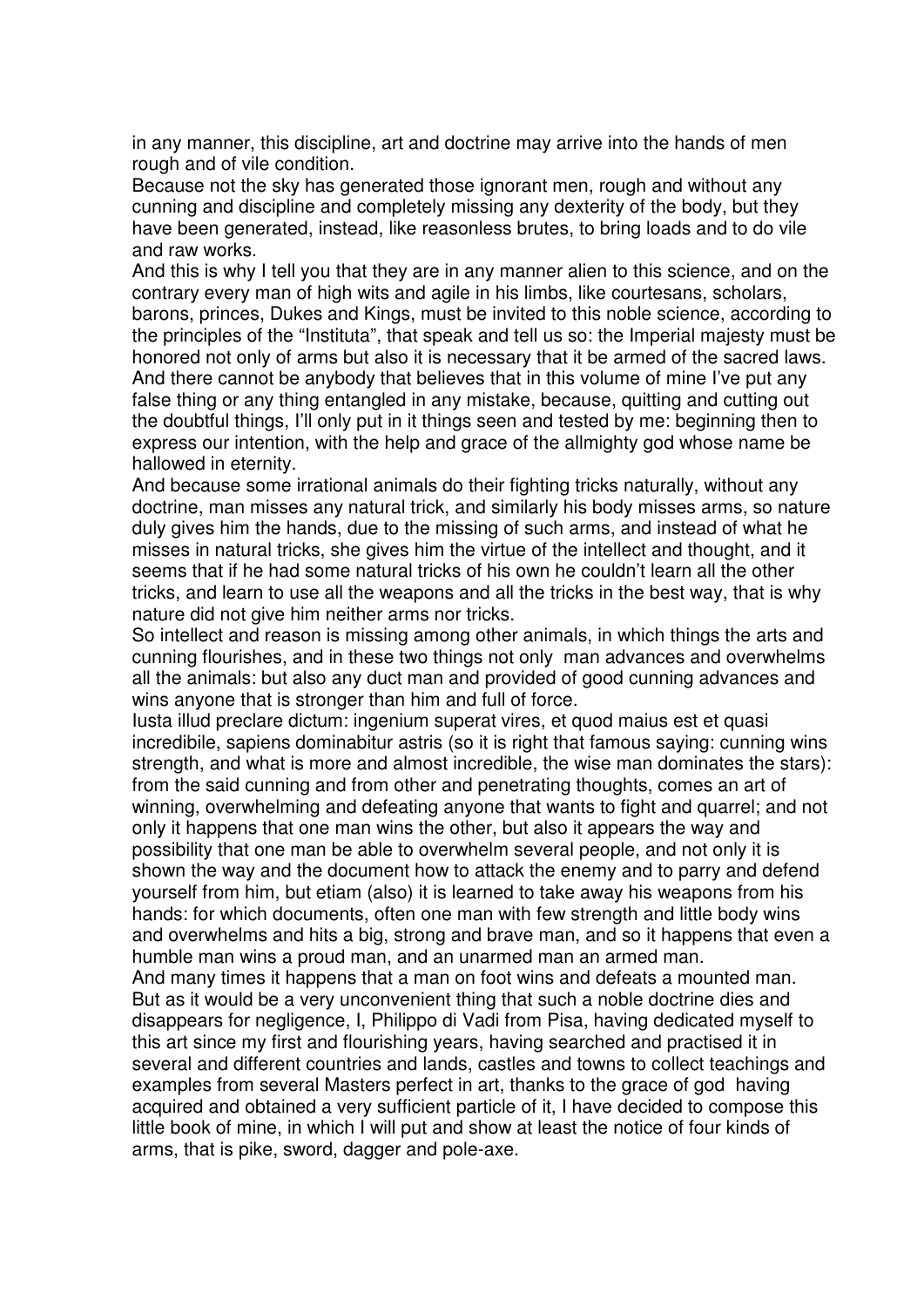in any manner, this discipline, art and doctrine may arrive into the hands of men rough and of vile condition.

Because not the sky has generated those ignorant men, rough and without any cunning and discipline and completely missing any dexterity of the body, but they have been generated, instead, like reasonless brutes, to bring loads and to do vile and raw works.

And this is why I tell you that they are in any manner alien to this science, and on the contrary every man of high wits and agile in his limbs, like courtesans, scholars, barons, princes, Dukes and Kings, must be invited to this noble science, according to the principles of the "Instituta", that speak and tell us so: the Imperial majesty must be honored not only of arms but also it is necessary that it be armed of the sacred laws. And there cannot be anybody that believes that in this volume of mine I've put any false thing or any thing entangled in any mistake, because, quitting and cutting out the doubtful things, I'll only put in it things seen and tested by me: beginning then to express our intention, with the help and grace of the allmighty god whose name be hallowed in eternity.

And because some irrational animals do their fighting tricks naturally, without any doctrine, man misses any natural trick, and similarly his body misses arms, so nature duly gives him the hands, due to the missing of such arms, and instead of what he misses in natural tricks, she gives him the virtue of the intellect and thought, and it seems that if he had some natural tricks of his own he couldn't learn all the other tricks, and learn to use all the weapons and all the tricks in the best way, that is why nature did not give him neither arms nor tricks.

So intellect and reason is missing among other animals, in which things the arts and cunning flourishes, and in these two things not only man advances and overwhelms all the animals: but also any duct man and provided of good cunning advances and wins anyone that is stronger than him and full of force.

Iusta illud preclare dictum: ingenium superat vires, et quod maius est et quasi incredibile, sapiens dominabitur astris (so it is right that famous saying: cunning wins strength, and what is more and almost incredible, the wise man dominates the stars): from the said cunning and from other and penetrating thoughts, comes an art of winning, overwhelming and defeating anyone that wants to fight and quarrel; and not only it happens that one man wins the other, but also it appears the way and possibility that one man be able to overwhelm several people, and not only it is shown the way and the document how to attack the enemy and to parry and defend yourself from him, but etiam (also) it is learned to take away his weapons from his hands: for which documents, often one man with few strength and little body wins and overwhelms and hits a big, strong and brave man, and so it happens that even a humble man wins a proud man, and an unarmed man an armed man.

And many times it happens that a man on foot wins and defeats a mounted man. But as it would be a very unconvenient thing that such a noble doctrine dies and disappears for negligence, I, Philippo di Vadi from Pisa, having dedicated myself to this art since my first and flourishing years, having searched and practised it in several and different countries and lands, castles and towns to collect teachings and examples from several Masters perfect in art, thanks to the grace of god having acquired and obtained a very sufficient particle of it, I have decided to compose this little book of mine, in which I will put and show at least the notice of four kinds of arms, that is pike, sword, dagger and pole-axe.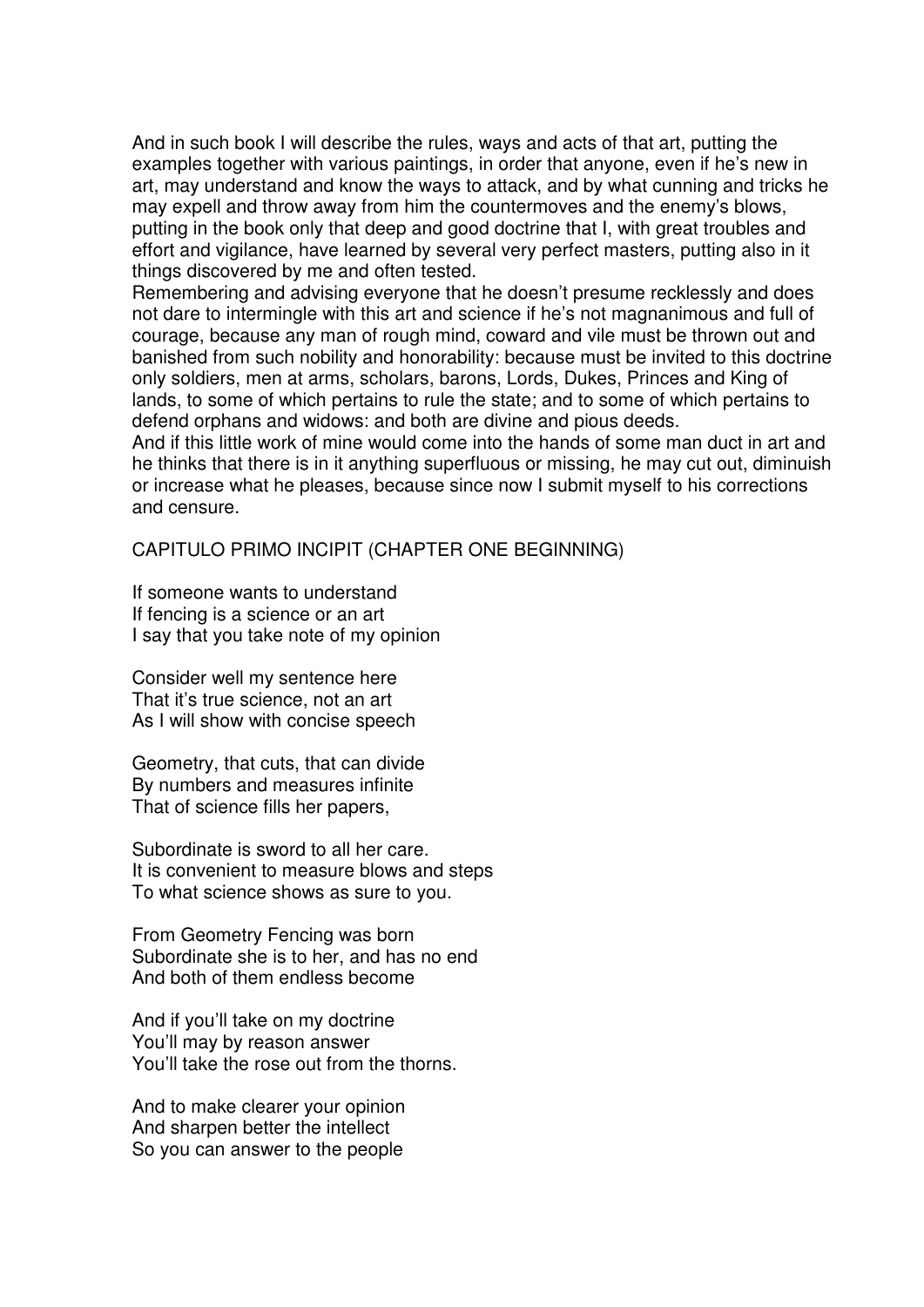And in such book I will describe the rules, ways and acts of that art, putting the examples together with various paintings, in order that anyone, even if he's new in art, may understand and know the ways to attack, and by what cunning and tricks he may expell and throw away from him the countermoves and the enemy's blows, putting in the book only that deep and good doctrine that I, with great troubles and effort and vigilance, have learned by several very perfect masters, putting also in it things discovered by me and often tested.

Remembering and advising everyone that he doesn't presume recklessly and does not dare to intermingle with this art and science if he's not magnanimous and full of courage, because any man of rough mind, coward and vile must be thrown out and banished from such nobility and honorability: because must be invited to this doctrine only soldiers, men at arms, scholars, barons, Lords, Dukes, Princes and King of lands, to some of which pertains to rule the state; and to some of which pertains to defend orphans and widows: and both are divine and pious deeds.

And if this little work of mine would come into the hands of some man duct in art and he thinks that there is in it anything superfluous or missing, he may cut out, diminuish or increase what he pleases, because since now I submit myself to his corrections and censure.

CAPITULO PRIMO INCIPIT (CHAPTER ONE BEGINNING)

If someone wants to understand If fencing is a science or an art I say that you take note of my opinion

Consider well my sentence here That it's true science, not an art As I will show with concise speech

Geometry, that cuts, that can divide By numbers and measures infinite That of science fills her papers,

Subordinate is sword to all her care. It is convenient to measure blows and steps To what science shows as sure to you.

From Geometry Fencing was born Subordinate she is to her, and has no end And both of them endless become

And if you'll take on my doctrine You'll may by reason answer You'll take the rose out from the thorns.

And to make clearer your opinion And sharpen better the intellect So you can answer to the people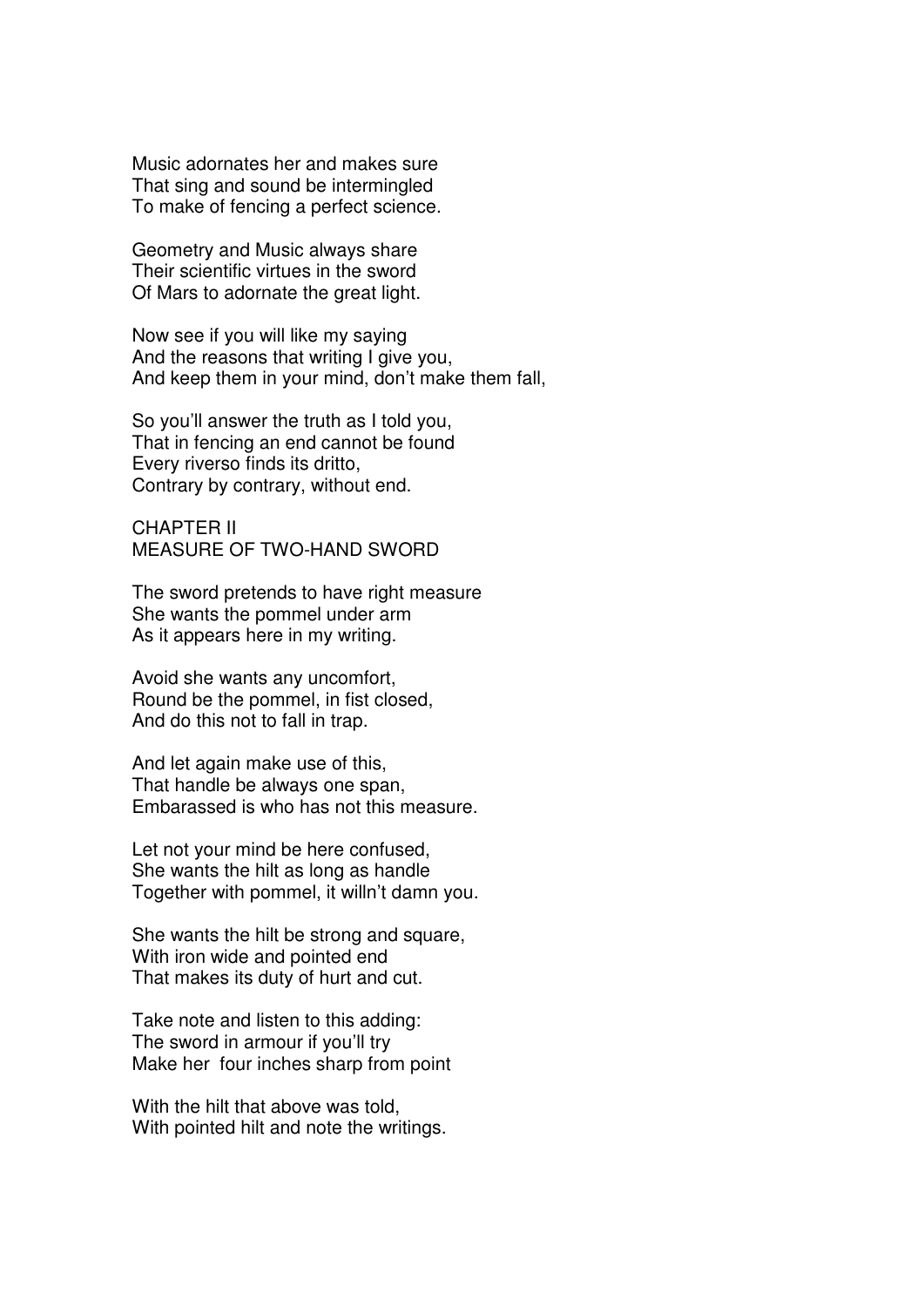Music adornates her and makes sure That sing and sound be intermingled To make of fencing a perfect science.

Geometry and Music always share Their scientific virtues in the sword Of Mars to adornate the great light.

Now see if you will like my saying And the reasons that writing I give you, And keep them in your mind, don't make them fall,

So you'll answer the truth as I told you, That in fencing an end cannot be found Every riverso finds its dritto, Contrary by contrary, without end.

CHAPTER II MEASURE OF TWO-HAND SWORD

The sword pretends to have right measure She wants the pommel under arm As it appears here in my writing.

Avoid she wants any uncomfort, Round be the pommel, in fist closed, And do this not to fall in trap.

And let again make use of this, That handle be always one span, Embarassed is who has not this measure.

Let not your mind be here confused, She wants the hilt as long as handle Together with pommel, it willn't damn you.

She wants the hilt be strong and square, With iron wide and pointed end That makes its duty of hurt and cut.

Take note and listen to this adding: The sword in armour if you'll try Make her four inches sharp from point

With the hilt that above was told, With pointed hilt and note the writings.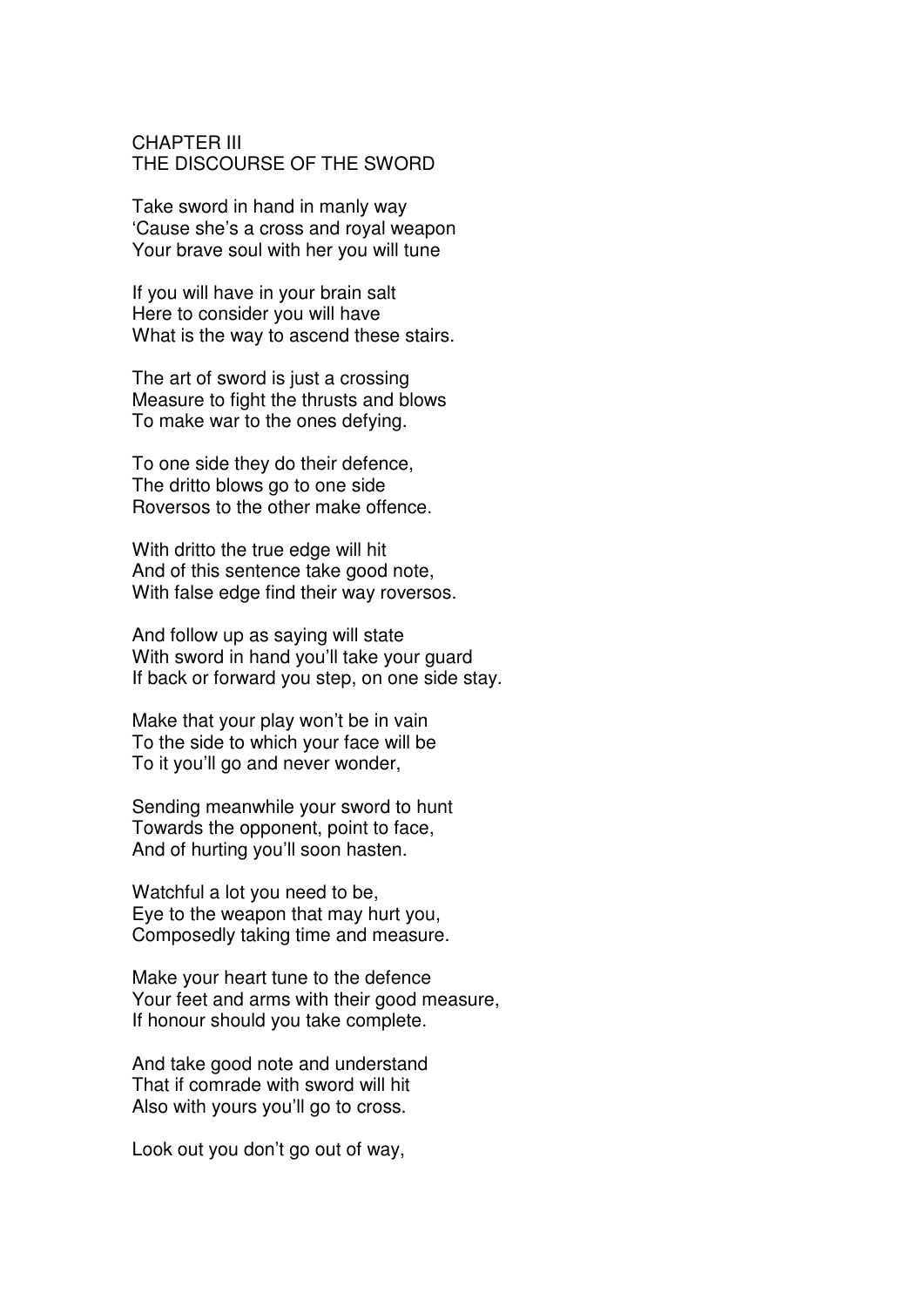### CHAPTER III THE DISCOURSE OF THE SWORD

Take sword in hand in manly way 'Cause she's a cross and royal weapon Your brave soul with her you will tune

If you will have in your brain salt Here to consider you will have What is the way to ascend these stairs.

The art of sword is just a crossing Measure to fight the thrusts and blows To make war to the ones defying.

To one side they do their defence, The dritto blows go to one side Roversos to the other make offence.

With dritto the true edge will hit And of this sentence take good note, With false edge find their way roversos.

And follow up as saying will state With sword in hand you'll take your guard If back or forward you step, on one side stay.

Make that your play won't be in vain To the side to which your face will be To it you'll go and never wonder,

Sending meanwhile your sword to hunt Towards the opponent, point to face, And of hurting you'll soon hasten.

Watchful a lot you need to be, Eye to the weapon that may hurt you, Composedly taking time and measure.

Make your heart tune to the defence Your feet and arms with their good measure, If honour should you take complete.

And take good note and understand That if comrade with sword will hit Also with yours you'll go to cross.

Look out you don't go out of way,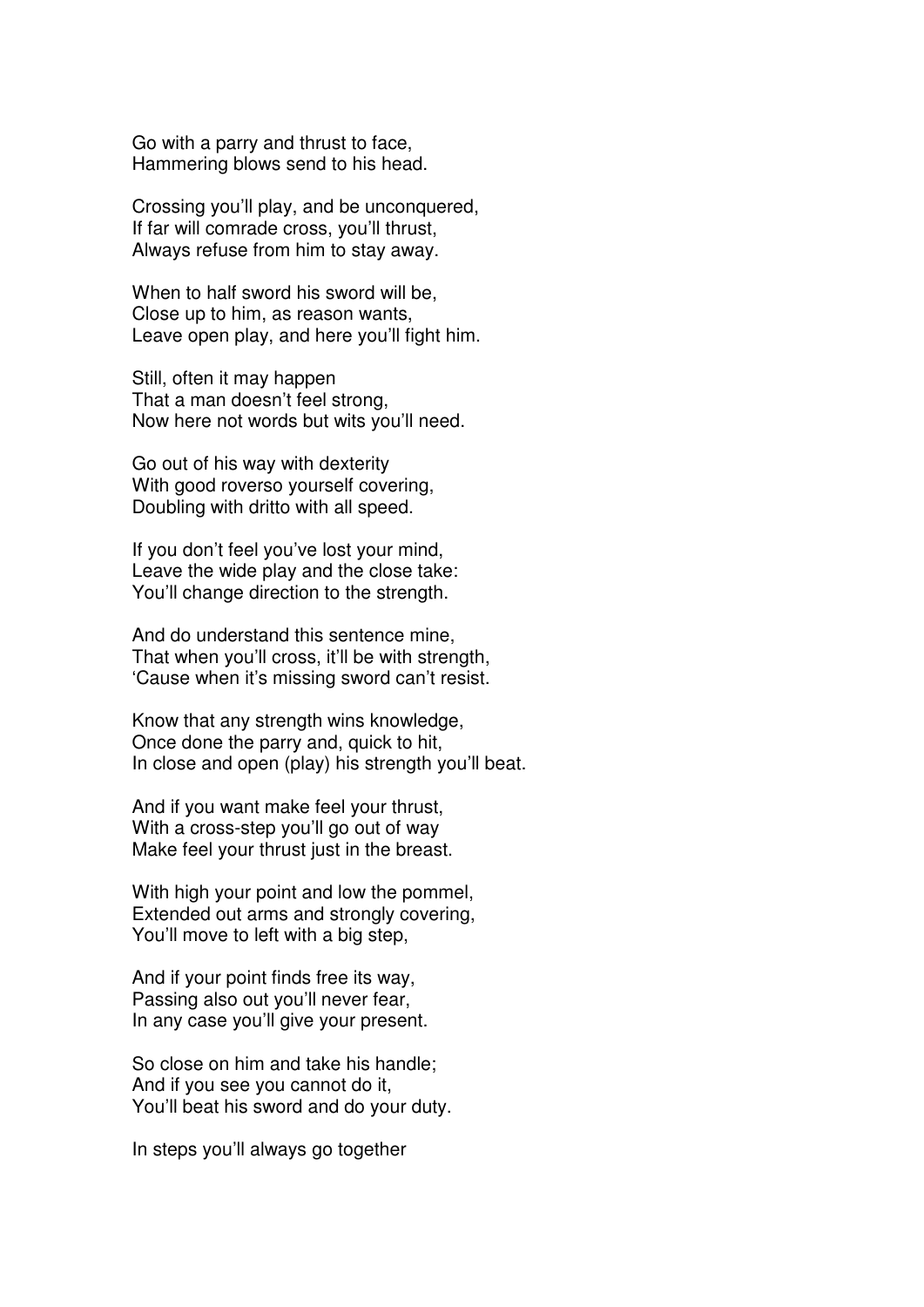Go with a parry and thrust to face, Hammering blows send to his head.

Crossing you'll play, and be unconquered, If far will comrade cross, you'll thrust, Always refuse from him to stay away.

When to half sword his sword will be, Close up to him, as reason wants, Leave open play, and here you'll fight him.

Still, often it may happen That a man doesn't feel strong, Now here not words but wits you'll need.

Go out of his way with dexterity With good roverso yourself covering, Doubling with dritto with all speed.

If you don't feel you've lost your mind, Leave the wide play and the close take: You'll change direction to the strength.

And do understand this sentence mine, That when you'll cross, it'll be with strength, 'Cause when it's missing sword can't resist.

Know that any strength wins knowledge, Once done the parry and, quick to hit, In close and open (play) his strength you'll beat.

And if you want make feel your thrust, With a cross-step you'll go out of way Make feel your thrust just in the breast.

With high your point and low the pommel, Extended out arms and strongly covering, You'll move to left with a big step,

And if your point finds free its way, Passing also out you'll never fear, In any case you'll give your present.

So close on him and take his handle; And if you see you cannot do it, You'll beat his sword and do your duty.

In steps you'll always go together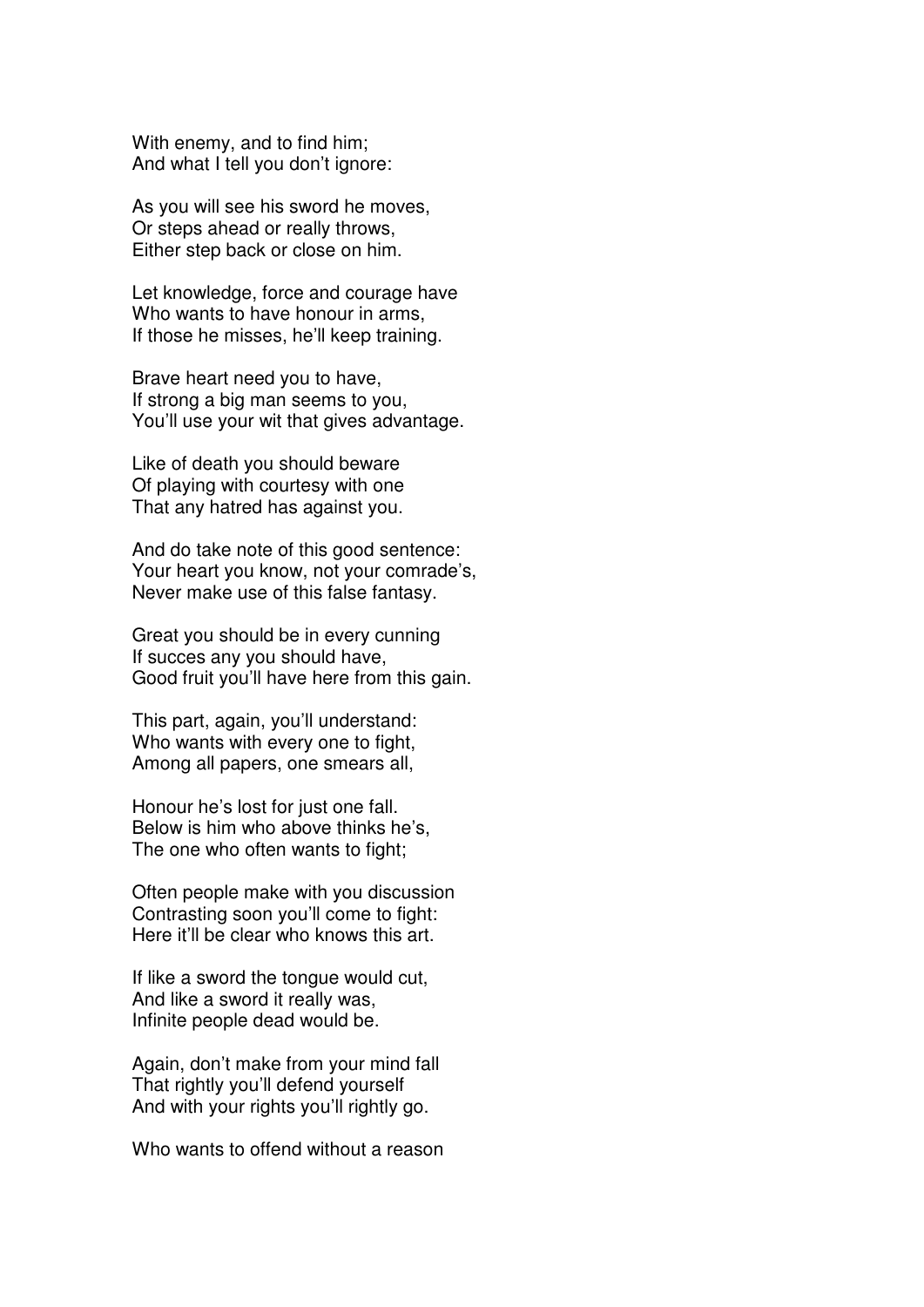With enemy, and to find him; And what I tell you don't ignore:

As you will see his sword he moves, Or steps ahead or really throws, Either step back or close on him.

Let knowledge, force and courage have Who wants to have honour in arms, If those he misses, he'll keep training.

Brave heart need you to have, If strong a big man seems to you, You'll use your wit that gives advantage.

Like of death you should beware Of playing with courtesy with one That any hatred has against you.

And do take note of this good sentence: Your heart you know, not your comrade's, Never make use of this false fantasy.

Great you should be in every cunning If succes any you should have, Good fruit you'll have here from this gain.

This part, again, you'll understand: Who wants with every one to fight, Among all papers, one smears all,

Honour he's lost for just one fall. Below is him who above thinks he's, The one who often wants to fight;

Often people make with you discussion Contrasting soon you'll come to fight: Here it'll be clear who knows this art.

If like a sword the tongue would cut, And like a sword it really was, Infinite people dead would be.

Again, don't make from your mind fall That rightly you'll defend yourself And with your rights you'll rightly go.

Who wants to offend without a reason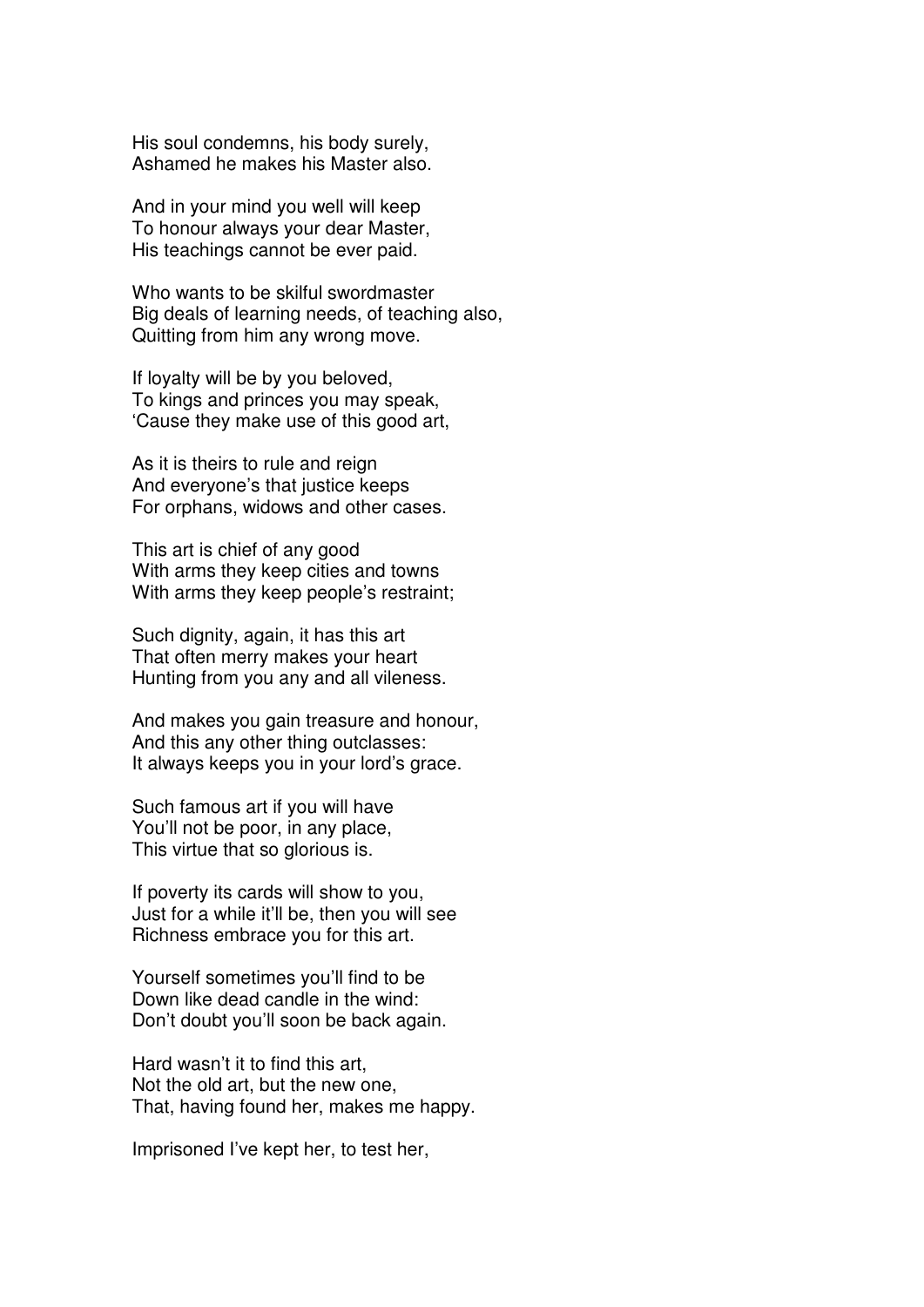His soul condemns, his body surely, Ashamed he makes his Master also.

And in your mind you well will keep To honour always your dear Master, His teachings cannot be ever paid.

Who wants to be skilful swordmaster Big deals of learning needs, of teaching also, Quitting from him any wrong move.

If loyalty will be by you beloved, To kings and princes you may speak, 'Cause they make use of this good art,

As it is theirs to rule and reign And everyone's that justice keeps For orphans, widows and other cases.

This art is chief of any good With arms they keep cities and towns With arms they keep people's restraint;

Such dignity, again, it has this art That often merry makes your heart Hunting from you any and all vileness.

And makes you gain treasure and honour, And this any other thing outclasses: It always keeps you in your lord's grace.

Such famous art if you will have You'll not be poor, in any place, This virtue that so glorious is.

If poverty its cards will show to you, Just for a while it'll be, then you will see Richness embrace you for this art.

Yourself sometimes you'll find to be Down like dead candle in the wind: Don't doubt you'll soon be back again.

Hard wasn't it to find this art, Not the old art, but the new one, That, having found her, makes me happy.

Imprisoned I've kept her, to test her,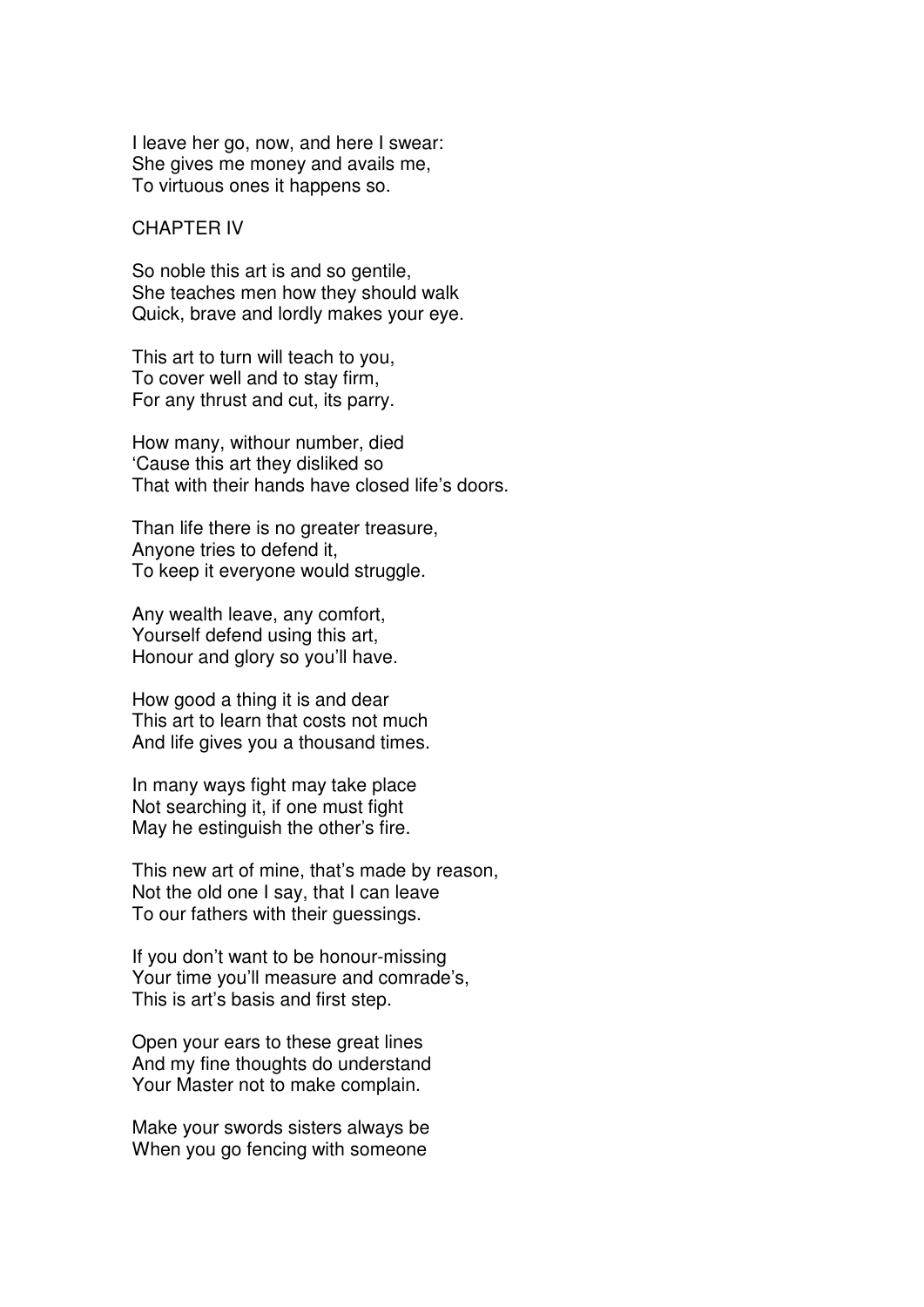I leave her go, now, and here I swear: She gives me money and avails me, To virtuous ones it happens so.

#### CHAPTER IV

So noble this art is and so gentile, She teaches men how they should walk Quick, brave and lordly makes your eye.

This art to turn will teach to you, To cover well and to stay firm, For any thrust and cut, its parry.

How many, withour number, died 'Cause this art they disliked so That with their hands have closed life's doors.

Than life there is no greater treasure, Anyone tries to defend it, To keep it everyone would struggle.

Any wealth leave, any comfort, Yourself defend using this art, Honour and glory so you'll have.

How good a thing it is and dear This art to learn that costs not much And life gives you a thousand times.

In many ways fight may take place Not searching it, if one must fight May he estinguish the other's fire.

This new art of mine, that's made by reason, Not the old one I say, that I can leave To our fathers with their guessings.

If you don't want to be honour-missing Your time you'll measure and comrade's, This is art's basis and first step.

Open your ears to these great lines And my fine thoughts do understand Your Master not to make complain.

Make your swords sisters always be When you go fencing with someone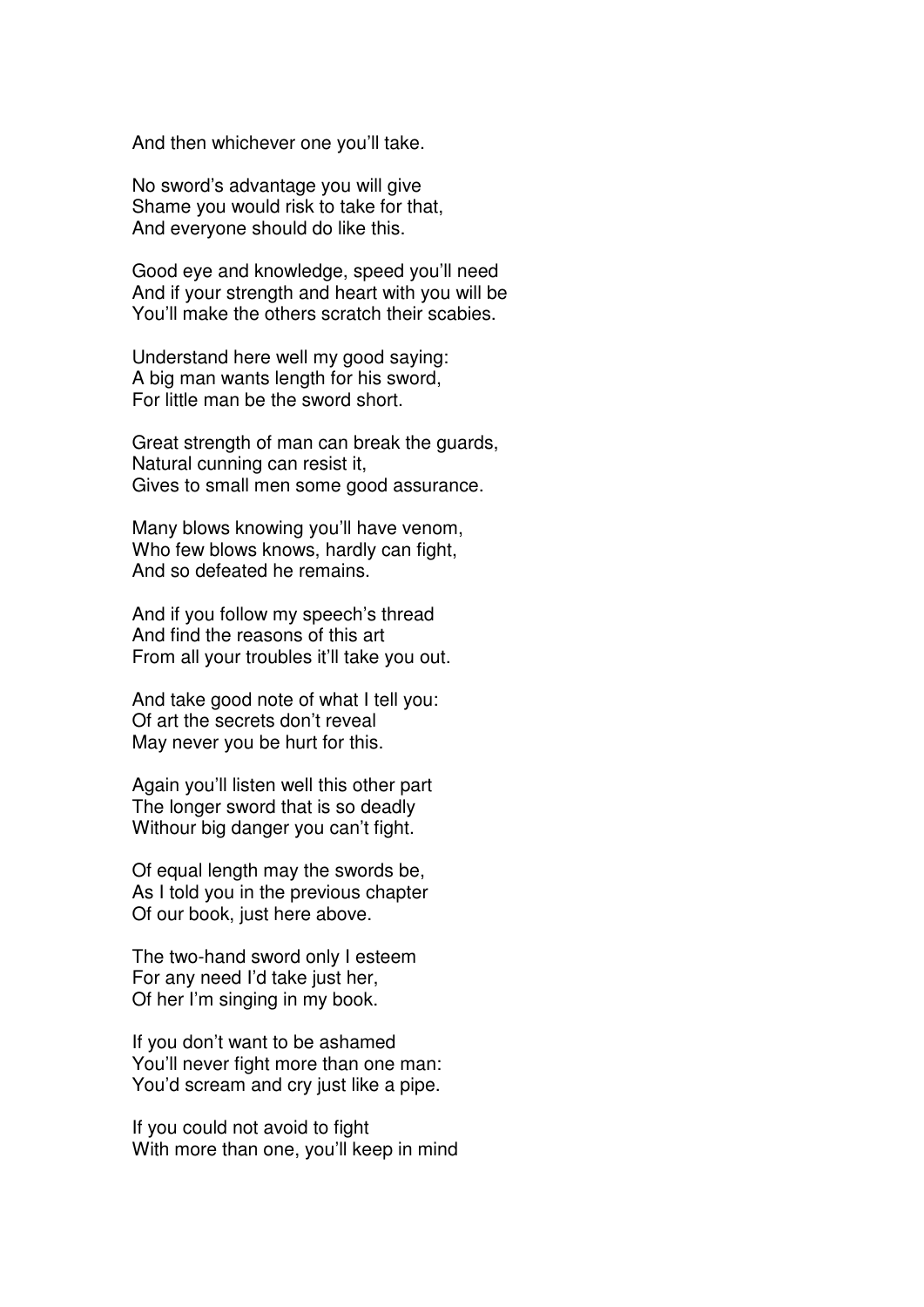And then whichever one you'll take.

No sword's advantage you will give Shame you would risk to take for that, And everyone should do like this.

Good eye and knowledge, speed you'll need And if your strength and heart with you will be You'll make the others scratch their scabies.

Understand here well my good saying: A big man wants length for his sword, For little man be the sword short.

Great strength of man can break the guards, Natural cunning can resist it, Gives to small men some good assurance.

Many blows knowing you'll have venom, Who few blows knows, hardly can fight, And so defeated he remains.

And if you follow my speech's thread And find the reasons of this art From all your troubles it'll take you out.

And take good note of what I tell you: Of art the secrets don't reveal May never you be hurt for this.

Again you'll listen well this other part The longer sword that is so deadly Withour big danger you can't fight.

Of equal length may the swords be, As I told you in the previous chapter Of our book, just here above.

The two-hand sword only I esteem For any need I'd take just her, Of her I'm singing in my book.

If you don't want to be ashamed You'll never fight more than one man: You'd scream and cry just like a pipe.

If you could not avoid to fight With more than one, you'll keep in mind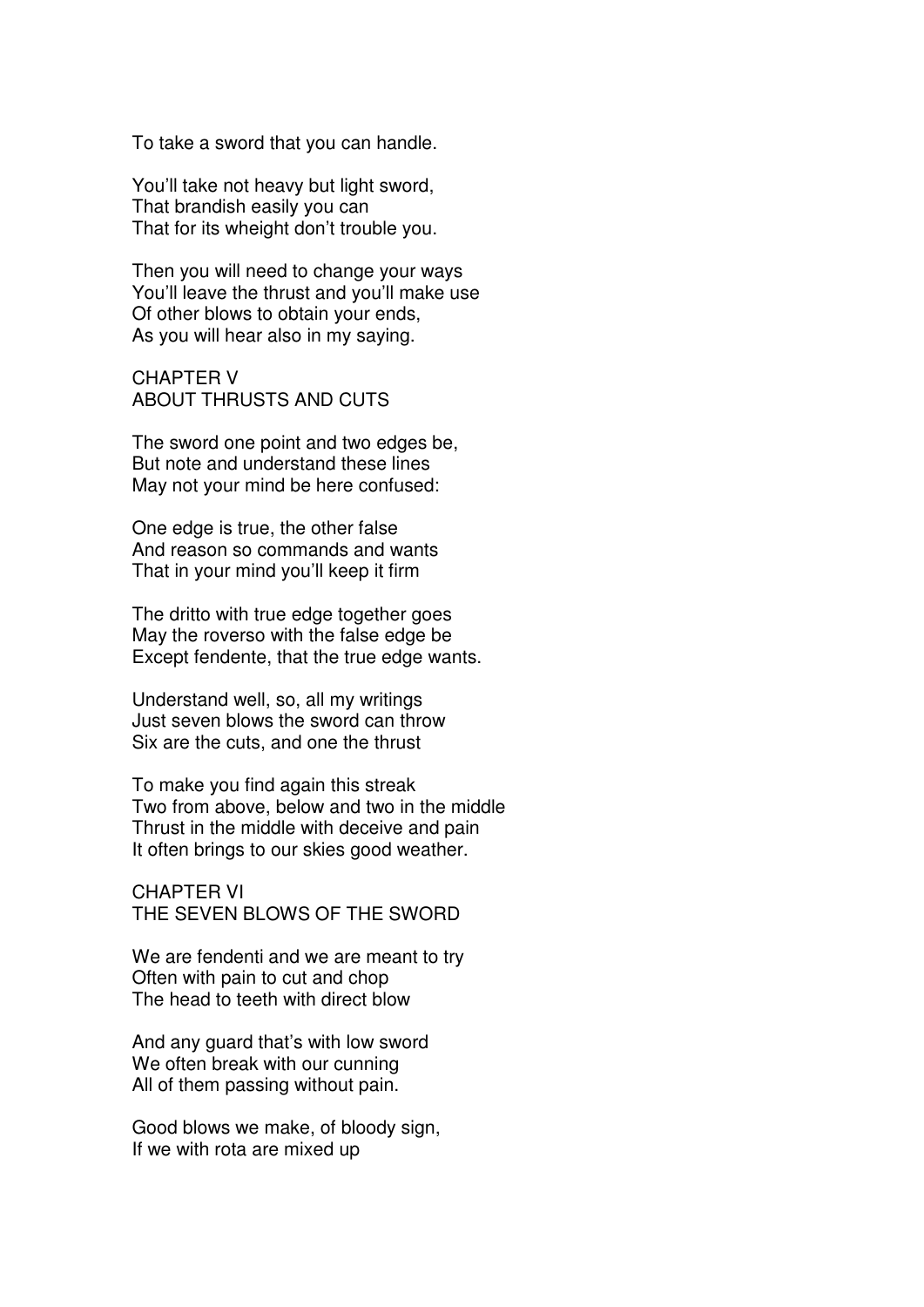To take a sword that you can handle.

You'll take not heavy but light sword, That brandish easily you can That for its wheight don't trouble you.

Then you will need to change your ways You'll leave the thrust and you'll make use Of other blows to obtain your ends, As you will hear also in my saying.

CHAPTER V ABOUT THRUSTS AND CUTS

The sword one point and two edges be, But note and understand these lines May not your mind be here confused:

One edge is true, the other false And reason so commands and wants That in your mind you'll keep it firm

The dritto with true edge together goes May the roverso with the false edge be Except fendente, that the true edge wants.

Understand well, so, all my writings Just seven blows the sword can throw Six are the cuts, and one the thrust

To make you find again this streak Two from above, below and two in the middle Thrust in the middle with deceive and pain It often brings to our skies good weather.

CHAPTER VI THE SEVEN BLOWS OF THE SWORD

We are fendenti and we are meant to try Often with pain to cut and chop The head to teeth with direct blow

And any guard that's with low sword We often break with our cunning All of them passing without pain.

Good blows we make, of bloody sign, If we with rota are mixed up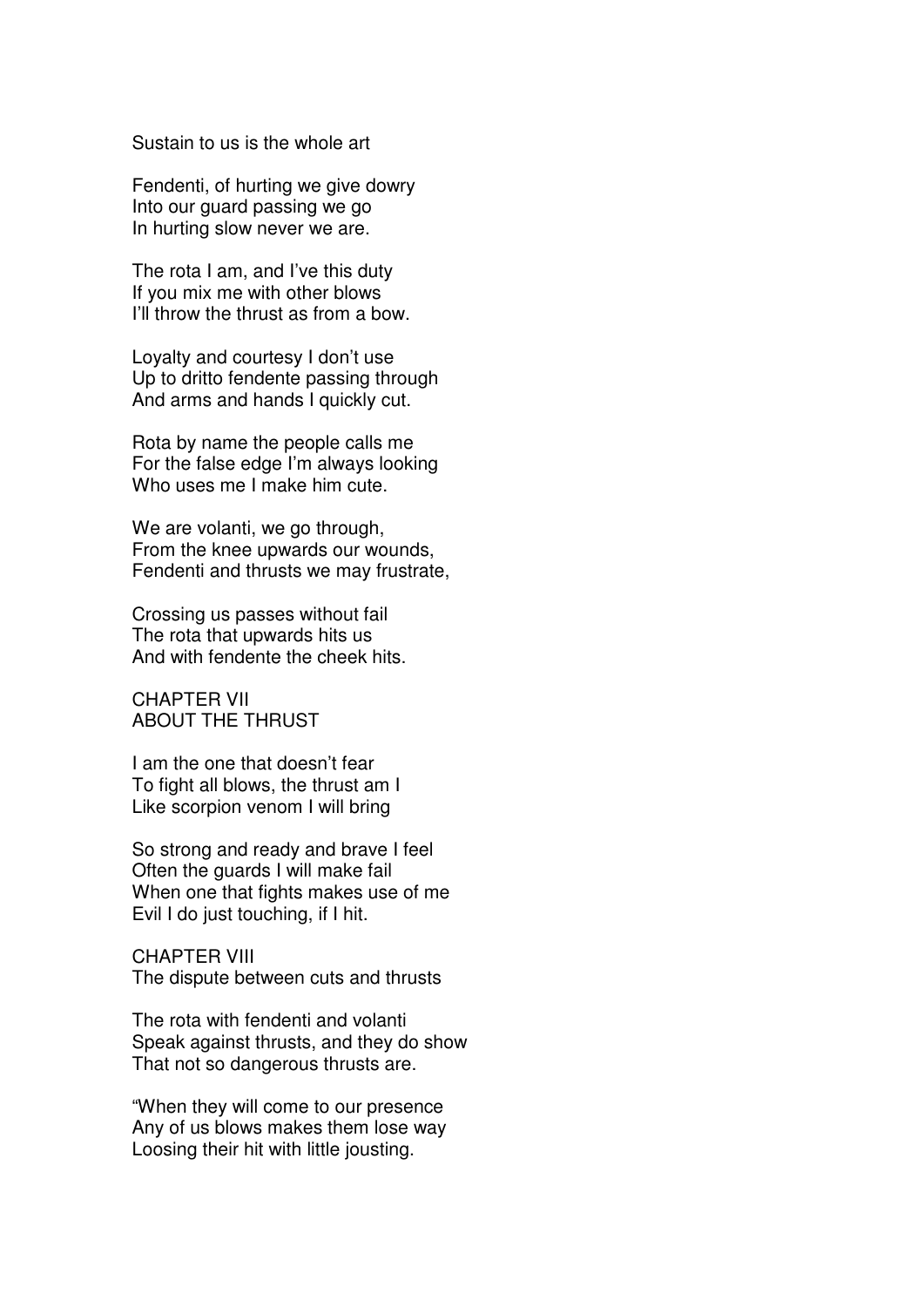Sustain to us is the whole art

Fendenti, of hurting we give dowry Into our guard passing we go In hurting slow never we are.

The rota I am, and I've this duty If you mix me with other blows I'll throw the thrust as from a bow.

Loyalty and courtesy I don't use Up to dritto fendente passing through And arms and hands I quickly cut.

Rota by name the people calls me For the false edge I'm always looking Who uses me I make him cute.

We are volanti, we go through, From the knee upwards our wounds, Fendenti and thrusts we may frustrate,

Crossing us passes without fail The rota that upwards hits us And with fendente the cheek hits.

CHAPTER VII ABOUT THE THRUST

I am the one that doesn't fear To fight all blows, the thrust am I Like scorpion venom I will bring

So strong and ready and brave I feel Often the guards I will make fail When one that fights makes use of me Evil I do just touching, if I hit.

CHAPTER VIII The dispute between cuts and thrusts

The rota with fendenti and volanti Speak against thrusts, and they do show That not so dangerous thrusts are.

"When they will come to our presence Any of us blows makes them lose way Loosing their hit with little jousting.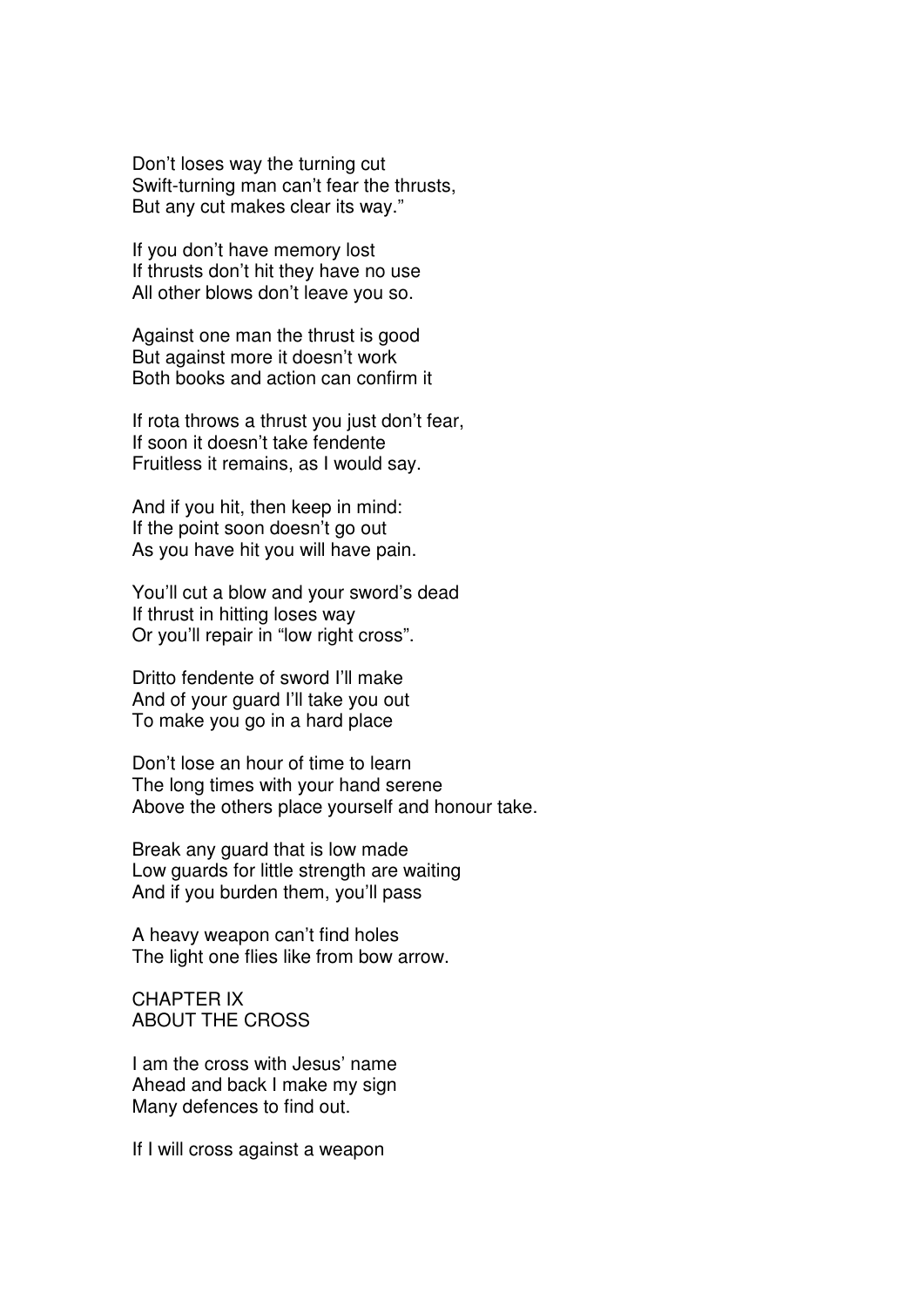Don't loses way the turning cut Swift-turning man can't fear the thrusts, But any cut makes clear its way."

If you don't have memory lost If thrusts don't hit they have no use All other blows don't leave you so.

Against one man the thrust is good But against more it doesn't work Both books and action can confirm it

If rota throws a thrust you just don't fear, If soon it doesn't take fendente Fruitless it remains, as I would say.

And if you hit, then keep in mind: If the point soon doesn't go out As you have hit you will have pain.

You'll cut a blow and your sword's dead If thrust in hitting loses way Or you'll repair in "low right cross".

Dritto fendente of sword I'll make And of your guard I'll take you out To make you go in a hard place

Don't lose an hour of time to learn The long times with your hand serene Above the others place yourself and honour take.

Break any guard that is low made Low guards for little strength are waiting And if you burden them, you'll pass

A heavy weapon can't find holes The light one flies like from bow arrow.

CHAPTER IX ABOUT THE CROSS

I am the cross with Jesus' name Ahead and back I make my sign Many defences to find out.

If I will cross against a weapon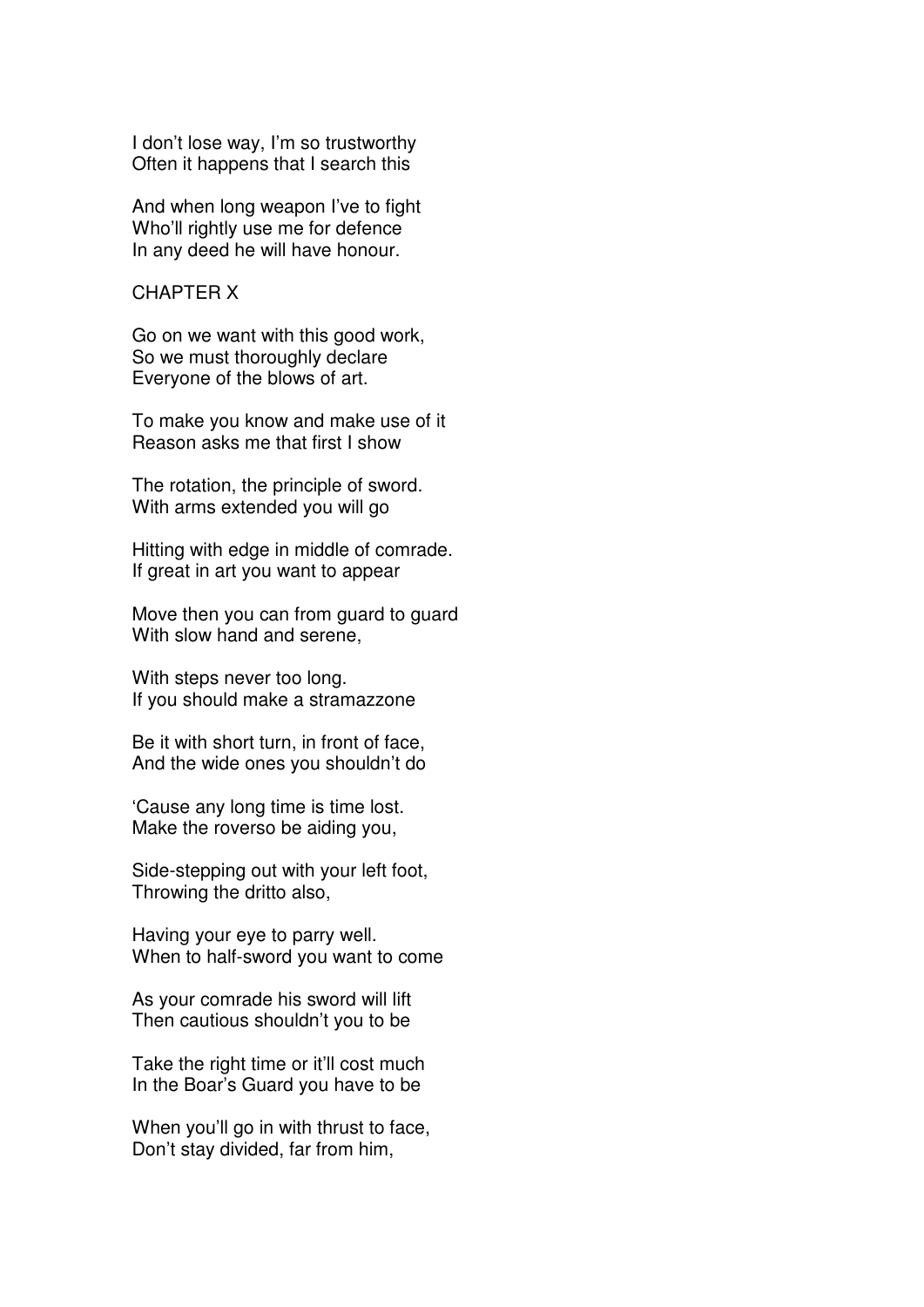I don't lose way, I'm so trustworthy Often it happens that I search this

And when long weapon I've to fight Who'll rightly use me for defence In any deed he will have honour.

#### CHAPTER X

Go on we want with this good work, So we must thoroughly declare Everyone of the blows of art.

To make you know and make use of it Reason asks me that first I show

The rotation, the principle of sword. With arms extended you will go

Hitting with edge in middle of comrade. If great in art you want to appear

Move then you can from guard to guard With slow hand and serene,

With steps never too long. If you should make a stramazzone

Be it with short turn, in front of face, And the wide ones you shouldn't do

'Cause any long time is time lost. Make the roverso be aiding you,

Side-stepping out with your left foot, Throwing the dritto also,

Having your eye to parry well. When to half-sword you want to come

As your comrade his sword will lift Then cautious shouldn't you to be

Take the right time or it'll cost much In the Boar's Guard you have to be

When you'll go in with thrust to face, Don't stay divided, far from him,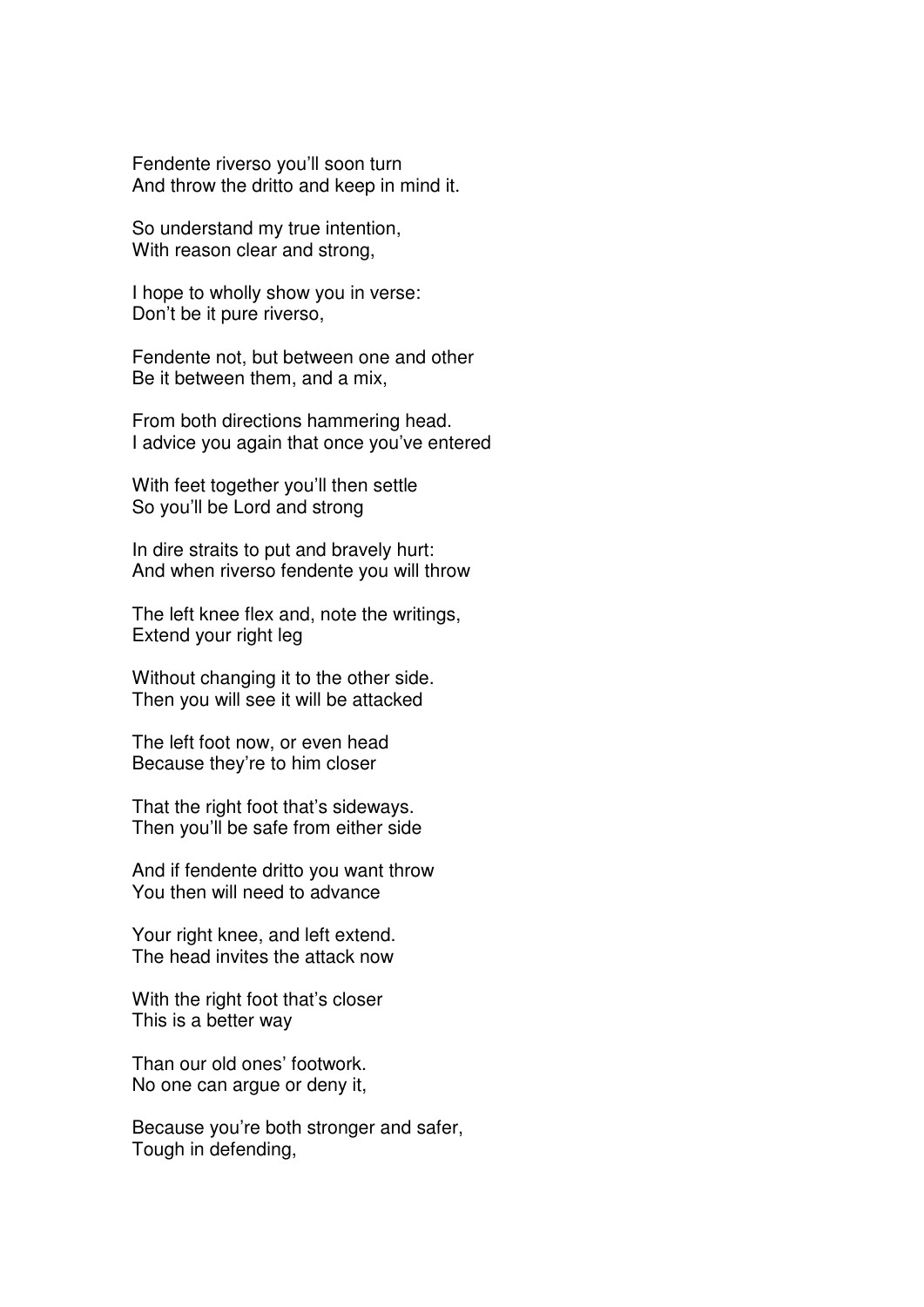Fendente riverso you'll soon turn And throw the dritto and keep in mind it.

So understand my true intention, With reason clear and strong,

I hope to wholly show you in verse: Don't be it pure riverso,

Fendente not, but between one and other Be it between them, and a mix,

From both directions hammering head. I advice you again that once you've entered

With feet together you'll then settle So you'll be Lord and strong

In dire straits to put and bravely hurt: And when riverso fendente you will throw

The left knee flex and, note the writings, Extend your right leg

Without changing it to the other side. Then you will see it will be attacked

The left foot now, or even head Because they're to him closer

That the right foot that's sideways. Then you'll be safe from either side

And if fendente dritto you want throw You then will need to advance

Your right knee, and left extend. The head invites the attack now

With the right foot that's closer This is a better way

Than our old ones' footwork. No one can argue or deny it,

Because you're both stronger and safer, Tough in defending,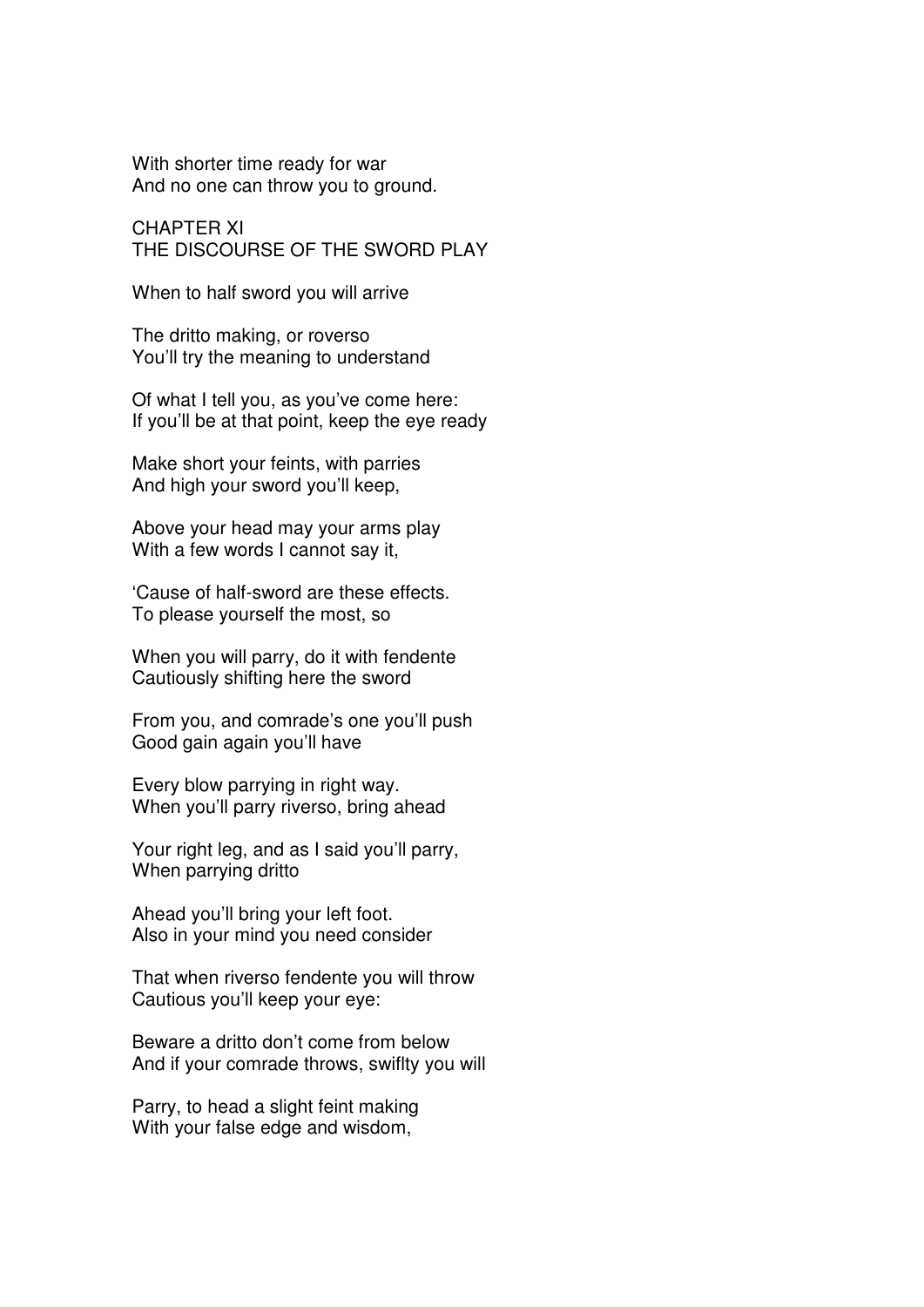With shorter time ready for war And no one can throw you to ground.

CHAPTER XI THE DISCOURSE OF THE SWORD PLAY

When to half sword you will arrive

The dritto making, or roverso You'll try the meaning to understand

Of what I tell you, as you've come here: If you'll be at that point, keep the eye ready

Make short your feints, with parries And high your sword you'll keep,

Above your head may your arms play With a few words I cannot say it,

'Cause of half-sword are these effects. To please yourself the most, so

When you will parry, do it with fendente Cautiously shifting here the sword

From you, and comrade's one you'll push Good gain again you'll have

Every blow parrying in right way. When you'll parry riverso, bring ahead

Your right leg, and as I said you'll parry, When parrying dritto

Ahead you'll bring your left foot. Also in your mind you need consider

That when riverso fendente you will throw Cautious you'll keep your eye:

Beware a dritto don't come from below And if your comrade throws, swiflty you will

Parry, to head a slight feint making With your false edge and wisdom,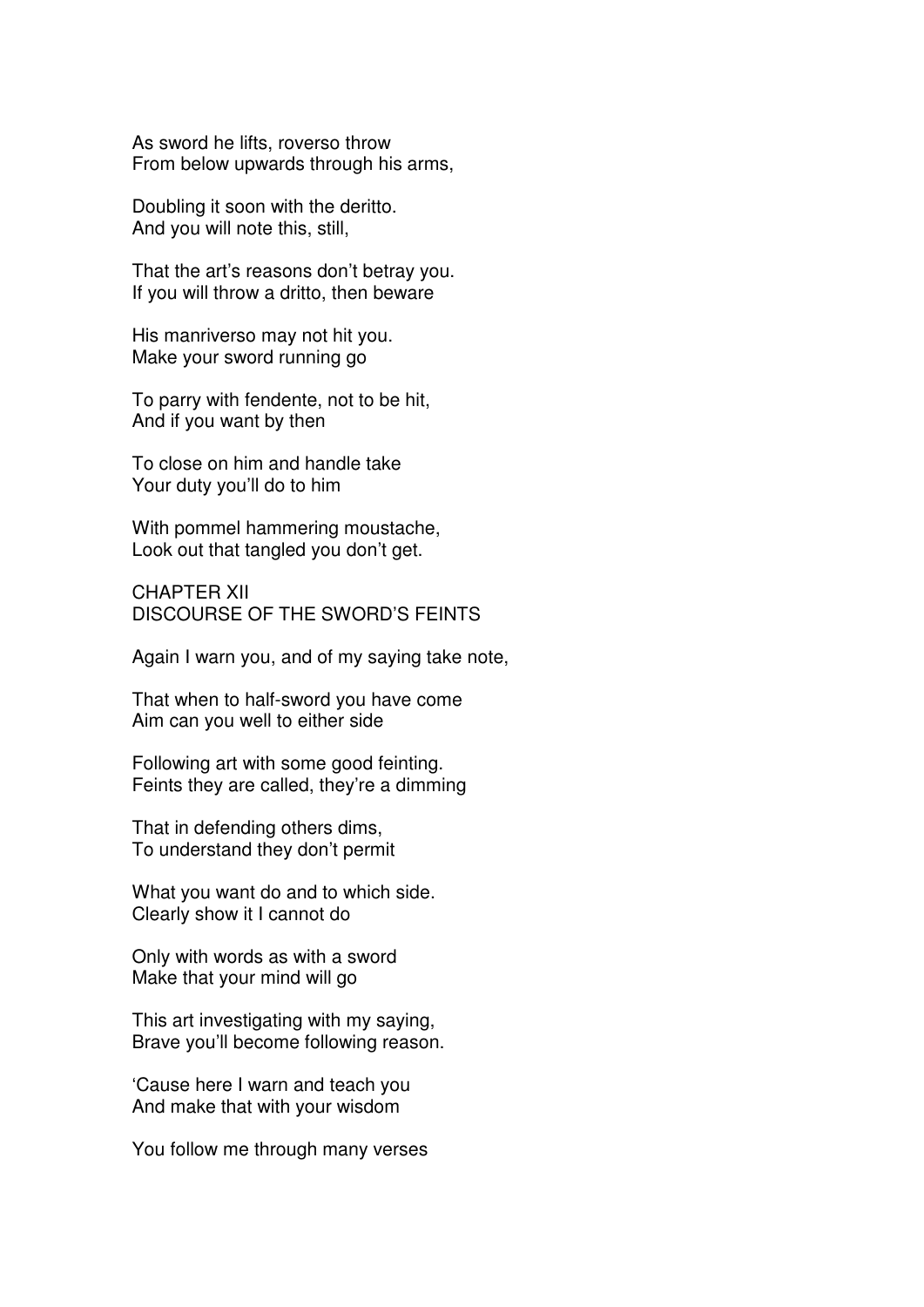As sword he lifts, roverso throw From below upwards through his arms,

Doubling it soon with the deritto. And you will note this, still,

That the art's reasons don't betray you. If you will throw a dritto, then beware

His manriverso may not hit you. Make your sword running go

To parry with fendente, not to be hit, And if you want by then

To close on him and handle take Your duty you'll do to him

With pommel hammering moustache, Look out that tangled you don't get.

CHAPTER XII DISCOURSE OF THE SWORD'S FEINTS

Again I warn you, and of my saying take note,

That when to half-sword you have come Aim can you well to either side

Following art with some good feinting. Feints they are called, they're a dimming

That in defending others dims, To understand they don't permit

What you want do and to which side. Clearly show it I cannot do

Only with words as with a sword Make that your mind will go

This art investigating with my saying, Brave you'll become following reason.

'Cause here I warn and teach you And make that with your wisdom

You follow me through many verses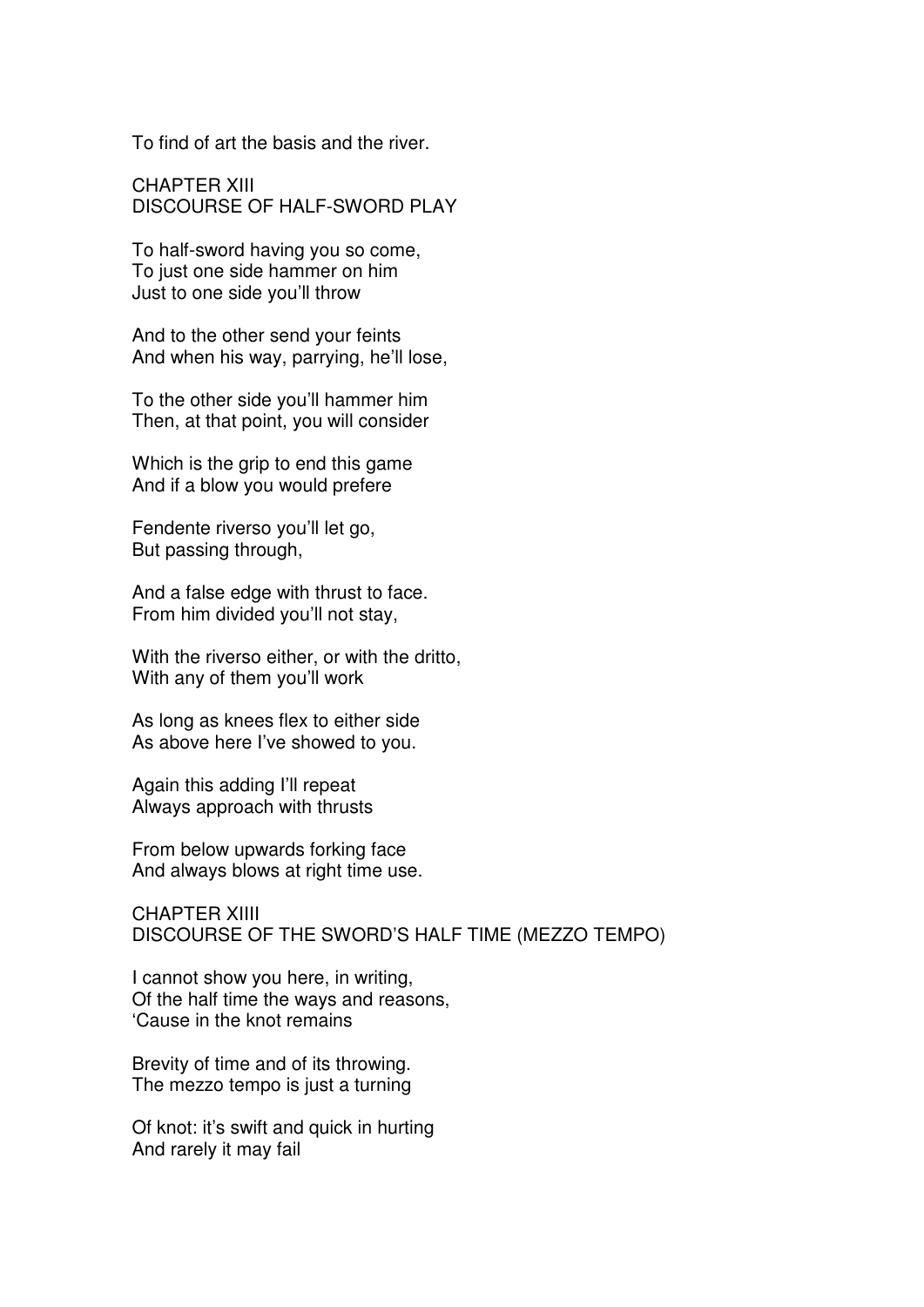To find of art the basis and the river.

CHAPTER XIII DISCOURSE OF HALF-SWORD PLAY

To half-sword having you so come, To just one side hammer on him Just to one side you'll throw

And to the other send your feints And when his way, parrying, he'll lose,

To the other side you'll hammer him Then, at that point, you will consider

Which is the grip to end this game And if a blow you would prefere

Fendente riverso you'll let go, But passing through,

And a false edge with thrust to face. From him divided you'll not stay,

With the riverso either, or with the dritto, With any of them you'll work

As long as knees flex to either side As above here I've showed to you.

Again this adding I'll repeat Always approach with thrusts

From below upwards forking face And always blows at right time use.

CHAPTER XIIII DISCOURSE OF THE SWORD'S HALF TIME (MEZZO TEMPO)

I cannot show you here, in writing, Of the half time the ways and reasons, 'Cause in the knot remains

Brevity of time and of its throwing. The mezzo tempo is just a turning

Of knot: it's swift and quick in hurting And rarely it may fail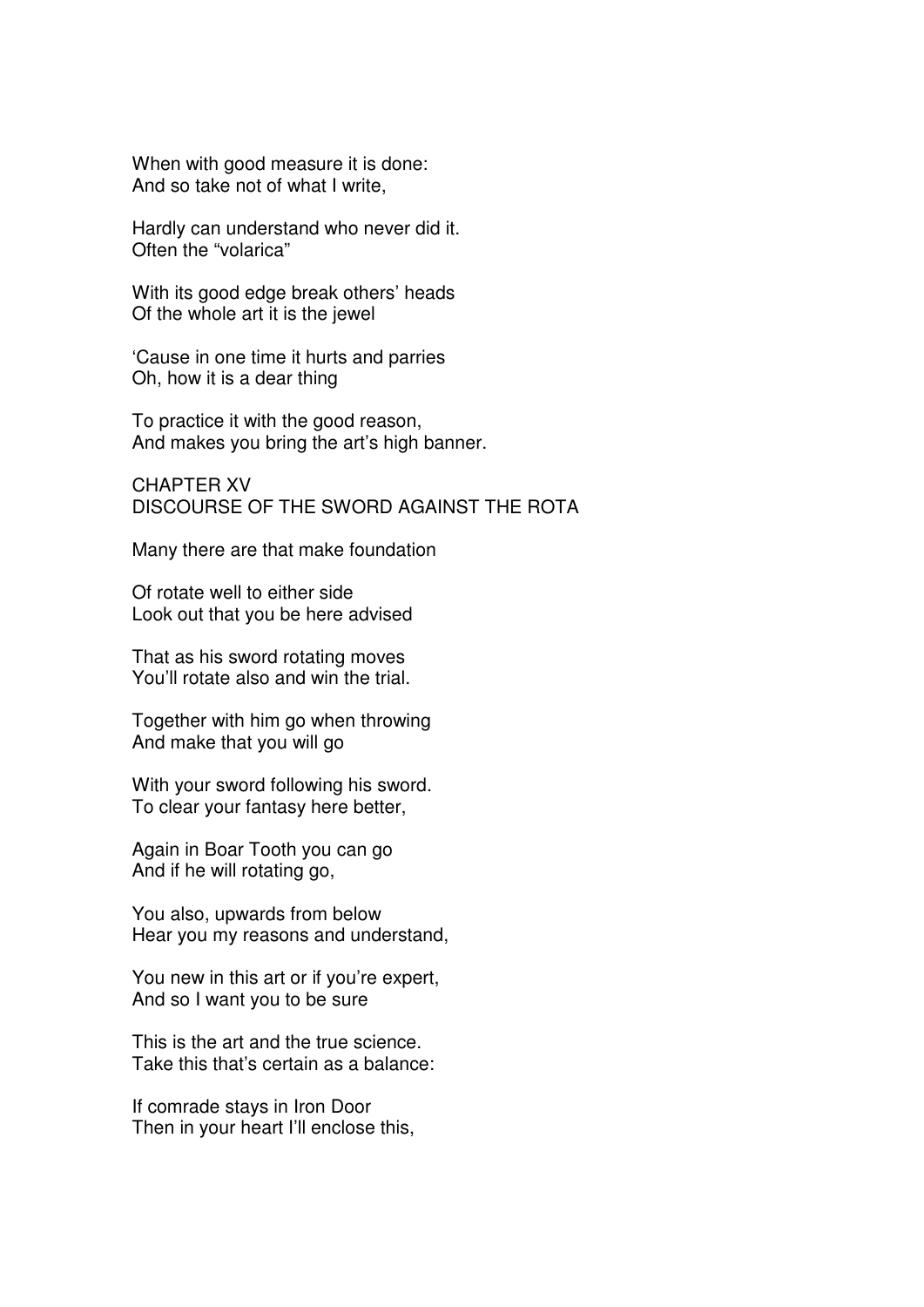When with good measure it is done: And so take not of what I write,

Hardly can understand who never did it. Often the "volarica"

With its good edge break others' heads Of the whole art it is the jewel

'Cause in one time it hurts and parries Oh, how it is a dear thing

To practice it with the good reason, And makes you bring the art's high banner.

CHAPTER XV DISCOURSE OF THE SWORD AGAINST THE ROTA

Many there are that make foundation

Of rotate well to either side Look out that you be here advised

That as his sword rotating moves You'll rotate also and win the trial.

Together with him go when throwing And make that you will go

With your sword following his sword. To clear your fantasy here better,

Again in Boar Tooth you can go And if he will rotating go,

You also, upwards from below Hear you my reasons and understand,

You new in this art or if you're expert, And so I want you to be sure

This is the art and the true science. Take this that's certain as a balance:

If comrade stays in Iron Door Then in your heart I'll enclose this,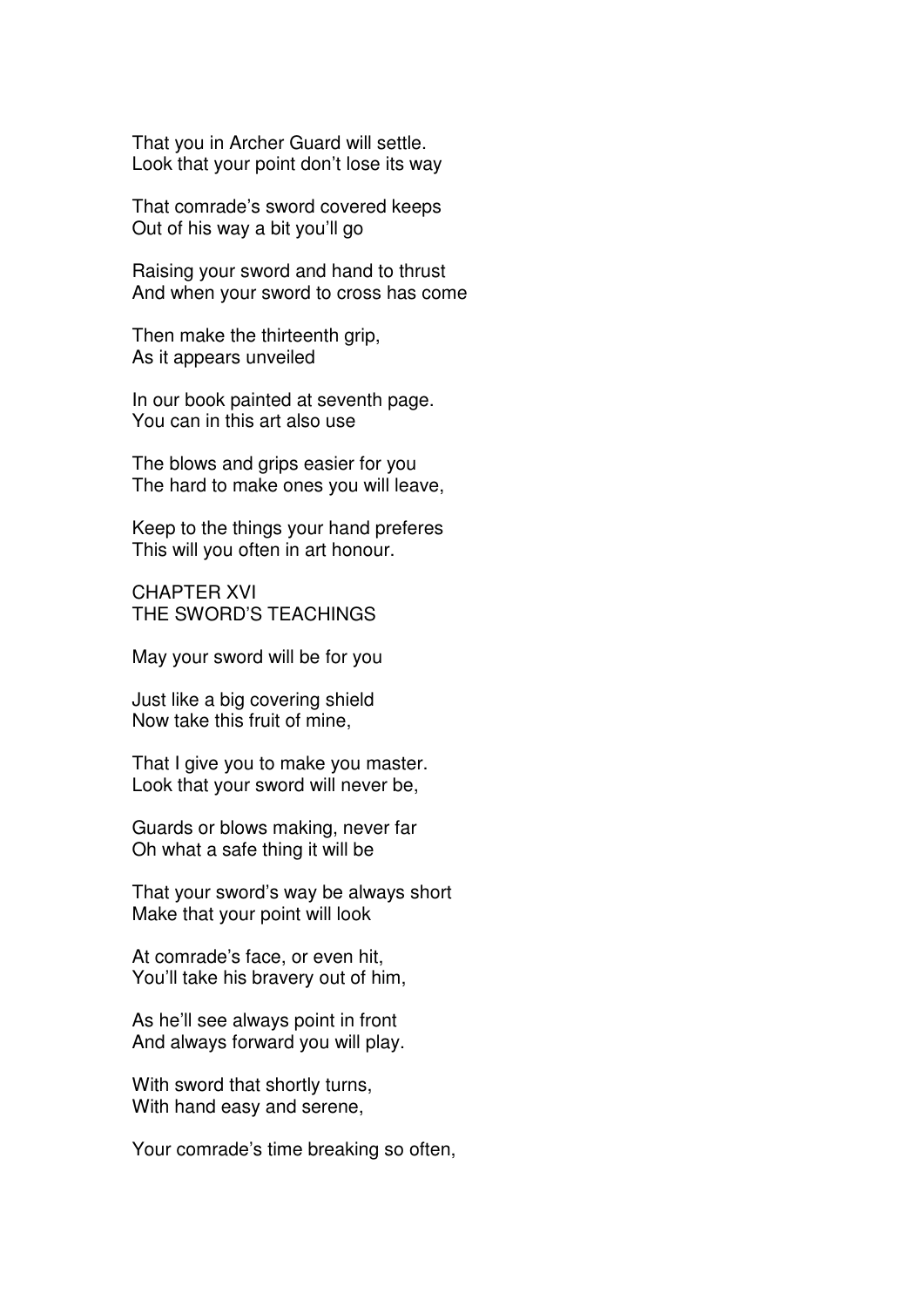That you in Archer Guard will settle. Look that your point don't lose its way

That comrade's sword covered keeps Out of his way a bit you'll go

Raising your sword and hand to thrust And when your sword to cross has come

Then make the thirteenth grip, As it appears unveiled

In our book painted at seventh page. You can in this art also use

The blows and grips easier for you The hard to make ones you will leave,

Keep to the things your hand preferes This will you often in art honour.

CHAPTER XVI THE SWORD'S TEACHINGS

May your sword will be for you

Just like a big covering shield Now take this fruit of mine,

That I give you to make you master. Look that your sword will never be,

Guards or blows making, never far Oh what a safe thing it will be

That your sword's way be always short Make that your point will look

At comrade's face, or even hit, You'll take his bravery out of him,

As he'll see always point in front And always forward you will play.

With sword that shortly turns, With hand easy and serene,

Your comrade's time breaking so often,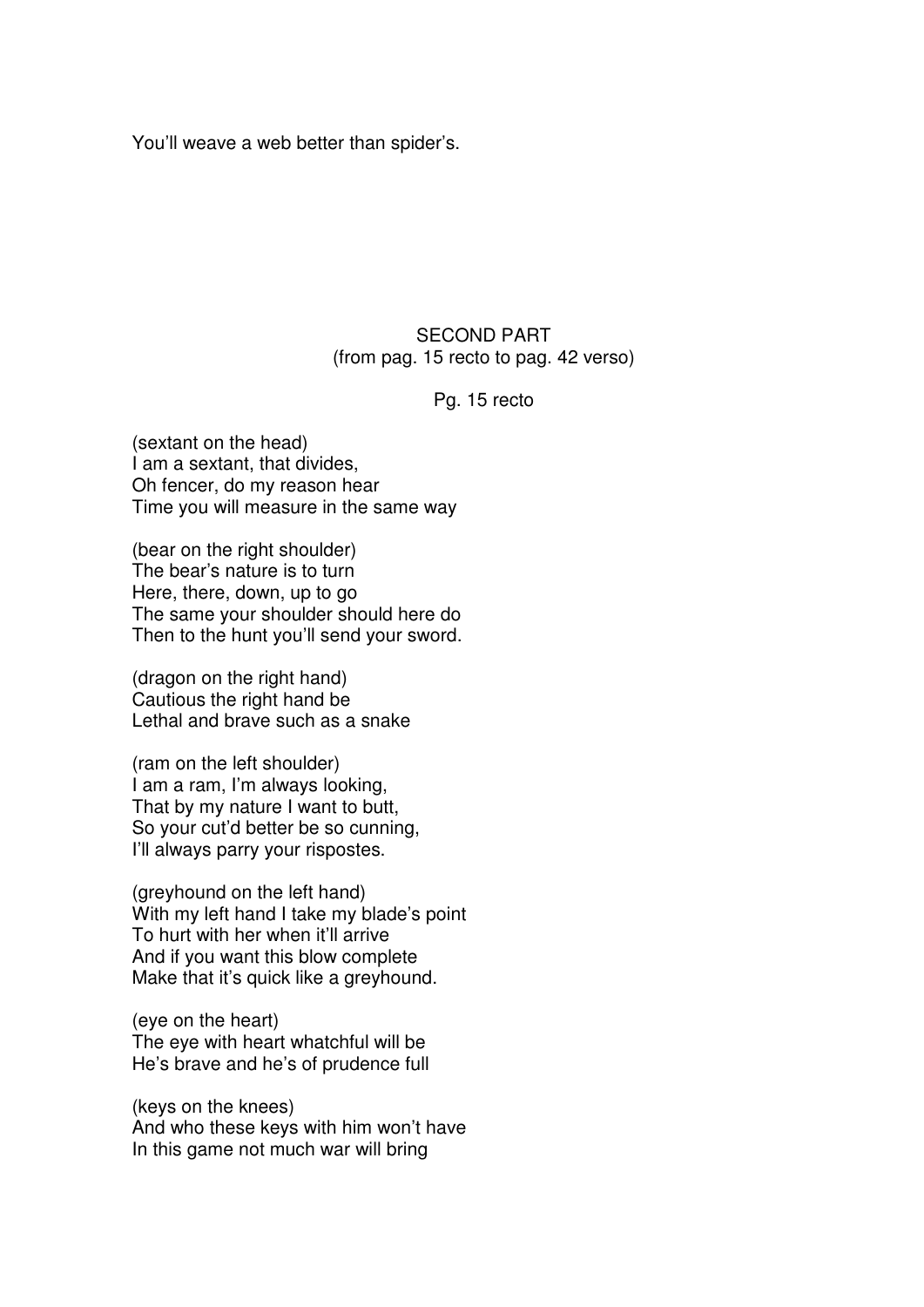You'll weave a web better than spider's.

### SECOND PART (from pag. 15 recto to pag. 42 verso)

#### Pg. 15 recto

(sextant on the head) I am a sextant, that divides, Oh fencer, do my reason hear Time you will measure in the same way

(bear on the right shoulder) The bear's nature is to turn Here, there, down, up to go The same your shoulder should here do Then to the hunt you'll send your sword.

(dragon on the right hand) Cautious the right hand be Lethal and brave such as a snake

(ram on the left shoulder) I am a ram, I'm always looking, That by my nature I want to butt, So your cut'd better be so cunning, I'll always parry your rispostes.

(greyhound on the left hand) With my left hand I take my blade's point To hurt with her when it'll arrive And if you want this blow complete Make that it's quick like a greyhound.

(eye on the heart) The eye with heart whatchful will be He's brave and he's of prudence full

(keys on the knees) And who these keys with him won't have In this game not much war will bring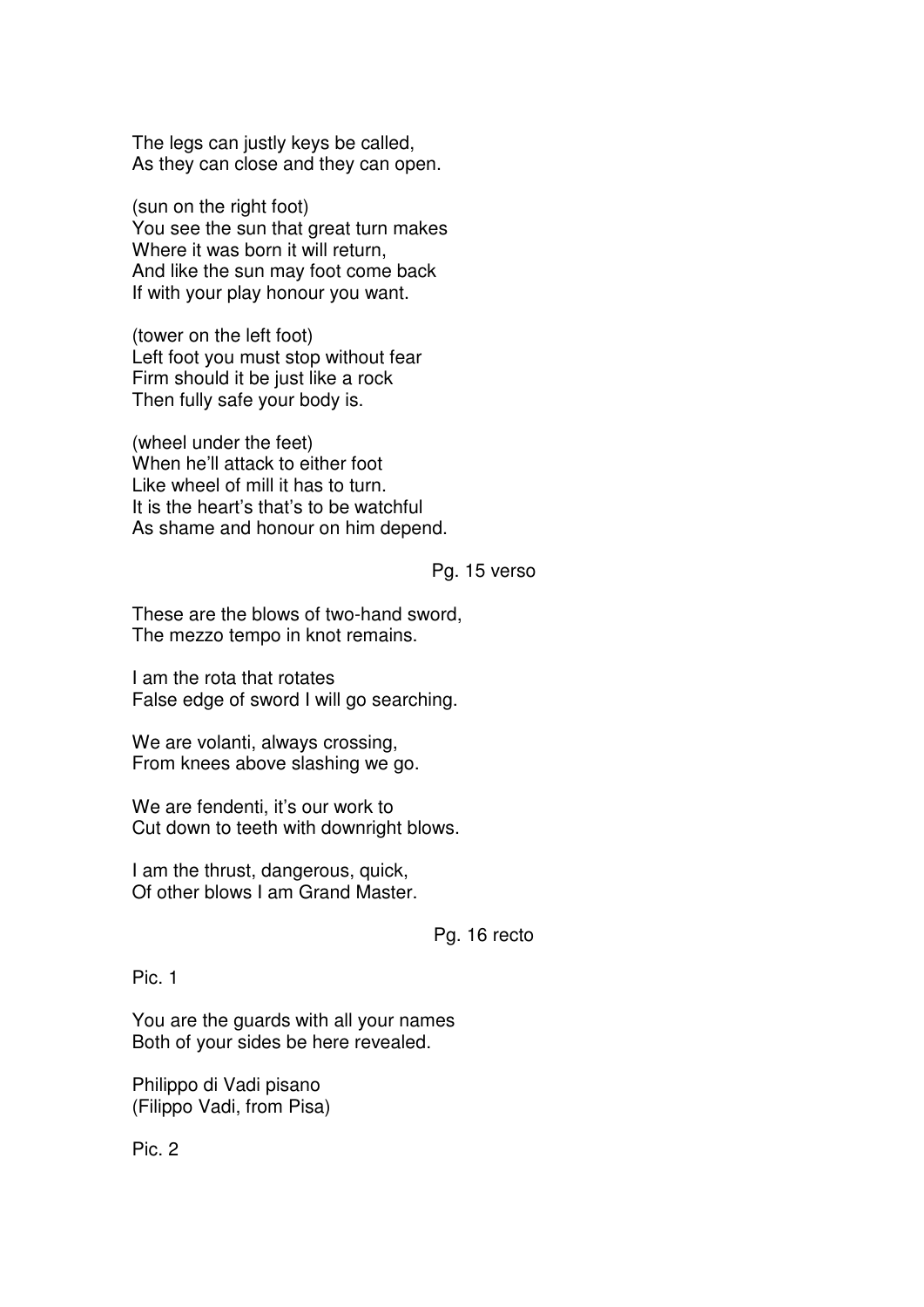The legs can justly keys be called, As they can close and they can open.

(sun on the right foot) You see the sun that great turn makes Where it was born it will return, And like the sun may foot come back If with your play honour you want.

(tower on the left foot) Left foot you must stop without fear Firm should it be just like a rock Then fully safe your body is.

(wheel under the feet) When he'll attack to either foot Like wheel of mill it has to turn. It is the heart's that's to be watchful As shame and honour on him depend.

#### Pg. 15 verso

These are the blows of two-hand sword, The mezzo tempo in knot remains.

I am the rota that rotates False edge of sword I will go searching.

We are volanti, always crossing, From knees above slashing we go.

We are fendenti, it's our work to Cut down to teeth with downright blows.

I am the thrust, dangerous, quick, Of other blows I am Grand Master.

Pg. 16 recto

Pic. 1

You are the guards with all your names Both of your sides be here revealed.

Philippo di Vadi pisano (Filippo Vadi, from Pisa)

Pic. 2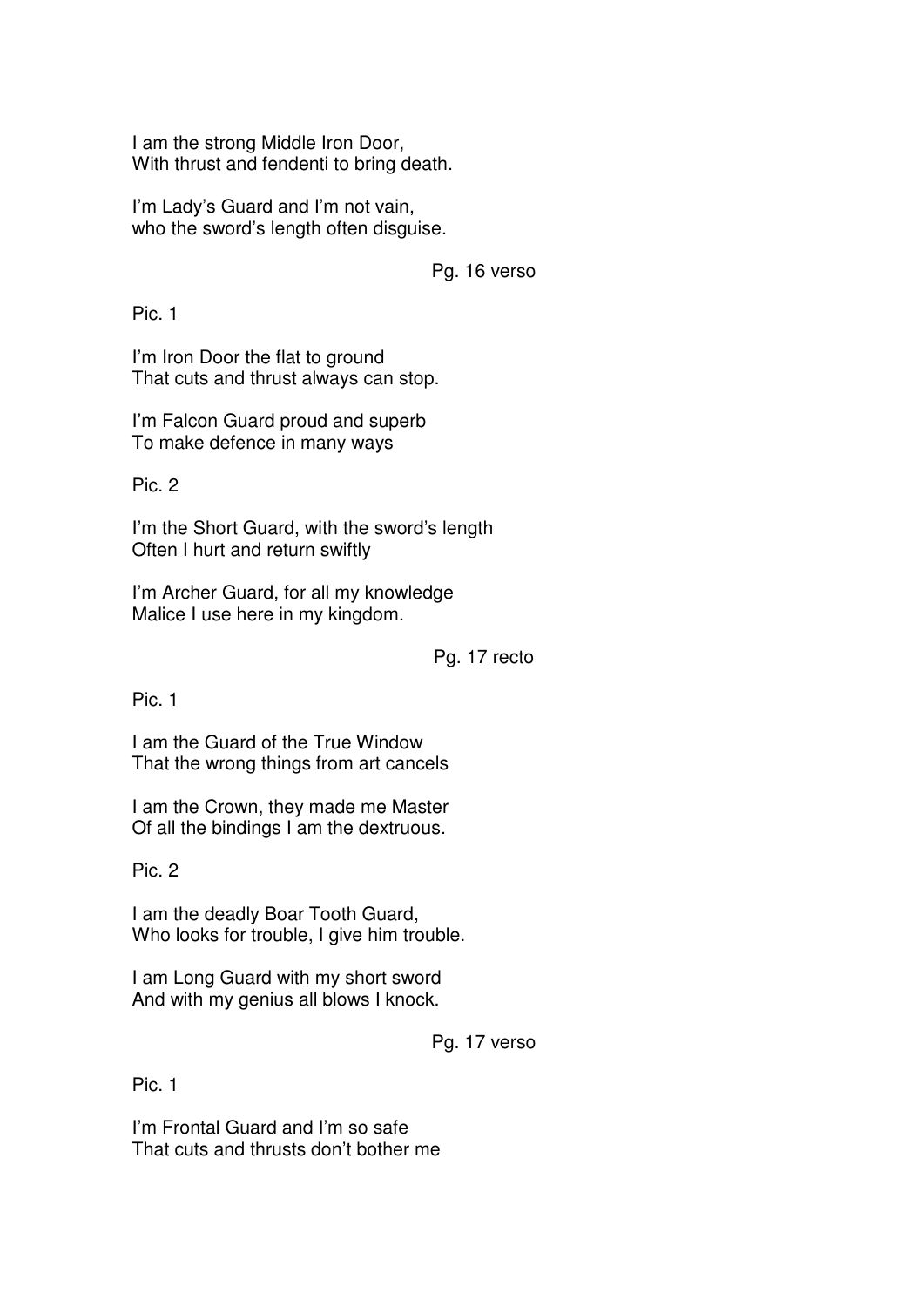I am the strong Middle Iron Door, With thrust and fendenti to bring death.

I'm Lady's Guard and I'm not vain, who the sword's length often disguise.

Pg. 16 verso

Pic. 1

I'm Iron Door the flat to ground That cuts and thrust always can stop.

I'm Falcon Guard proud and superb To make defence in many ways

Pic. 2

I'm the Short Guard, with the sword's length Often I hurt and return swiftly

I'm Archer Guard, for all my knowledge Malice I use here in my kingdom.

Pg. 17 recto

Pic. 1

I am the Guard of the True Window That the wrong things from art cancels

I am the Crown, they made me Master Of all the bindings I am the dextruous.

Pic. 2

I am the deadly Boar Tooth Guard, Who looks for trouble, I give him trouble.

I am Long Guard with my short sword And with my genius all blows I knock.

Pg. 17 verso

Pic. 1

I'm Frontal Guard and I'm so safe That cuts and thrusts don't bother me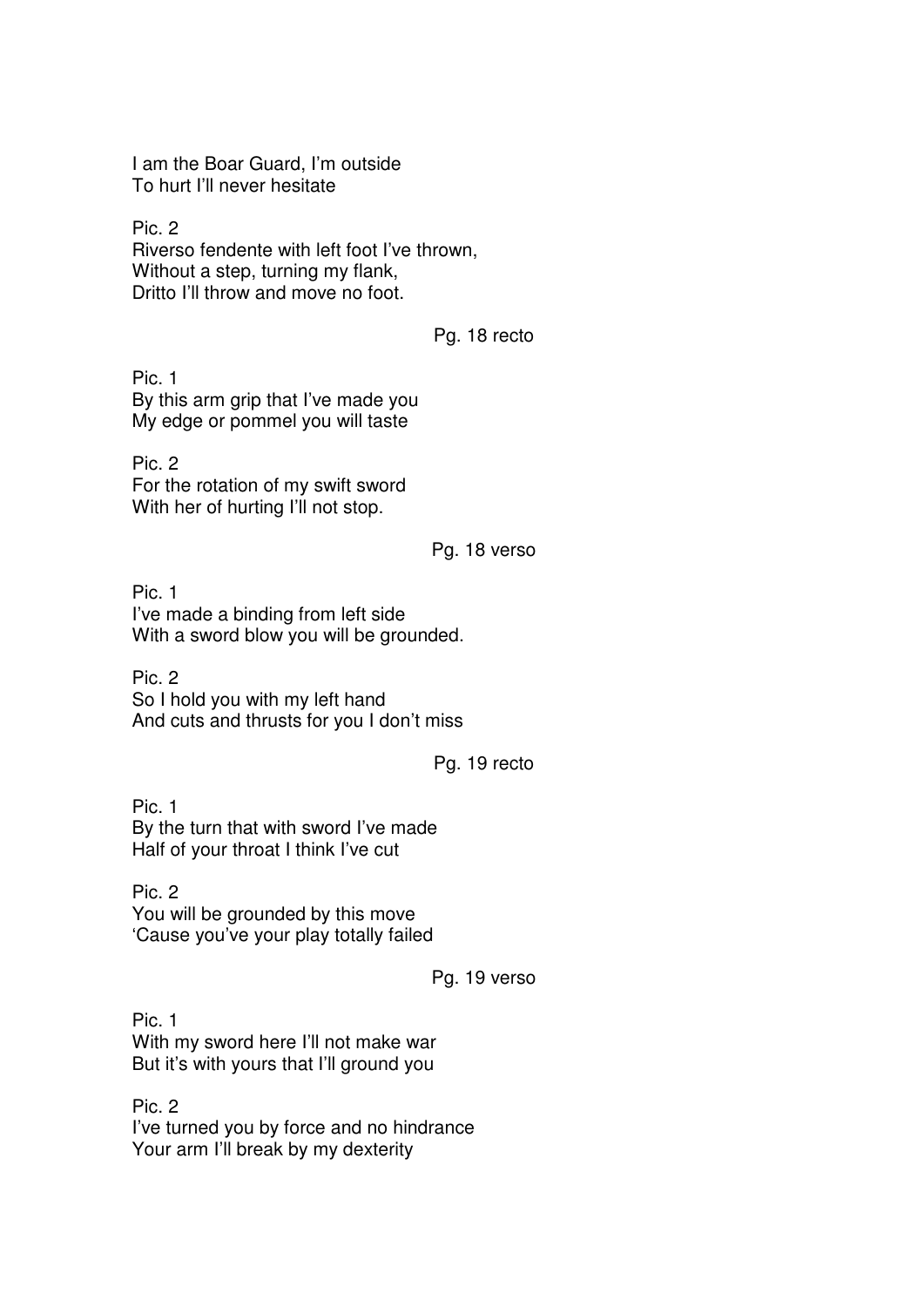I am the Boar Guard, I'm outside To hurt I'll never hesitate

Pic. 2 Riverso fendente with left foot I've thrown, Without a step, turning my flank, Dritto I'll throw and move no foot.

Pg. 18 recto

Pic. 1 By this arm grip that I've made you My edge or pommel you will taste

Pic. 2 For the rotation of my swift sword With her of hurting I'll not stop.

# Pg. 18 verso

Pic. 1 I've made a binding from left side With a sword blow you will be grounded.

Pic. 2 So I hold you with my left hand And cuts and thrusts for you I don't miss

## Pg. 19 recto

Pic. 1 By the turn that with sword I've made Half of your throat I think I've cut

Pic. 2 You will be grounded by this move 'Cause you've your play totally failed

Pg. 19 verso

Pic. 1 With my sword here I'll not make war But it's with yours that I'll ground you

Pic. 2 I've turned you by force and no hindrance Your arm I'll break by my dexterity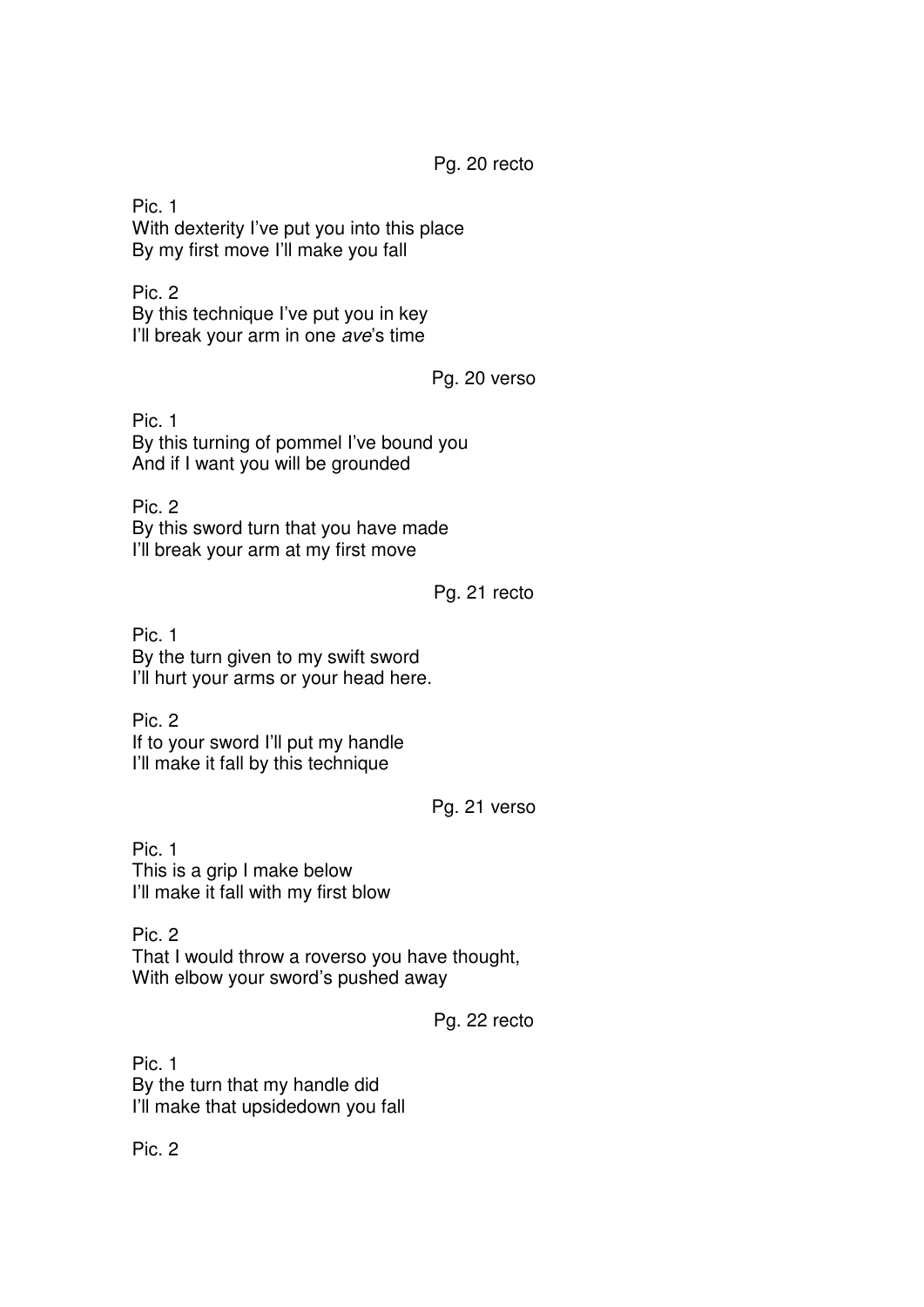Pg. 20 recto

Pic. 1 With dexterity I've put you into this place By my first move I'll make you fall

Pic. 2 By this technique I've put you in key I'll break your arm in one ave's time

Pg. 20 verso

Pic. 1 By this turning of pommel I've bound you And if I want you will be grounded

Pic. 2 By this sword turn that you have made I'll break your arm at my first move

Pg. 21 recto

Pic. 1 By the turn given to my swift sword I'll hurt your arms or your head here.

Pic. 2 If to your sword I'll put my handle I'll make it fall by this technique

Pg. 21 verso

Pic. 1 This is a grip I make below I'll make it fall with my first blow

Pic. 2 That I would throw a roverso you have thought, With elbow your sword's pushed away

Pg. 22 recto

Pic. 1 By the turn that my handle did I'll make that upsidedown you fall

Pic. 2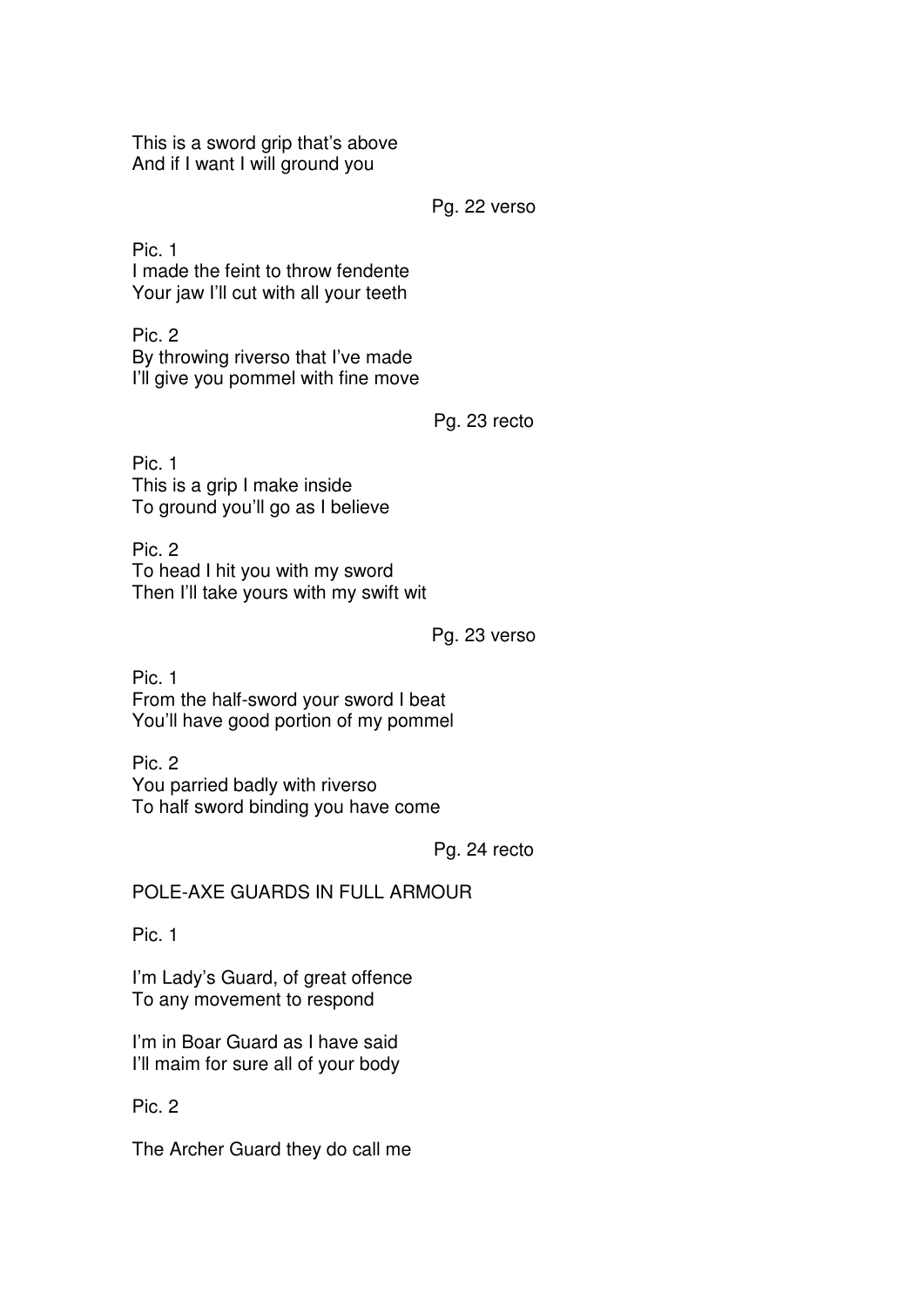This is a sword grip that's above And if I want I will ground you

Pg. 22 verso

Pic. 1 I made the feint to throw fendente Your jaw I'll cut with all your teeth

Pic. 2 By throwing riverso that I've made I'll give you pommel with fine move

Pg. 23 recto

Pic. 1 This is a grip I make inside To ground you'll go as I believe

Pic. 2 To head I hit you with my sword Then I'll take yours with my swift wit

Pg. 23 verso

Pic. 1 From the half-sword your sword I beat You'll have good portion of my pommel

Pic. 2 You parried badly with riverso To half sword binding you have come

Pg. 24 recto

POLE-AXE GUARDS IN FULL ARMOUR

Pic. 1

I'm Lady's Guard, of great offence To any movement to respond

I'm in Boar Guard as I have said I'll maim for sure all of your body

Pic. 2

The Archer Guard they do call me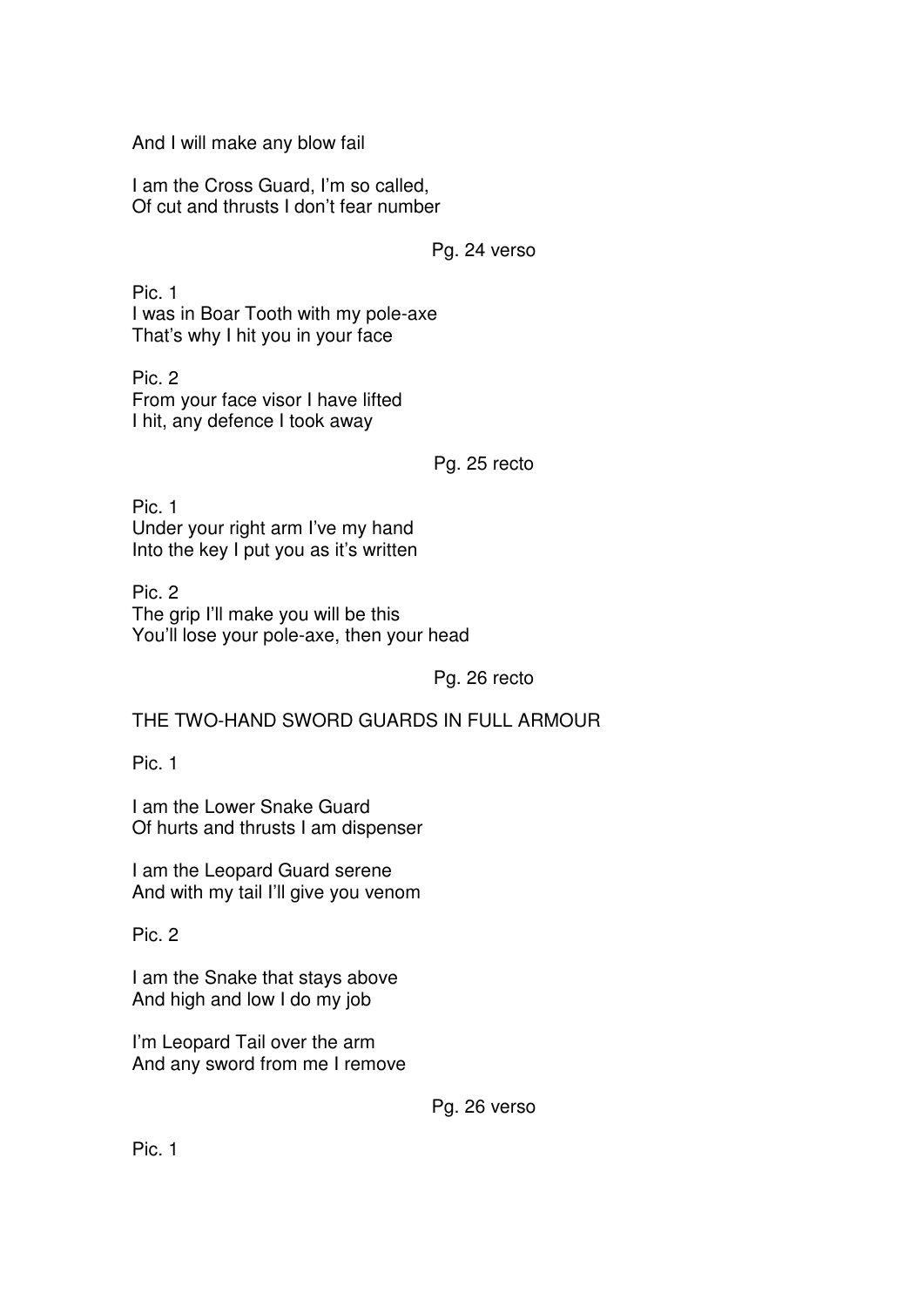And I will make any blow fail

I am the Cross Guard, I'm so called, Of cut and thrusts I don't fear number

Pg. 24 verso

Pic. 1 I was in Boar Tooth with my pole-axe That's why I hit you in your face

Pic. 2 From your face visor I have lifted I hit, any defence I took away

Pg. 25 recto

Pic. 1 Under your right arm I've my hand Into the key I put you as it's written

Pic. 2 The grip I'll make you will be this You'll lose your pole-axe, then your head

Pg. 26 recto

THE TWO-HAND SWORD GUARDS IN FULL ARMOUR

Pic. 1

I am the Lower Snake Guard Of hurts and thrusts I am dispenser

I am the Leopard Guard serene And with my tail I'll give you venom

Pic. 2

I am the Snake that stays above And high and low I do my job

I'm Leopard Tail over the arm And any sword from me I remove

Pg. 26 verso

Pic. 1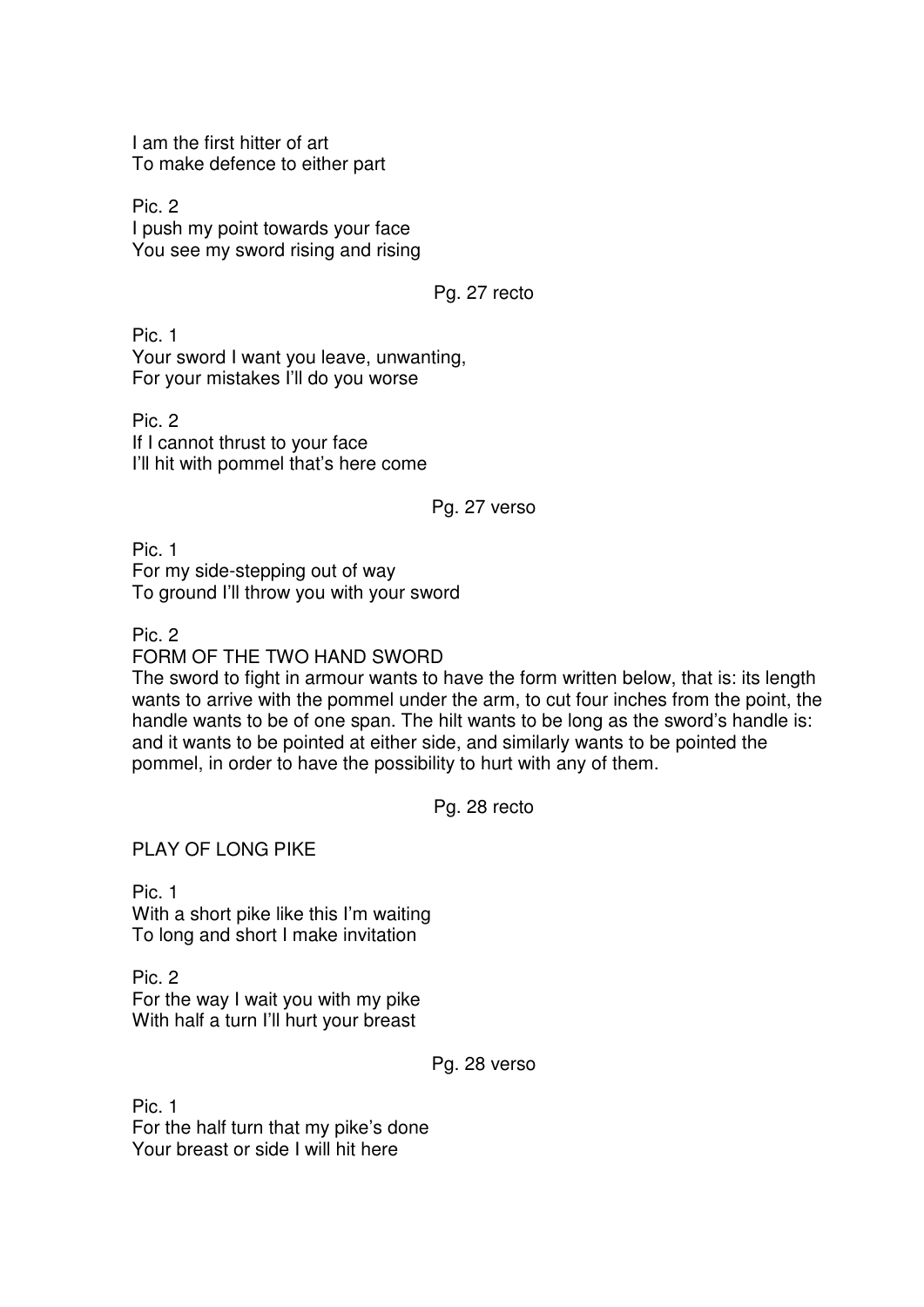I am the first hitter of art To make defence to either part

Pic. 2 I push my point towards your face You see my sword rising and rising

## Pg. 27 recto

Pic. 1 Your sword I want you leave, unwanting, For your mistakes I'll do you worse

Pic. 2 If I cannot thrust to your face I'll hit with pommel that's here come

### Pg. 27 verso

Pic. 1 For my side-stepping out of way To ground I'll throw you with your sword

Pic. 2

FORM OF THE TWO HAND SWORD

The sword to fight in armour wants to have the form written below, that is: its length wants to arrive with the pommel under the arm, to cut four inches from the point, the handle wants to be of one span. The hilt wants to be long as the sword's handle is: and it wants to be pointed at either side, and similarly wants to be pointed the pommel, in order to have the possibility to hurt with any of them.

Pg. 28 recto

PLAY OF LONG PIKE

Pic. 1 With a short pike like this I'm waiting To long and short I make invitation

Pic. 2 For the way I wait you with my pike With half a turn I'll hurt your breast

Pg. 28 verso

Pic. 1 For the half turn that my pike's done Your breast or side I will hit here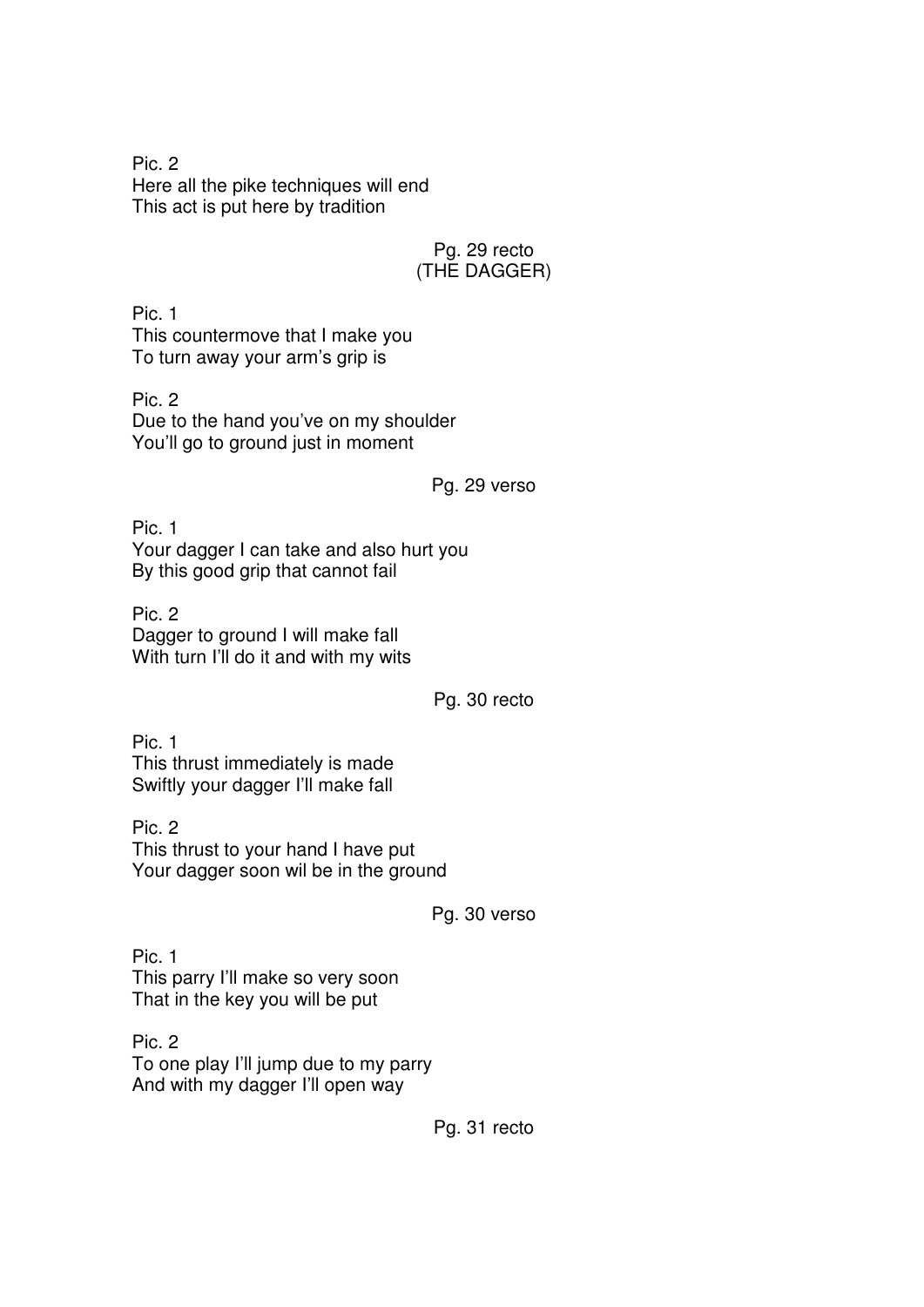Pic. 2 Here all the pike techniques will end This act is put here by tradition

# Pg. 29 recto (THE DAGGER)

Pic. 1 This countermove that I make you To turn away your arm's grip is

Pic. 2 Due to the hand you've on my shoulder You'll go to ground just in moment

## Pg. 29 verso

Pic. 1 Your dagger I can take and also hurt you By this good grip that cannot fail

Pic. 2 Dagger to ground I will make fall With turn I'll do it and with my wits

Pg. 30 recto

Pic. 1 This thrust immediately is made Swiftly your dagger I'll make fall

Pic. 2 This thrust to your hand I have put Your dagger soon wil be in the ground

Pg. 30 verso

Pic. 1 This parry I'll make so very soon That in the key you will be put

Pic. 2 To one play I'll jump due to my parry And with my dagger I'll open way

Pg. 31 recto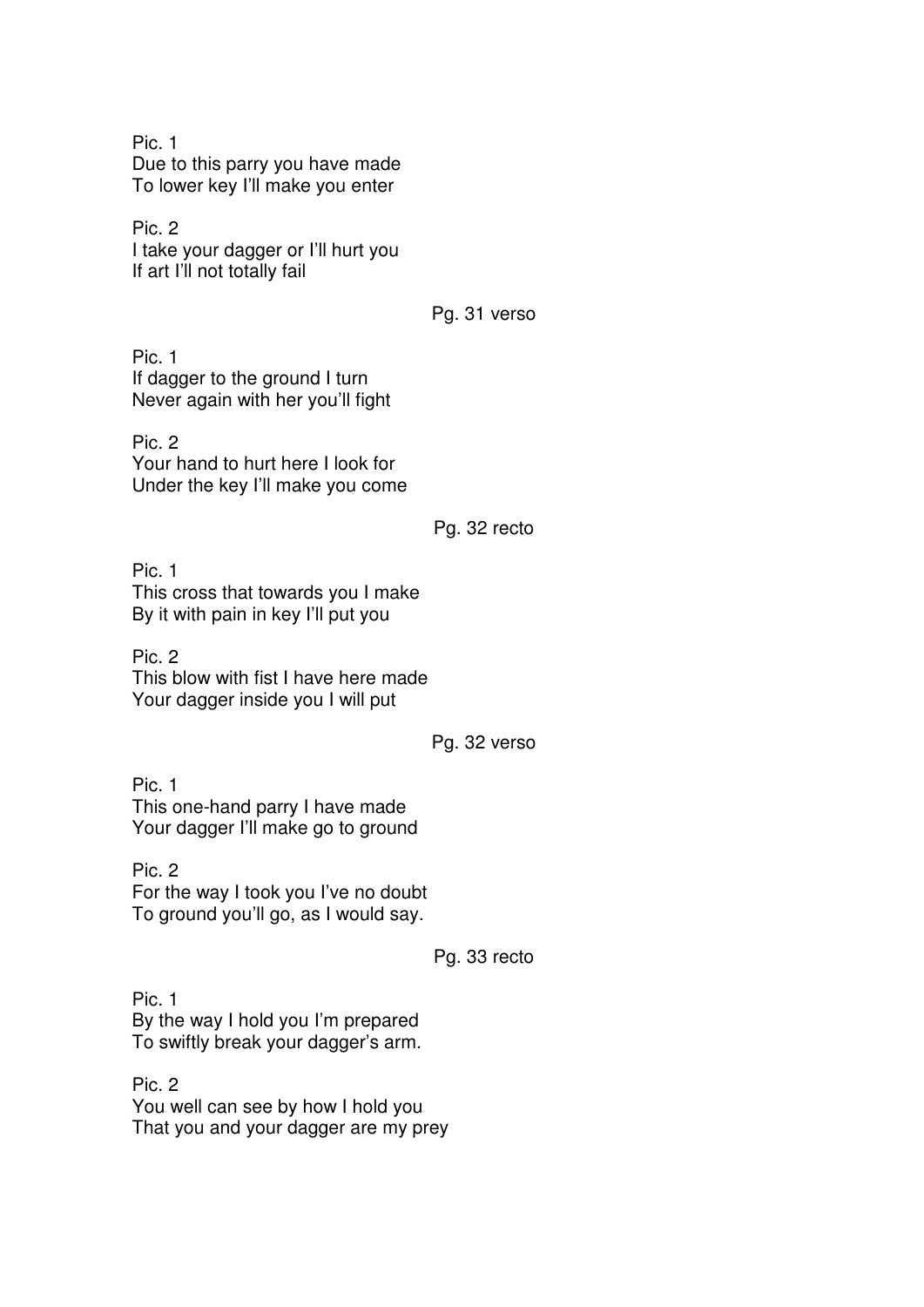Pic. 1 Due to this parry you have made To lower key I'll make you enter

Pic. 2 I take your dagger or I'll hurt you If art I'll not totally fail

Pg. 31 verso

Pic. 1 If dagger to the ground I turn Never again with her you'll fight

Pic. 2 Your hand to hurt here I look for Under the key I'll make you come

Pg. 32 recto

Pic. 1 This cross that towards you I make By it with pain in key I'll put you

Pic. 2 This blow with fist I have here made Your dagger inside you I will put

Pg. 32 verso

Pic. 1 This one-hand parry I have made Your dagger I'll make go to ground

Pic. 2 For the way I took you I've no doubt To ground you'll go, as I would say.

Pg. 33 recto

Pic. 1 By the way I hold you I'm prepared To swiftly break your dagger's arm.

Pic. 2 You well can see by how I hold you That you and your dagger are my prey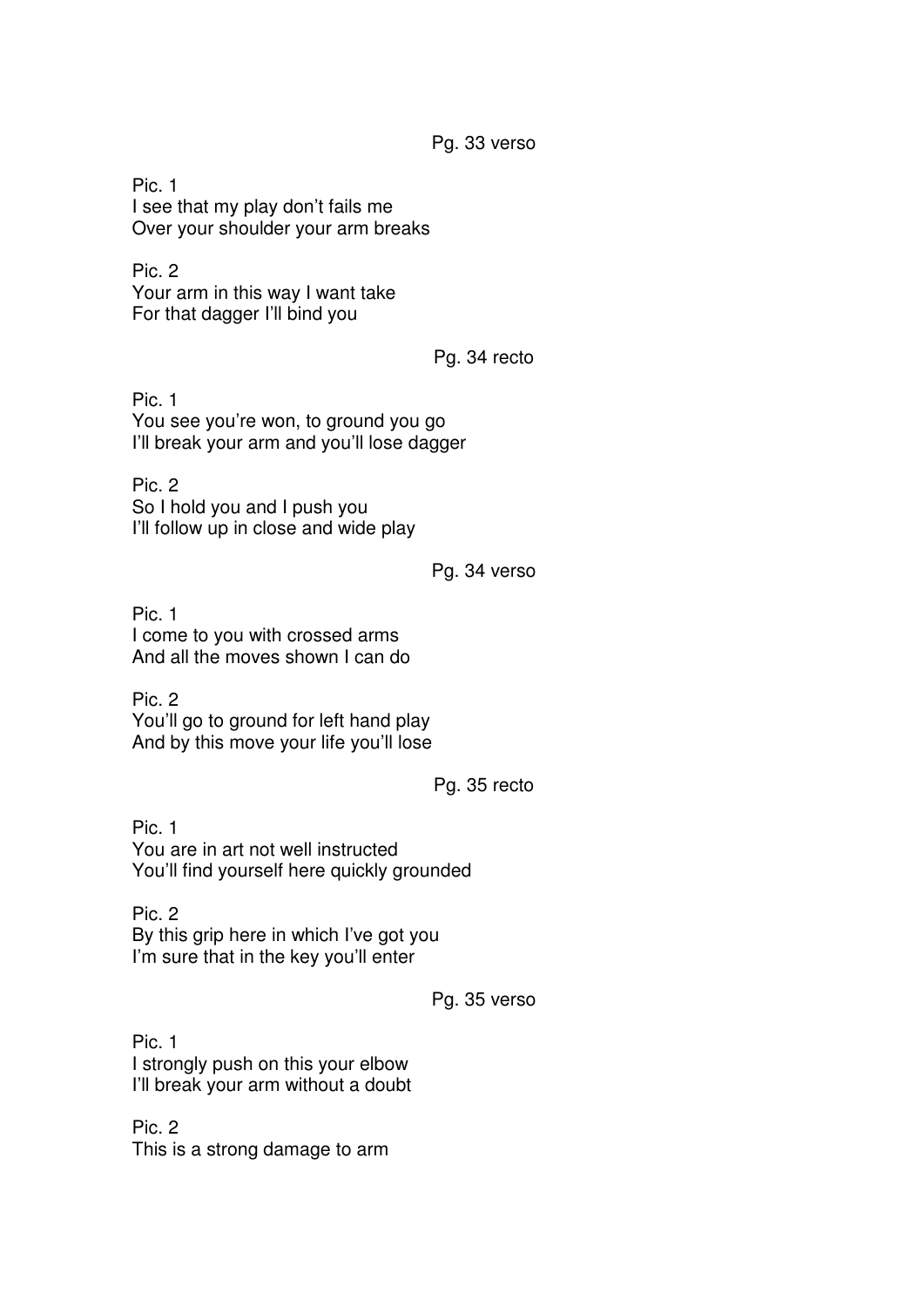Pg. 33 verso

Pic. 1 I see that my play don't fails me Over your shoulder your arm breaks

Pic. 2 Your arm in this way I want take For that dagger I'll bind you

Pg. 34 recto

Pic. 1 You see you're won, to ground you go I'll break your arm and you'll lose dagger

Pic. 2 So I hold you and I push you I'll follow up in close and wide play

Pg. 34 verso

Pic. 1 I come to you with crossed arms And all the moves shown I can do

Pic. 2 You'll go to ground for left hand play And by this move your life you'll lose

Pg. 35 recto

Pic. 1 You are in art not well instructed You'll find yourself here quickly grounded

Pic. 2 By this grip here in which I've got you I'm sure that in the key you'll enter

Pg. 35 verso

Pic. 1 I strongly push on this your elbow I'll break your arm without a doubt

Pic. 2 This is a strong damage to arm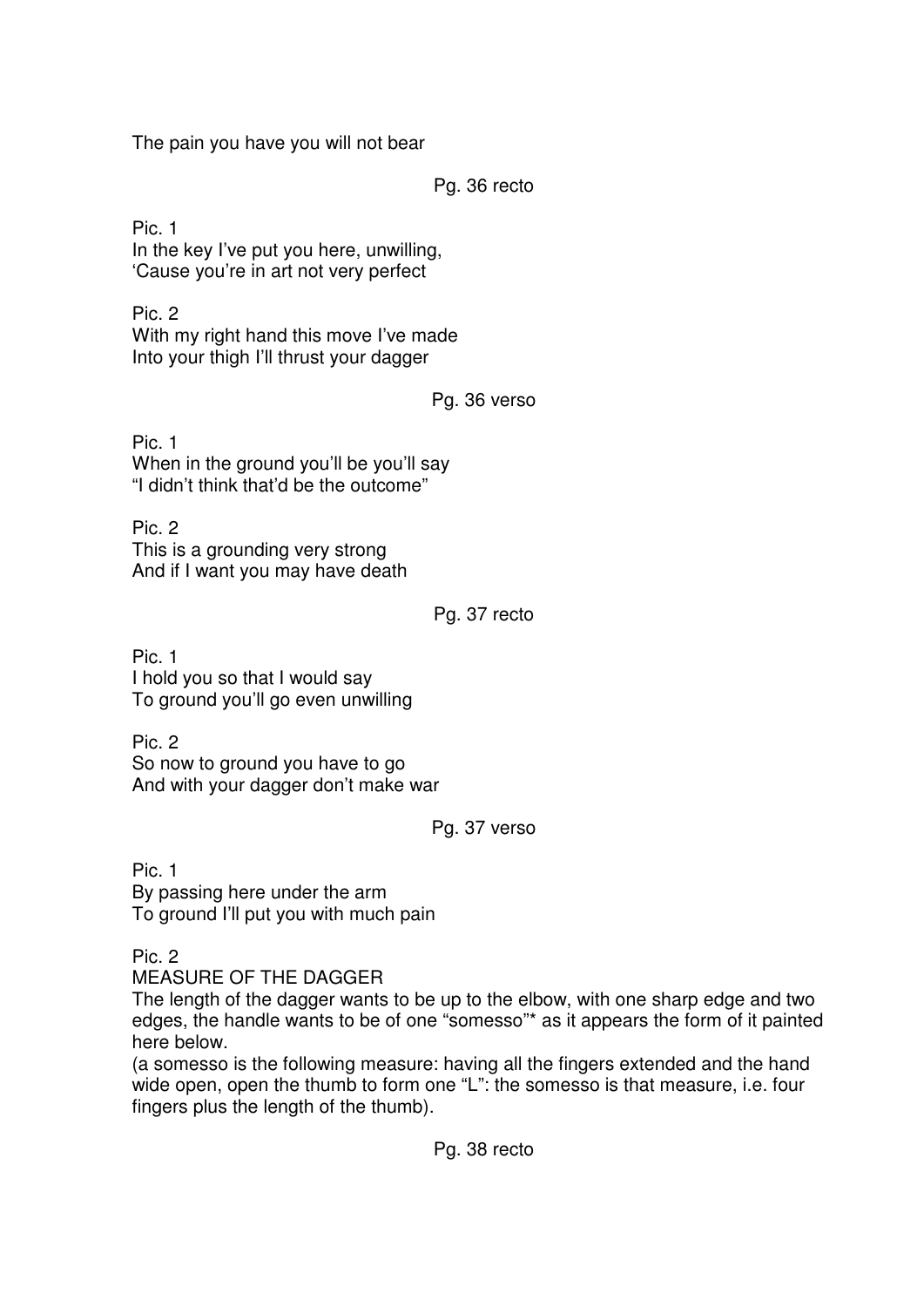The pain you have you will not bear

Pg. 36 recto

Pic. 1 In the key I've put you here, unwilling, 'Cause you're in art not very perfect

Pic. 2 With my right hand this move I've made Into your thigh I'll thrust your dagger

Pg. 36 verso

Pic. 1 When in the ground you'll be you'll say "I didn't think that'd be the outcome"

Pic. 2 This is a grounding very strong And if I want you may have death

## Pg. 37 recto

Pic. 1 I hold you so that I would say To ground you'll go even unwilling

Pic. 2 So now to ground you have to go And with your dagger don't make war

## Pg. 37 verso

Pic. 1 By passing here under the arm To ground I'll put you with much pain

Pic. 2

MEASURE OF THE DAGGER

The length of the dagger wants to be up to the elbow, with one sharp edge and two edges, the handle wants to be of one "somesso"\* as it appears the form of it painted here below.

(a somesso is the following measure: having all the fingers extended and the hand wide open, open the thumb to form one "L": the somesso is that measure, i.e. four fingers plus the length of the thumb).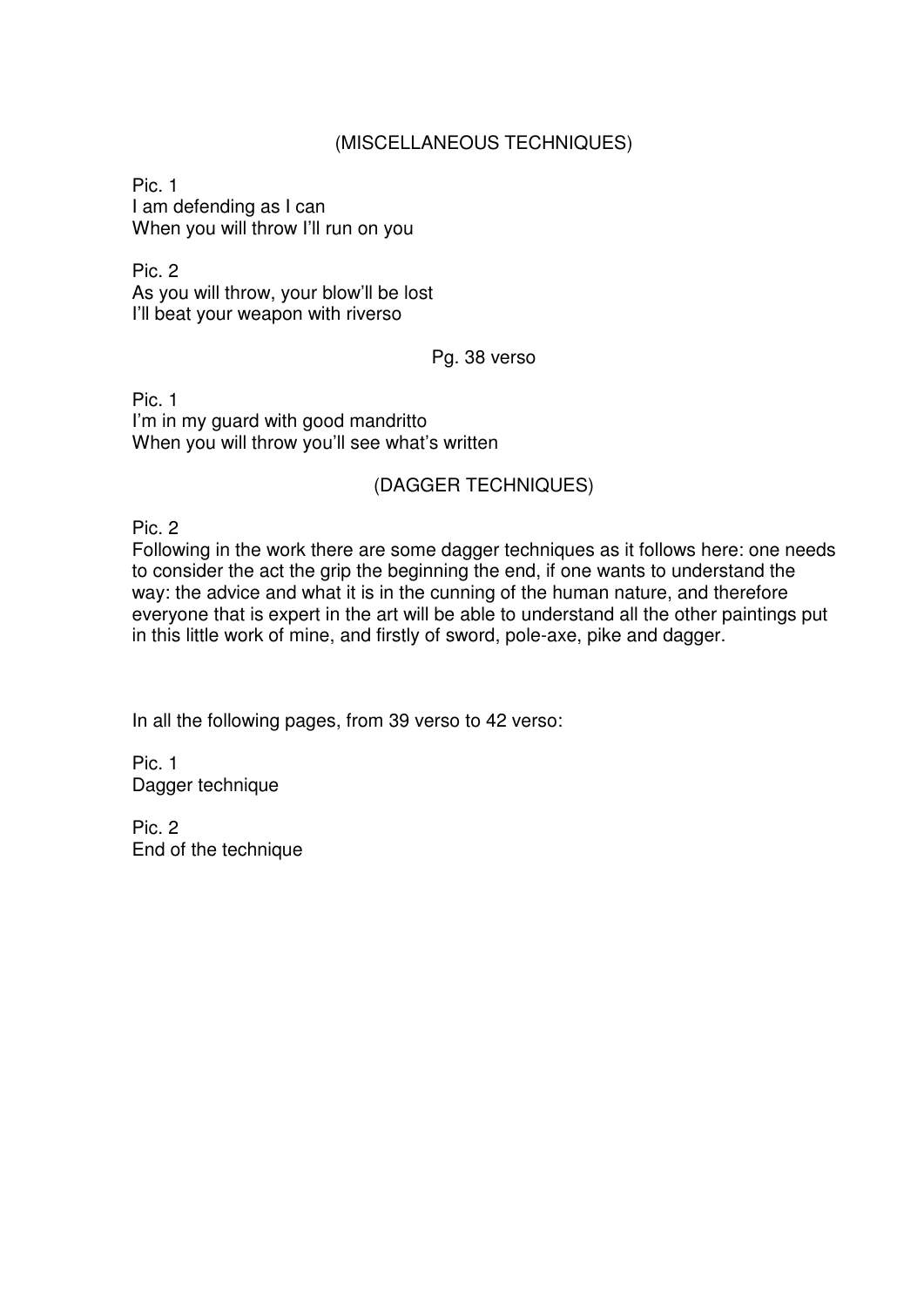## (MISCELLANEOUS TECHNIQUES)

Pic. 1 I am defending as I can When you will throw I'll run on you

Pic. 2 As you will throw, your blow'll be lost I'll beat your weapon with riverso

#### Pg. 38 verso

Pic. 1 I'm in my guard with good mandritto When you will throw you'll see what's written

### (DAGGER TECHNIQUES)

Pic. 2

Following in the work there are some dagger techniques as it follows here: one needs to consider the act the grip the beginning the end, if one wants to understand the way: the advice and what it is in the cunning of the human nature, and therefore everyone that is expert in the art will be able to understand all the other paintings put in this little work of mine, and firstly of sword, pole-axe, pike and dagger.

In all the following pages, from 39 verso to 42 verso:

Pic. 1 Dagger technique

Pic. 2 End of the technique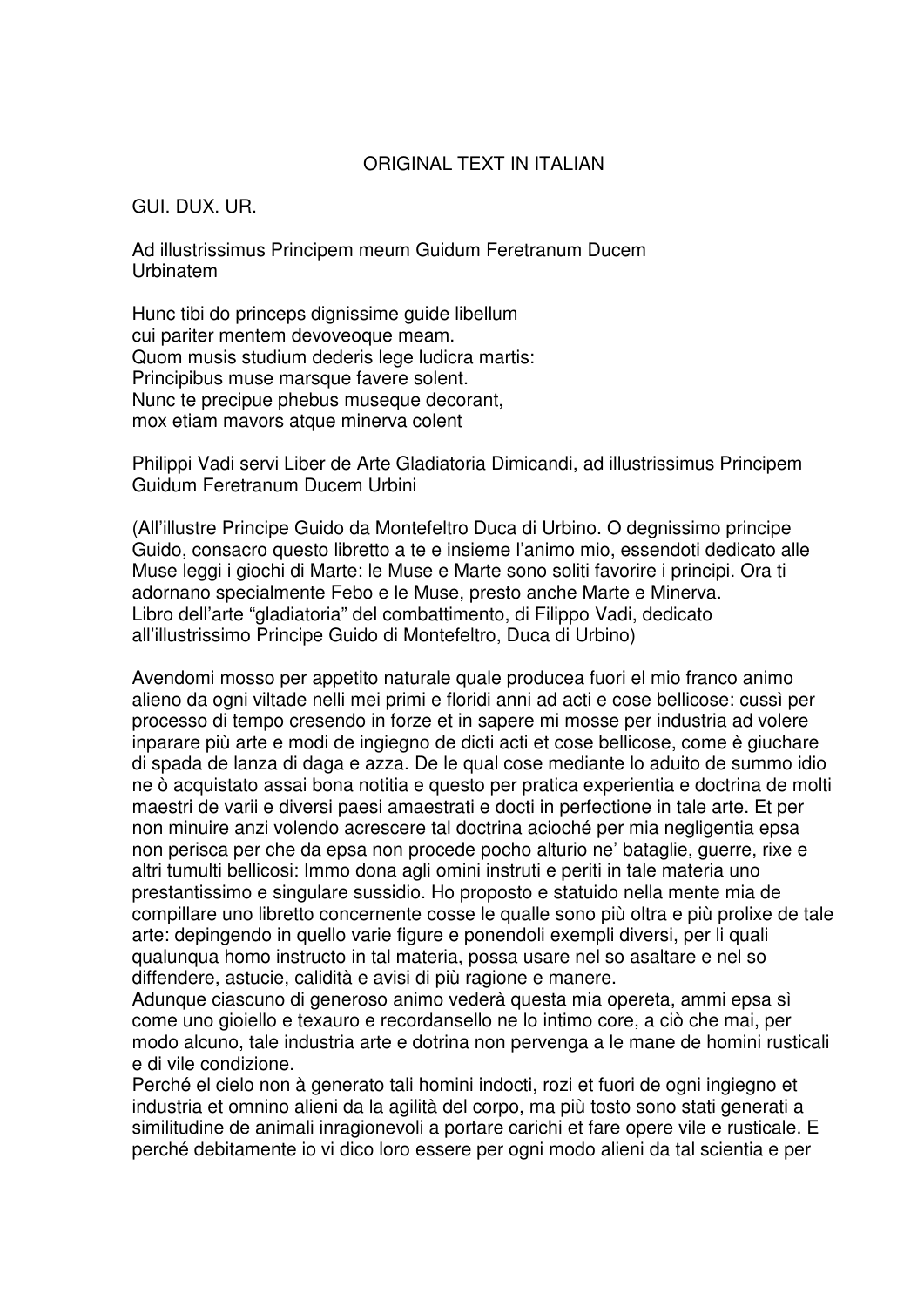### ORIGINAL TEXT IN ITALIAN

GUI. DUX. UR.

Ad illustrissimus Principem meum Guidum Feretranum Ducem Urbinatem

Hunc tibi do princeps dignissime guide libellum cui pariter mentem devoveoque meam. Quom musis studium dederis lege ludicra martis: Principibus muse marsque favere solent. Nunc te precipue phebus museque decorant, mox etiam mayors atque minerva colent

Philippi Vadi servi Liber de Arte Gladiatoria Dimicandi, ad illustrissimus Principem Guidum Feretranum Ducem Urbini

(All'illustre Principe Guido da Montefeltro Duca di Urbino. O degnissimo principe Guido, consacro questo libretto a te e insieme l'animo mio, essendoti dedicato alle Muse leggi i giochi di Marte: le Muse e Marte sono soliti favorire i principi. Ora ti adornano specialmente Febo e le Muse, presto anche Marte e Minerva. Libro dell'arte "gladiatoria" del combattimento, di Filippo Vadi, dedicato all'illustrissimo Principe Guido di Montefeltro, Duca di Urbino)

Avendomi mosso per appetito naturale quale producea fuori el mio franco animo alieno da ogni viltade nelli mei primi e floridi anni ad acti e cose bellicose: cussì per processo di tempo cresendo in forze et in sapere mi mosse per industria ad volere inparare più arte e modi de ingiegno de dicti acti et cose bellicose, come è giuchare di spada de lanza di daga e azza. De le qual cose mediante lo aduito de summo idio ne ò acquistato assai bona notitia e questo per pratica experientia e doctrina de molti maestri de varii e diversi paesi amaestrati e docti in perfectione in tale arte. Et per non minuire anzi volendo acrescere tal doctrina acioché per mia negligentia epsa non perisca per che da epsa non procede pocho alturio ne' bataglie, guerre, rixe e altri tumulti bellicosi: Immo dona agli omini instruti e periti in tale materia uno prestantissimo e singulare sussidio. Ho proposto e statuido nella mente mia de compillare uno libretto concernente cosse le qualle sono più oltra e più prolixe de tale arte: depingendo in quello varie figure e ponendoli exempli diversi, per li quali qualunqua homo instructo in tal materia, possa usare nel so asaltare e nel so diffendere, astucie, calidità e avisi di più ragione e manere.

Adunque ciascuno di generoso animo vederà questa mia opereta, ammi epsa sì come uno gioiello e texauro e recordansello ne lo intimo core, a ciò che mai, per modo alcuno, tale industria arte e dotrina non pervenga a le mane de homini rusticali e di vile condizione.

Perché el cielo non à generato tali homini indocti, rozi et fuori de ogni ingiegno et industria et omnino alieni da la agilità del corpo, ma più tosto sono stati generati a similitudine de animali inragionevoli a portare carichi et fare opere vile e rusticale. E perché debitamente io vi dico loro essere per ogni modo alieni da tal scientia e per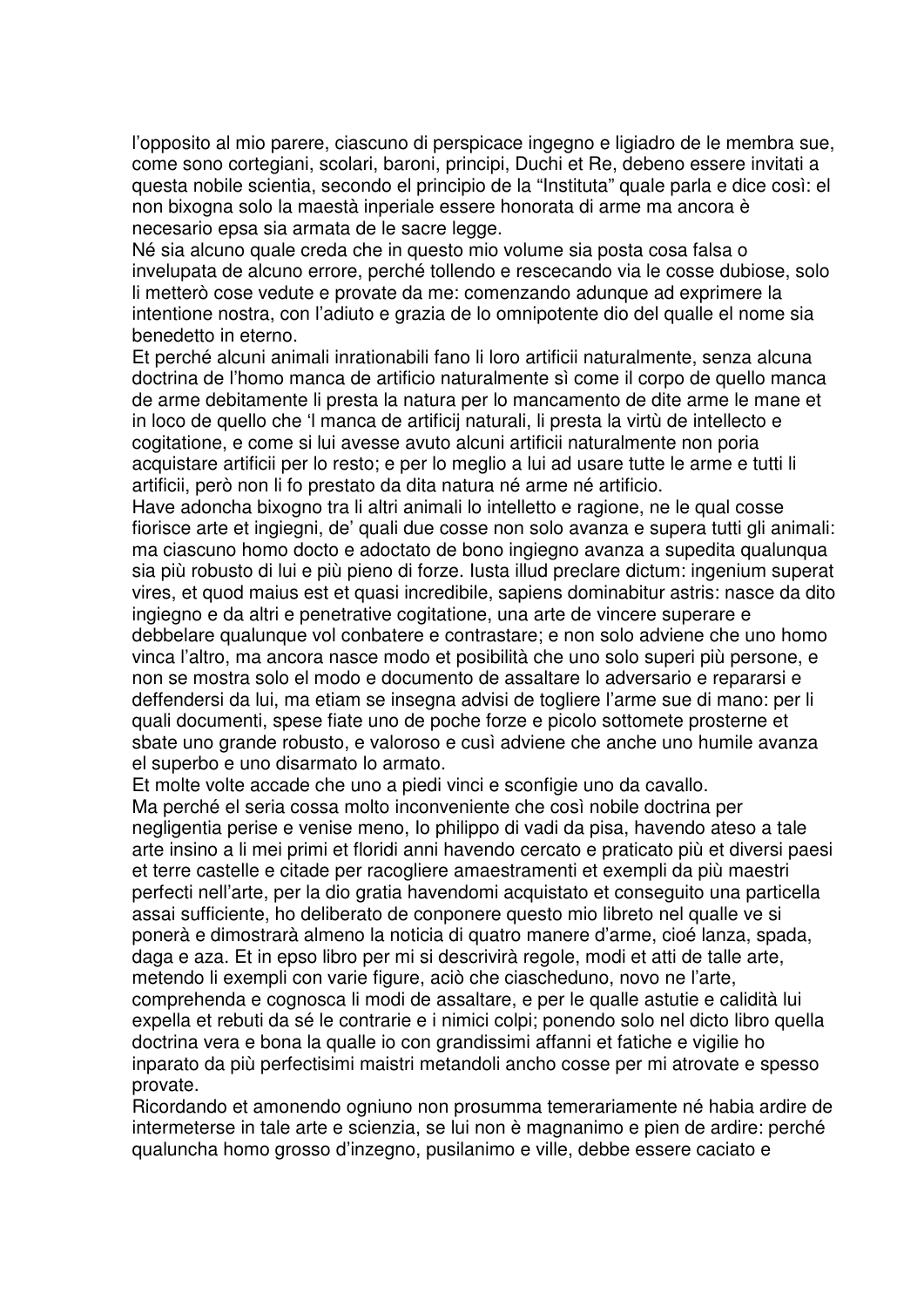l'opposito al mio parere, ciascuno di perspicace ingegno e ligiadro de le membra sue, come sono cortegiani, scolari, baroni, principi, Duchi et Re, debeno essere invitati a questa nobile scientia, secondo el principio de la "Instituta" quale parla e dice così: el non bixogna solo la maestà inperiale essere honorata di arme ma ancora è necesario epsa sia armata de le sacre legge.

Né sia alcuno quale creda che in questo mio volume sia posta cosa falsa o invelupata de alcuno errore, perché tollendo e rescecando via le cosse dubiose, solo li metterò cose vedute e provate da me: comenzando adunque ad exprimere la intentione nostra, con l'adiuto e grazia de lo omnipotente dio del qualle el nome sia benedetto in eterno.

Et perché alcuni animali inrationabili fano li loro artificii naturalmente, senza alcuna doctrina de l'homo manca de artificio naturalmente sì come il corpo de quello manca de arme debitamente li presta la natura per lo mancamento de dite arme le mane et in loco de quello che 'l manca de artificij naturali, li presta la virtù de intellecto e cogitatione, e come si lui avesse avuto alcuni artificii naturalmente non poria acquistare artificii per lo resto; e per lo meglio a lui ad usare tutte le arme e tutti li artificii, però non li fo prestato da dita natura né arme né artificio.

Have adoncha bixogno tra li altri animali lo intelletto e ragione, ne le qual cosse fiorisce arte et ingiegni, de' quali due cosse non solo avanza e supera tutti gli animali: ma ciascuno homo docto e adoctato de bono ingiegno avanza a supedita qualunqua sia più robusto di lui e più pieno di forze. Iusta illud preclare dictum: ingenium superat vires, et quod maius est et quasi incredibile, sapiens dominabitur astris: nasce da dito ingiegno e da altri e penetrative cogitatione, una arte de vincere superare e debbelare qualunque vol conbatere e contrastare; e non solo adviene che uno homo vinca l'altro, ma ancora nasce modo et posibilità che uno solo superi più persone, e non se mostra solo el modo e documento de assaltare lo adversario e repararsi e deffendersi da lui, ma etiam se insegna advisi de togliere l'arme sue di mano: per li quali documenti, spese fiate uno de poche forze e picolo sottomete prosterne et sbate uno grande robusto, e valoroso e cusì adviene che anche uno humile avanza el superbo e uno disarmato lo armato.

Et molte volte accade che uno a piedi vinci e sconfigie uno da cavallo. Ma perché el seria cossa molto inconveniente che così nobile doctrina per negligentia perise e venise meno, Io philippo di vadi da pisa, havendo ateso a tale arte insino a li mei primi et floridi anni havendo cercato e praticato più et diversi paesi et terre castelle e citade per racogliere amaestramenti et exempli da più maestri perfecti nell'arte, per la dio gratia havendomi acquistato et conseguito una particella assai sufficiente, ho deliberato de conponere questo mio libreto nel qualle ve si ponerà e dimostrarà almeno la noticia di quatro manere d'arme, cioé lanza, spada, daga e aza. Et in epso libro per mi si descrivirà regole, modi et atti de talle arte, metendo li exempli con varie figure, aciò che ciascheduno, novo ne l'arte, comprehenda e cognosca li modi de assaltare, e per le qualle astutie e calidità lui expella et rebuti da sé le contrarie e i nimici colpi; ponendo solo nel dicto libro quella doctrina vera e bona la qualle io con grandissimi affanni et fatiche e vigilie ho inparato da più perfectisimi maistri metandoli ancho cosse per mi atrovate e spesso provate.

Ricordando et amonendo ogniuno non prosumma temerariamente né habia ardire de intermeterse in tale arte e scienzia, se lui non è magnanimo e pien de ardire: perché qualuncha homo grosso d'inzegno, pusilanimo e ville, debbe essere caciato e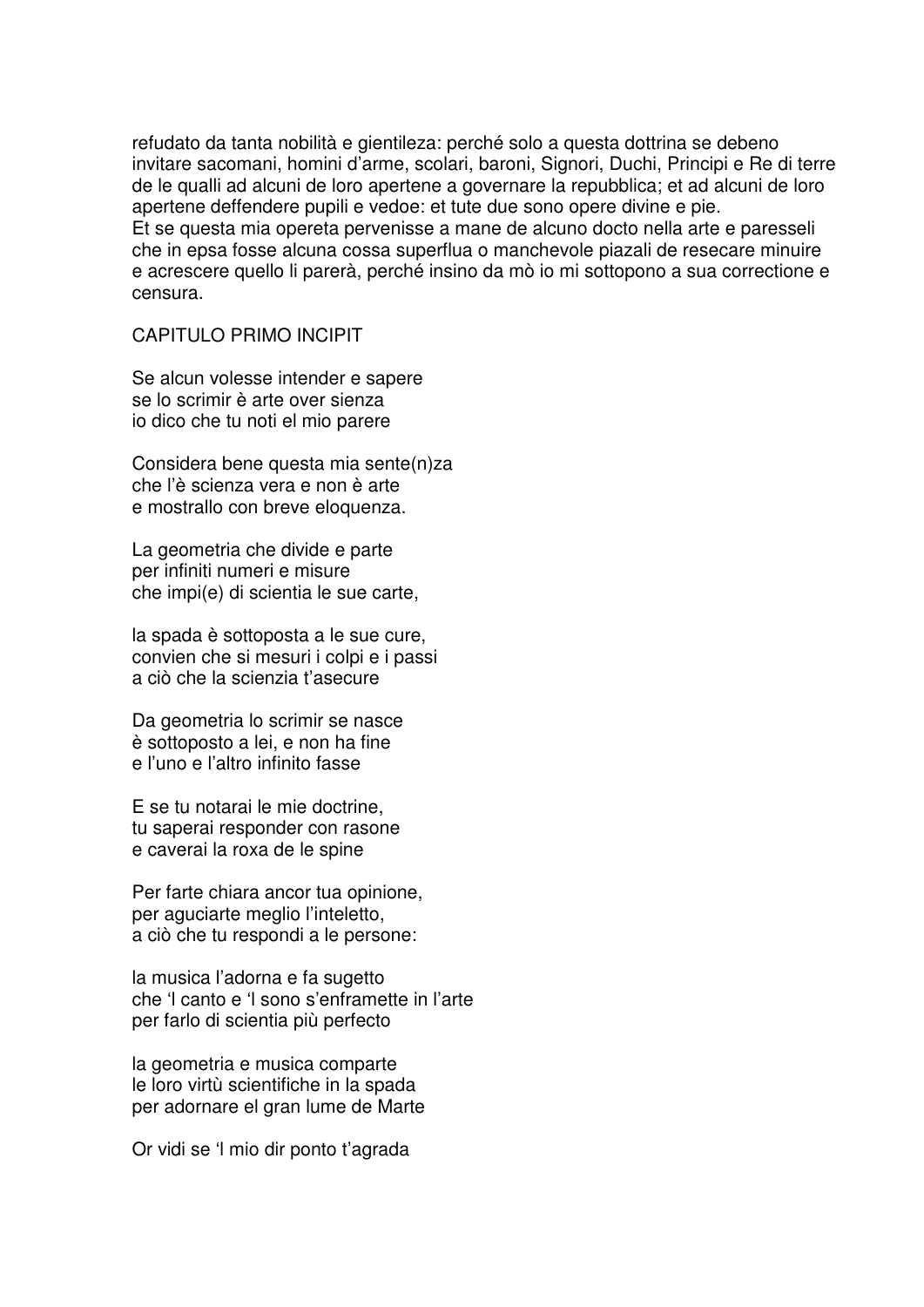refudato da tanta nobilità e gientileza: perché solo a questa dottrina se debeno invitare sacomani, homini d'arme, scolari, baroni, Signori, Duchi, Principi e Re di terre de le qualli ad alcuni de loro apertene a governare la repubblica; et ad alcuni de loro apertene deffendere pupili e vedoe: et tute due sono opere divine e pie. Et se questa mia opereta pervenisse a mane de alcuno docto nella arte e paresseli che in epsa fosse alcuna cossa superflua o manchevole piazali de resecare minuire e acrescere quello li parerà, perché insino da mò io mi sottopono a sua correctione e censura.

CAPITULO PRIMO INCIPIT

Se alcun volesse intender e sapere se lo scrimir è arte over sienza io dico che tu noti el mio parere

Considera bene questa mia sente(n)za che l'è scienza vera e non è arte e mostrallo con breve eloquenza.

La geometria che divide e parte per infiniti numeri e misure che impi(e) di scientia le sue carte,

la spada è sottoposta a le sue cure, convien che si mesuri i colpi e i passi a ciò che la scienzia t'asecure

Da geometria lo scrimir se nasce è sottoposto a lei, e non ha fine e l'uno e l'altro infinito fasse

E se tu notarai le mie doctrine, tu saperai responder con rasone e caverai la roxa de le spine

Per farte chiara ancor tua opinione, per aguciarte meglio l'inteletto, a ciò che tu respondi a le persone:

la musica l'adorna e fa sugetto che 'l canto e 'l sono s'enframette in l'arte per farlo di scientia più perfecto

la geometria e musica comparte le loro virtù scientifiche in la spada per adornare el gran lume de Marte

Or vidi se 'l mio dir ponto t'agrada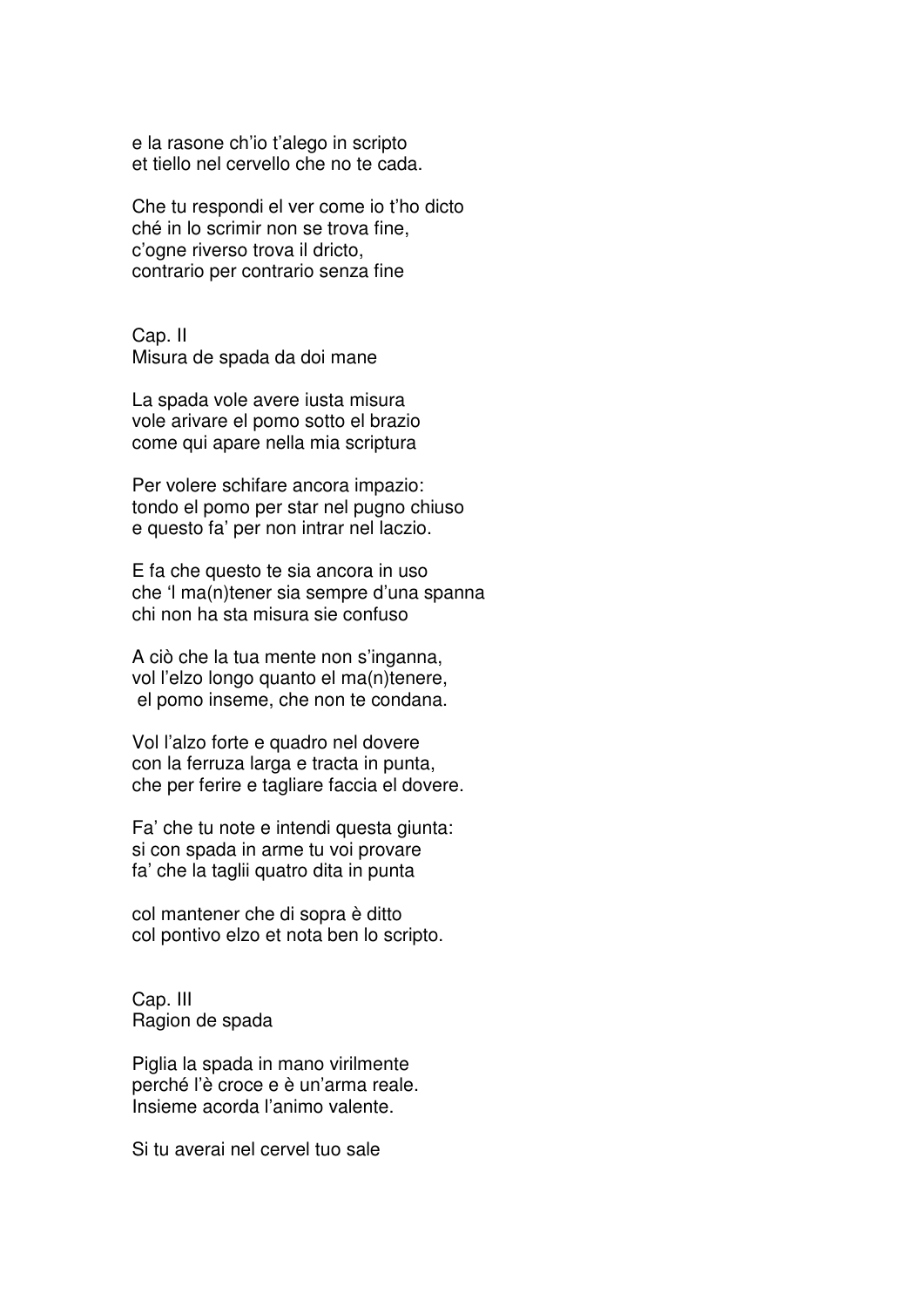e la rasone ch'io t'alego in scripto et tiello nel cervello che no te cada.

Che tu respondi el ver come io t'ho dicto ché in lo scrimir non se trova fine, c'ogne riverso trova il dricto, contrario per contrario senza fine

Cap. II Misura de spada da doi mane

La spada vole avere iusta misura vole arivare el pomo sotto el brazio come qui apare nella mia scriptura

Per volere schifare ancora impazio: tondo el pomo per star nel pugno chiuso e questo fa' per non intrar nel laczio.

E fa che questo te sia ancora in uso che 'l ma(n)tener sia sempre d'una spanna chi non ha sta misura sie confuso

A ciò che la tua mente non s'inganna, vol l'elzo longo quanto el ma(n)tenere, el pomo inseme, che non te condana.

Vol l'alzo forte e quadro nel dovere con la ferruza larga e tracta in punta, che per ferire e tagliare faccia el dovere.

Fa' che tu note e intendi questa giunta: si con spada in arme tu voi provare fa' che la taglii quatro dita in punta

col mantener che di sopra è ditto col pontivo elzo et nota ben lo scripto.

Cap. III Ragion de spada

Piglia la spada in mano virilmente perché l'è croce e è un'arma reale. Insieme acorda l'animo valente.

Si tu averai nel cervel tuo sale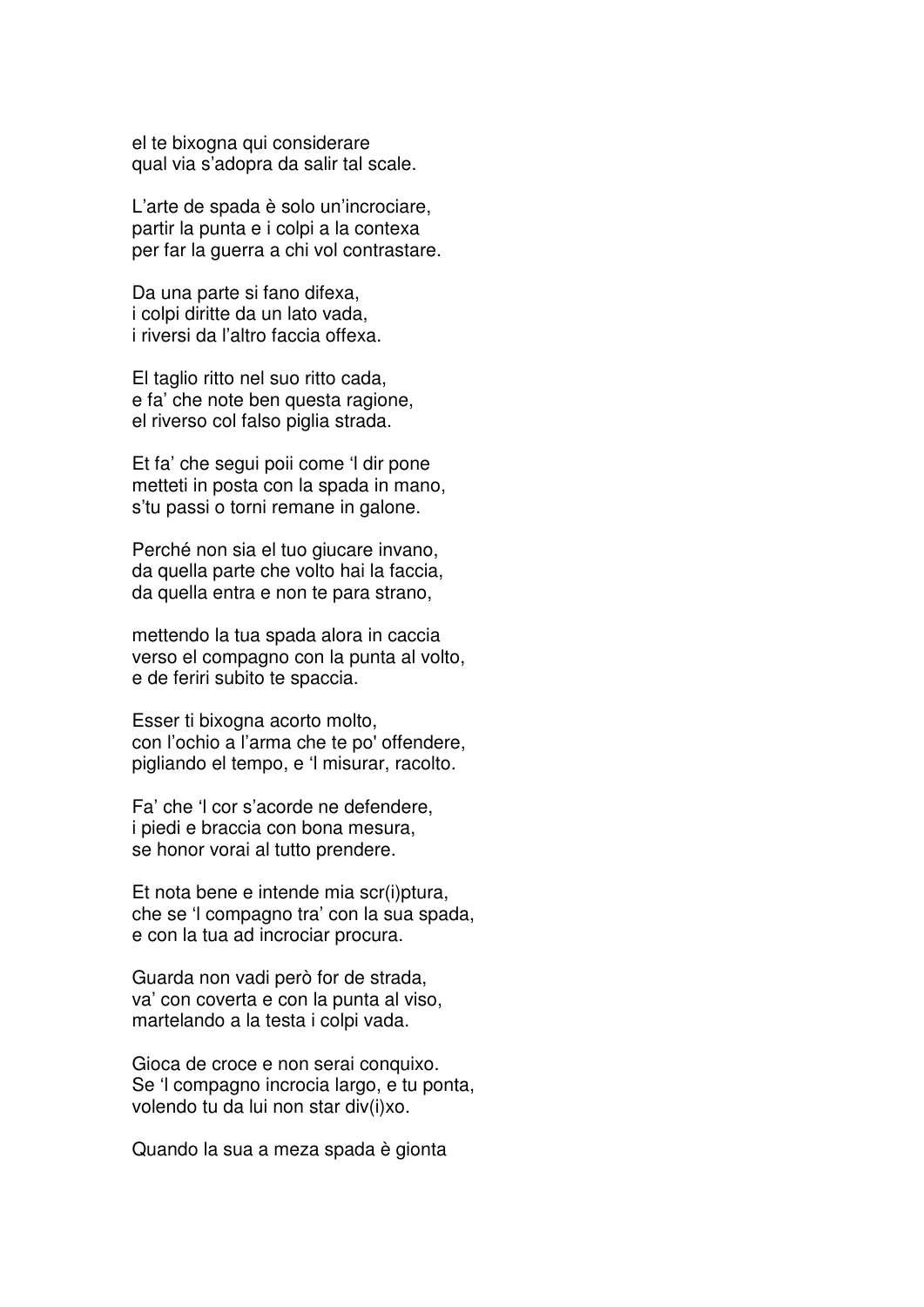el te bixogna qui considerare qual via s'adopra da salir tal scale.

L'arte de spada è solo un'incrociare, partir la punta e i colpi a la contexa per far la guerra a chi vol contrastare.

Da una parte si fano difexa, i colpi diritte da un lato vada, i riversi da l'altro faccia offexa.

El taglio ritto nel suo ritto cada, e fa' che note ben questa ragione, el riverso col falso piglia strada.

Et fa' che segui poii come 'l dir pone metteti in posta con la spada in mano, s'tu passi o torni remane in galone.

Perché non sia el tuo giucare invano, da quella parte che volto hai la faccia, da quella entra e non te para strano,

mettendo la tua spada alora in caccia verso el compagno con la punta al volto, e de feriri subito te spaccia.

Esser ti bixogna acorto molto, con l'ochio a l'arma che te po' offendere, pigliando el tempo, e 'l misurar, racolto.

Fa' che 'l cor s'acorde ne defendere, i piedi e braccia con bona mesura, se honor vorai al tutto prendere.

Et nota bene e intende mia scr(i)ptura, che se 'l compagno tra' con la sua spada, e con la tua ad incrociar procura.

Guarda non vadi però for de strada, va' con coverta e con la punta al viso, martelando a la testa i colpi vada.

Gioca de croce e non serai conquixo. Se 'l compagno incrocia largo, e tu ponta, volendo tu da lui non star div(i)xo.

Quando la sua a meza spada è gionta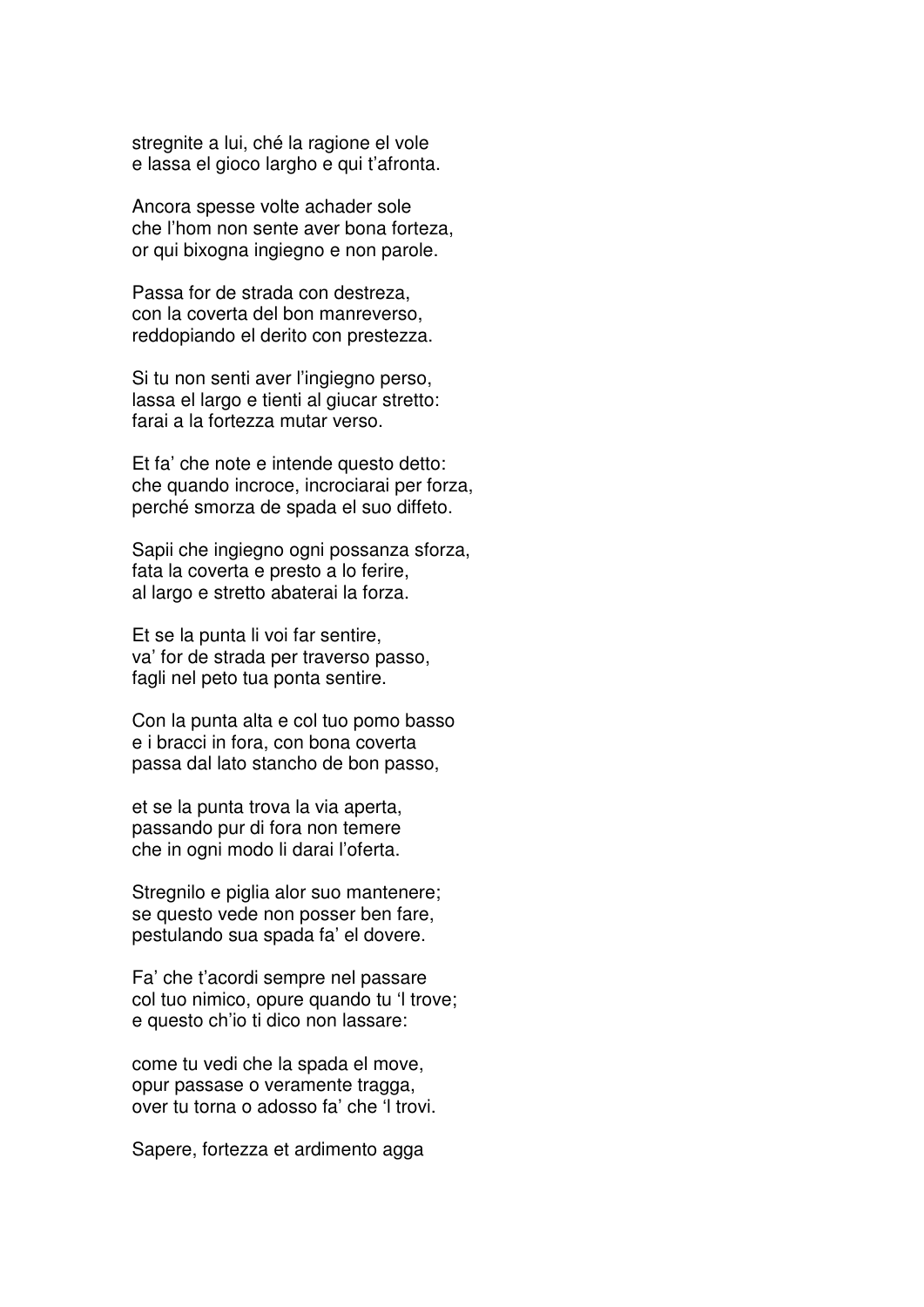stregnite a lui, ché la ragione el vole e lassa el gioco largho e qui t'afronta.

Ancora spesse volte achader sole che l'hom non sente aver bona forteza, or qui bixogna ingiegno e non parole.

Passa for de strada con destreza, con la coverta del bon manreverso, reddopiando el derito con prestezza.

Si tu non senti aver l'ingiegno perso, lassa el largo e tienti al giucar stretto: farai a la fortezza mutar verso.

Et fa' che note e intende questo detto: che quando incroce, incrociarai per forza, perché smorza de spada el suo diffeto.

Sapii che ingiegno ogni possanza sforza, fata la coverta e presto a lo ferire, al largo e stretto abaterai la forza.

Et se la punta li voi far sentire, va' for de strada per traverso passo, fagli nel peto tua ponta sentire.

Con la punta alta e col tuo pomo basso e i bracci in fora, con bona coverta passa dal lato stancho de bon passo,

et se la punta trova la via aperta, passando pur di fora non temere che in ogni modo li darai l'oferta.

Stregnilo e piglia alor suo mantenere; se questo vede non posser ben fare, pestulando sua spada fa' el dovere.

Fa' che t'acordi sempre nel passare col tuo nimico, opure quando tu 'l trove; e questo ch'io ti dico non lassare:

come tu vedi che la spada el move, opur passase o veramente tragga, over tu torna o adosso fa' che 'l trovi.

Sapere, fortezza et ardimento agga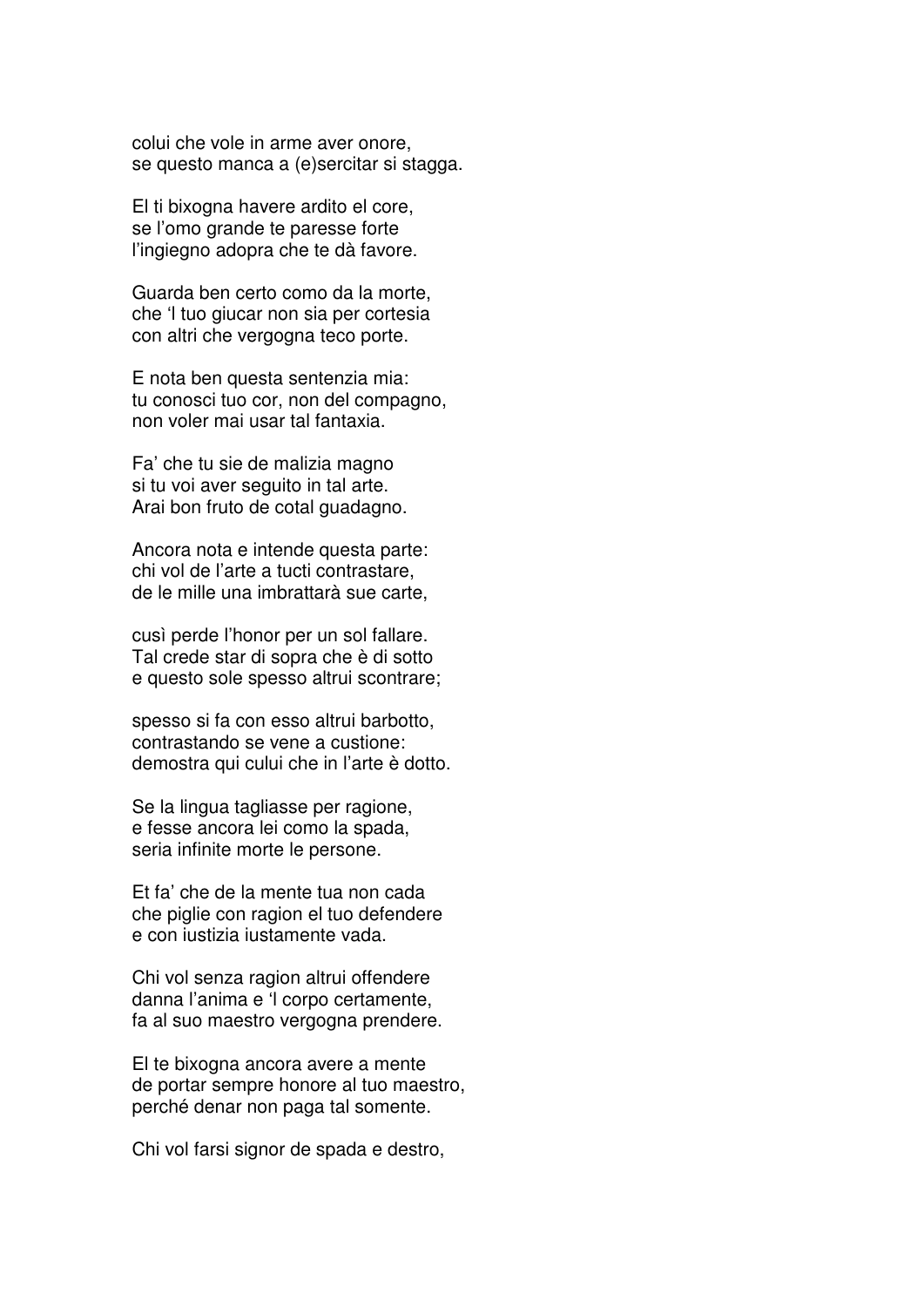colui che vole in arme aver onore, se questo manca a (e)sercitar si stagga.

El ti bixogna havere ardito el core, se l'omo grande te paresse forte l'ingiegno adopra che te dà favore.

Guarda ben certo como da la morte, che 'l tuo giucar non sia per cortesia con altri che vergogna teco porte.

E nota ben questa sentenzia mia: tu conosci tuo cor, non del compagno, non voler mai usar tal fantaxia.

Fa' che tu sie de malizia magno si tu voi aver seguito in tal arte. Arai bon fruto de cotal guadagno.

Ancora nota e intende questa parte: chi vol de l'arte a tucti contrastare, de le mille una imbrattarà sue carte,

cusì perde l'honor per un sol fallare. Tal crede star di sopra che è di sotto e questo sole spesso altrui scontrare;

spesso si fa con esso altrui barbotto, contrastando se vene a custione: demostra qui cului che in l'arte è dotto.

Se la lingua tagliasse per ragione, e fesse ancora lei como la spada, seria infinite morte le persone.

Et fa' che de la mente tua non cada che piglie con ragion el tuo defendere e con iustizia iustamente vada.

Chi vol senza ragion altrui offendere danna l'anima e 'l corpo certamente, fa al suo maestro vergogna prendere.

El te bixogna ancora avere a mente de portar sempre honore al tuo maestro, perché denar non paga tal somente.

Chi vol farsi signor de spada e destro,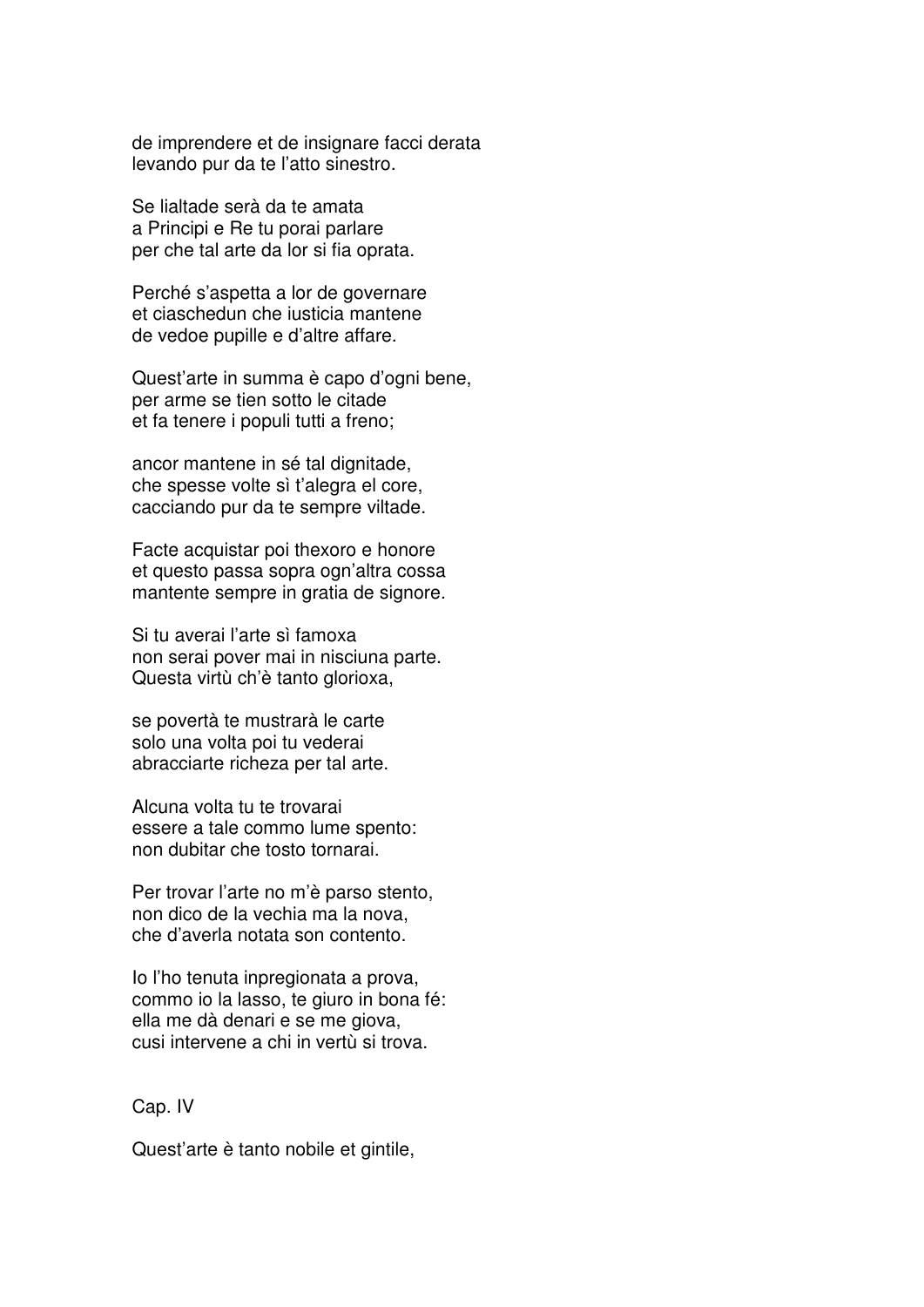de imprendere et de insignare facci derata levando pur da te l'atto sinestro.

Se lialtade serà da te amata a Principi e Re tu porai parlare per che tal arte da lor si fia oprata.

Perché s'aspetta a lor de governare et ciaschedun che iusticia mantene de vedoe pupille e d'altre affare.

Quest'arte in summa è capo d'ogni bene, per arme se tien sotto le citade et fa tenere i populi tutti a freno;

ancor mantene in sé tal dignitade, che spesse volte sì t'alegra el core, cacciando pur da te sempre viltade.

Facte acquistar poi thexoro e honore et questo passa sopra ogn'altra cossa mantente sempre in gratia de signore.

Si tu averai l'arte sì famoxa non serai pover mai in nisciuna parte. Questa virtù ch'è tanto glorioxa.

se povertà te mustrarà le carte solo una volta poi tu vederai abracciarte richeza per tal arte.

Alcuna volta tu te trovarai essere a tale commo lume spento: non dubitar che tosto tornarai.

Per trovar l'arte no m'è parso stento, non dico de la vechia ma la nova, che d'averla notata son contento.

Io l'ho tenuta inpregionata a prova, commo io la lasso, te giuro in bona fé: ella me dà denari e se me giova, cusi intervene a chi in vertù si trova.

#### Cap. IV

Quest'arte è tanto nobile et gintile,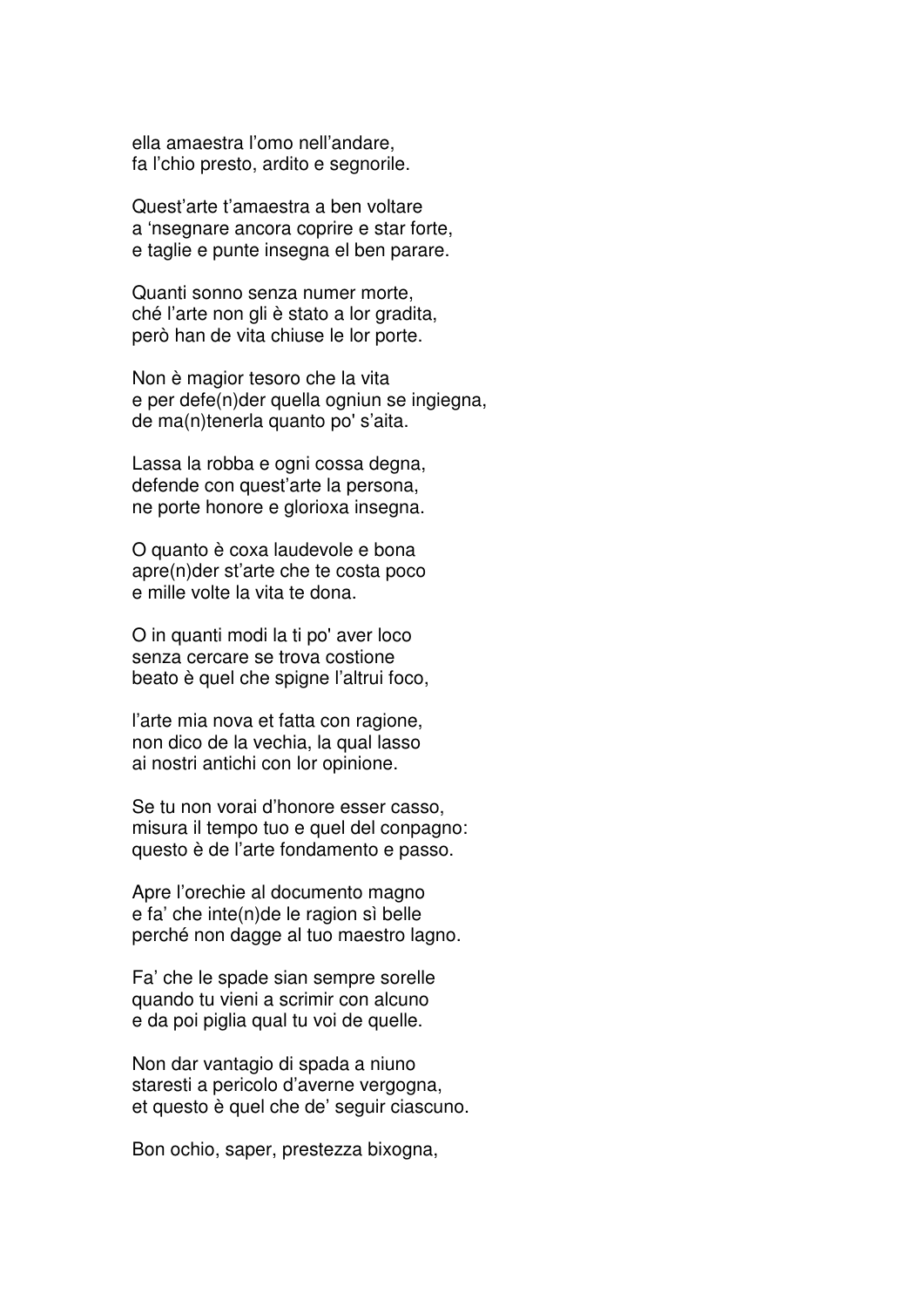ella amaestra l'omo nell'andare, fa l'chio presto, ardito e segnorile.

Quest'arte t'amaestra a ben voltare a 'nsegnare ancora coprire e star forte, e taglie e punte insegna el ben parare.

Quanti sonno senza numer morte, ché l'arte non gli è stato a lor gradita, però han de vita chiuse le lor porte.

Non è magior tesoro che la vita e per defe(n)der quella ogniun se ingiegna, de ma(n)tenerla quanto po' s'aita.

Lassa la robba e ogni cossa degna, defende con quest'arte la persona, ne porte honore e glorioxa insegna.

O quanto è coxa laudevole e bona apre(n)der st'arte che te costa poco e mille volte la vita te dona.

O in quanti modi la ti po' aver loco senza cercare se trova costione beato è quel che spigne l'altrui foco,

l'arte mia nova et fatta con ragione, non dico de la vechia, la qual lasso ai nostri antichi con lor opinione.

Se tu non vorai d'honore esser casso, misura il tempo tuo e quel del conpagno: questo è de l'arte fondamento e passo.

Apre l'orechie al documento magno e fa' che inte(n)de le ragion sì belle perché non dagge al tuo maestro lagno.

Fa' che le spade sian sempre sorelle quando tu vieni a scrimir con alcuno e da poi piglia qual tu voi de quelle.

Non dar vantagio di spada a niuno staresti a pericolo d'averne vergogna, et questo è quel che de' seguir ciascuno.

Bon ochio, saper, prestezza bixogna,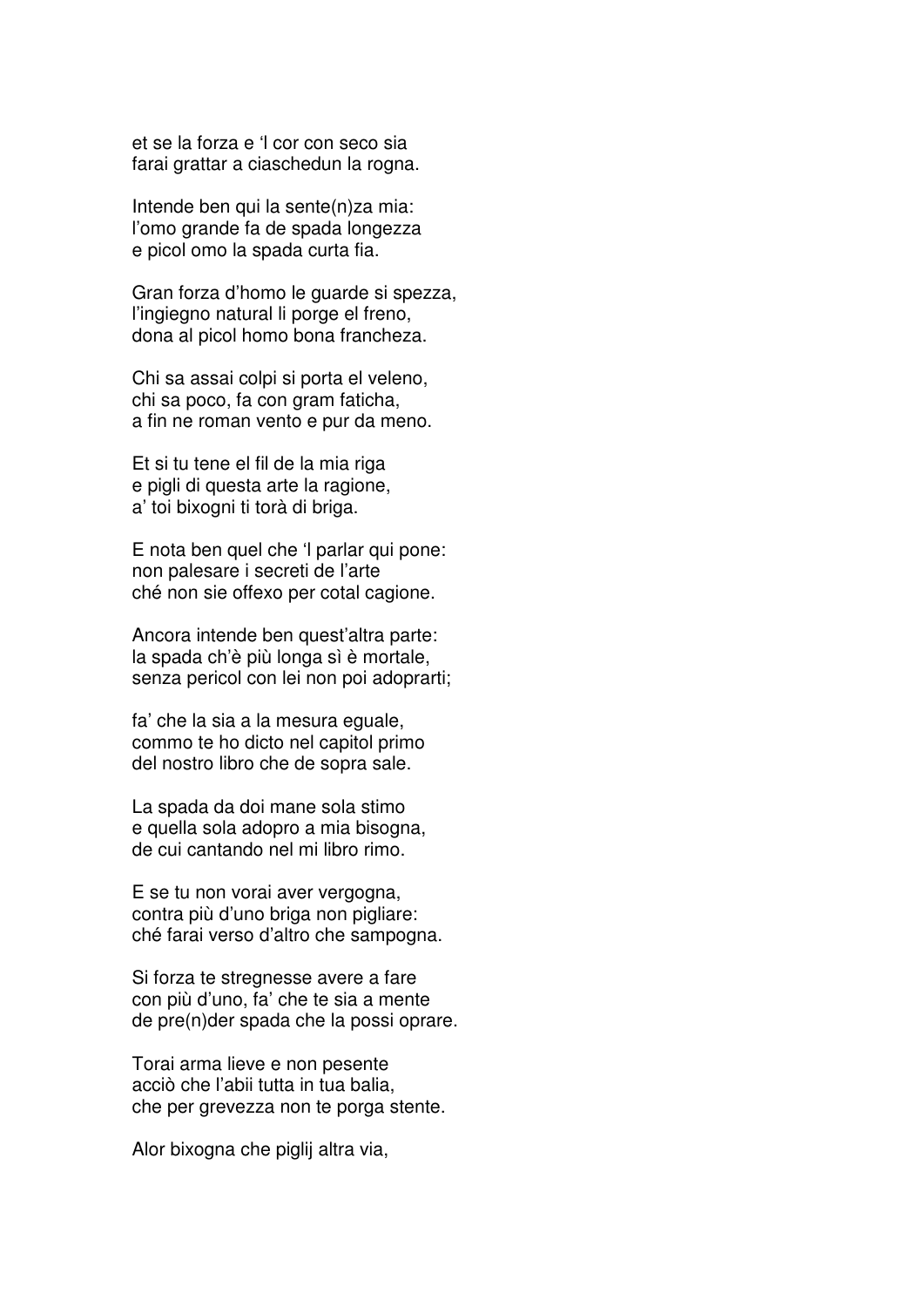et se la forza e 'l cor con seco sia farai grattar a ciaschedun la rogna.

Intende ben qui la sente(n)za mia: l'omo grande fa de spada longezza e picol omo la spada curta fia.

Gran forza d'homo le guarde si spezza, l'ingiegno natural li porge el freno, dona al picol homo bona francheza.

Chi sa assai colpi si porta el veleno, chi sa poco, fa con gram faticha, a fin ne roman vento e pur da meno.

Et si tu tene el fil de la mia riga e pigli di questa arte la ragione, a' toi bixogni ti torà di briga.

E nota ben quel che 'l parlar qui pone: non palesare i secreti de l'arte ché non sie offexo per cotal cagione.

Ancora intende ben quest'altra parte: la spada ch'è più longa sì è mortale, senza pericol con lei non poi adoprarti;

fa' che la sia a la mesura eguale, commo te ho dicto nel capitol primo del nostro libro che de sopra sale.

La spada da doi mane sola stimo e quella sola adopro a mia bisogna, de cui cantando nel mi libro rimo.

E se tu non vorai aver vergogna, contra più d'uno briga non pigliare: ché farai verso d'altro che sampogna.

Si forza te stregnesse avere a fare con più d'uno, fa' che te sia a mente de pre(n)der spada che la possi oprare.

Torai arma lieve e non pesente acciò che l'abii tutta in tua balia, che per grevezza non te porga stente.

Alor bixogna che piglij altra via,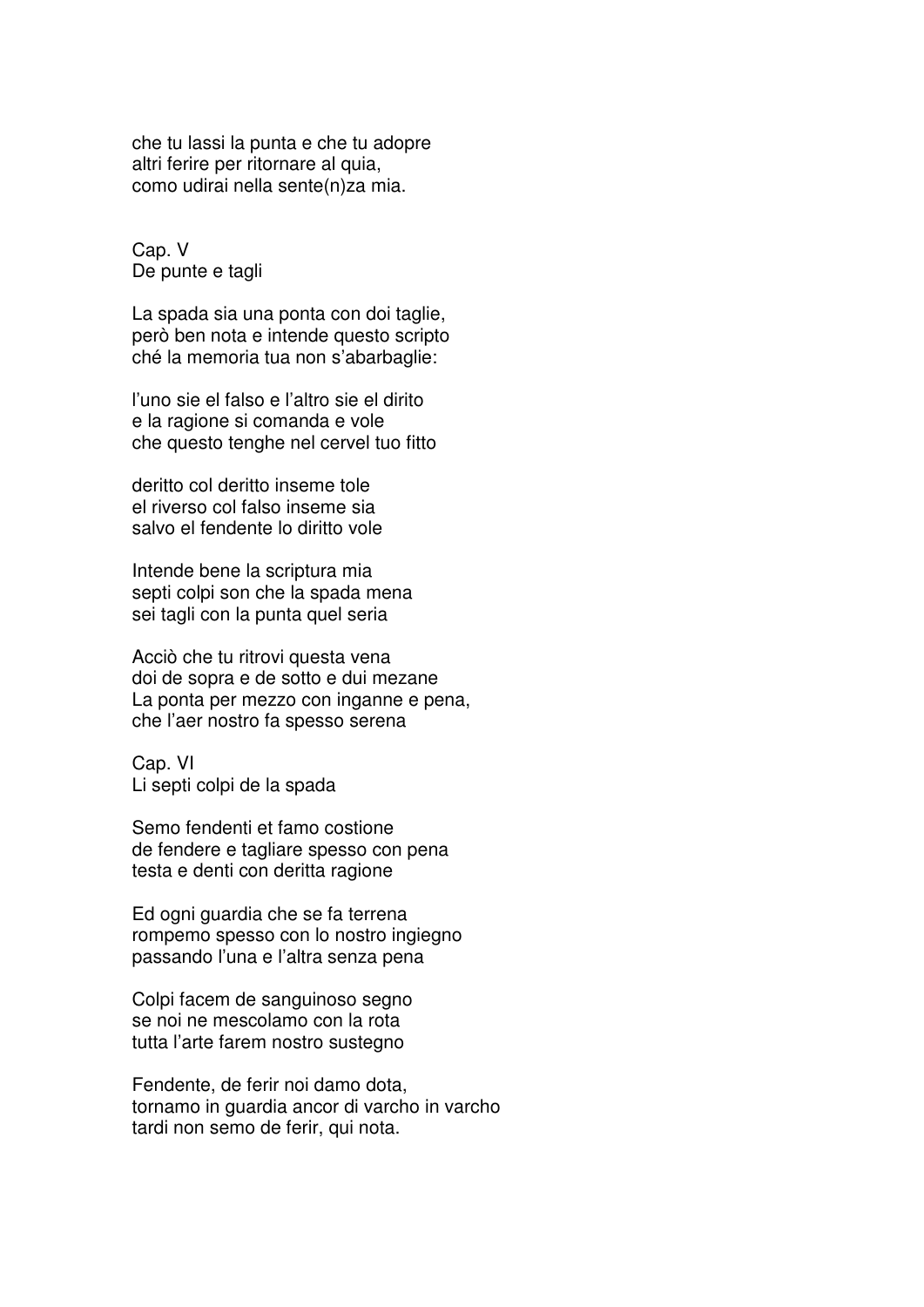che tu lassi la punta e che tu adopre altri ferire per ritornare al quia, como udirai nella sente(n)za mia.

Cap. V De punte e tagli

La spada sia una ponta con doi taglie, però ben nota e intende questo scripto ché la memoria tua non s'abarbaglie:

l'uno sie el falso e l'altro sie el dirito e la ragione si comanda e vole che questo tenghe nel cervel tuo fitto

deritto col deritto inseme tole el riverso col falso inseme sia salvo el fendente lo diritto vole

Intende bene la scriptura mia septi colpi son che la spada mena sei tagli con la punta quel seria

Acciò che tu ritrovi questa vena doi de sopra e de sotto e dui mezane La ponta per mezzo con inganne e pena, che l'aer nostro fa spesso serena

Cap. VI Li septi colpi de la spada

Semo fendenti et famo costione de fendere e tagliare spesso con pena testa e denti con deritta ragione

Ed ogni guardia che se fa terrena rompemo spesso con lo nostro ingiegno passando l'una e l'altra senza pena

Colpi facem de sanguinoso segno se noi ne mescolamo con la rota tutta l'arte farem nostro sustegno

Fendente, de ferir noi damo dota, tornamo in guardia ancor di varcho in varcho tardi non semo de ferir, qui nota.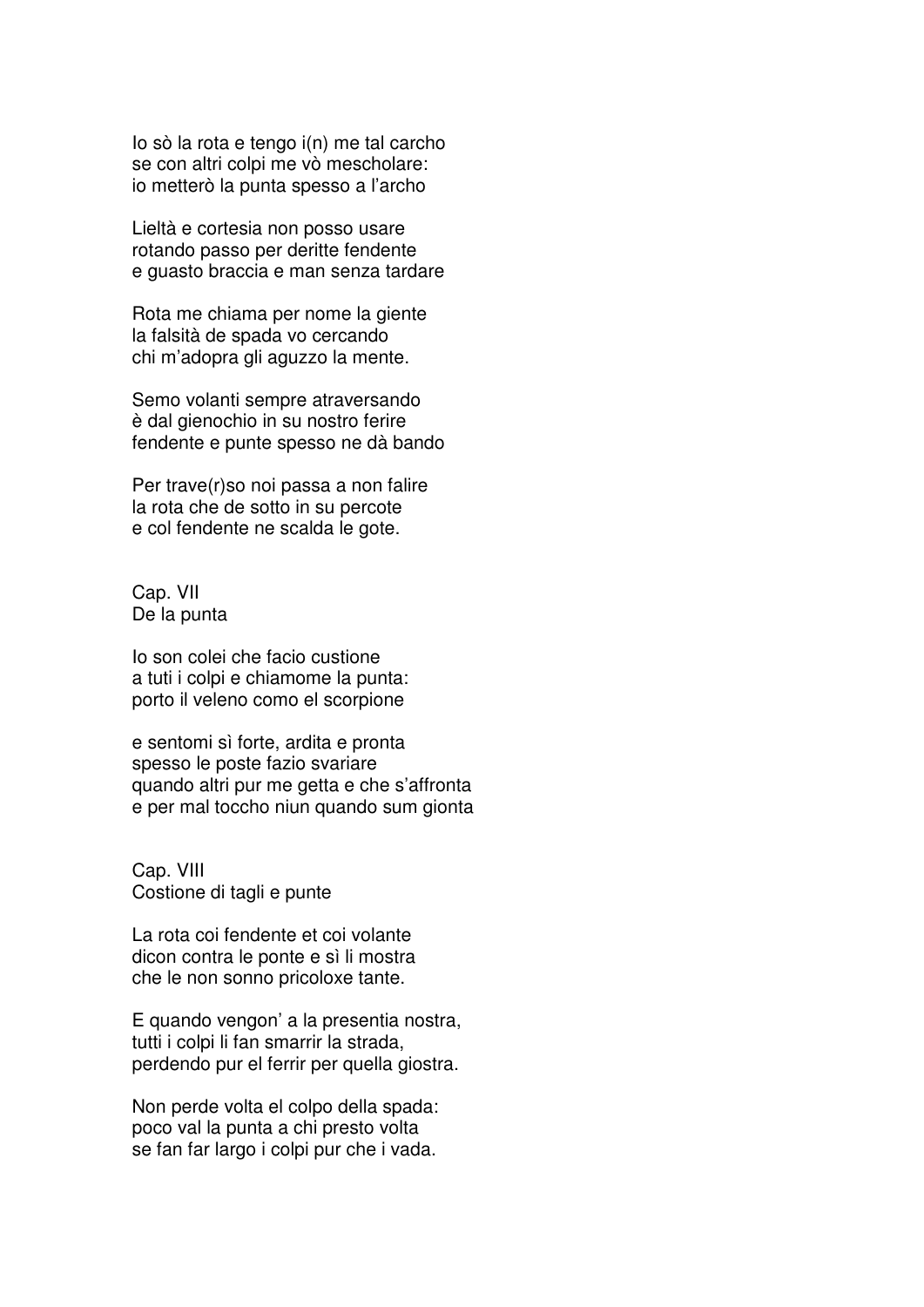Io sò la rota e tengo i(n) me tal carcho se con altri colpi me vò mescholare: io metterò la punta spesso a l'archo

Lieltà e cortesia non posso usare rotando passo per deritte fendente e guasto braccia e man senza tardare

Rota me chiama per nome la giente la falsità de spada vo cercando chi m'adopra gli aguzzo la mente.

Semo volanti sempre atraversando è dal gienochio in su nostro ferire fendente e punte spesso ne dà bando

Per trave(r)so noi passa a non falire la rota che de sotto in su percote e col fendente ne scalda le gote.

Cap. VII De la punta

Io son colei che facio custione a tuti i colpi e chiamome la punta: porto il veleno como el scorpione

e sentomi sì forte, ardita e pronta spesso le poste fazio svariare quando altri pur me getta e che s'affronta e per mal toccho niun quando sum gionta

Cap. VIII Costione di tagli e punte

La rota coi fendente et coi volante dicon contra le ponte e sì li mostra che le non sonno pricoloxe tante.

E quando vengon' a la presentia nostra, tutti i colpi li fan smarrir la strada, perdendo pur el ferrir per quella giostra.

Non perde volta el colpo della spada: poco val la punta a chi presto volta se fan far largo i colpi pur che i vada.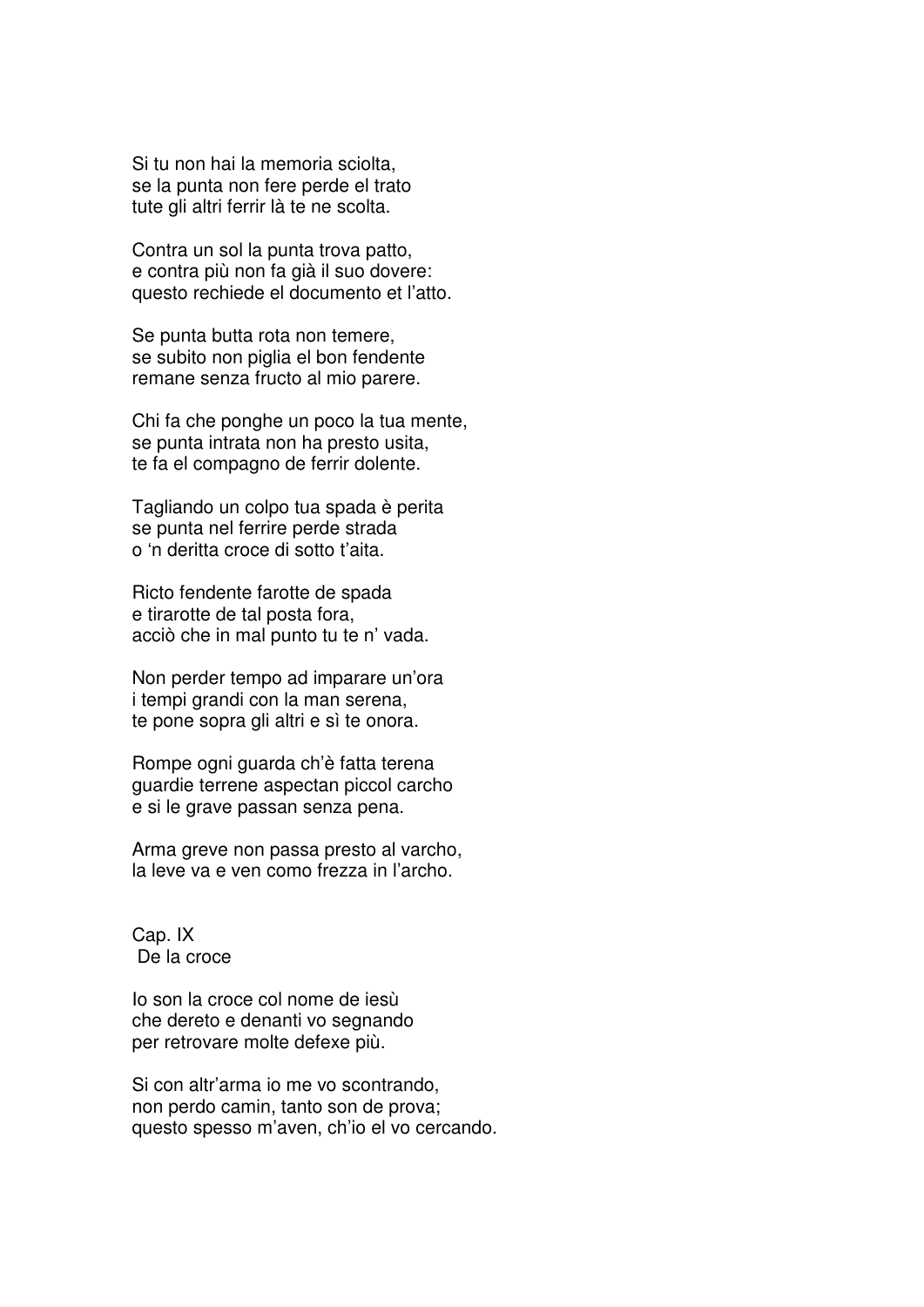Si tu non hai la memoria sciolta, se la punta non fere perde el trato tute gli altri ferrir là te ne scolta.

Contra un sol la punta trova patto, e contra più non fa già il suo dovere: questo rechiede el documento et l'atto.

Se punta butta rota non temere, se subito non piglia el bon fendente remane senza fructo al mio parere.

Chi fa che ponghe un poco la tua mente, se punta intrata non ha presto usita, te fa el compagno de ferrir dolente.

Tagliando un colpo tua spada è perita se punta nel ferrire perde strada o 'n deritta croce di sotto t'aita.

Ricto fendente farotte de spada e tirarotte de tal posta fora, acciò che in mal punto tu te n' vada.

Non perder tempo ad imparare un'ora i tempi grandi con la man serena, te pone sopra gli altri e sì te onora.

Rompe ogni guarda ch'è fatta terena guardie terrene aspectan piccol carcho e si le grave passan senza pena.

Arma greve non passa presto al varcho, la leve va e ven como frezza in l'archo.

Cap. IX De la croce

Io son la croce col nome de iesù che dereto e denanti vo segnando per retrovare molte defexe più.

Si con altr'arma io me vo scontrando, non perdo camin, tanto son de prova; questo spesso m'aven, ch'io el vo cercando.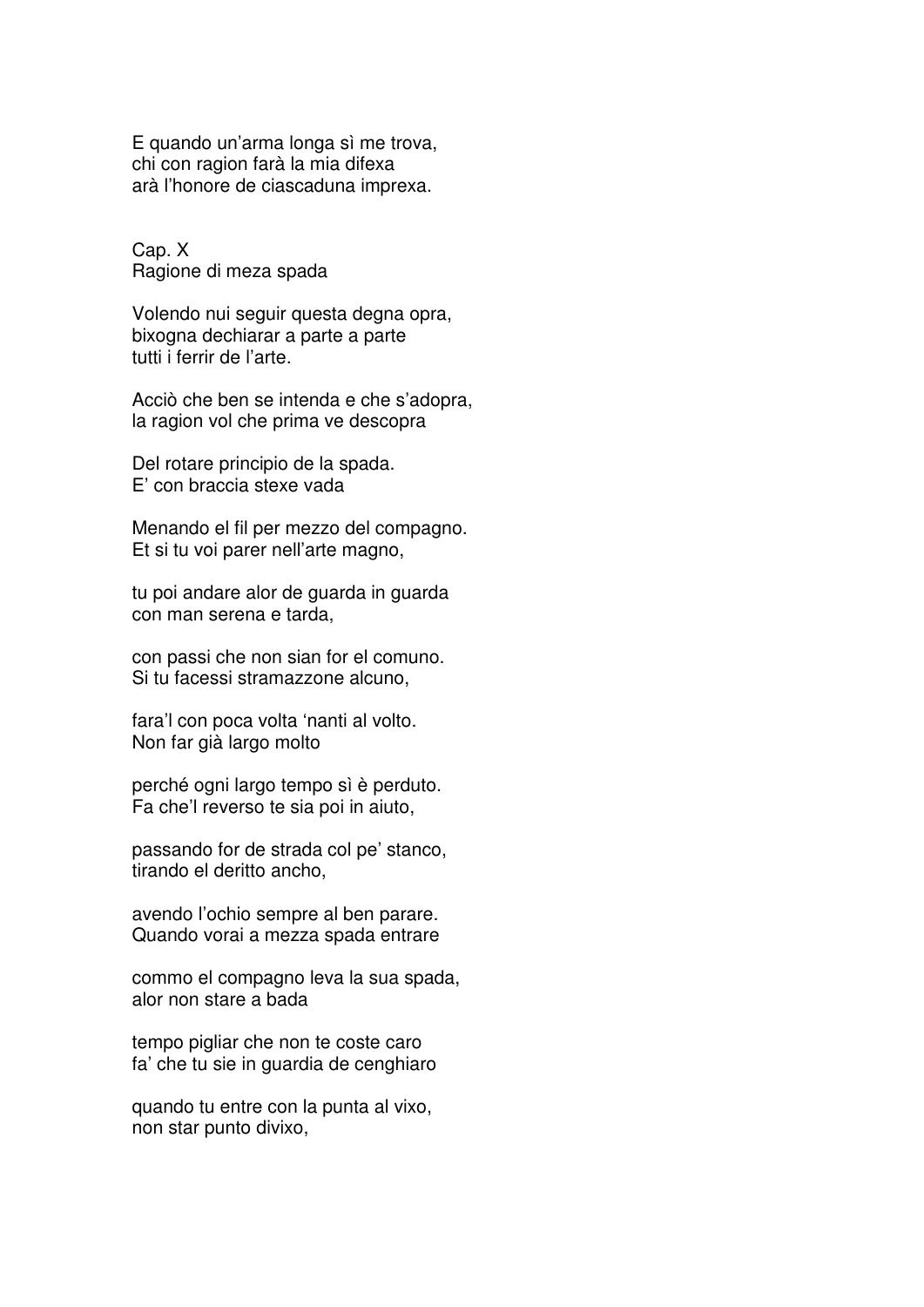E quando un'arma longa sì me trova, chi con ragion farà la mia difexa arà l'honore de ciascaduna imprexa.

Cap. X Ragione di meza spada

Volendo nui seguir questa degna opra, bixogna dechiarar a parte a parte tutti i ferrir de l'arte.

Acciò che ben se intenda e che s'adopra, la ragion vol che prima ve descopra

Del rotare principio de la spada. E' con braccia stexe vada

Menando el fil per mezzo del compagno. Et si tu voi parer nell'arte magno,

tu poi andare alor de guarda in guarda con man serena e tarda,

con passi che non sian for el comuno. Si tu facessi stramazzone alcuno,

fara'l con poca volta 'nanti al volto. Non far già largo molto

perché ogni largo tempo sì è perduto. Fa che'l reverso te sia poi in aiuto,

passando for de strada col pe' stanco, tirando el deritto ancho,

avendo l'ochio sempre al ben parare. Quando vorai a mezza spada entrare

commo el compagno leva la sua spada, alor non stare a bada

tempo pigliar che non te coste caro fa' che tu sie in guardia de cenghiaro

quando tu entre con la punta al vixo, non star punto divixo,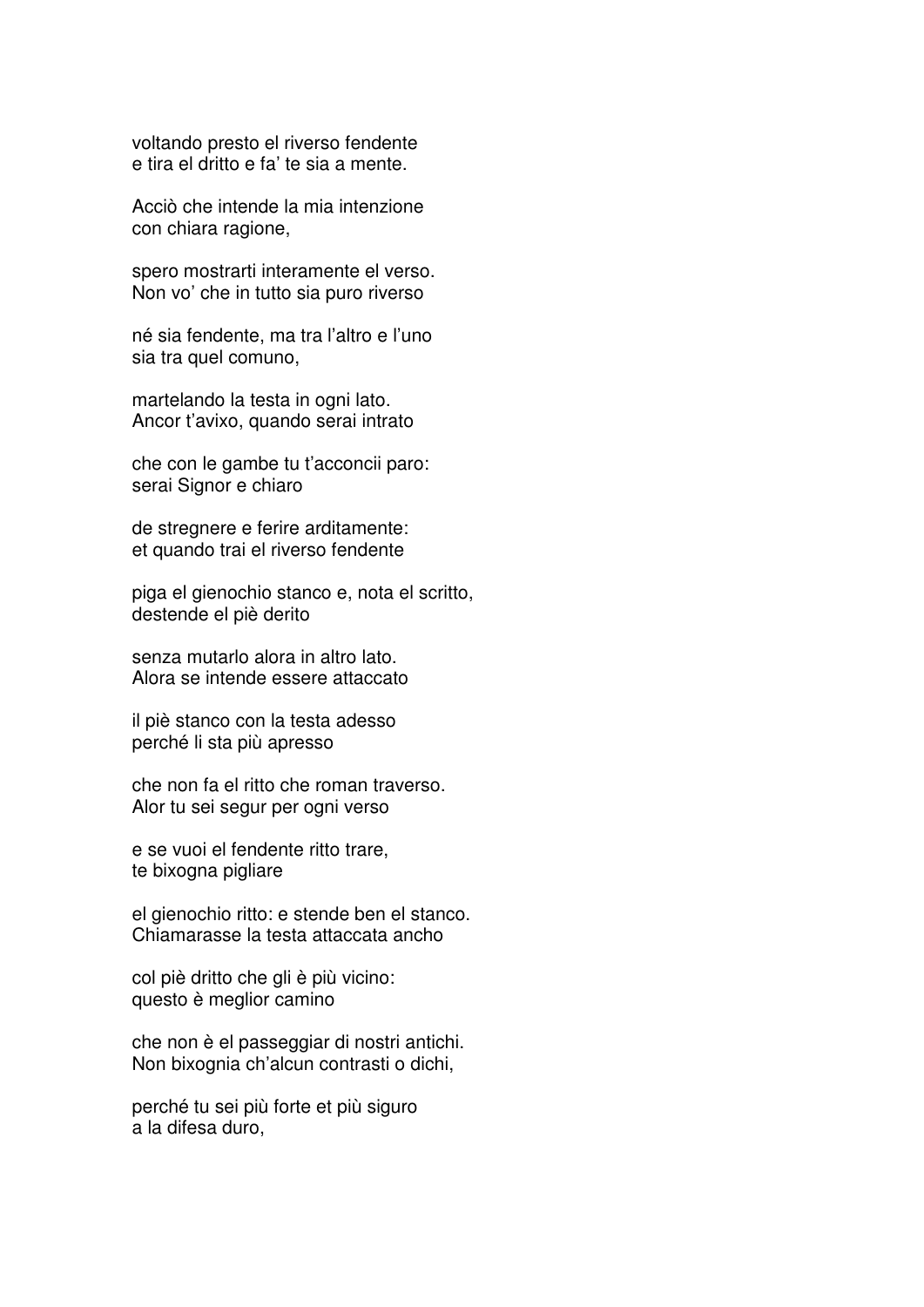voltando presto el riverso fendente e tira el dritto e fa' te sia a mente.

Acciò che intende la mia intenzione con chiara ragione,

spero mostrarti interamente el verso. Non vo' che in tutto sia puro riverso

né sia fendente, ma tra l'altro e l'uno sia tra quel comuno,

martelando la testa in ogni lato. Ancor t'avixo, quando serai intrato

che con le gambe tu t'acconcii paro: serai Signor e chiaro

de stregnere e ferire arditamente: et quando trai el riverso fendente

piga el gienochio stanco e, nota el scritto, destende el piè derito

senza mutarlo alora in altro lato. Alora se intende essere attaccato

il piè stanco con la testa adesso perché li sta più apresso

che non fa el ritto che roman traverso. Alor tu sei segur per ogni verso

e se vuoi el fendente ritto trare, te bixogna pigliare

el gienochio ritto: e stende ben el stanco. Chiamarasse la testa attaccata ancho

col piè dritto che gli è più vicino: questo è meglior camino

che non è el passeggiar di nostri antichi. Non bixognia ch'alcun contrasti o dichi,

perché tu sei più forte et più siguro a la difesa duro,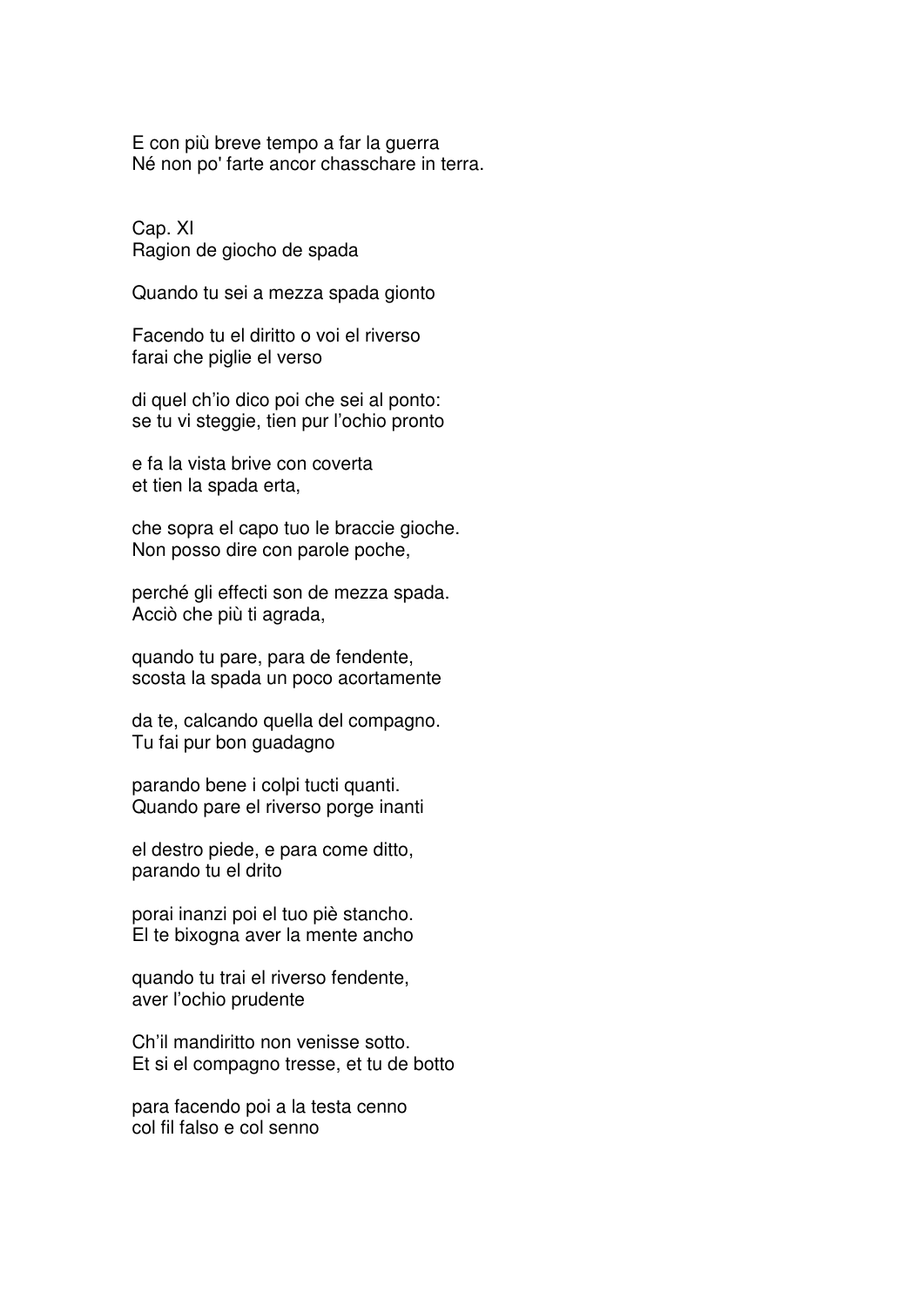E con più breve tempo a far la guerra Né non po' farte ancor chasschare in terra.

Cap. XI Ragion de giocho de spada

Quando tu sei a mezza spada gionto

Facendo tu el diritto o voi el riverso farai che piglie el verso

di quel ch'io dico poi che sei al ponto: se tu vi steggie, tien pur l'ochio pronto

e fa la vista brive con coverta et tien la spada erta,

che sopra el capo tuo le braccie gioche. Non posso dire con parole poche,

perché gli effecti son de mezza spada. Acciò che più ti agrada,

quando tu pare, para de fendente, scosta la spada un poco acortamente

da te, calcando quella del compagno. Tu fai pur bon guadagno

parando bene i colpi tucti quanti. Quando pare el riverso porge inanti

el destro piede, e para come ditto, parando tu el drito

porai inanzi poi el tuo piè stancho. El te bixogna aver la mente ancho

quando tu trai el riverso fendente, aver l'ochio prudente

Ch'il mandiritto non venisse sotto. Et si el compagno tresse, et tu de botto

para facendo poi a la testa cenno col fil falso e col senno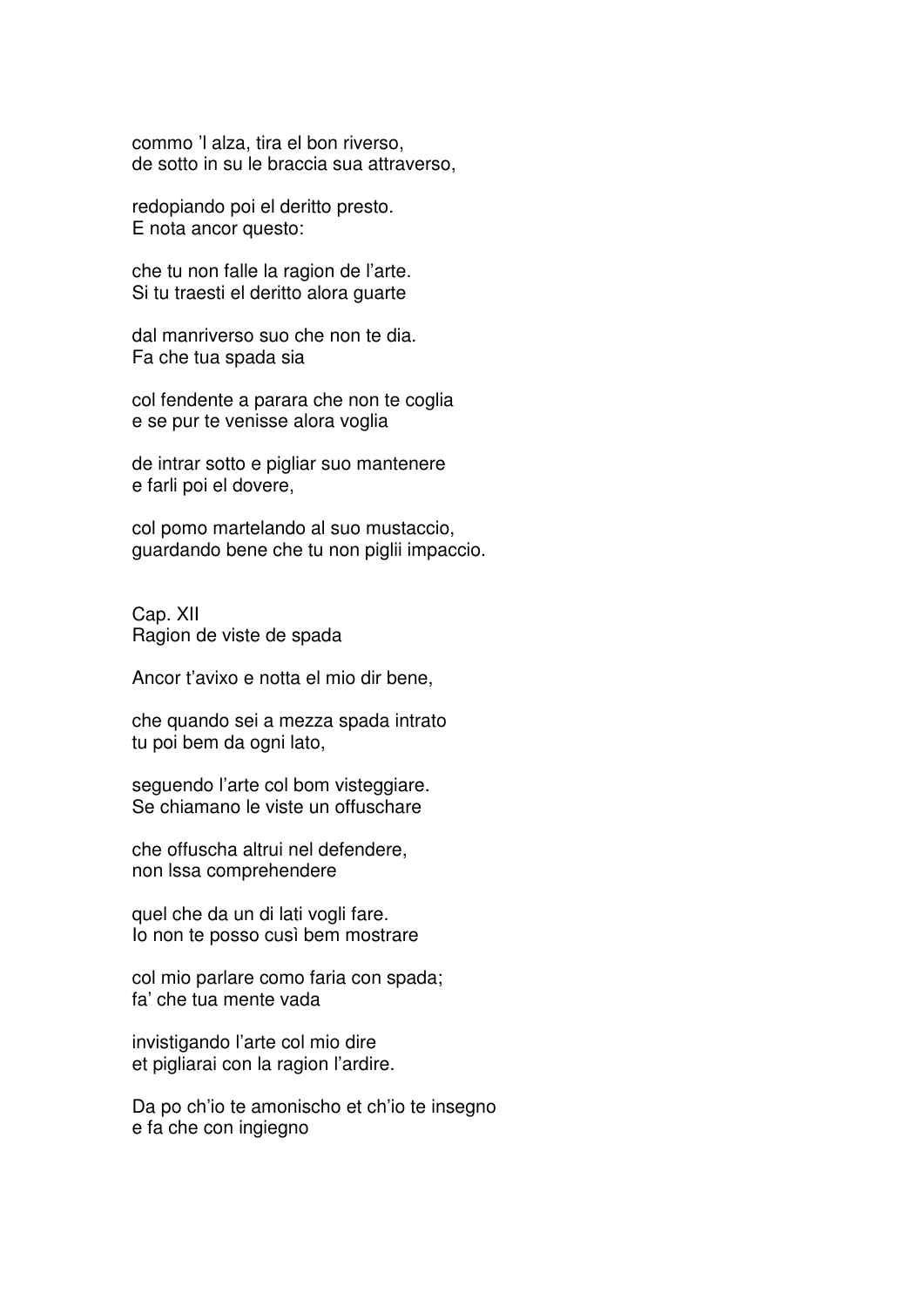commo 'l alza, tira el bon riverso, de sotto in su le braccia sua attraverso,

redopiando poi el deritto presto. E nota ancor questo:

che tu non falle la ragion de l'arte. Si tu traesti el deritto alora guarte

dal manriverso suo che non te dia. Fa che tua spada sia

col fendente a parara che non te coglia e se pur te venisse alora voglia

de intrar sotto e pigliar suo mantenere e farli poi el dovere,

col pomo martelando al suo mustaccio, guardando bene che tu non piglii impaccio.

Cap. XII Ragion de viste de spada

Ancor t'avixo e notta el mio dir bene,

che quando sei a mezza spada intrato tu poi bem da ogni lato,

seguendo l'arte col bom visteggiare. Se chiamano le viste un offuschare

che offuscha altrui nel defendere, non lssa comprehendere

quel che da un di lati vogli fare. Io non te posso cusì bem mostrare

col mio parlare como faria con spada; fa' che tua mente vada

invistigando l'arte col mio dire et pigliarai con la ragion l'ardire.

Da po ch'io te amonischo et ch'io te insegno e fa che con ingiegno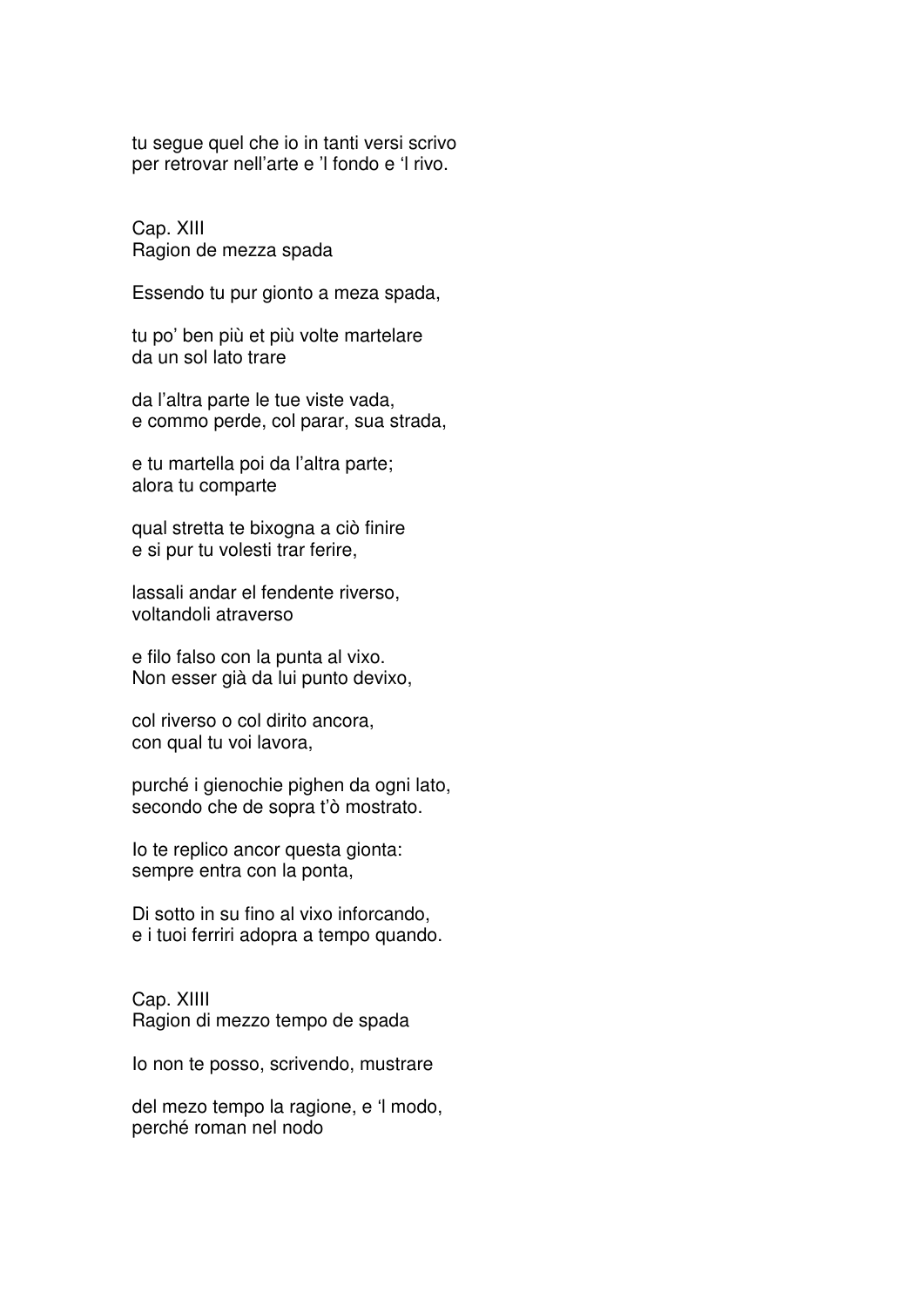tu segue quel che io in tanti versi scrivo per retrovar nell'arte e 'l fondo e 'l rivo.

Cap. XIII Ragion de mezza spada

Essendo tu pur gionto a meza spada,

tu po' ben più et più volte martelare da un sol lato trare

da l'altra parte le tue viste vada, e commo perde, col parar, sua strada,

e tu martella poi da l'altra parte; alora tu comparte

qual stretta te bixogna a ciò finire e si pur tu volesti trar ferire,

lassali andar el fendente riverso, voltandoli atraverso

e filo falso con la punta al vixo. Non esser già da lui punto devixo,

col riverso o col dirito ancora, con qual tu voi lavora,

purché i gienochie pighen da ogni lato, secondo che de sopra t'ò mostrato.

Io te replico ancor questa gionta: sempre entra con la ponta,

Di sotto in su fino al vixo inforcando, e i tuoi ferriri adopra a tempo quando.

Cap. XIIII Ragion di mezzo tempo de spada

Io non te posso, scrivendo, mustrare

del mezo tempo la ragione, e 'l modo, perché roman nel nodo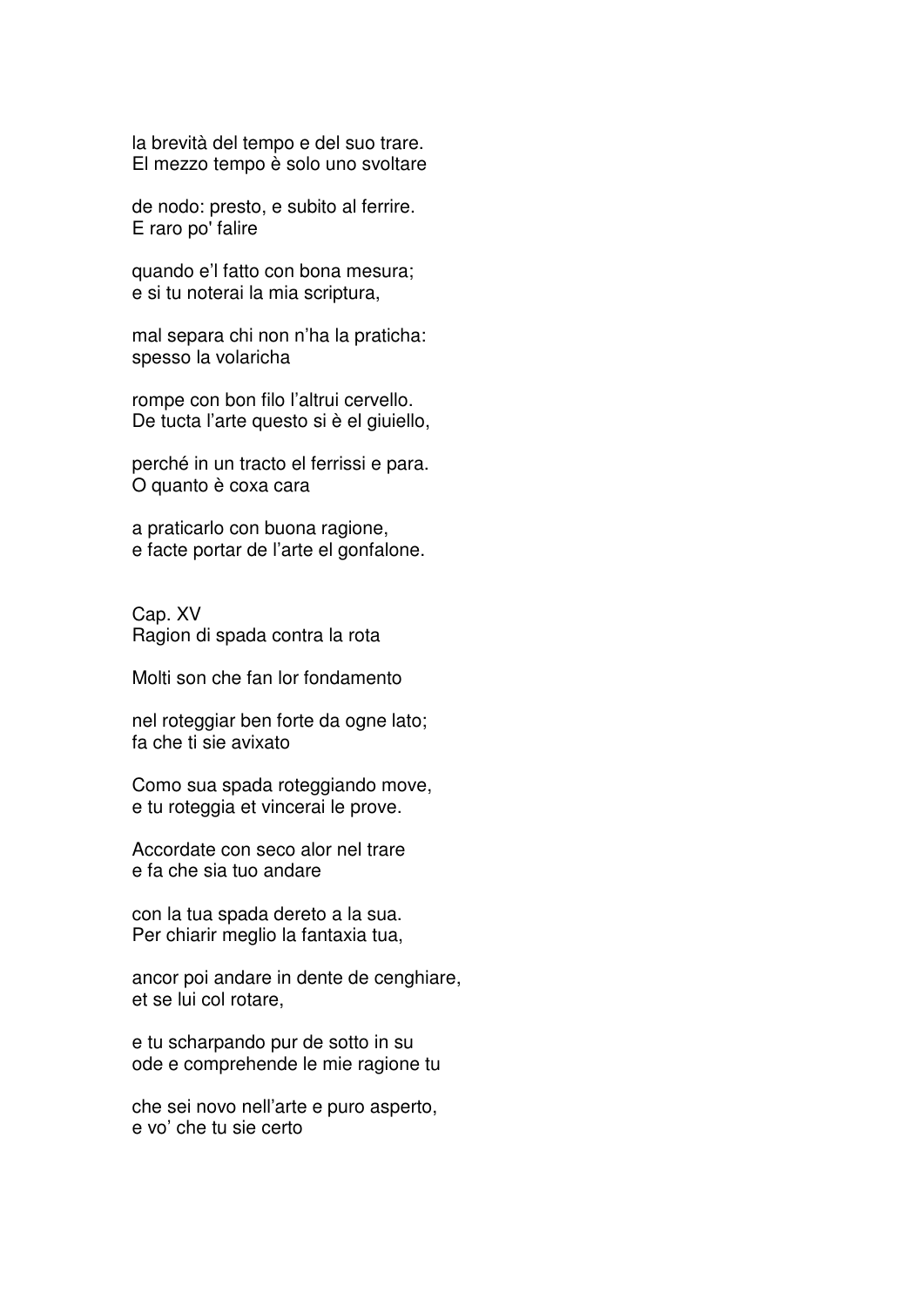la brevità del tempo e del suo trare. El mezzo tempo è solo uno svoltare

de nodo: presto, e subito al ferrire. E raro po' falire

quando e'l fatto con bona mesura; e si tu noterai la mia scriptura,

mal separa chi non n'ha la praticha: spesso la volaricha

rompe con bon filo l'altrui cervello. De tucta l'arte questo si è el giuiello,

perché in un tracto el ferrissi e para. O quanto è coxa cara

a praticarlo con buona ragione, e facte portar de l'arte el gonfalone.

Cap. XV Ragion di spada contra la rota

Molti son che fan lor fondamento

nel roteggiar ben forte da ogne lato; fa che ti sie avixato

Como sua spada roteggiando move, e tu roteggia et vincerai le prove.

Accordate con seco alor nel trare e fa che sia tuo andare

con la tua spada dereto a la sua. Per chiarir meglio la fantaxia tua,

ancor poi andare in dente de cenghiare, et se lui col rotare,

e tu scharpando pur de sotto in su ode e comprehende le mie ragione tu

che sei novo nell'arte e puro asperto, e vo' che tu sie certo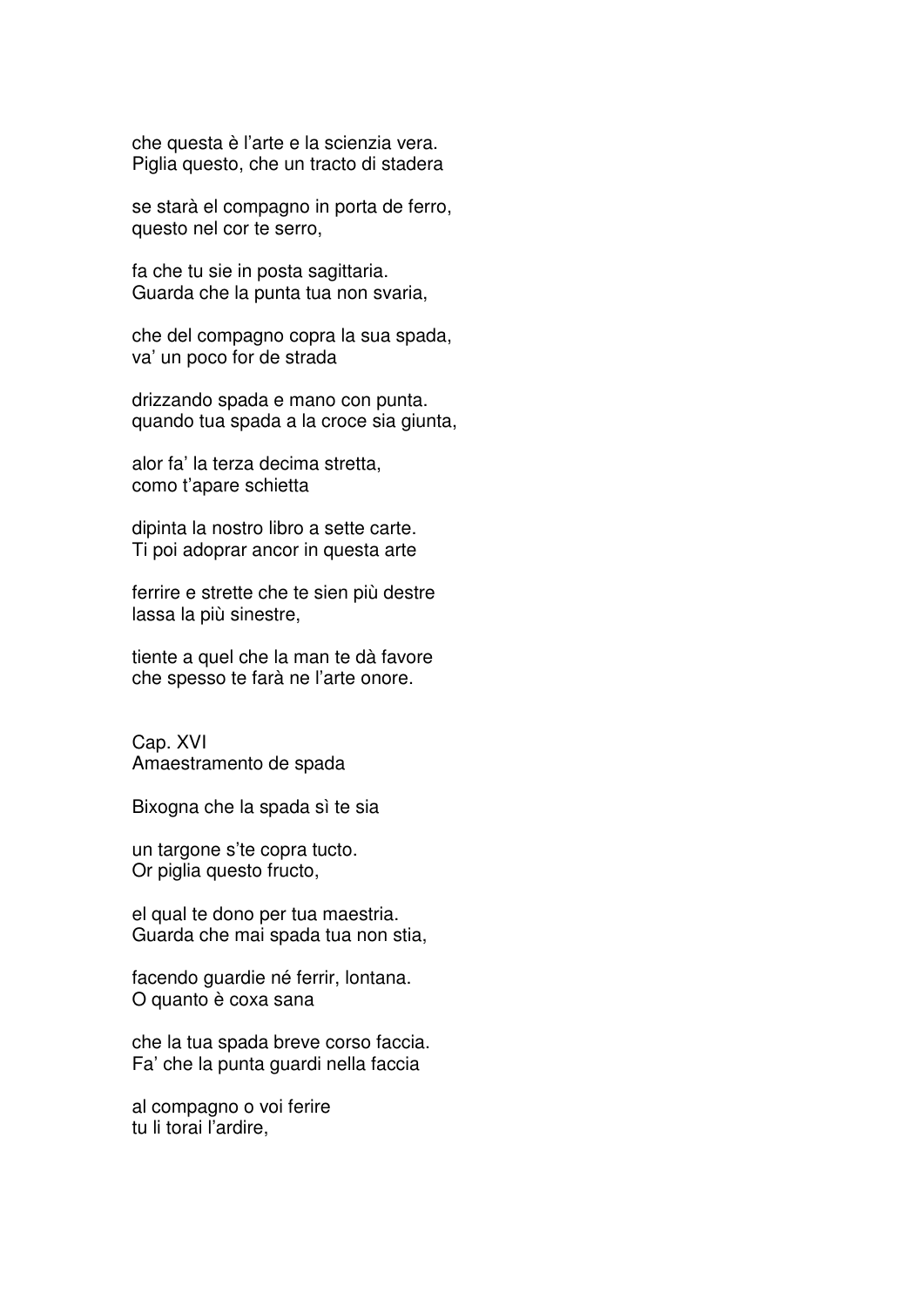che questa è l'arte e la scienzia vera. Piglia questo, che un tracto di stadera

se starà el compagno in porta de ferro, questo nel cor te serro,

fa che tu sie in posta sagittaria. Guarda che la punta tua non svaria,

che del compagno copra la sua spada, va' un poco for de strada

drizzando spada e mano con punta. quando tua spada a la croce sia giunta,

alor fa' la terza decima stretta, como t'apare schietta

dipinta la nostro libro a sette carte. Ti poi adoprar ancor in questa arte

ferrire e strette che te sien più destre lassa la più sinestre,

tiente a quel che la man te dà favore che spesso te farà ne l'arte onore.

Cap. XVI Amaestramento de spada

Bixogna che la spada sì te sia

un targone s'te copra tucto. Or piglia questo fructo,

el qual te dono per tua maestria. Guarda che mai spada tua non stia,

facendo guardie né ferrir, lontana. O quanto è coxa sana

che la tua spada breve corso faccia. Fa' che la punta guardi nella faccia

al compagno o voi ferire tu li torai l'ardire,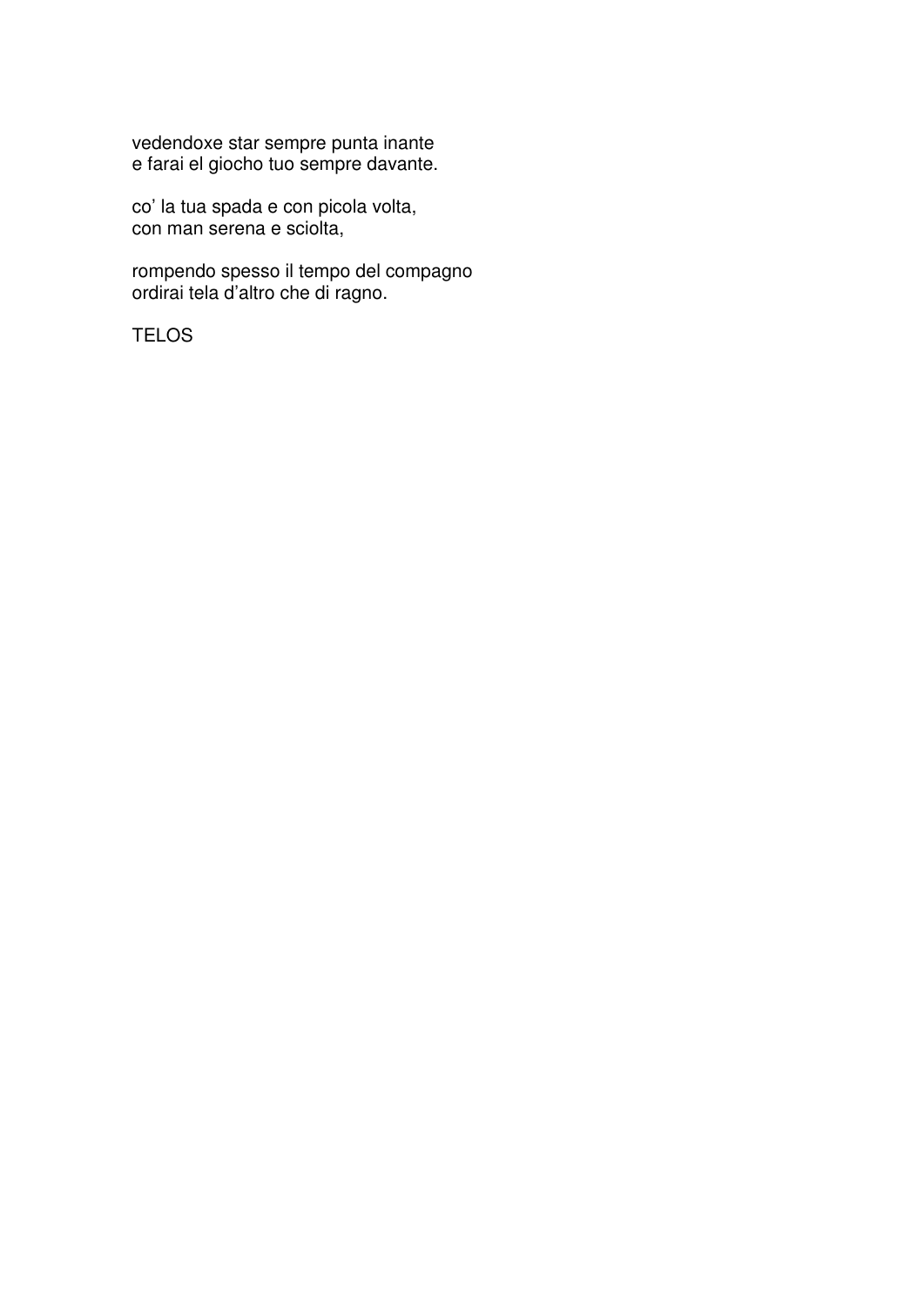vedendoxe star sempre punta inante e farai el giocho tuo sempre davante.

co' la tua spada e con picola volta, con man serena e sciolta,

rompendo spesso il tempo del compagno ordirai tela d'altro che di ragno.

TELOS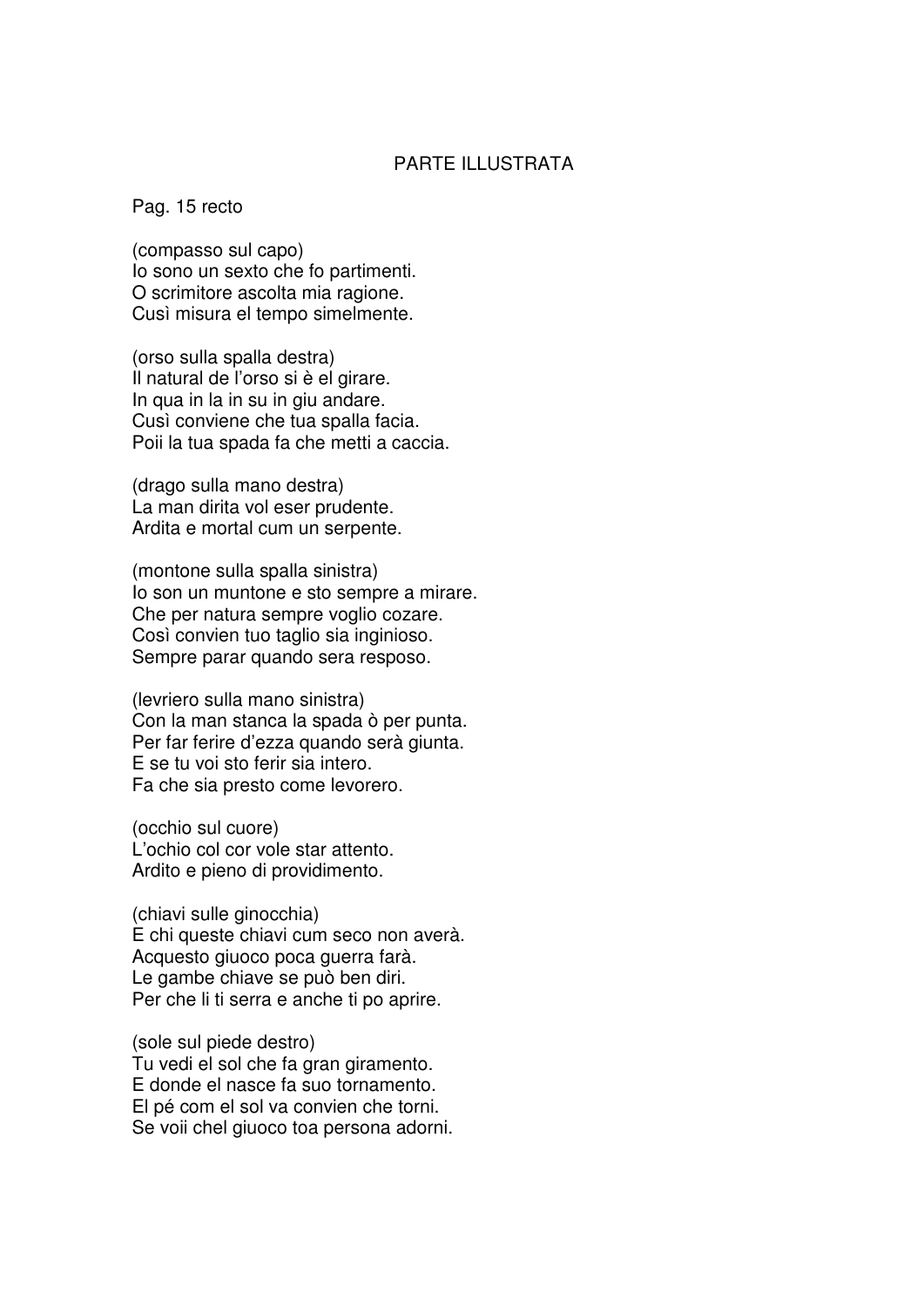### PARTE ILLUSTRATA

Pag. 15 recto

(compasso sul capo) Io sono un sexto che fo partimenti. O scrimitore ascolta mia ragione. Cusì misura el tempo simelmente.

(orso sulla spalla destra) Il natural de l'orso si è el girare. In qua in la in su in giu andare. Cusì conviene che tua spalla facia. Poii la tua spada fa che metti a caccia.

(drago sulla mano destra) La man dirita vol eser prudente. Ardita e mortal cum un serpente.

(montone sulla spalla sinistra) Io son un muntone e sto sempre a mirare. Che per natura sempre voglio cozare. Così convien tuo taglio sia inginioso. Sempre parar quando sera resposo.

(levriero sulla mano sinistra) Con la man stanca la spada ò per punta. Per far ferire d'ezza quando serà giunta. E se tu voi sto ferir sia intero. Fa che sia presto come levorero.

(occhio sul cuore) L'ochio col cor vole star attento. Ardito e pieno di providimento.

(chiavi sulle ginocchia) E chi queste chiavi cum seco non averà. Acquesto giuoco poca guerra farà. Le gambe chiave se può ben diri. Per che li ti serra e anche ti po aprire.

(sole sul piede destro) Tu vedi el sol che fa gran giramento. E donde el nasce fa suo tornamento. El pé com el sol va convien che torni. Se voii chel giuoco toa persona adorni.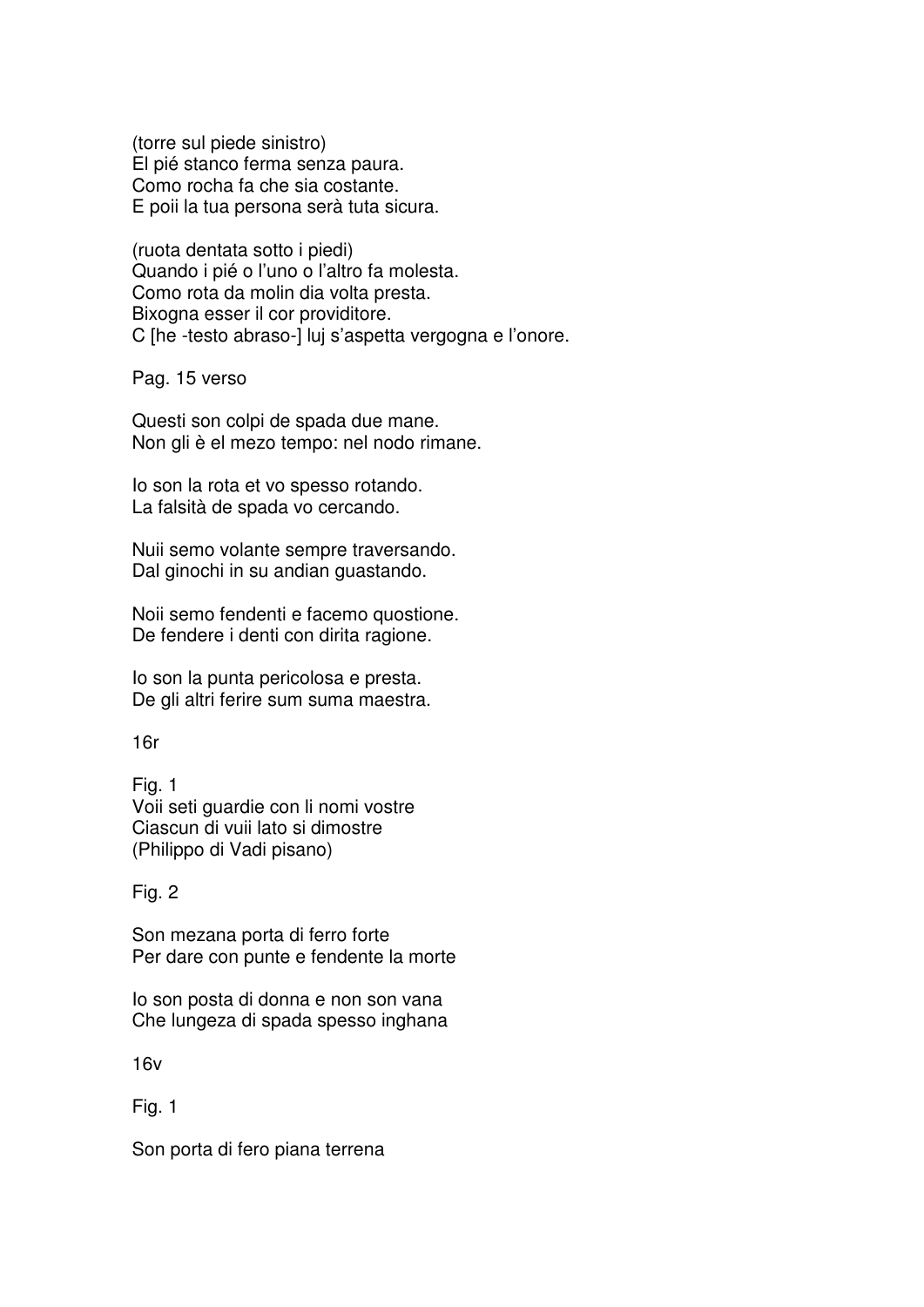(torre sul piede sinistro) El pié stanco ferma senza paura. Como rocha fa che sia costante. E poii la tua persona serà tuta sicura.

(ruota dentata sotto i piedi) Quando i pié o l'uno o l'altro fa molesta. Como rota da molin dia volta presta. Bixogna esser il cor providitore. C [he -testo abraso-] luj s'aspetta vergogna e l'onore.

Pag. 15 verso

Questi son colpi de spada due mane. Non gli è el mezo tempo: nel nodo rimane.

Io son la rota et vo spesso rotando. La falsità de spada vo cercando.

Nuii semo volante sempre traversando. Dal ginochi in su andian guastando.

Noii semo fendenti e facemo quostione. De fendere i denti con dirita ragione.

Io son la punta pericolosa e presta. De gli altri ferire sum suma maestra.

### 16r

Fig. 1 Voii seti guardie con li nomi vostre Ciascun di vuii lato si dimostre (Philippo di Vadi pisano)

### Fig. 2

Son mezana porta di ferro forte Per dare con punte e fendente la morte

Io son posta di donna e non son vana Che lungeza di spada spesso inghana

16v

Fig. 1

Son porta di fero piana terrena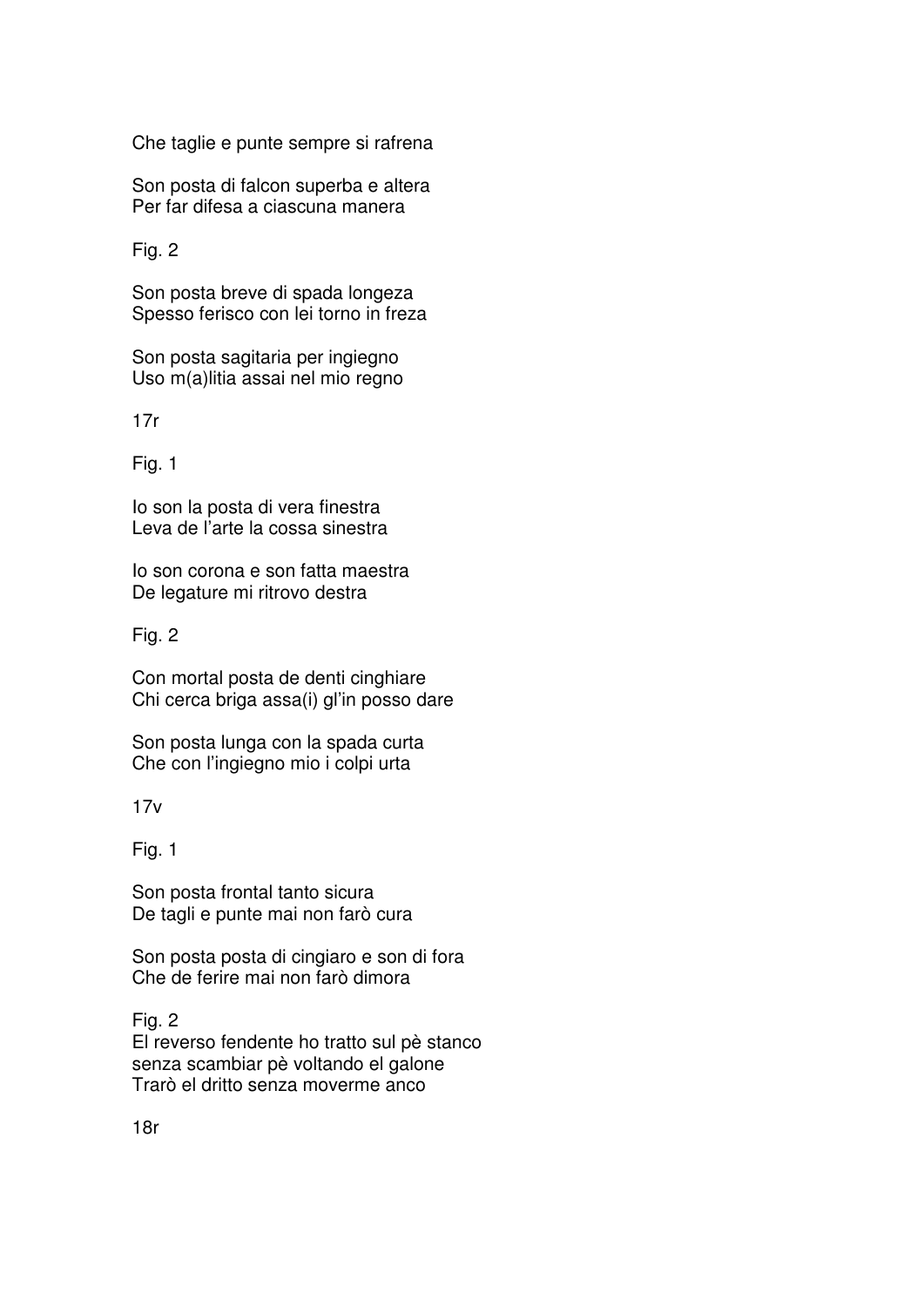Che taglie e punte sempre si rafrena

Son posta di falcon superba e altera Per far difesa a ciascuna manera

Fig. 2

Son posta breve di spada longeza Spesso ferisco con lei torno in freza

Son posta sagitaria per ingiegno Uso m(a)litia assai nel mio regno

17r

Fig. 1

Io son la posta di vera finestra Leva de l'arte la cossa sinestra

Io son corona e son fatta maestra De legature mi ritrovo destra

Fig. 2

Con mortal posta de denti cinghiare Chi cerca briga assa(i) gl'in posso dare

Son posta lunga con la spada curta Che con l'ingiegno mio i colpi urta

 $17v$ 

Fig. 1

Son posta frontal tanto sicura De tagli e punte mai non farò cura

Son posta posta di cingiaro e son di fora Che de ferire mai non farò dimora

Fig. 2 El reverso fendente ho tratto sul pè stanco senza scambiar pè voltando el galone Trarò el dritto senza moverme anco

18r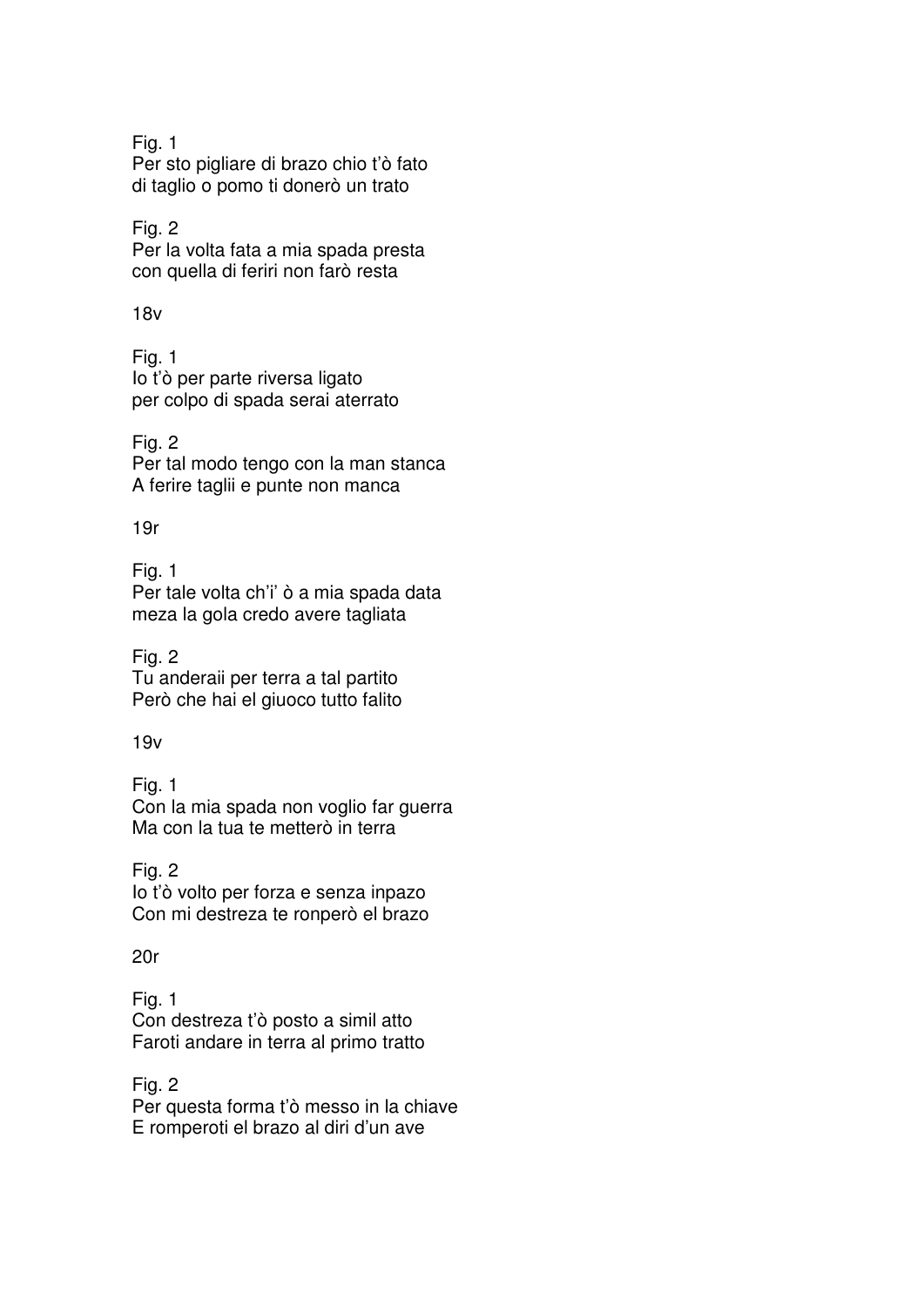Fig. 1 Per sto pigliare di brazo chio t'ò fato di taglio o pomo ti donerò un trato

Fig. 2 Per la volta fata a mia spada presta con quella di feriri non farò resta

18v

Fig. 1 Io t'ò per parte riversa ligato per colpo di spada serai aterrato

Fig. 2 Per tal modo tengo con la man stanca A ferire taglii e punte non manca

19r

Fig. 1 Per tale volta ch'i' ò a mia spada data meza la gola credo avere tagliata

Fig. 2 Tu anderaii per terra a tal partito Però che hai el giuoco tutto falito

19v

Fig. 1 Con la mia spada non voglio far guerra Ma con la tua te metterò in terra

Fig. 2 Io t'ò volto per forza e senza inpazo Con mi destreza te ronperò el brazo

20r

Fig. 1 Con destreza t'ò posto a simil atto Faroti andare in terra al primo tratto

Fig. 2 Per questa forma t'ò messo in la chiave E romperoti el brazo al diri d'un ave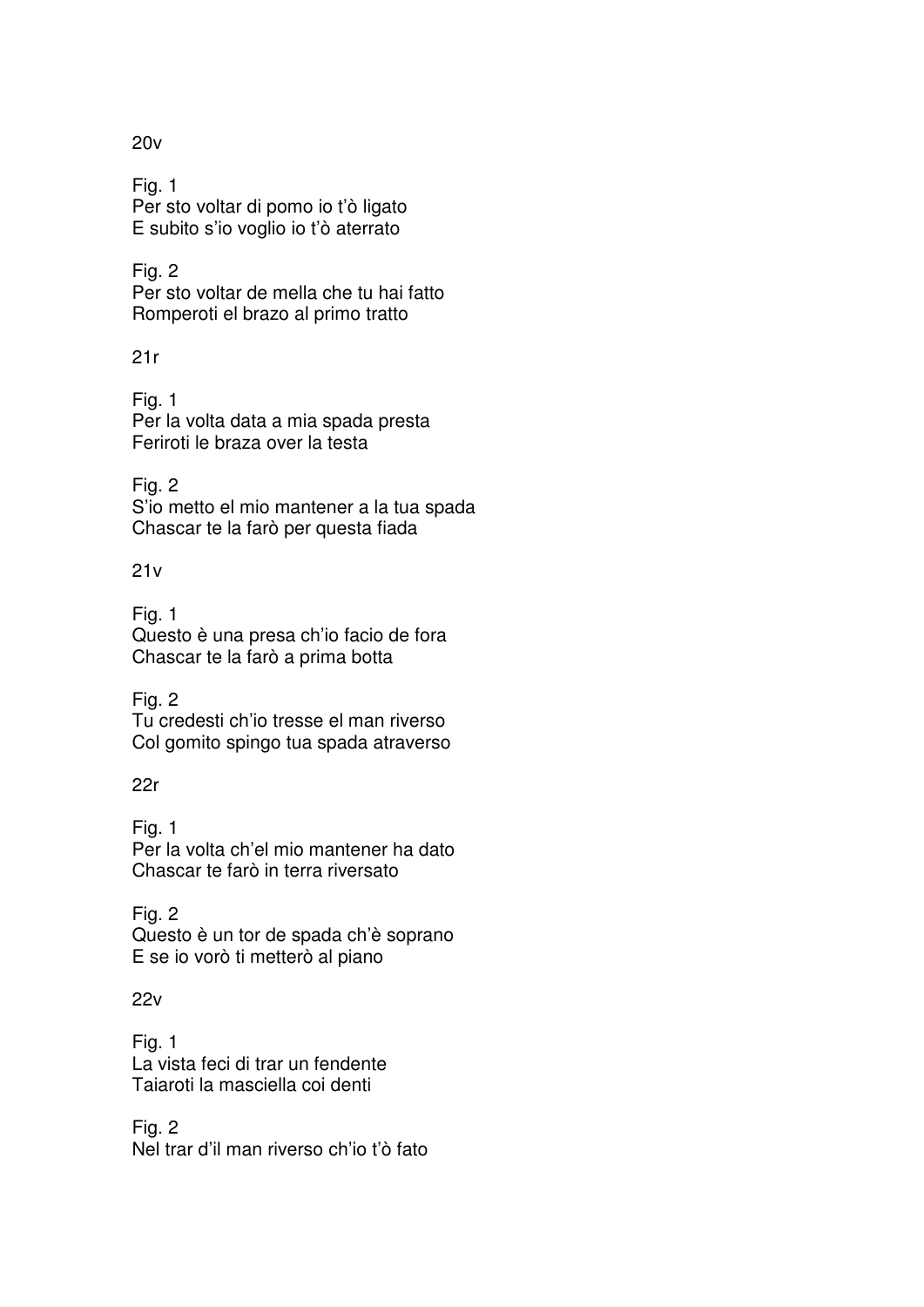20v

Fig. 1 Per sto voltar di pomo io t'ò ligato E subito s'io voglio io t'ò aterrato

Fig. 2 Per sto voltar de mella che tu hai fatto Romperoti el brazo al primo tratto

21r

Fig. 1 Per la volta data a mia spada presta Feriroti le braza over la testa

Fig. 2 S'io metto el mio mantener a la tua spada Chascar te la farò per questa fiada

 $21v$ 

Fig. 1 Questo è una presa ch'io facio de fora Chascar te la farò a prima botta

Fig. 2 Tu credesti ch'io tresse el man riverso Col gomito spingo tua spada atraverso

22r

Fig. 1 Per la volta ch'el mio mantener ha dato Chascar te farò in terra riversato

Fig. 2 Questo è un tor de spada ch'è soprano E se io vorò ti metterò al piano

 $22v$ 

Fig. 1 La vista feci di trar un fendente Taiaroti la masciella coi denti

Fig. 2 Nel trar d'il man riverso ch'io t'ò fato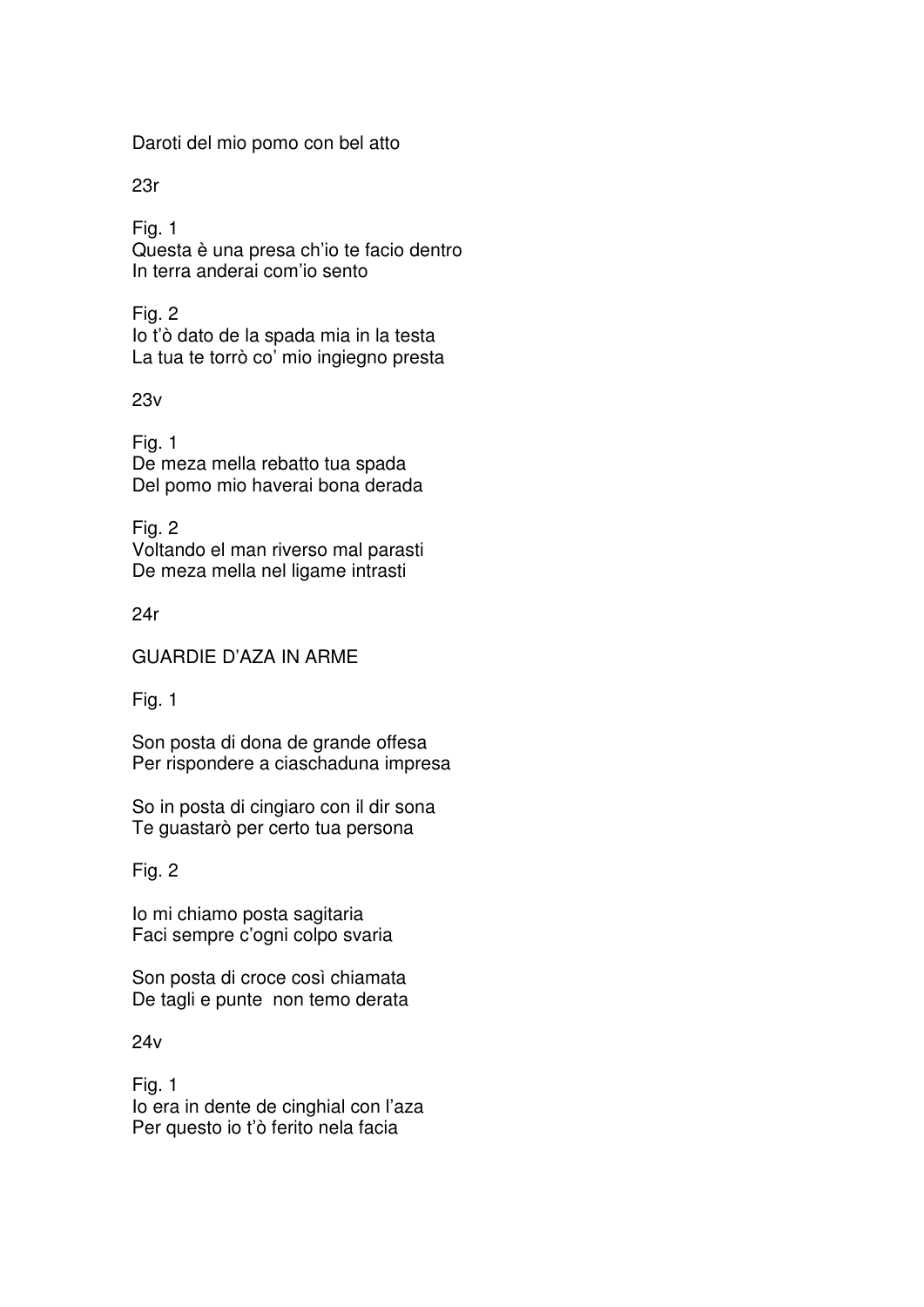Daroti del mio pomo con bel atto

23r

Fig. 1 Questa è una presa ch'io te facio dentro In terra anderai com'io sento

Fig. 2 Io t'ò dato de la spada mia in la testa La tua te torrò co' mio ingiegno presta

23v

Fig. 1 De meza mella rebatto tua spada Del pomo mio haverai bona derada

Fig. 2 Voltando el man riverso mal parasti De meza mella nel ligame intrasti

24r

GUARDIE D'AZA IN ARME

Fig. 1

Son posta di dona de grande offesa Per rispondere a ciaschaduna impresa

So in posta di cingiaro con il dir sona Te guastarò per certo tua persona

Fig. 2

Io mi chiamo posta sagitaria Faci sempre c'ogni colpo svaria

Son posta di croce così chiamata De tagli e punte non temo derata

24v

Fig. 1 Io era in dente de cinghial con l'aza Per questo io t'ò ferito nela facia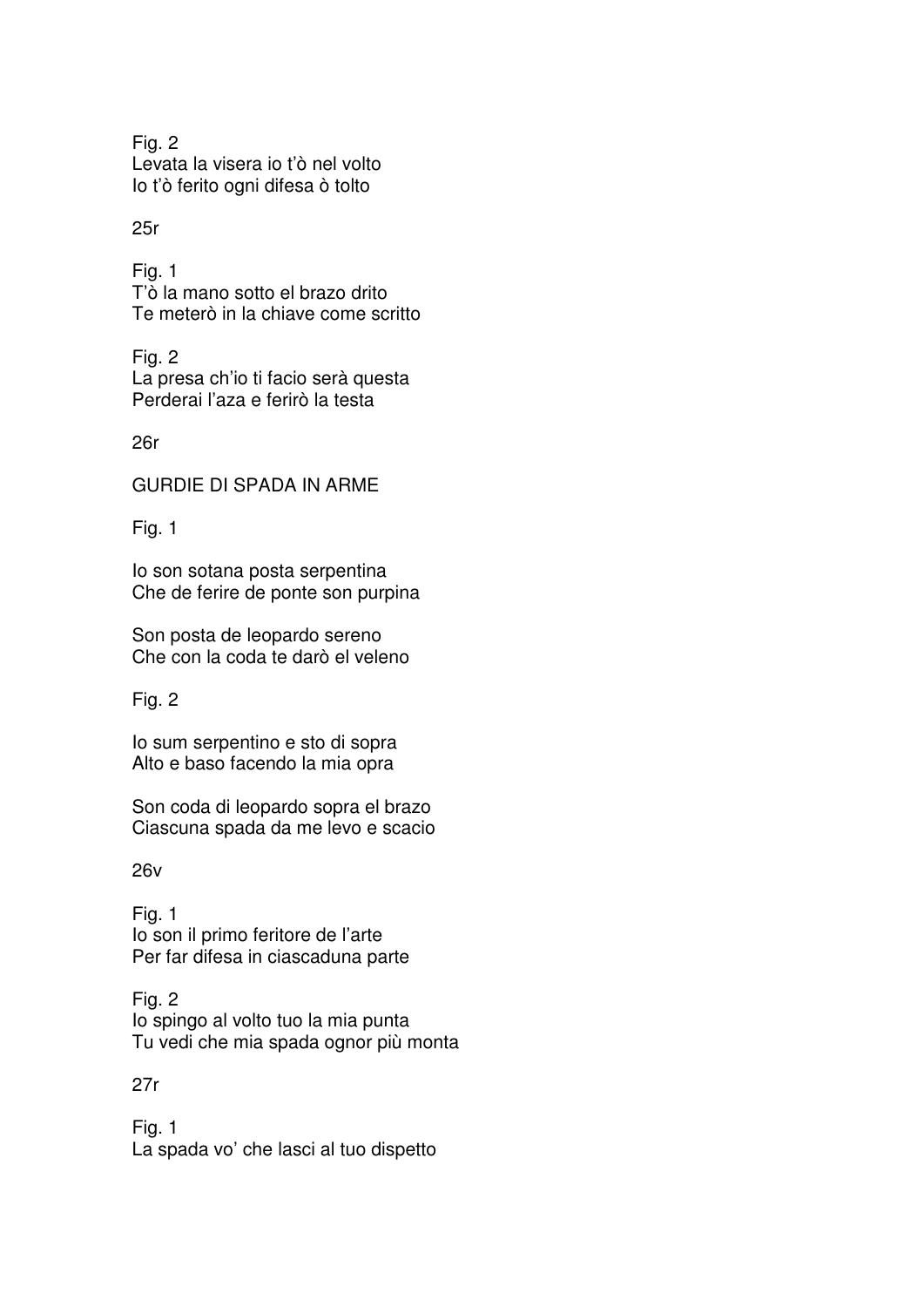Fig. 2 Levata la visera io t'ò nel volto Io t'ò ferito ogni difesa ò tolto

## 25r

Fig. 1 T'ò la mano sotto el brazo drito Te meterò in la chiave come scritto

Fig. 2 La presa ch'io ti facio serà questa Perderai l'aza e ferirò la testa

26r

GURDIE DI SPADA IN ARME

Fig. 1

Io son sotana posta serpentina Che de ferire de ponte son purpina

Son posta de leopardo sereno Che con la coda te darò el veleno

Fig. 2

Io sum serpentino e sto di sopra Alto e baso facendo la mia opra

Son coda di leopardo sopra el brazo Ciascuna spada da me levo e scacio

26v

Fig. 1 Io son il primo feritore de l'arte Per far difesa in ciascaduna parte

Fig. 2 Io spingo al volto tuo la mia punta Tu vedi che mia spada ognor più monta

27r

Fig. 1 La spada vo' che lasci al tuo dispetto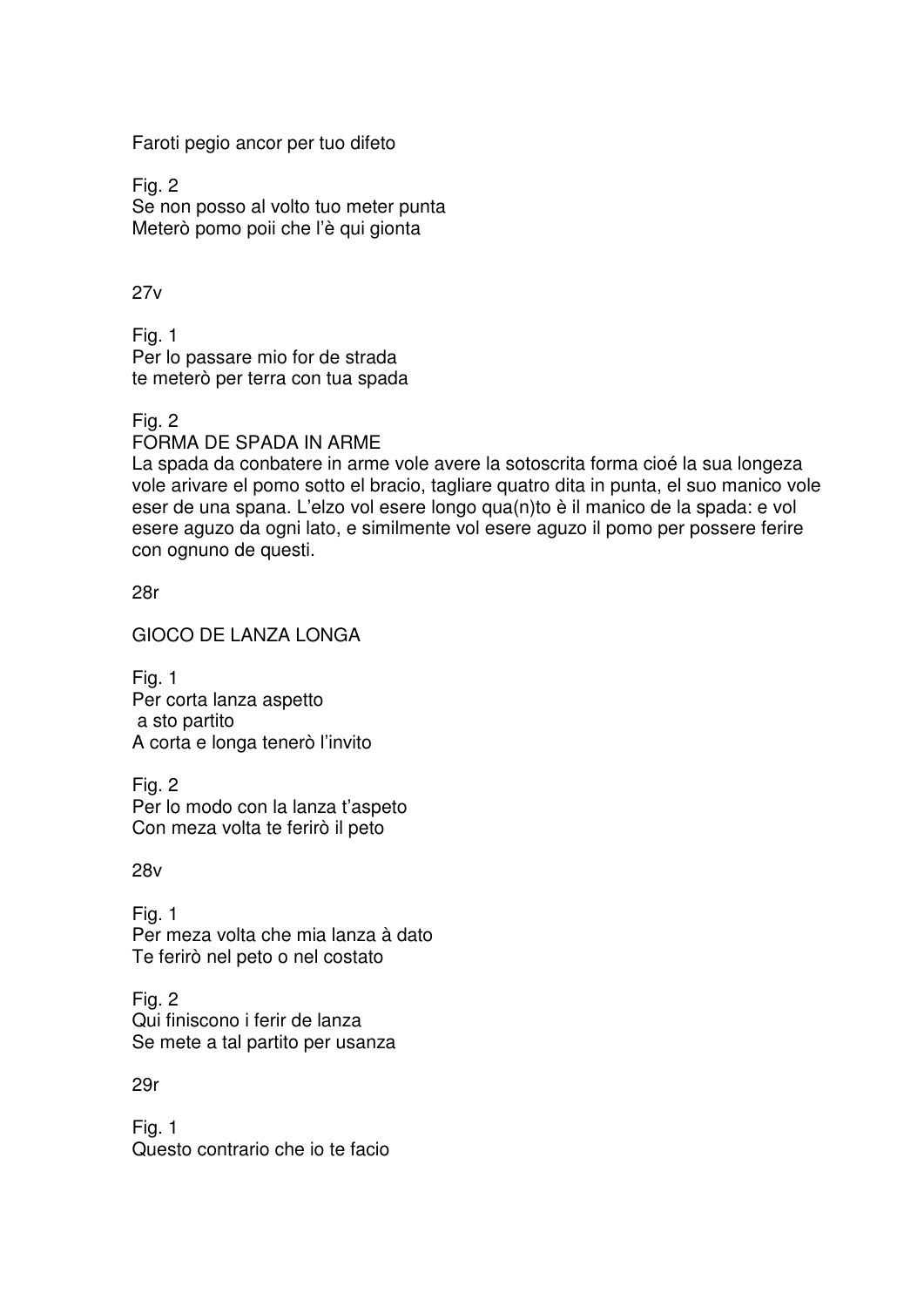Faroti pegio ancor per tuo difeto

Fig. 2 Se non posso al volto tuo meter punta Meterò pomo poii che l'è qui gionta

27v

Fig. 1 Per lo passare mio for de strada te meterò per terra con tua spada

Fig. 2

FORMA DE SPADA IN ARME

La spada da conbatere in arme vole avere la sotoscrita forma cioé la sua longeza vole arivare el pomo sotto el bracio, tagliare quatro dita in punta, el suo manico vole eser de una spana. L'elzo vol esere longo qua(n)to è il manico de la spada: e vol esere aguzo da ogni lato, e similmente vol esere aguzo il pomo per possere ferire con ognuno de questi.

28r

GIOCO DE LANZA LONGA

Fig. 1 Per corta lanza aspetto a sto partito A corta e longa tenerò l'invito

Fig. 2 Per lo modo con la lanza t'aspeto Con meza volta te ferirò il peto

28v

Fig. 1 Per meza volta che mia lanza à dato Te ferirò nel peto o nel costato

Fig. 2 Qui finiscono i ferir de lanza Se mete a tal partito per usanza

29r

Fig. 1 Questo contrario che io te facio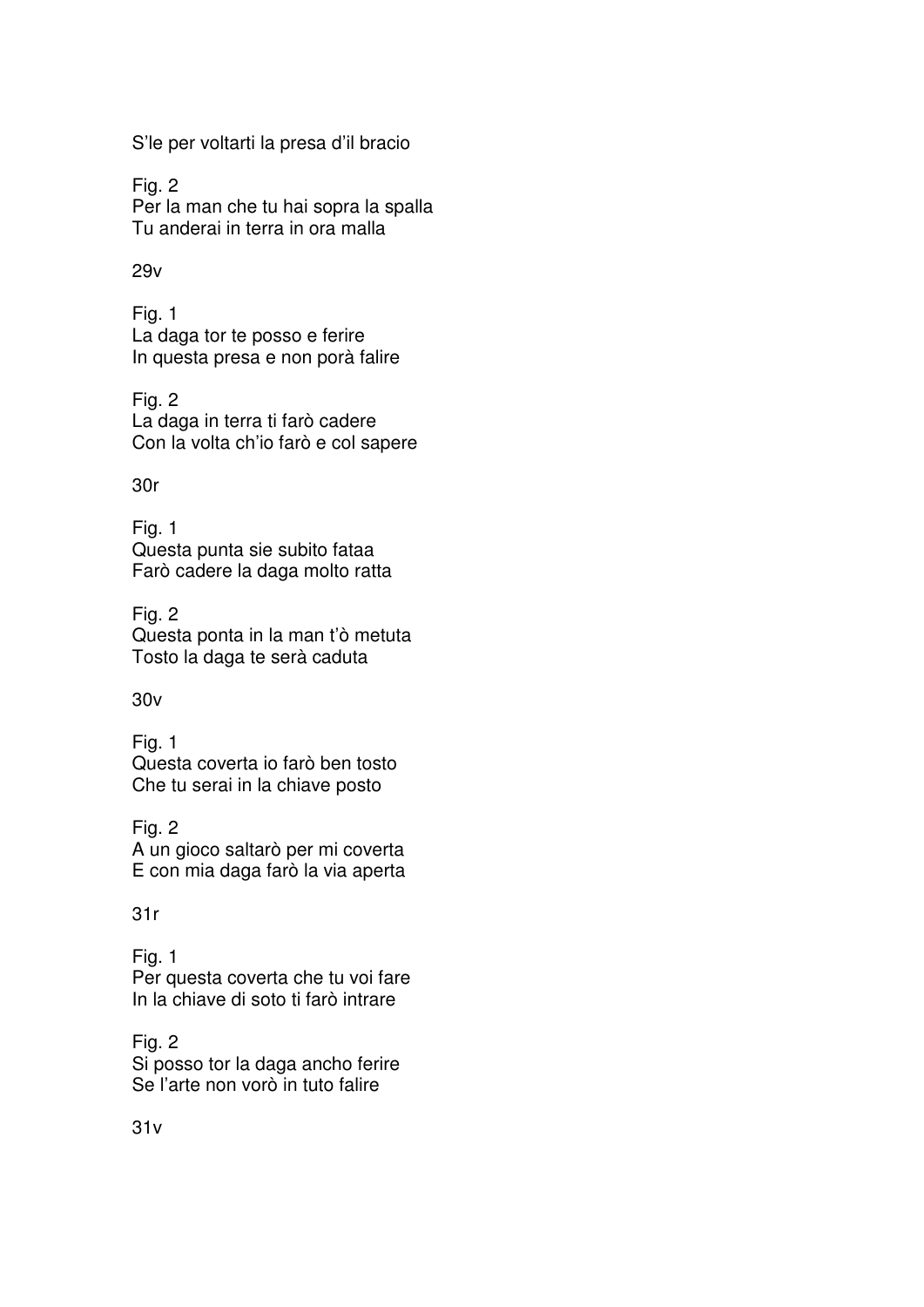S'le per voltarti la presa d'il bracio

Fig. 2 Per la man che tu hai sopra la spalla Tu anderai in terra in ora malla

# 29v

Fig. 1 La daga tor te posso e ferire In questa presa e non porà falire

Fig. 2 La daga in terra ti farò cadere Con la volta ch'io farò e col sapere

30r

Fig. 1 Questa punta sie subito fataa Farò cadere la daga molto ratta

Fig. 2 Questa ponta in la man t'ò metuta Tosto la daga te serà caduta

# 30v

Fig. 1 Questa coverta io farò ben tosto Che tu serai in la chiave posto

Fig. 2 A un gioco saltarò per mi coverta E con mia daga farò la via aperta

# 31r

Fig. 1 Per questa coverta che tu voi fare In la chiave di soto ti farò intrare

Fig. 2 Si posso tor la daga ancho ferire Se l'arte non vorò in tuto falire

31v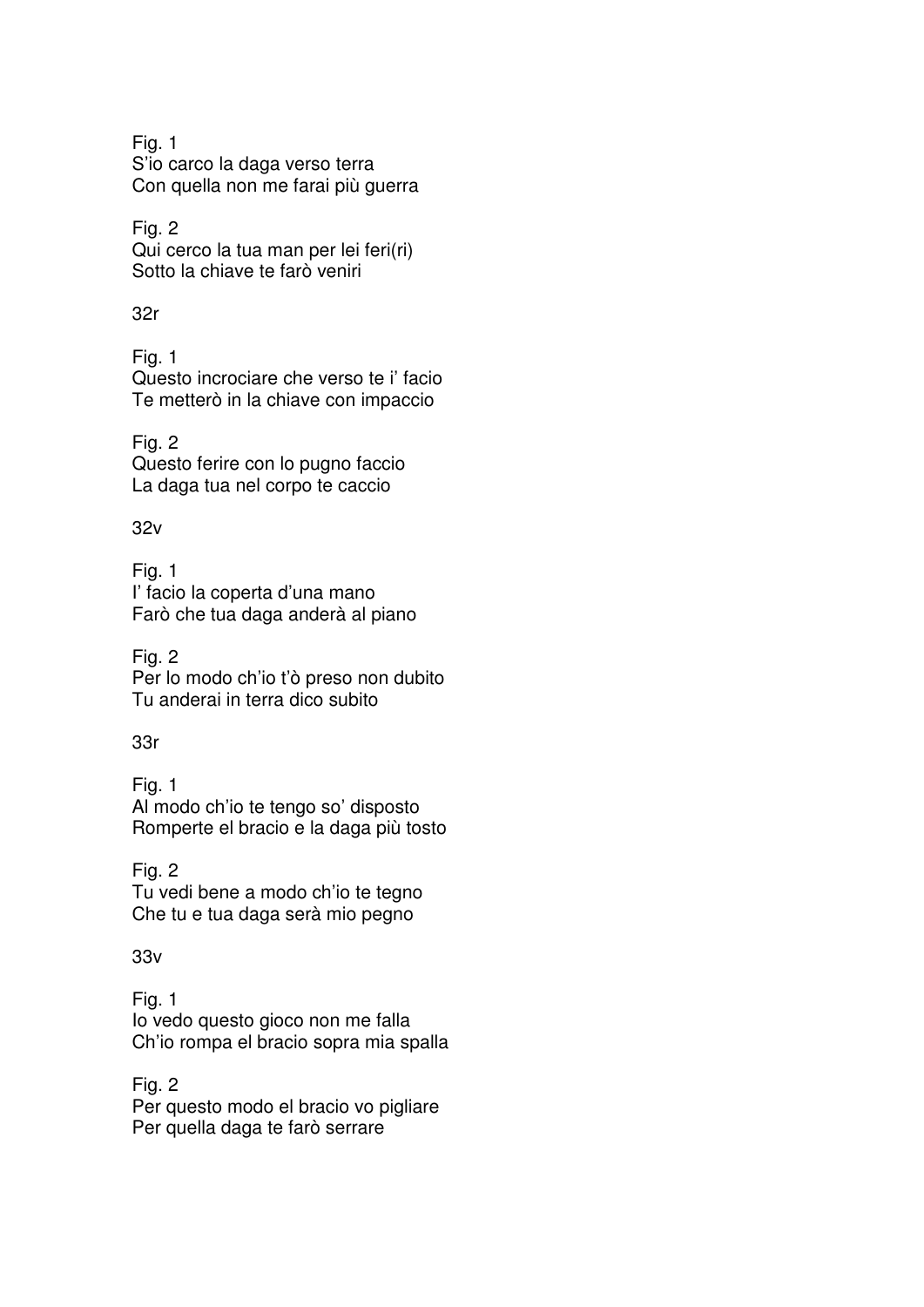Fig. 1 S'io carco la daga verso terra Con quella non me farai più guerra

Fig. 2 Qui cerco la tua man per lei feri(ri) Sotto la chiave te farò veniri

32r

Fig. 1 Questo incrociare che verso te i' facio Te metterò in la chiave con impaccio

Fig. 2 Questo ferire con lo pugno faccio La daga tua nel corpo te caccio

32v

Fig. 1 I' facio la coperta d'una mano Farò che tua daga anderà al piano

Fig. 2 Per lo modo ch'io t'ò preso non dubito Tu anderai in terra dico subito

33r

Fig. 1 Al modo ch'io te tengo so' disposto Romperte el bracio e la daga più tosto

Fig. 2 Tu vedi bene a modo ch'io te tegno Che tu e tua daga serà mio pegno

33v

Fig. 1 Io vedo questo gioco non me falla Ch'io rompa el bracio sopra mia spalla

Fig. 2 Per questo modo el bracio vo pigliare Per quella daga te farò serrare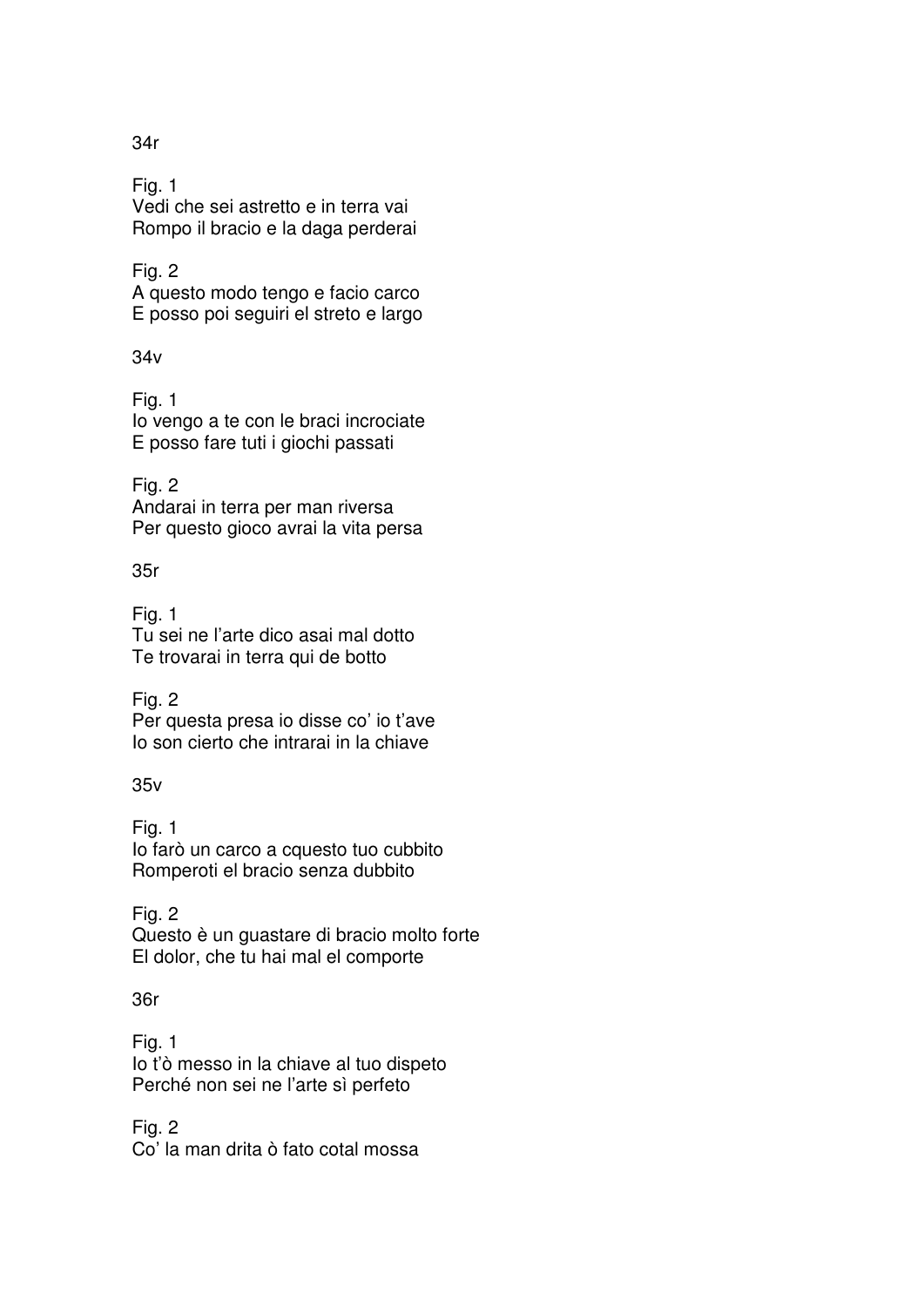Fig. 1 Vedi che sei astretto e in terra vai Rompo il bracio e la daga perderai

Fig. 2 A questo modo tengo e facio carco E posso poi seguiri el streto e largo

34v

Fig. 1 Io vengo a te con le braci incrociate E posso fare tuti i giochi passati

Fig. 2 Andarai in terra per man riversa Per questo gioco avrai la vita persa

35r

Fig. 1 Tu sei ne l'arte dico asai mal dotto Te trovarai in terra qui de botto

Fig. 2 Per questa presa io disse co' io t'ave Io son cierto che intrarai in la chiave

35v

Fig. 1 Io farò un carco a cquesto tuo cubbito Romperoti el bracio senza dubbito

Fig. 2 Questo è un guastare di bracio molto forte El dolor, che tu hai mal el comporte

36r

Fig. 1 Io t'ò messo in la chiave al tuo dispeto Perché non sei ne l'arte sì perfeto

Fig. 2 Co' la man drita ò fato cotal mossa

34r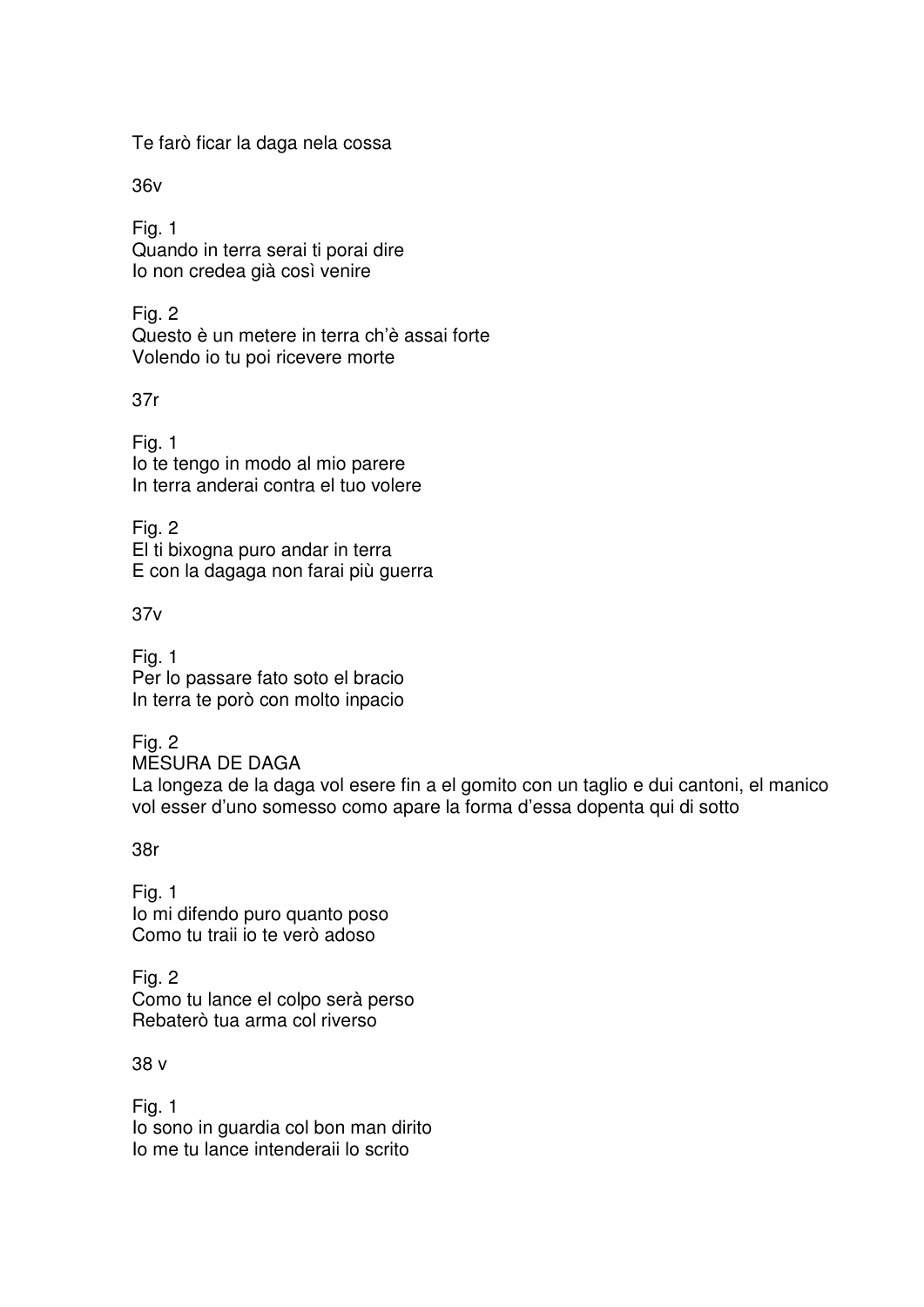Te farò ficar la daga nela cossa

36v

Fig. 1 Quando in terra serai ti porai dire Io non credea già così venire

Fig. 2 Questo è un metere in terra ch'è assai forte Volendo io tu poi ricevere morte

37r

Fig. 1 Io te tengo in modo al mio parere In terra anderai contra el tuo volere

Fig. 2 El ti bixogna puro andar in terra E con la dagaga non farai più guerra

37v

Fig. 1 Per lo passare fato soto el bracio In terra te porò con molto inpacio

Fig. 2 MESURA DE DAGA La longeza de la daga vol esere fin a el gomito con un taglio e dui cantoni, el manico vol esser d'uno somesso como apare la forma d'essa dopenta qui di sotto

38r

Fig. 1 Io mi difendo puro quanto poso Como tu traii io te verò adoso

Fig. 2 Como tu lance el colpo serà perso Rebaterò tua arma col riverso

38 v

Fig. 1 Io sono in guardia col bon man dirito Io me tu lance intenderaii lo scrito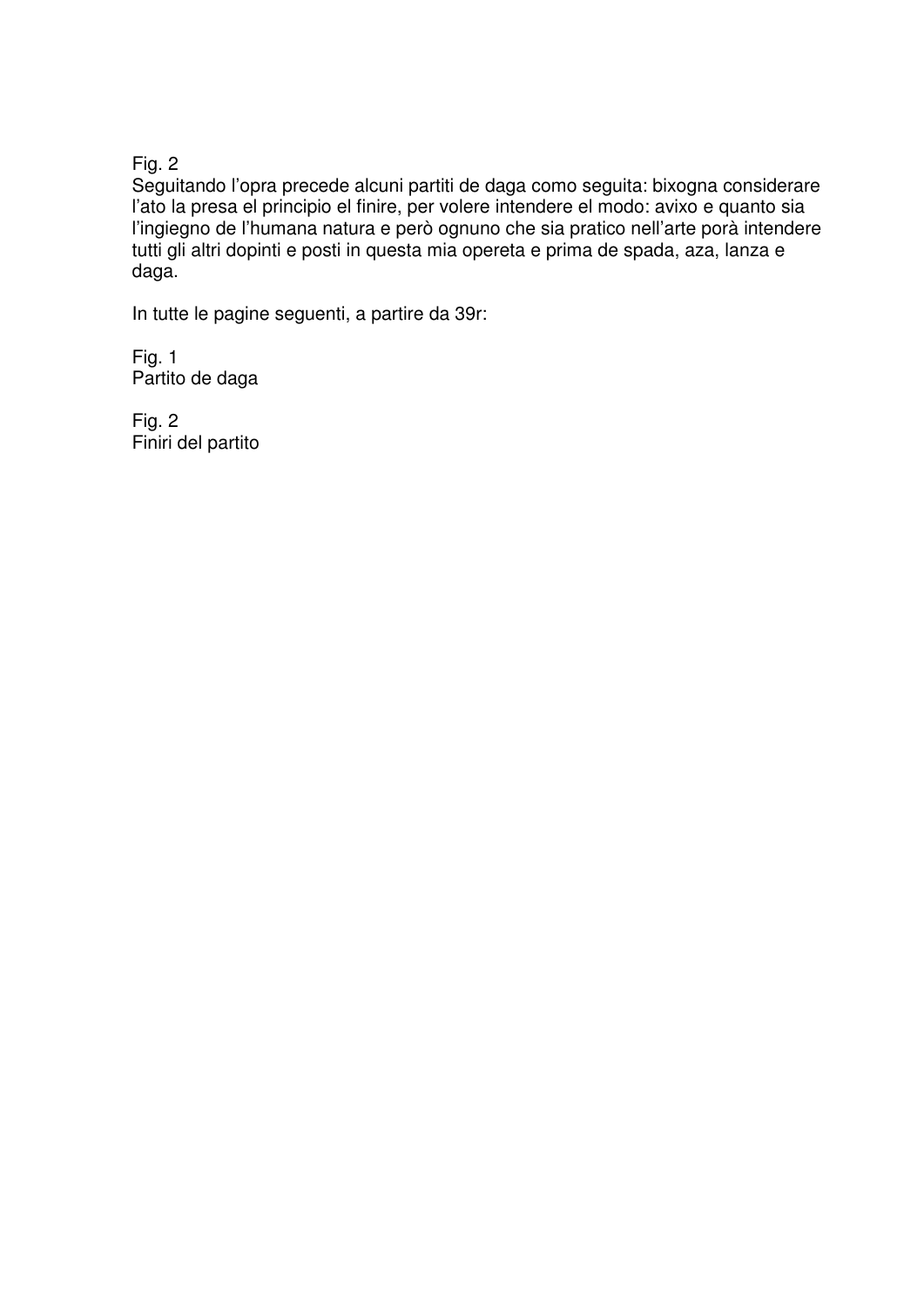Fig. 2

Seguitando l'opra precede alcuni partiti de daga como seguita: bixogna considerare l'ato la presa el principio el finire, per volere intendere el modo: avixo e quanto sia l'ingiegno de l'humana natura e però ognuno che sia pratico nell'arte porà intendere tutti gli altri dopinti e posti in questa mia opereta e prima de spada, aza, lanza e daga.

In tutte le pagine seguenti, a partire da 39r:

Fig. 1 Partito de daga

Fig. 2 Finiri del partito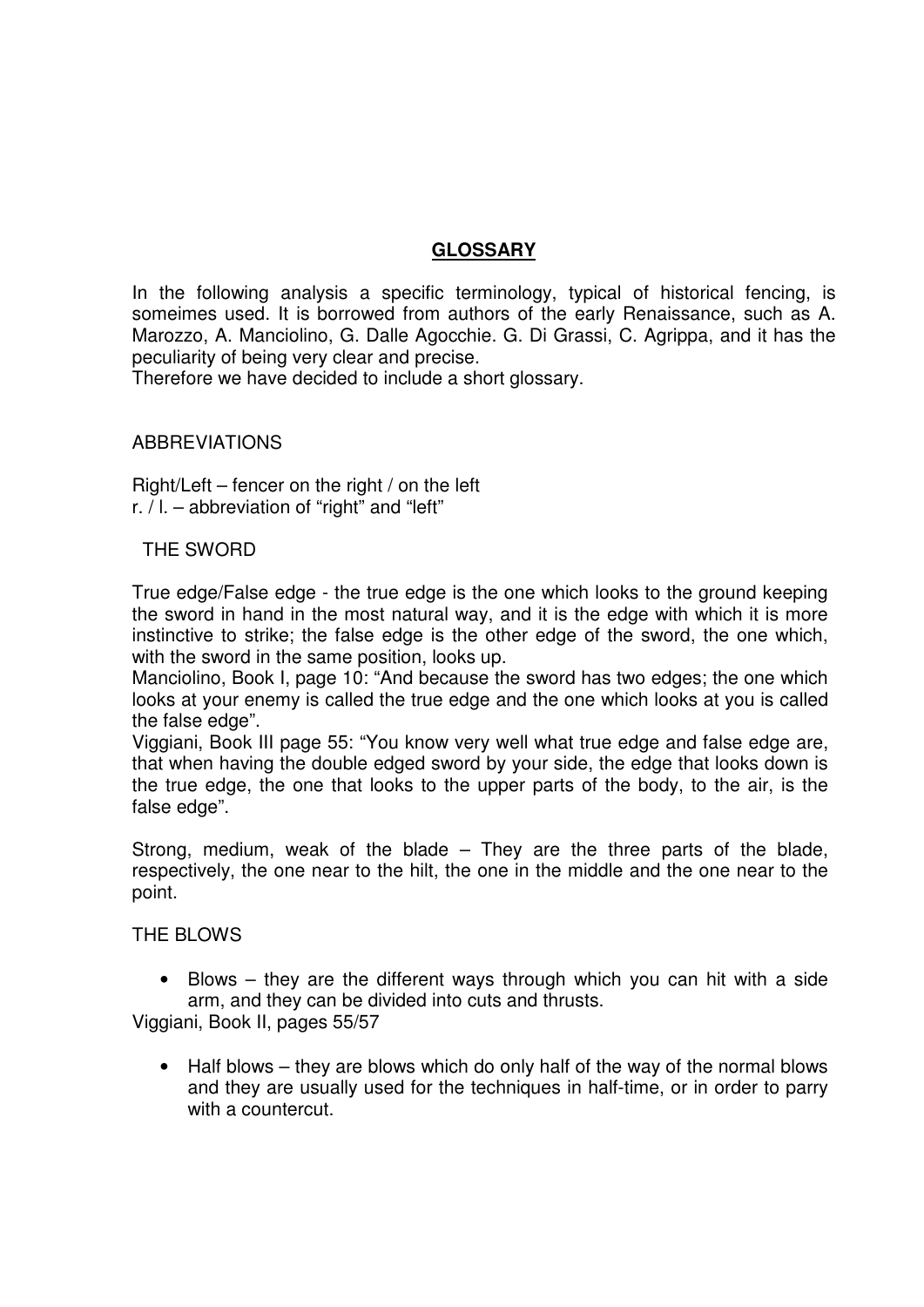# **GLOSSARY**

In the following analysis a specific terminology, typical of historical fencing, is someimes used. It is borrowed from authors of the early Renaissance, such as A. Marozzo, A. Manciolino, G. Dalle Agocchie. G. Di Grassi, C. Agrippa, and it has the peculiarity of being very clear and precise.

Therefore we have decided to include a short glossary.

### ABBREVIATIONS

Right/Left – fencer on the right / on the left r. / l. – abbreviation of "right" and "left"

#### THE SWORD

True edge/False edge - the true edge is the one which looks to the ground keeping the sword in hand in the most natural way, and it is the edge with which it is more instinctive to strike; the false edge is the other edge of the sword, the one which, with the sword in the same position, looks up.

Manciolino, Book I, page 10: "And because the sword has two edges; the one which looks at your enemy is called the true edge and the one which looks at you is called the false edge".

Viggiani, Book III page 55: "You know very well what true edge and false edge are, that when having the double edged sword by your side, the edge that looks down is the true edge, the one that looks to the upper parts of the body, to the air, is the false edge".

Strong, medium, weak of the blade – They are the three parts of the blade, respectively, the one near to the hilt, the one in the middle and the one near to the point.

THE BLOWS

• Blows – they are the different ways through which you can hit with a side arm, and they can be divided into cuts and thrusts.

Viggiani, Book II, pages 55/57

• Half blows – they are blows which do only half of the way of the normal blows and they are usually used for the techniques in half-time, or in order to parry with a countercut.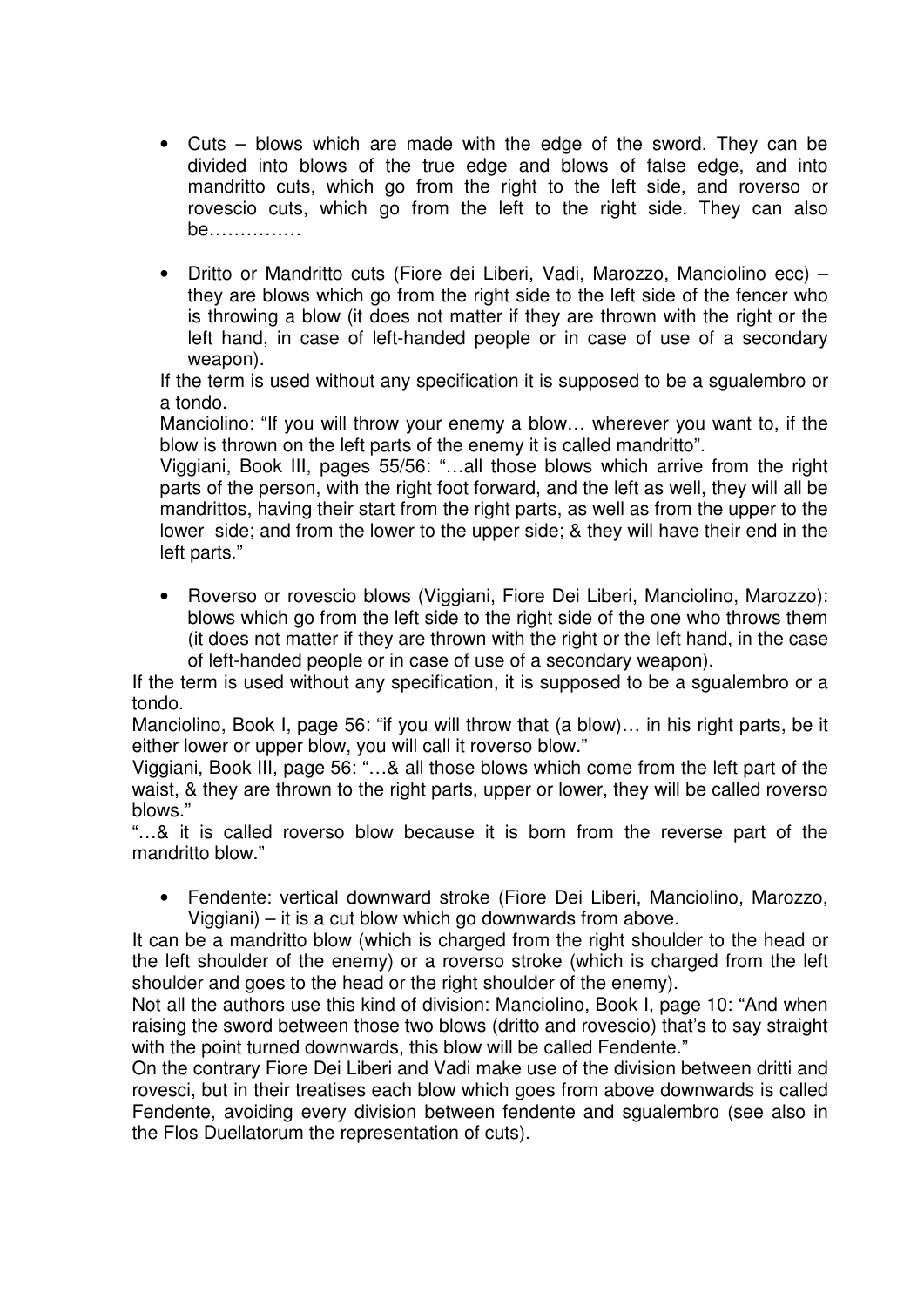- Cuts blows which are made with the edge of the sword. They can be divided into blows of the true edge and blows of false edge, and into mandritto cuts, which go from the right to the left side, and roverso or rovescio cuts, which go from the left to the right side. They can also be……………
- Dritto or Mandritto cuts (Fiore dei Liberi, Vadi, Marozzo, Manciolino ecc) they are blows which go from the right side to the left side of the fencer who is throwing a blow (it does not matter if they are thrown with the right or the left hand, in case of left-handed people or in case of use of a secondary weapon).

If the term is used without any specification it is supposed to be a sgualembro or a tondo.

Manciolino: "If you will throw your enemy a blow… wherever you want to, if the blow is thrown on the left parts of the enemy it is called mandritto".

Viggiani, Book III, pages 55/56: "…all those blows which arrive from the right parts of the person, with the right foot forward, and the left as well, they will all be mandrittos, having their start from the right parts, as well as from the upper to the lower side; and from the lower to the upper side; & they will have their end in the left parts."

• Roverso or rovescio blows (Viggiani, Fiore Dei Liberi, Manciolino, Marozzo): blows which go from the left side to the right side of the one who throws them (it does not matter if they are thrown with the right or the left hand, in the case of left-handed people or in case of use of a secondary weapon).

If the term is used without any specification, it is supposed to be a sgualembro or a tondo.

Manciolino, Book I, page 56; "if you will throw that (a blow)... in his right parts, be it either lower or upper blow, you will call it roverso blow."

Viggiani, Book III, page 56: "…& all those blows which come from the left part of the waist, & they are thrown to the right parts, upper or lower, they will be called roverso blows."

"…& it is called roverso blow because it is born from the reverse part of the mandritto blow."

• Fendente: vertical downward stroke (Fiore Dei Liberi, Manciolino, Marozzo, Viggiani) – it is a cut blow which go downwards from above.

It can be a mandritto blow (which is charged from the right shoulder to the head or the left shoulder of the enemy) or a roverso stroke (which is charged from the left shoulder and goes to the head or the right shoulder of the enemy).

Not all the authors use this kind of division: Manciolino, Book I, page 10: "And when raising the sword between those two blows (dritto and rovescio) that's to say straight with the point turned downwards, this blow will be called Fendente."

On the contrary Fiore Dei Liberi and Vadi make use of the division between dritti and rovesci, but in their treatises each blow which goes from above downwards is called Fendente, avoiding every division between fendente and sgualembro (see also in the Flos Duellatorum the representation of cuts).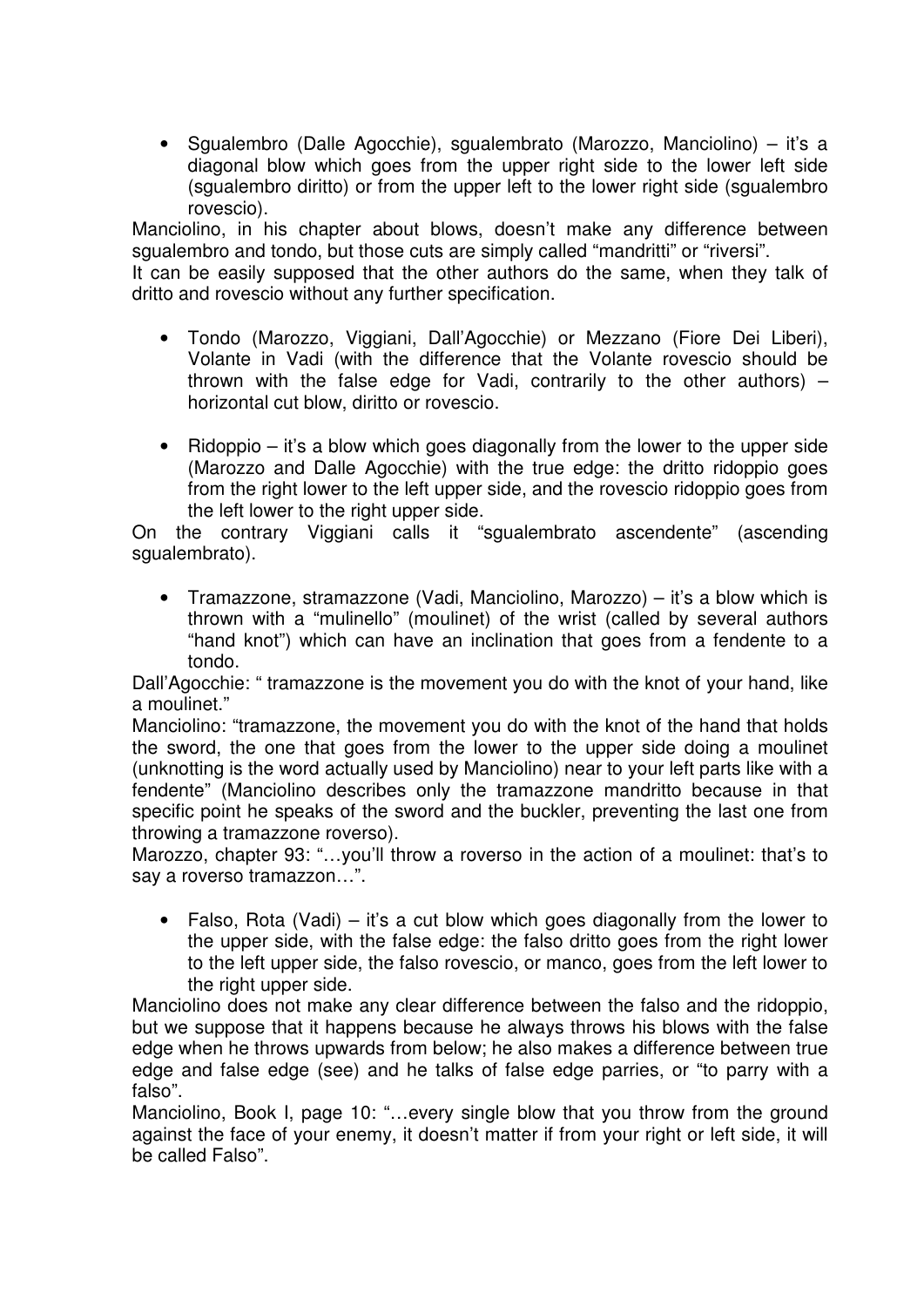• Sgualembro (Dalle Agocchie), sgualembrato (Marozzo, Manciolino) – it's a diagonal blow which goes from the upper right side to the lower left side (sgualembro diritto) or from the upper left to the lower right side (sgualembro rovescio).

Manciolino, in his chapter about blows, doesn't make any difference between sgualembro and tondo, but those cuts are simply called "mandritti" or "riversi".

It can be easily supposed that the other authors do the same, when they talk of dritto and rovescio without any further specification.

- Tondo (Marozzo, Viggiani, Dall'Agocchie) or Mezzano (Fiore Dei Liberi), Volante in Vadi (with the difference that the Volante rovescio should be thrown with the false edge for Vadi, contrarily to the other authors)  $$ horizontal cut blow, diritto or rovescio.
- Ridoppio it's a blow which goes diagonally from the lower to the upper side (Marozzo and Dalle Agocchie) with the true edge: the dritto ridoppio goes from the right lower to the left upper side, and the rovescio ridoppio goes from the left lower to the right upper side.

On the contrary Viggiani calls it "sgualembrato ascendente" (ascending squalembrato).

• Tramazzone, stramazzone (Vadi, Manciolino, Marozzo) – it's a blow which is thrown with a "mulinello" (moulinet) of the wrist (called by several authors "hand knot") which can have an inclination that goes from a fendente to a tondo.

Dall'Agocchie: " tramazzone is the movement you do with the knot of your hand, like a moulinet."

Manciolino: "tramazzone, the movement you do with the knot of the hand that holds the sword, the one that goes from the lower to the upper side doing a moulinet (unknotting is the word actually used by Manciolino) near to your left parts like with a fendente" (Manciolino describes only the tramazzone mandritto because in that specific point he speaks of the sword and the buckler, preventing the last one from throwing a tramazzone roverso).

Marozzo, chapter 93: "…you'll throw a roverso in the action of a moulinet: that's to say a roverso tramazzon…".

• Falso, Rota (Vadi) – it's a cut blow which goes diagonally from the lower to the upper side, with the false edge: the falso dritto goes from the right lower to the left upper side, the falso rovescio, or manco, goes from the left lower to the right upper side.

Manciolino does not make any clear difference between the falso and the ridoppio, but we suppose that it happens because he always throws his blows with the false edge when he throws upwards from below; he also makes a difference between true edge and false edge (see) and he talks of false edge parries, or "to parry with a falso".

Manciolino, Book I, page 10: "…every single blow that you throw from the ground against the face of your enemy, it doesn't matter if from your right or left side, it will be called Falso".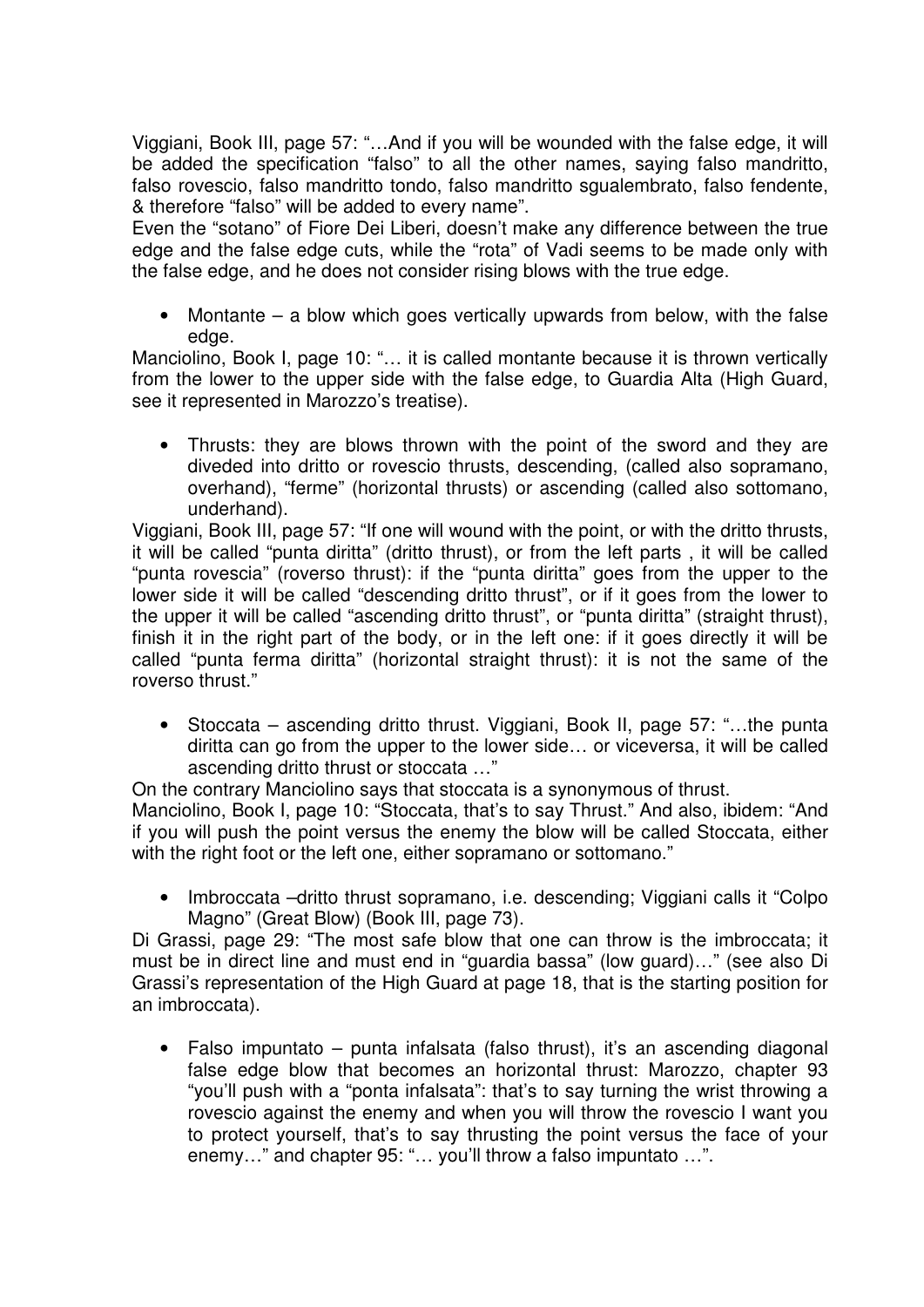Viggiani, Book III, page 57: "…And if you will be wounded with the false edge, it will be added the specification "falso" to all the other names, saying falso mandritto, falso rovescio, falso mandritto tondo, falso mandritto sgualembrato, falso fendente, & therefore "falso" will be added to every name".

Even the "sotano" of Fiore Dei Liberi, doesn't make any difference between the true edge and the false edge cuts, while the "rota" of Vadi seems to be made only with the false edge, and he does not consider rising blows with the true edge.

Montante – a blow which goes vertically upwards from below, with the false edge.

Manciolino, Book I, page 10: "… it is called montante because it is thrown vertically from the lower to the upper side with the false edge, to Guardia Alta (High Guard, see it represented in Marozzo's treatise).

• Thrusts: they are blows thrown with the point of the sword and they are diveded into dritto or rovescio thrusts, descending, (called also sopramano, overhand), "ferme" (horizontal thrusts) or ascending (called also sottomano, underhand).

Viggiani, Book III, page 57: "If one will wound with the point, or with the dritto thrusts, it will be called "punta diritta" (dritto thrust), or from the left parts , it will be called "punta rovescia" (roverso thrust): if the "punta diritta" goes from the upper to the lower side it will be called "descending dritto thrust", or if it goes from the lower to the upper it will be called "ascending dritto thrust", or "punta diritta" (straight thrust), finish it in the right part of the body, or in the left one: if it goes directly it will be called "punta ferma diritta" (horizontal straight thrust): it is not the same of the roverso thrust."

• Stoccata – ascending dritto thrust. Viggiani, Book II, page 57: "…the punta diritta can go from the upper to the lower side… or viceversa, it will be called ascending dritto thrust or stoccata …"

On the contrary Manciolino says that stoccata is a synonymous of thrust.

Manciolino, Book I, page 10: "Stoccata, that's to say Thrust." And also, ibidem: "And if you will push the point versus the enemy the blow will be called Stoccata, either with the right foot or the left one, either sopramano or sottomano."

• Imbroccata –dritto thrust sopramano, i.e. descending; Viggiani calls it "Colpo Magno" (Great Blow) (Book III, page 73).

Di Grassi, page 29: "The most safe blow that one can throw is the imbroccata; it must be in direct line and must end in "guardia bassa" (low guard)…" (see also Di Grassi's representation of the High Guard at page 18, that is the starting position for an imbroccata).

• Falso impuntato – punta infalsata (falso thrust), it's an ascending diagonal false edge blow that becomes an horizontal thrust: Marozzo, chapter 93 "you'll push with a "ponta infalsata": that's to say turning the wrist throwing a rovescio against the enemy and when you will throw the rovescio I want you to protect yourself, that's to say thrusting the point versus the face of your enemy..." and chapter 95: "... you'll throw a falso impuntato ...".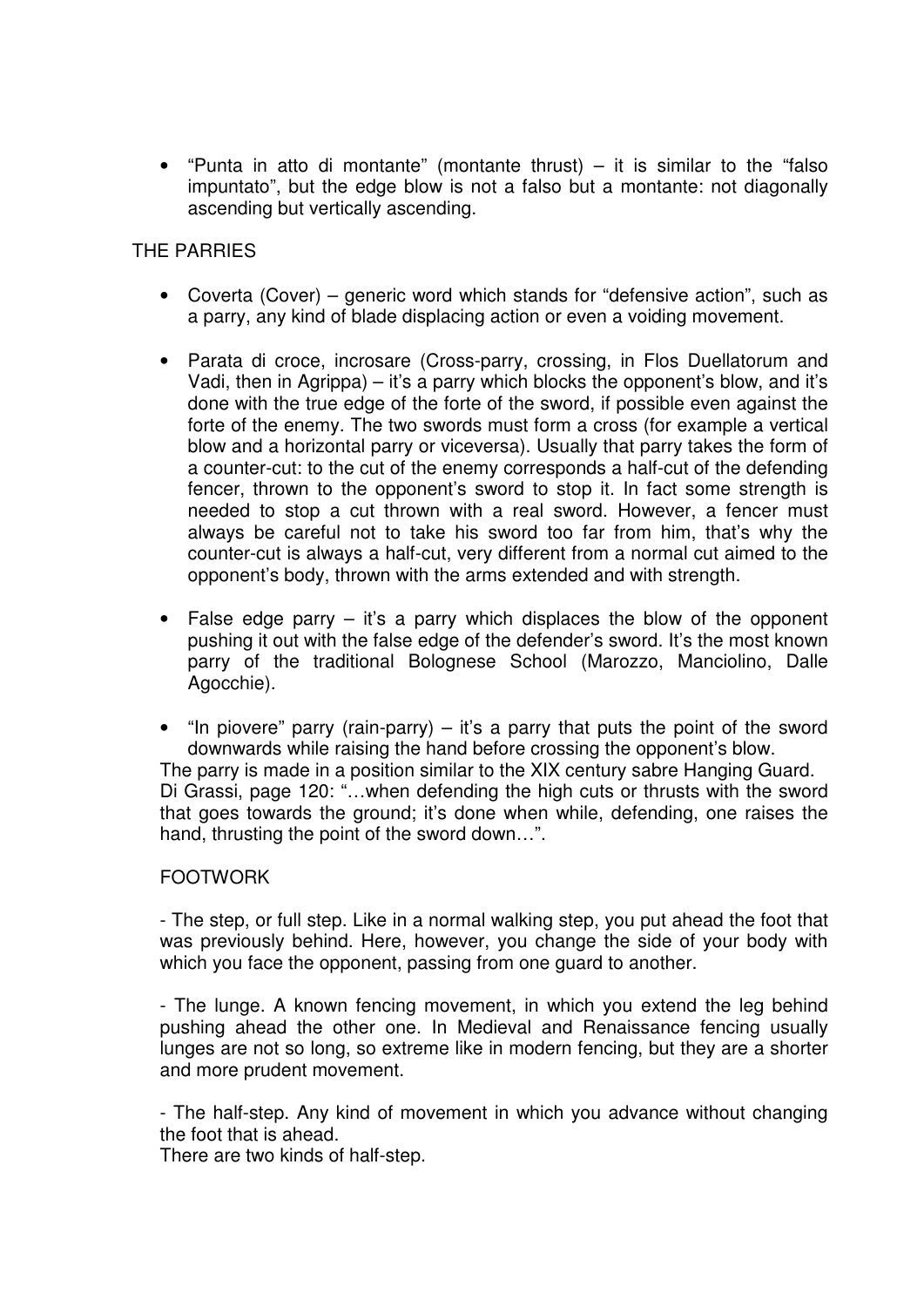• "Punta in atto di montante" (montante thrust) – it is similar to the "falso impuntato", but the edge blow is not a falso but a montante: not diagonally ascending but vertically ascending.

### THE PARRIES

- Coverta (Cover) generic word which stands for "defensive action", such as a parry, any kind of blade displacing action or even a voiding movement.
- Parata di croce, incrosare (Cross-parry, crossing, in Flos Duellatorum and Vadi, then in Agrippa) – it's a parry which blocks the opponent's blow, and it's done with the true edge of the forte of the sword, if possible even against the forte of the enemy. The two swords must form a cross (for example a vertical blow and a horizontal parry or viceversa). Usually that parry takes the form of a counter-cut: to the cut of the enemy corresponds a half-cut of the defending fencer, thrown to the opponent's sword to stop it. In fact some strength is needed to stop a cut thrown with a real sword. However, a fencer must always be careful not to take his sword too far from him, that's why the counter-cut is always a half-cut, very different from a normal cut aimed to the opponent's body, thrown with the arms extended and with strength.
- False edge parry  $-$  it's a parry which displaces the blow of the opponent pushing it out with the false edge of the defender's sword. It's the most known parry of the traditional Bolognese School (Marozzo, Manciolino, Dalle Agocchie).
- "In piovere" parry (rain-parry)  $-$  it's a parry that puts the point of the sword downwards while raising the hand before crossing the opponent's blow. The parry is made in a position similar to the XIX century sabre Hanging Guard. Di Grassi, page 120: "…when defending the high cuts or thrusts with the sword that goes towards the ground; it's done when while, defending, one raises the hand, thrusting the point of the sword down…".

### FOOTWORK

- The step, or full step. Like in a normal walking step, you put ahead the foot that was previously behind. Here, however, you change the side of your body with which you face the opponent, passing from one guard to another.

- The lunge. A known fencing movement, in which you extend the leg behind pushing ahead the other one. In Medieval and Renaissance fencing usually lunges are not so long, so extreme like in modern fencing, but they are a shorter and more prudent movement.

- The half-step. Any kind of movement in which you advance without changing the foot that is ahead.

There are two kinds of half-step.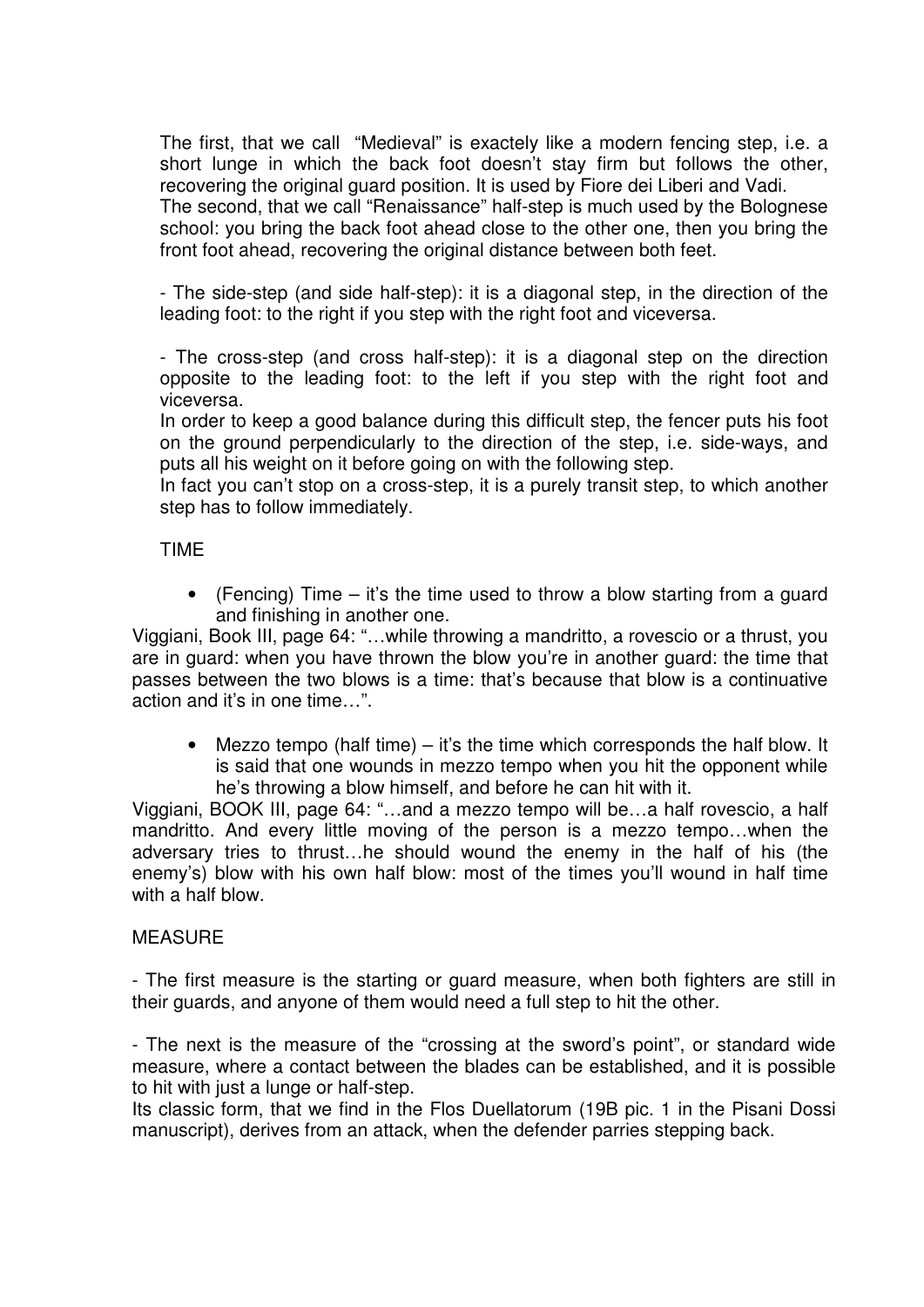The first, that we call "Medieval" is exactely like a modern fencing step, i.e. a short lunge in which the back foot doesn't stay firm but follows the other, recovering the original guard position. It is used by Fiore dei Liberi and Vadi. The second, that we call "Renaissance" half-step is much used by the Bolognese school: you bring the back foot ahead close to the other one, then you bring the front foot ahead, recovering the original distance between both feet.

- The side-step (and side half-step): it is a diagonal step, in the direction of the leading foot: to the right if you step with the right foot and viceversa.

- The cross-step (and cross half-step): it is a diagonal step on the direction opposite to the leading foot: to the left if you step with the right foot and viceversa.

In order to keep a good balance during this difficult step, the fencer puts his foot on the ground perpendicularly to the direction of the step, i.e. side-ways, and puts all his weight on it before going on with the following step.

In fact you can't stop on a cross-step, it is a purely transit step, to which another step has to follow immediately.

### TIME

• (Fencing) Time – it's the time used to throw a blow starting from a guard and finishing in another one.

Viggiani, Book III, page 64: "…while throwing a mandritto, a rovescio or a thrust, you are in guard: when you have thrown the blow you're in another guard: the time that passes between the two blows is a time: that's because that blow is a continuative action and it's in one time…".

• Mezzo tempo (half time) – it's the time which corresponds the half blow. It is said that one wounds in mezzo tempo when you hit the opponent while he's throwing a blow himself, and before he can hit with it.

Viggiani, BOOK III, page 64: "…and a mezzo tempo will be…a half rovescio, a half mandritto. And every little moving of the person is a mezzo tempo…when the adversary tries to thrust…he should wound the enemy in the half of his (the enemy's) blow with his own half blow: most of the times you'll wound in half time with a half blow.

### **MEASURE**

- The first measure is the starting or guard measure, when both fighters are still in their guards, and anyone of them would need a full step to hit the other.

- The next is the measure of the "crossing at the sword's point", or standard wide measure, where a contact between the blades can be established, and it is possible to hit with just a lunge or half-step.

Its classic form, that we find in the Flos Duellatorum (19B pic. 1 in the Pisani Dossi manuscript), derives from an attack, when the defender parries stepping back.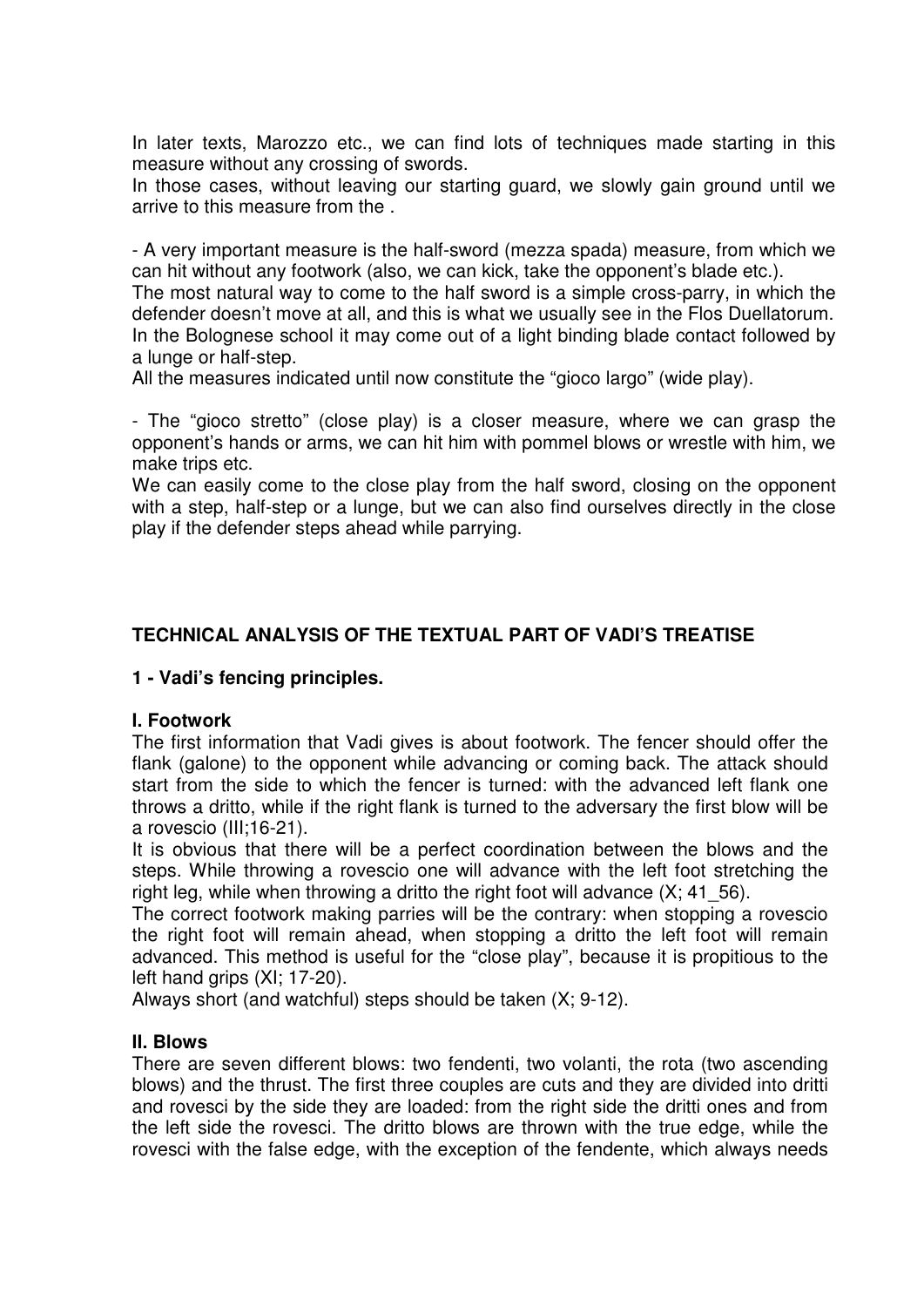In later texts, Marozzo etc., we can find lots of techniques made starting in this measure without any crossing of swords.

In those cases, without leaving our starting guard, we slowly gain ground until we arrive to this measure from the .

- A very important measure is the half-sword (mezza spada) measure, from which we can hit without any footwork (also, we can kick, take the opponent's blade etc.).

The most natural way to come to the half sword is a simple cross-parry, in which the defender doesn't move at all, and this is what we usually see in the Flos Duellatorum. In the Bolognese school it may come out of a light binding blade contact followed by a lunge or half-step.

All the measures indicated until now constitute the "gioco largo" (wide play).

- The "gioco stretto" (close play) is a closer measure, where we can grasp the opponent's hands or arms, we can hit him with pommel blows or wrestle with him, we make trips etc.

We can easily come to the close play from the half sword, closing on the opponent with a step, half-step or a lunge, but we can also find ourselves directly in the close play if the defender steps ahead while parrying.

# **TECHNICAL ANALYSIS OF THE TEXTUAL PART OF VADI'S TREATISE**

### **1 - Vadi's fencing principles.**

### **I. Footwork**

The first information that Vadi gives is about footwork. The fencer should offer the flank (galone) to the opponent while advancing or coming back. The attack should start from the side to which the fencer is turned: with the advanced left flank one throws a dritto, while if the right flank is turned to the adversary the first blow will be a rovescio (III;16-21).

It is obvious that there will be a perfect coordination between the blows and the steps. While throwing a rovescio one will advance with the left foot stretching the right leg, while when throwing a dritto the right foot will advance  $(X; 41; 56)$ .

The correct footwork making parries will be the contrary: when stopping a rovescio the right foot will remain ahead, when stopping a dritto the left foot will remain advanced. This method is useful for the "close play", because it is propitious to the left hand grips (XI; 17-20).

Always short (and watchful) steps should be taken (X; 9-12).

### **II. Blows**

There are seven different blows: two fendenti, two volanti, the rota (two ascending blows) and the thrust. The first three couples are cuts and they are divided into dritti and rovesci by the side they are loaded: from the right side the dritti ones and from the left side the rovesci. The dritto blows are thrown with the true edge, while the rovesci with the false edge, with the exception of the fendente, which always needs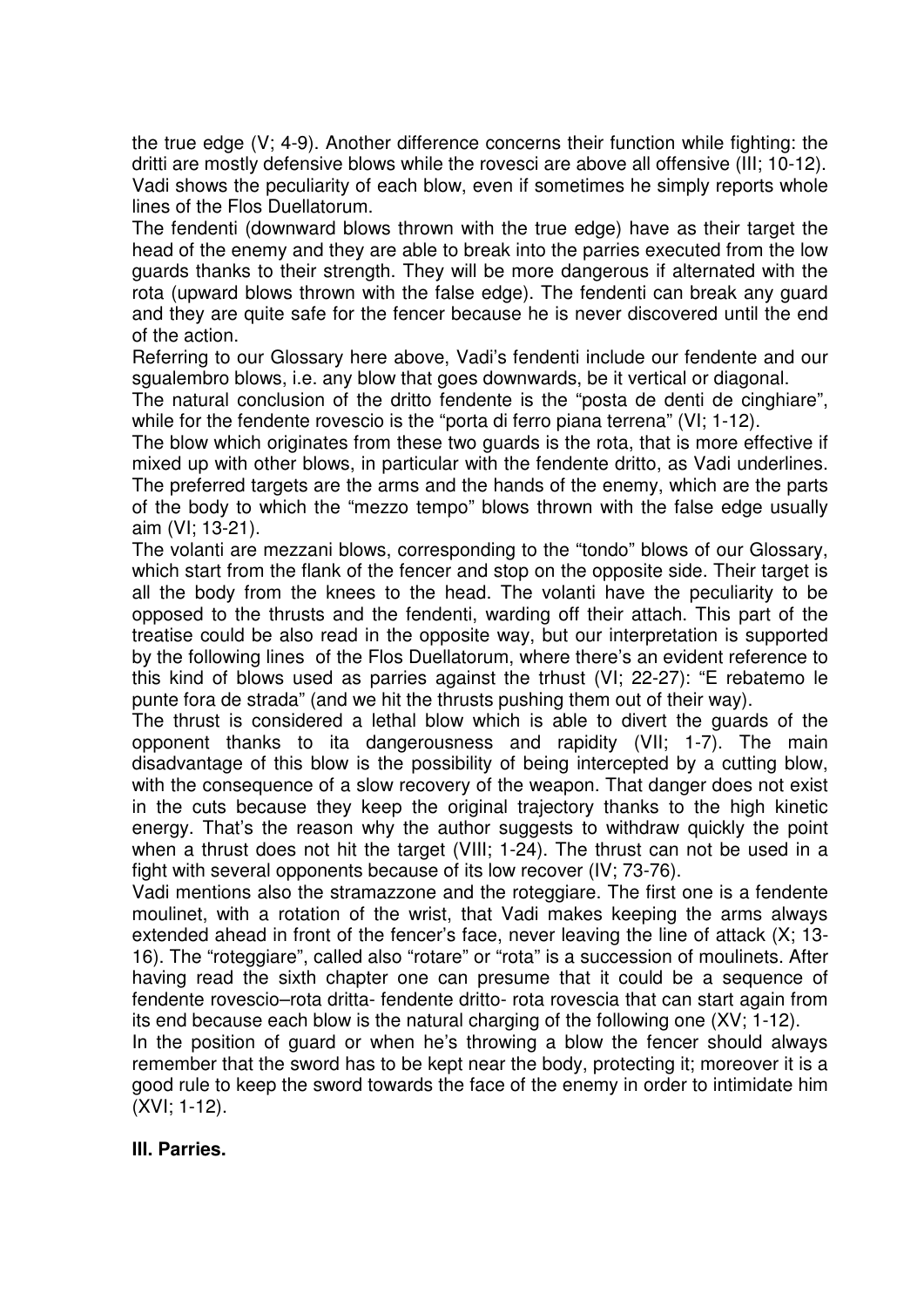the true edge (V; 4-9). Another difference concerns their function while fighting: the dritti are mostly defensive blows while the rovesci are above all offensive (III; 10-12). Vadi shows the peculiarity of each blow, even if sometimes he simply reports whole lines of the Flos Duellatorum.

The fendenti (downward blows thrown with the true edge) have as their target the head of the enemy and they are able to break into the parries executed from the low guards thanks to their strength. They will be more dangerous if alternated with the rota (upward blows thrown with the false edge). The fendenti can break any guard and they are quite safe for the fencer because he is never discovered until the end of the action.

Referring to our Glossary here above, Vadi's fendenti include our fendente and our sgualembro blows, i.e. any blow that goes downwards, be it vertical or diagonal.

The natural conclusion of the dritto fendente is the "posta de denti de cinghiare", while for the fendente rovescio is the "porta di ferro piana terrena" (VI: 1-12).

The blow which originates from these two guards is the rota, that is more effective if mixed up with other blows, in particular with the fendente dritto, as Vadi underlines. The preferred targets are the arms and the hands of the enemy, which are the parts of the body to which the "mezzo tempo" blows thrown with the false edge usually aim (VI; 13-21).

The volanti are mezzani blows, corresponding to the "tondo" blows of our Glossary, which start from the flank of the fencer and stop on the opposite side. Their target is all the body from the knees to the head. The volanti have the peculiarity to be opposed to the thrusts and the fendenti, warding off their attach. This part of the treatise could be also read in the opposite way, but our interpretation is supported by the following lines of the Flos Duellatorum, where there's an evident reference to this kind of blows used as parries against the trhust (VI; 22-27): "E rebatemo le punte fora de strada" (and we hit the thrusts pushing them out of their way).

The thrust is considered a lethal blow which is able to divert the guards of the opponent thanks to ita dangerousness and rapidity (VII; 1-7). The main disadvantage of this blow is the possibility of being intercepted by a cutting blow, with the consequence of a slow recovery of the weapon. That danger does not exist in the cuts because they keep the original trajectory thanks to the high kinetic energy. That's the reason why the author suggests to withdraw quickly the point when a thrust does not hit the target (VIII; 1-24). The thrust can not be used in a fight with several opponents because of its low recover (IV; 73-76).

Vadi mentions also the stramazzone and the roteggiare. The first one is a fendente moulinet, with a rotation of the wrist, that Vadi makes keeping the arms always extended ahead in front of the fencer's face, never leaving the line of attack (X; 13- 16). The "roteggiare", called also "rotare" or "rota" is a succession of moulinets. After having read the sixth chapter one can presume that it could be a sequence of fendente rovescio–rota dritta- fendente dritto- rota rovescia that can start again from its end because each blow is the natural charging of the following one (XV; 1-12).

In the position of guard or when he's throwing a blow the fencer should always remember that the sword has to be kept near the body, protecting it; moreover it is a good rule to keep the sword towards the face of the enemy in order to intimidate him (XVI; 1-12).

### **III. Parries.**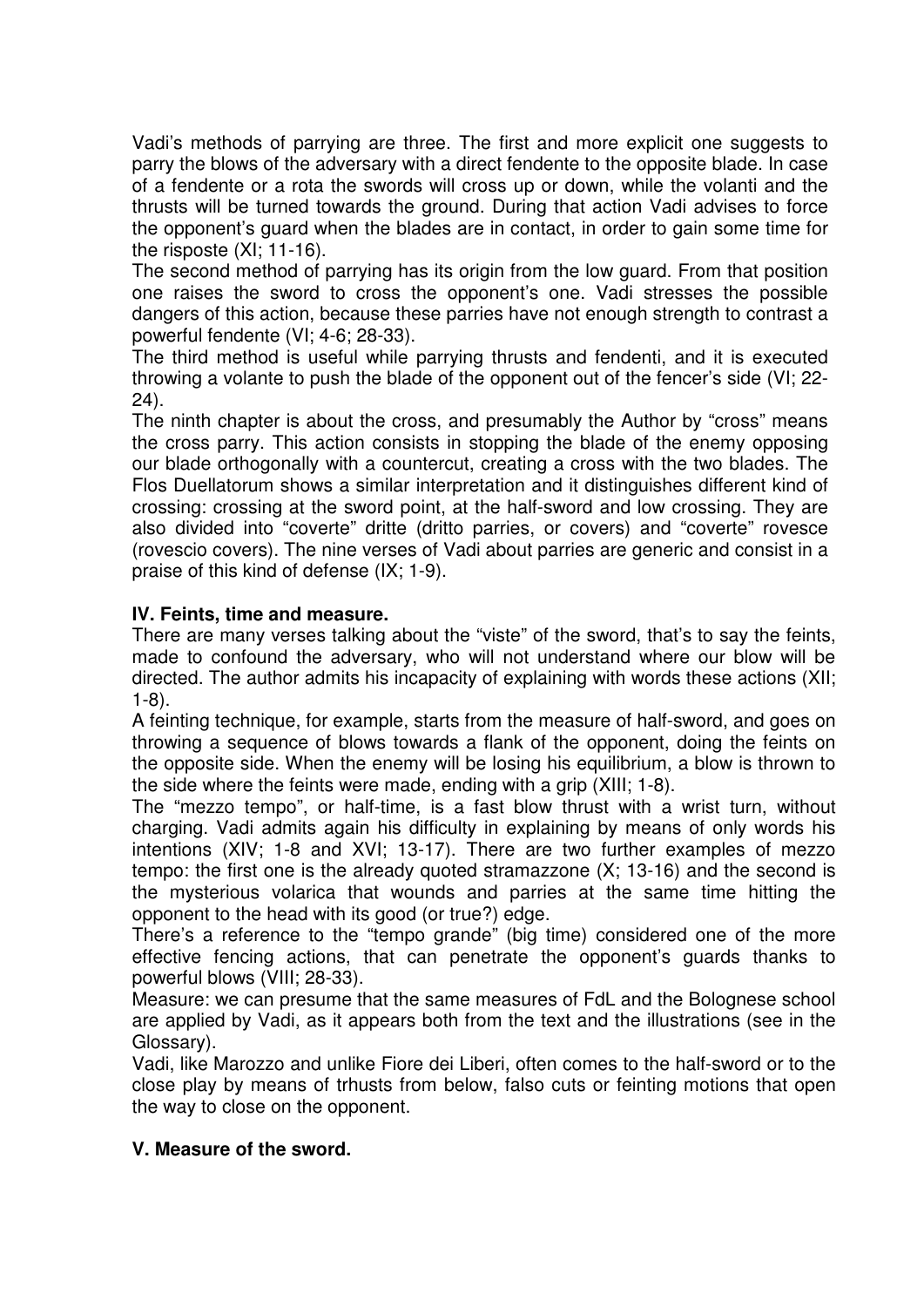Vadi's methods of parrying are three. The first and more explicit one suggests to parry the blows of the adversary with a direct fendente to the opposite blade. In case of a fendente or a rota the swords will cross up or down, while the volanti and the thrusts will be turned towards the ground. During that action Vadi advises to force the opponent's guard when the blades are in contact, in order to gain some time for the risposte (XI; 11-16).

The second method of parrying has its origin from the low guard. From that position one raises the sword to cross the opponent's one. Vadi stresses the possible dangers of this action, because these parries have not enough strength to contrast a powerful fendente (VI; 4-6; 28-33).

The third method is useful while parrying thrusts and fendenti, and it is executed throwing a volante to push the blade of the opponent out of the fencer's side (VI; 22- 24).

The ninth chapter is about the cross, and presumably the Author by "cross" means the cross parry. This action consists in stopping the blade of the enemy opposing our blade orthogonally with a countercut, creating a cross with the two blades. The Flos Duellatorum shows a similar interpretation and it distinguishes different kind of crossing: crossing at the sword point, at the half-sword and low crossing. They are also divided into "coverte" dritte (dritto parries, or covers) and "coverte" rovesce (rovescio covers). The nine verses of Vadi about parries are generic and consist in a praise of this kind of defense (IX; 1-9).

# **IV. Feints, time and measure.**

There are many verses talking about the "viste" of the sword, that's to say the feints, made to confound the adversary, who will not understand where our blow will be directed. The author admits his incapacity of explaining with words these actions (XII; 1-8).

A feinting technique, for example, starts from the measure of half-sword, and goes on throwing a sequence of blows towards a flank of the opponent, doing the feints on the opposite side. When the enemy will be losing his equilibrium, a blow is thrown to the side where the feints were made, ending with a grip (XIII; 1-8).

The "mezzo tempo", or half-time, is a fast blow thrust with a wrist turn, without charging. Vadi admits again his difficulty in explaining by means of only words his intentions (XIV; 1-8 and XVI; 13-17). There are two further examples of mezzo tempo: the first one is the already quoted stramazzone (X; 13-16) and the second is the mysterious volarica that wounds and parries at the same time hitting the opponent to the head with its good (or true?) edge.

There's a reference to the "tempo grande" (big time) considered one of the more effective fencing actions, that can penetrate the opponent's guards thanks to powerful blows (VIII; 28-33).

Measure: we can presume that the same measures of FdL and the Bolognese school are applied by Vadi, as it appears both from the text and the illustrations (see in the Glossary).

Vadi, like Marozzo and unlike Fiore dei Liberi, often comes to the half-sword or to the close play by means of trhusts from below, falso cuts or feinting motions that open the way to close on the opponent.

# **V. Measure of the sword.**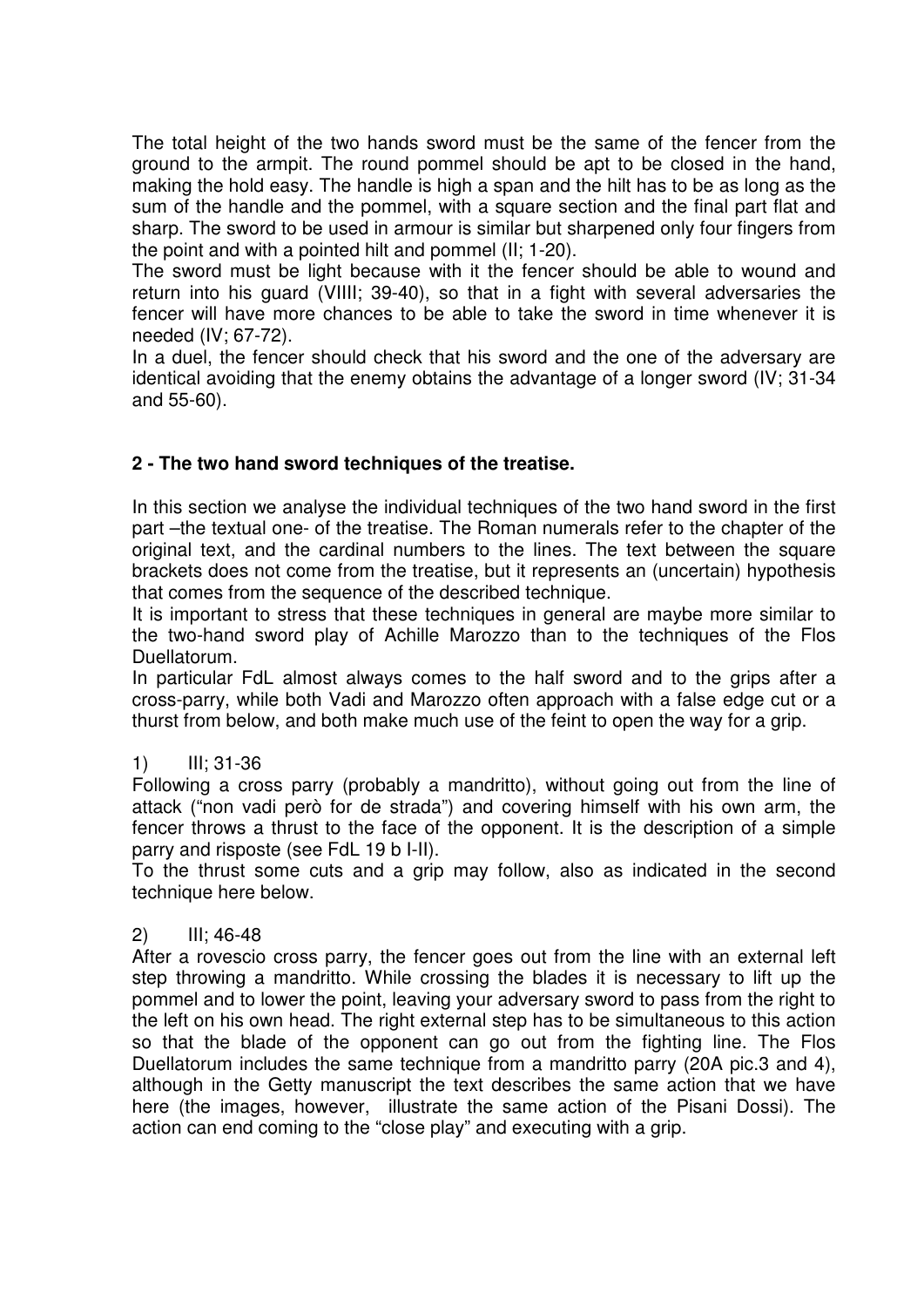The total height of the two hands sword must be the same of the fencer from the ground to the armpit. The round pommel should be apt to be closed in the hand, making the hold easy. The handle is high a span and the hilt has to be as long as the sum of the handle and the pommel, with a square section and the final part flat and sharp. The sword to be used in armour is similar but sharpened only four fingers from the point and with a pointed hilt and pommel (II; 1-20).

The sword must be light because with it the fencer should be able to wound and return into his guard (VIIII; 39-40), so that in a fight with several adversaries the fencer will have more chances to be able to take the sword in time whenever it is needed (IV; 67-72).

In a duel, the fencer should check that his sword and the one of the adversary are identical avoiding that the enemy obtains the advantage of a longer sword (IV; 31-34 and 55-60).

# **2 - The two hand sword techniques of the treatise.**

In this section we analyse the individual techniques of the two hand sword in the first part –the textual one- of the treatise. The Roman numerals refer to the chapter of the original text, and the cardinal numbers to the lines. The text between the square brackets does not come from the treatise, but it represents an (uncertain) hypothesis that comes from the sequence of the described technique.

It is important to stress that these techniques in general are maybe more similar to the two-hand sword play of Achille Marozzo than to the techniques of the Flos Duellatorum.

In particular FdL almost always comes to the half sword and to the grips after a cross-parry, while both Vadi and Marozzo often approach with a false edge cut or a thurst from below, and both make much use of the feint to open the way for a grip.

# 1) III; 31-36

Following a cross parry (probably a mandritto), without going out from the line of attack ("non vadi però for de strada") and covering himself with his own arm, the fencer throws a thrust to the face of the opponent. It is the description of a simple parry and risposte (see FdL 19 b I-II).

To the thrust some cuts and a grip may follow, also as indicated in the second technique here below.

### 2) III; 46-48

After a rovescio cross parry, the fencer goes out from the line with an external left step throwing a mandritto. While crossing the blades it is necessary to lift up the pommel and to lower the point, leaving your adversary sword to pass from the right to the left on his own head. The right external step has to be simultaneous to this action so that the blade of the opponent can go out from the fighting line. The Flos Duellatorum includes the same technique from a mandritto parry (20A pic.3 and 4), although in the Getty manuscript the text describes the same action that we have here (the images, however, illustrate the same action of the Pisani Dossi). The action can end coming to the "close play" and executing with a grip.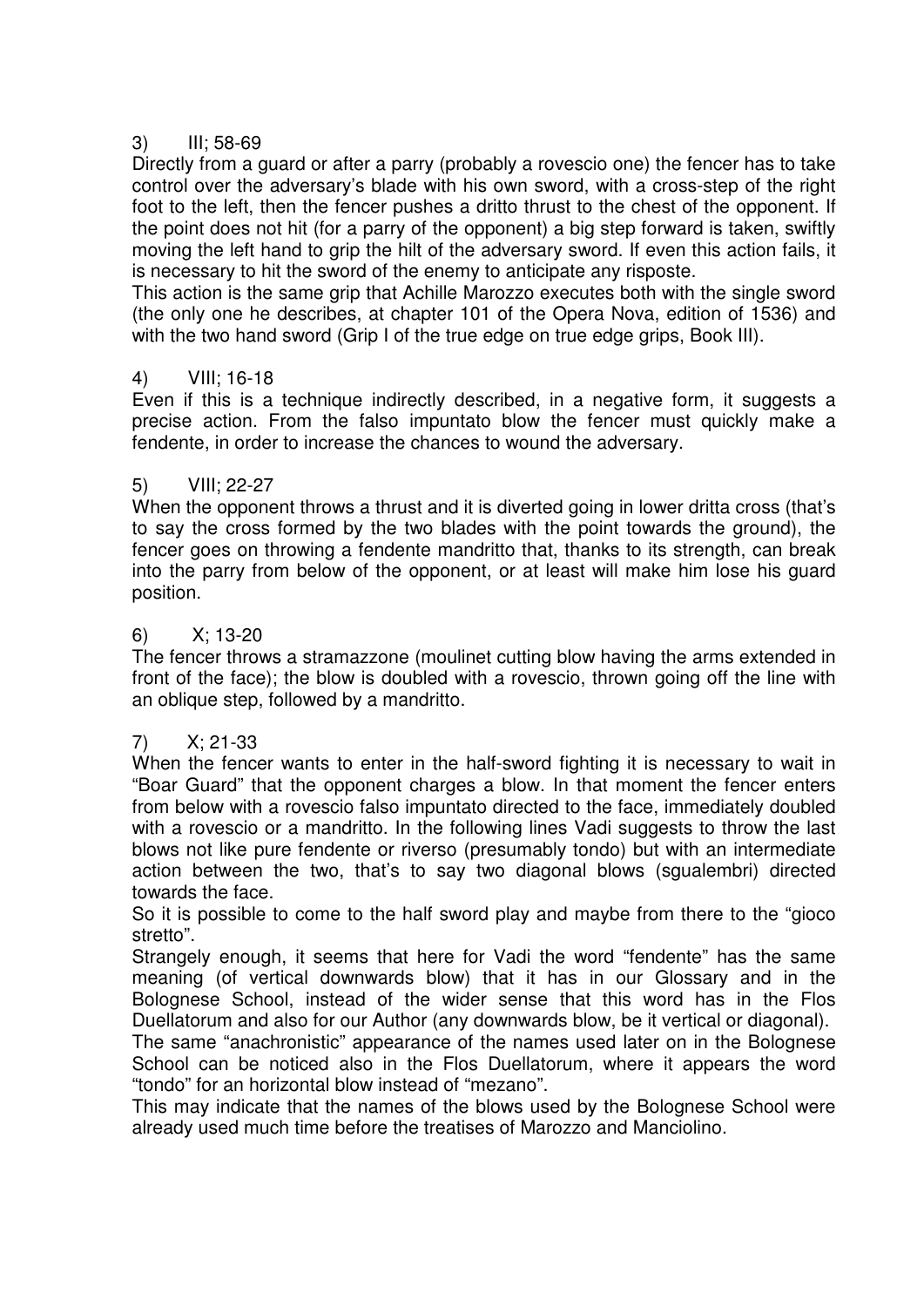## 3) III; 58-69

Directly from a guard or after a parry (probably a rovescio one) the fencer has to take control over the adversary's blade with his own sword, with a cross-step of the right foot to the left, then the fencer pushes a dritto thrust to the chest of the opponent. If the point does not hit (for a parry of the opponent) a big step forward is taken, swiftly moving the left hand to grip the hilt of the adversary sword. If even this action fails, it is necessary to hit the sword of the enemy to anticipate any risposte.

This action is the same grip that Achille Marozzo executes both with the single sword (the only one he describes, at chapter 101 of the Opera Nova, edition of 1536) and with the two hand sword (Grip I of the true edge on true edge grips, Book III).

## 4) VIII; 16-18

Even if this is a technique indirectly described, in a negative form, it suggests a precise action. From the falso impuntato blow the fencer must quickly make a fendente, in order to increase the chances to wound the adversary.

### 5) VIII; 22-27

When the opponent throws a thrust and it is diverted going in lower dritta cross (that's to say the cross formed by the two blades with the point towards the ground), the fencer goes on throwing a fendente mandritto that, thanks to its strength, can break into the parry from below of the opponent, or at least will make him lose his guard position.

### 6) X; 13-20

The fencer throws a stramazzone (moulinet cutting blow having the arms extended in front of the face); the blow is doubled with a rovescio, thrown going off the line with an oblique step, followed by a mandritto.

### 7) X; 21-33

When the fencer wants to enter in the half-sword fighting it is necessary to wait in "Boar Guard" that the opponent charges a blow. In that moment the fencer enters from below with a rovescio falso impuntato directed to the face, immediately doubled with a rovescio or a mandritto. In the following lines Vadi suggests to throw the last blows not like pure fendente or riverso (presumably tondo) but with an intermediate action between the two, that's to say two diagonal blows (sgualembri) directed towards the face.

So it is possible to come to the half sword play and maybe from there to the "gioco stretto".

Strangely enough, it seems that here for Vadi the word "fendente" has the same meaning (of vertical downwards blow) that it has in our Glossary and in the Bolognese School, instead of the wider sense that this word has in the Flos Duellatorum and also for our Author (any downwards blow, be it vertical or diagonal).

The same "anachronistic" appearance of the names used later on in the Bolognese School can be noticed also in the Flos Duellatorum, where it appears the word "tondo" for an horizontal blow instead of "mezano".

This may indicate that the names of the blows used by the Bolognese School were already used much time before the treatises of Marozzo and Manciolino.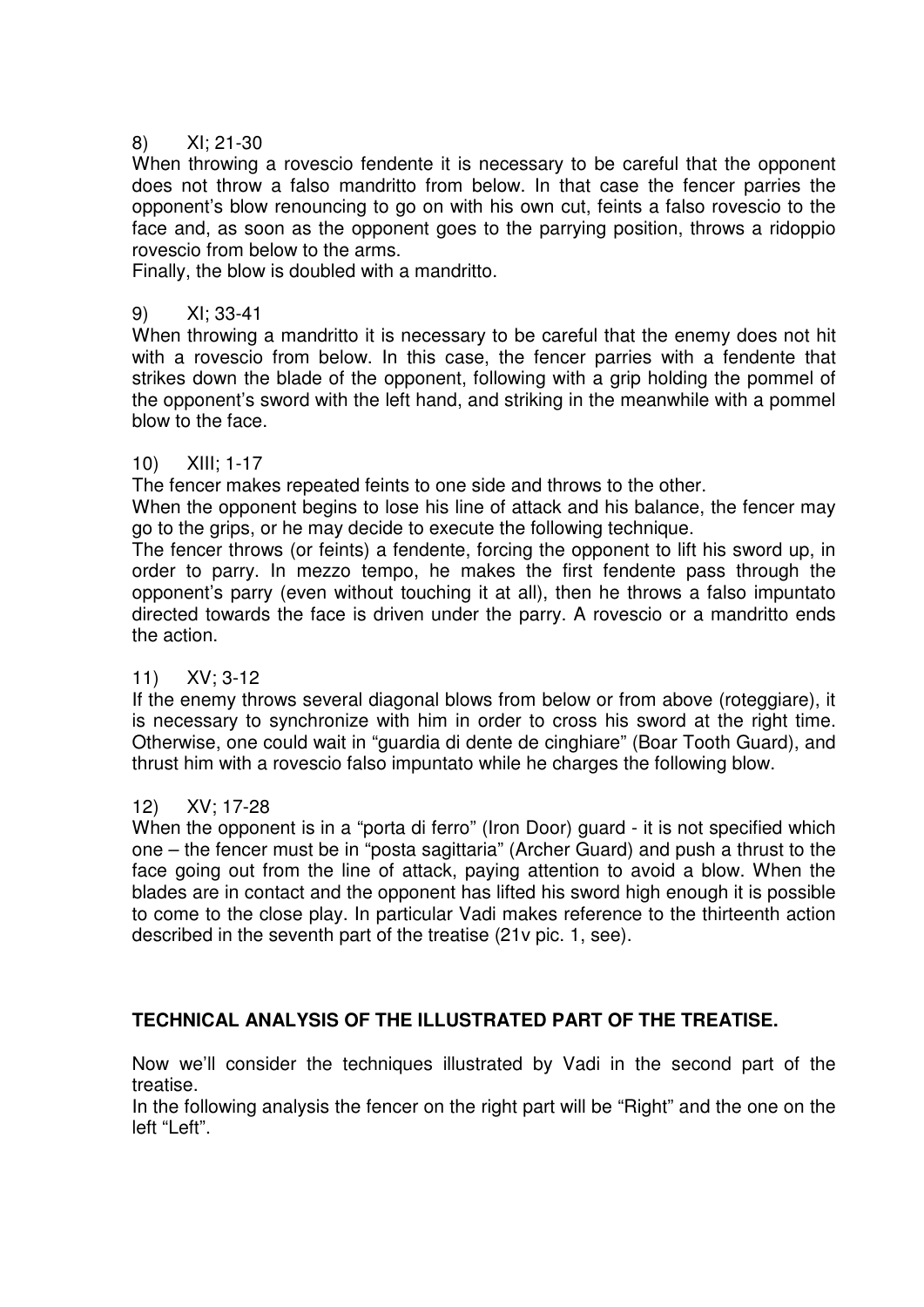## 8) XI; 21-30

When throwing a rovescio fendente it is necessary to be careful that the opponent does not throw a falso mandritto from below. In that case the fencer parries the opponent's blow renouncing to go on with his own cut, feints a falso rovescio to the face and, as soon as the opponent goes to the parrying position, throws a ridoppio rovescio from below to the arms.

Finally, the blow is doubled with a mandritto.

#### 9) XI; 33-41

When throwing a mandritto it is necessary to be careful that the enemy does not hit with a rovescio from below. In this case, the fencer parries with a fendente that strikes down the blade of the opponent, following with a grip holding the pommel of the opponent's sword with the left hand, and striking in the meanwhile with a pommel blow to the face.

#### 10) XIII; 1-17

The fencer makes repeated feints to one side and throws to the other.

When the opponent begins to lose his line of attack and his balance, the fencer may go to the grips, or he may decide to execute the following technique.

The fencer throws (or feints) a fendente, forcing the opponent to lift his sword up, in order to parry. In mezzo tempo, he makes the first fendente pass through the opponent's parry (even without touching it at all), then he throws a falso impuntato directed towards the face is driven under the parry. A rovescio or a mandritto ends the action.

### 11) XV; 3-12

If the enemy throws several diagonal blows from below or from above (roteggiare), it is necessary to synchronize with him in order to cross his sword at the right time. Otherwise, one could wait in "guardia di dente de cinghiare" (Boar Tooth Guard), and thrust him with a rovescio falso impuntato while he charges the following blow.

### 12) XV; 17-28

When the opponent is in a "porta di ferro" (Iron Door) guard - it is not specified which one – the fencer must be in "posta sagittaria" (Archer Guard) and push a thrust to the face going out from the line of attack, paying attention to avoid a blow. When the blades are in contact and the opponent has lifted his sword high enough it is possible to come to the close play. In particular Vadi makes reference to the thirteenth action described in the seventh part of the treatise (21v pic. 1, see).

# **TECHNICAL ANALYSIS OF THE ILLUSTRATED PART OF THE TREATISE.**

Now we'll consider the techniques illustrated by Vadi in the second part of the treatise.

In the following analysis the fencer on the right part will be "Right" and the one on the left "Left".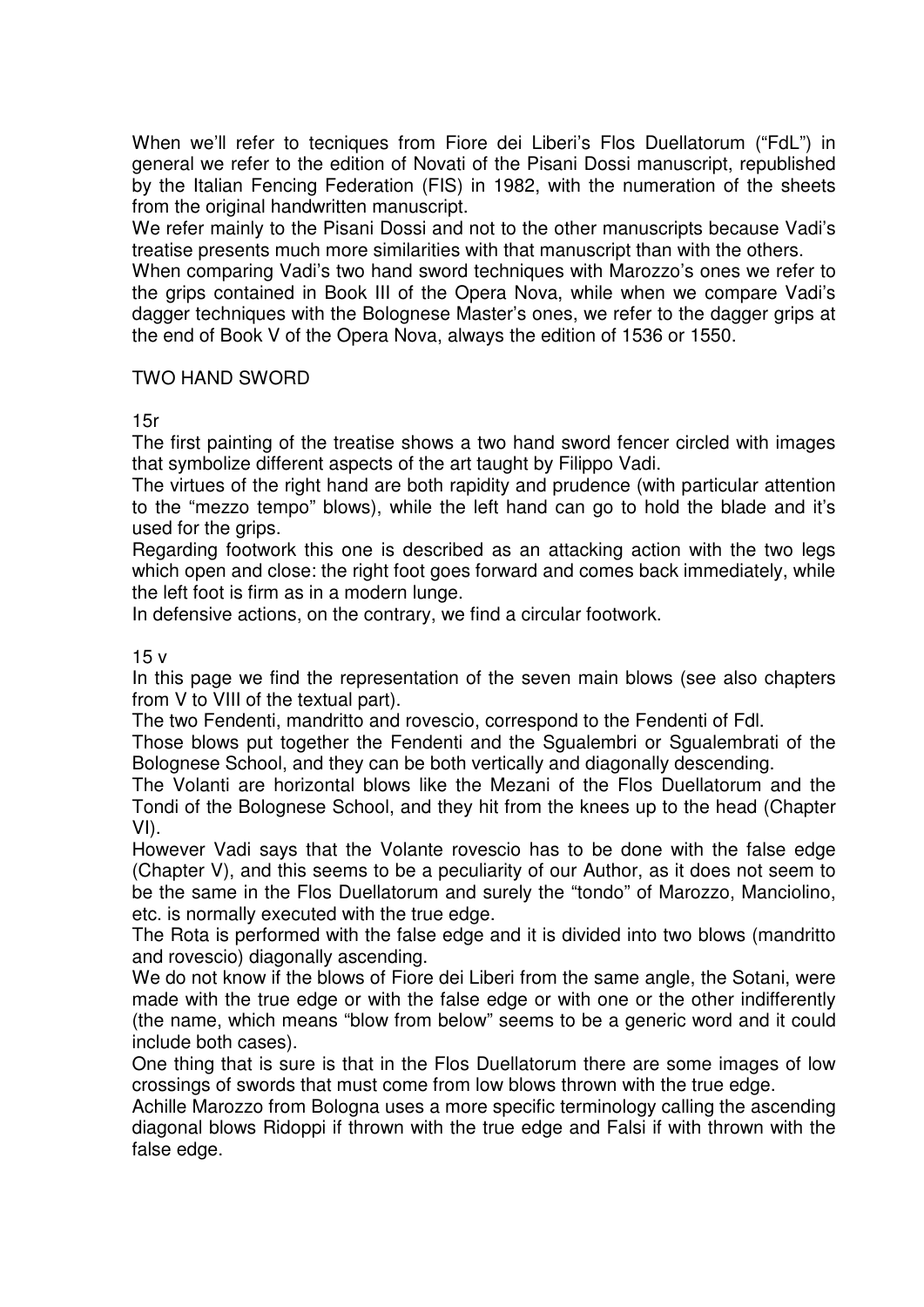When we'll refer to tecniques from Fiore dei Liberi's Flos Duellatorum ("FdL") in general we refer to the edition of Novati of the Pisani Dossi manuscript, republished by the Italian Fencing Federation (FIS) in 1982, with the numeration of the sheets from the original handwritten manuscript.

We refer mainly to the Pisani Dossi and not to the other manuscripts because Vadi's treatise presents much more similarities with that manuscript than with the others.

When comparing Vadi's two hand sword techniques with Marozzo's ones we refer to the grips contained in Book III of the Opera Nova, while when we compare Vadi's dagger techniques with the Bolognese Master's ones, we refer to the dagger grips at the end of Book V of the Opera Nova, always the edition of 1536 or 1550.

## TWO HAND SWORD

15r

The first painting of the treatise shows a two hand sword fencer circled with images that symbolize different aspects of the art taught by Filippo Vadi.

The virtues of the right hand are both rapidity and prudence (with particular attention to the "mezzo tempo" blows), while the left hand can go to hold the blade and it's used for the grips.

Regarding footwork this one is described as an attacking action with the two legs which open and close: the right foot goes forward and comes back immediately, while the left foot is firm as in a modern lunge.

In defensive actions, on the contrary, we find a circular footwork.

15 v

In this page we find the representation of the seven main blows (see also chapters from V to VIII of the textual part).

The two Fendenti, mandritto and rovescio, correspond to the Fendenti of Fdl.

Those blows put together the Fendenti and the Squalembri or Squalembrati of the Bolognese School, and they can be both vertically and diagonally descending.

The Volanti are horizontal blows like the Mezani of the Flos Duellatorum and the Tondi of the Bolognese School, and they hit from the knees up to the head (Chapter VI).

However Vadi says that the Volante rovescio has to be done with the false edge (Chapter V), and this seems to be a peculiarity of our Author, as it does not seem to be the same in the Flos Duellatorum and surely the "tondo" of Marozzo, Manciolino, etc. is normally executed with the true edge.

The Rota is performed with the false edge and it is divided into two blows (mandritto and rovescio) diagonally ascending.

We do not know if the blows of Fiore dei Liberi from the same angle, the Sotani, were made with the true edge or with the false edge or with one or the other indifferently (the name, which means "blow from below" seems to be a generic word and it could include both cases).

One thing that is sure is that in the Flos Duellatorum there are some images of low crossings of swords that must come from low blows thrown with the true edge.

Achille Marozzo from Bologna uses a more specific terminology calling the ascending diagonal blows Ridoppi if thrown with the true edge and Falsi if with thrown with the false edge.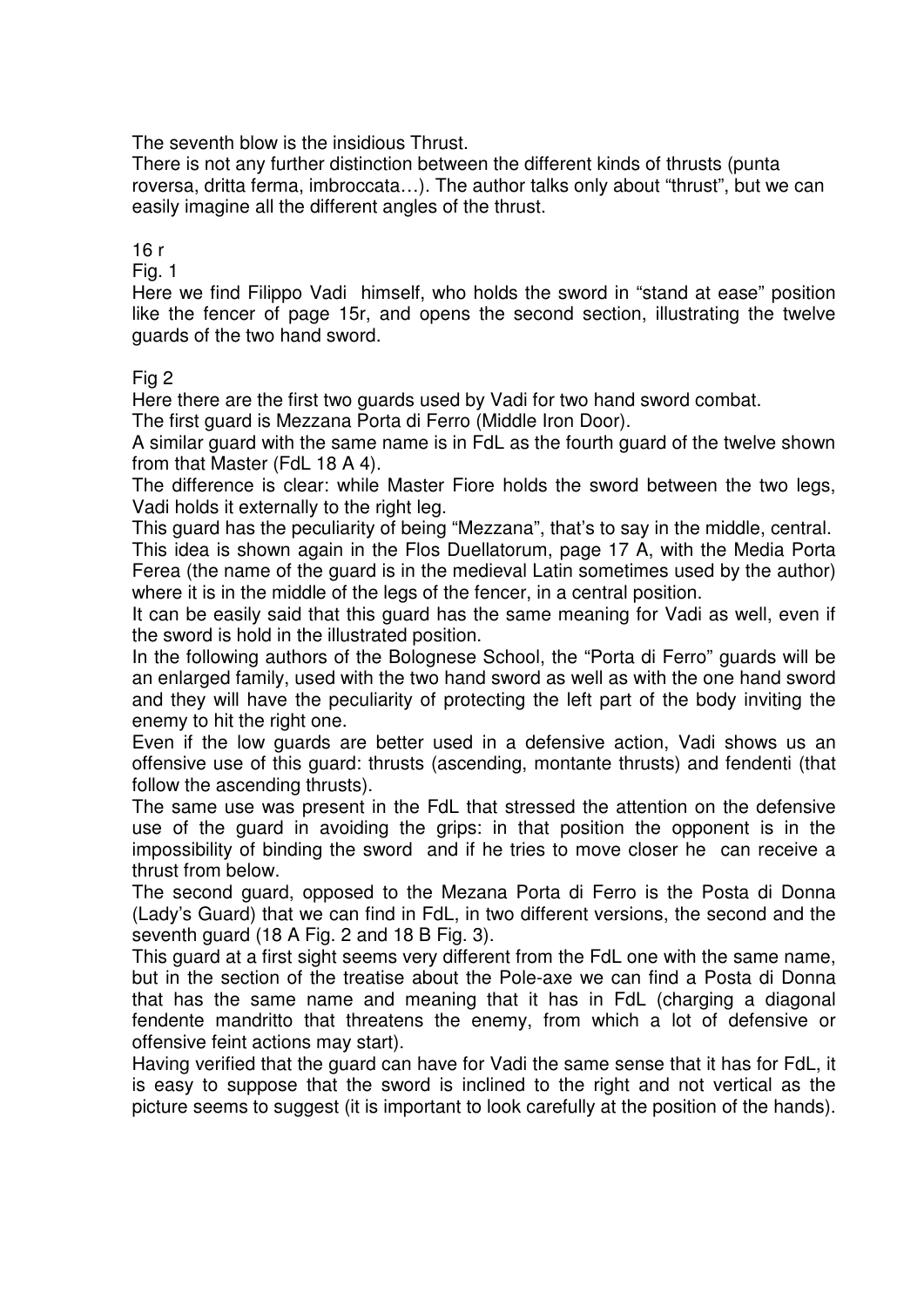The seventh blow is the insidious Thrust.

There is not any further distinction between the different kinds of thrusts (punta roversa, dritta ferma, imbroccata…). The author talks only about "thrust", but we can easily imagine all the different angles of the thrust.

## 16 r

Fig. 1

Here we find Filippo Vadi himself, who holds the sword in "stand at ease" position like the fencer of page 15r, and opens the second section, illustrating the twelve guards of the two hand sword.

### Fig 2

Here there are the first two guards used by Vadi for two hand sword combat.

The first guard is Mezzana Porta di Ferro (Middle Iron Door).

A similar guard with the same name is in FdL as the fourth guard of the twelve shown from that Master (FdL 18 A 4).

The difference is clear: while Master Fiore holds the sword between the two legs, Vadi holds it externally to the right leg.

This guard has the peculiarity of being "Mezzana", that's to say in the middle, central. This idea is shown again in the Flos Duellatorum, page 17 A, with the Media Porta Ferea (the name of the guard is in the medieval Latin sometimes used by the author) where it is in the middle of the legs of the fencer, in a central position.

It can be easily said that this guard has the same meaning for Vadi as well, even if the sword is hold in the illustrated position.

In the following authors of the Bolognese School, the "Porta di Ferro" guards will be an enlarged family, used with the two hand sword as well as with the one hand sword and they will have the peculiarity of protecting the left part of the body inviting the enemy to hit the right one.

Even if the low guards are better used in a defensive action, Vadi shows us an offensive use of this guard: thrusts (ascending, montante thrusts) and fendenti (that follow the ascending thrusts).

The same use was present in the FdL that stressed the attention on the defensive use of the guard in avoiding the grips: in that position the opponent is in the impossibility of binding the sword and if he tries to move closer he can receive a thrust from below.

The second guard, opposed to the Mezana Porta di Ferro is the Posta di Donna (Lady's Guard) that we can find in FdL, in two different versions, the second and the seventh guard (18 A Fig. 2 and 18 B Fig. 3).

This guard at a first sight seems very different from the FdL one with the same name, but in the section of the treatise about the Pole-axe we can find a Posta di Donna that has the same name and meaning that it has in FdL (charging a diagonal fendente mandritto that threatens the enemy, from which a lot of defensive or offensive feint actions may start).

Having verified that the guard can have for Vadi the same sense that it has for FdL, it is easy to suppose that the sword is inclined to the right and not vertical as the picture seems to suggest (it is important to look carefully at the position of the hands).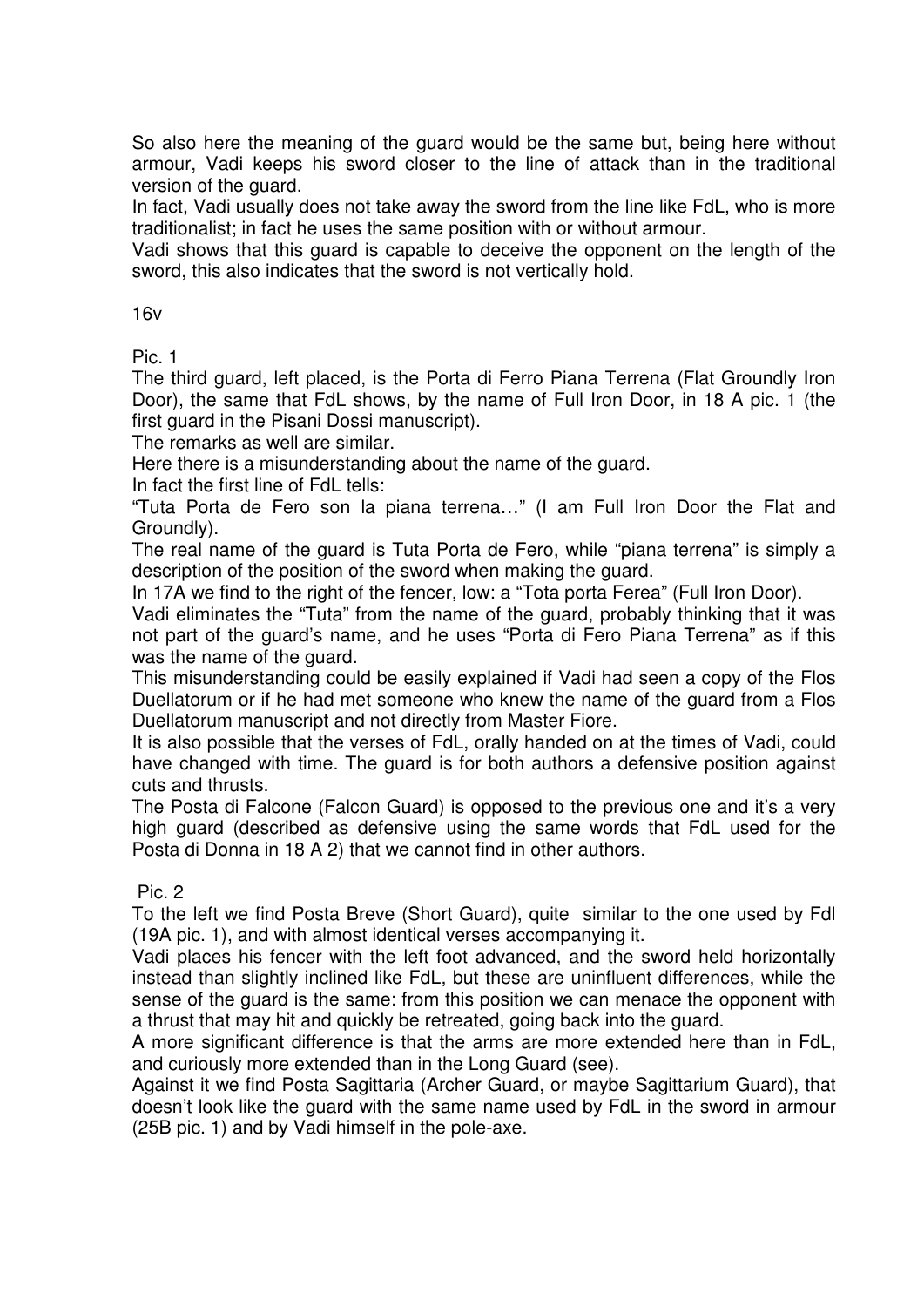So also here the meaning of the guard would be the same but, being here without armour, Vadi keeps his sword closer to the line of attack than in the traditional version of the guard.

In fact, Vadi usually does not take away the sword from the line like FdL, who is more traditionalist; in fact he uses the same position with or without armour.

Vadi shows that this guard is capable to deceive the opponent on the length of the sword, this also indicates that the sword is not vertically hold.

16v

Pic. 1

The third guard, left placed, is the Porta di Ferro Piana Terrena (Flat Groundly Iron Door), the same that FdL shows, by the name of Full Iron Door, in 18 A pic. 1 (the first guard in the Pisani Dossi manuscript).

The remarks as well are similar.

Here there is a misunderstanding about the name of the guard.

In fact the first line of FdL tells:

"Tuta Porta de Fero son la piana terrena…" (I am Full Iron Door the Flat and Groundly).

The real name of the guard is Tuta Porta de Fero, while "piana terrena" is simply a description of the position of the sword when making the guard.

In 17A we find to the right of the fencer, low: a "Tota porta Ferea" (Full Iron Door).

Vadi eliminates the "Tuta" from the name of the guard, probably thinking that it was not part of the guard's name, and he uses "Porta di Fero Piana Terrena" as if this was the name of the guard.

This misunderstanding could be easily explained if Vadi had seen a copy of the Flos Duellatorum or if he had met someone who knew the name of the guard from a Flos Duellatorum manuscript and not directly from Master Fiore.

It is also possible that the verses of FdL, orally handed on at the times of Vadi, could have changed with time. The guard is for both authors a defensive position against cuts and thrusts.

The Posta di Falcone (Falcon Guard) is opposed to the previous one and it's a very high guard (described as defensive using the same words that FdL used for the Posta di Donna in 18 A 2) that we cannot find in other authors.

Pic. 2

To the left we find Posta Breve (Short Guard), quite similar to the one used by Fdl (19A pic. 1), and with almost identical verses accompanying it.

Vadi places his fencer with the left foot advanced, and the sword held horizontally instead than slightly inclined like FdL, but these are uninfluent differences, while the sense of the guard is the same: from this position we can menace the opponent with a thrust that may hit and quickly be retreated, going back into the guard.

A more significant difference is that the arms are more extended here than in FdL, and curiously more extended than in the Long Guard (see).

Against it we find Posta Sagittaria (Archer Guard, or maybe Sagittarium Guard), that doesn't look like the guard with the same name used by FdL in the sword in armour (25B pic. 1) and by Vadi himself in the pole-axe.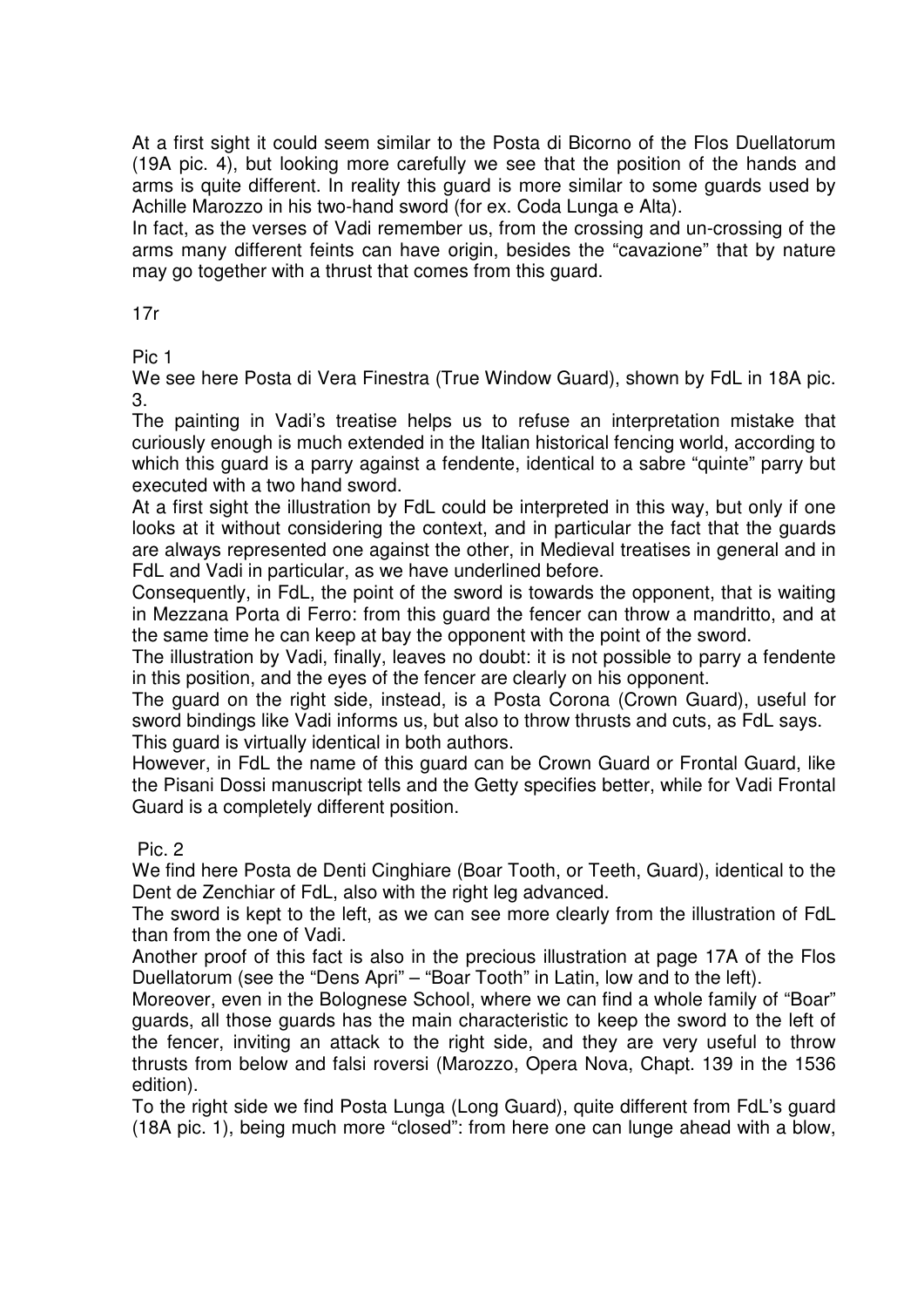At a first sight it could seem similar to the Posta di Bicorno of the Flos Duellatorum (19A pic. 4), but looking more carefully we see that the position of the hands and arms is quite different. In reality this guard is more similar to some guards used by Achille Marozzo in his two-hand sword (for ex. Coda Lunga e Alta).

In fact, as the verses of Vadi remember us, from the crossing and un-crossing of the arms many different feints can have origin, besides the "cavazione" that by nature may go together with a thrust that comes from this guard.

17r

Pic 1

We see here Posta di Vera Finestra (True Window Guard), shown by FdL in 18A pic. 3.

The painting in Vadi's treatise helps us to refuse an interpretation mistake that curiously enough is much extended in the Italian historical fencing world, according to which this guard is a parry against a fendente, identical to a sabre "quinte" parry but executed with a two hand sword.

At a first sight the illustration by FdL could be interpreted in this way, but only if one looks at it without considering the context, and in particular the fact that the guards are always represented one against the other, in Medieval treatises in general and in FdL and Vadi in particular, as we have underlined before.

Consequently, in FdL, the point of the sword is towards the opponent, that is waiting in Mezzana Porta di Ferro: from this guard the fencer can throw a mandritto, and at the same time he can keep at bay the opponent with the point of the sword.

The illustration by Vadi, finally, leaves no doubt: it is not possible to parry a fendente in this position, and the eyes of the fencer are clearly on his opponent.

The guard on the right side, instead, is a Posta Corona (Crown Guard), useful for sword bindings like Vadi informs us, but also to throw thrusts and cuts, as FdL says. This guard is virtually identical in both authors.

However, in FdL the name of this guard can be Crown Guard or Frontal Guard, like the Pisani Dossi manuscript tells and the Getty specifies better, while for Vadi Frontal Guard is a completely different position.

Pic. 2

We find here Posta de Denti Cinghiare (Boar Tooth, or Teeth, Guard), identical to the Dent de Zenchiar of FdL, also with the right leg advanced.

The sword is kept to the left, as we can see more clearly from the illustration of FdL than from the one of Vadi.

Another proof of this fact is also in the precious illustration at page 17A of the Flos Duellatorum (see the "Dens Apri" – "Boar Tooth" in Latin, low and to the left).

Moreover, even in the Bolognese School, where we can find a whole family of "Boar" guards, all those guards has the main characteristic to keep the sword to the left of the fencer, inviting an attack to the right side, and they are very useful to throw thrusts from below and falsi roversi (Marozzo, Opera Nova, Chapt. 139 in the 1536 edition).

To the right side we find Posta Lunga (Long Guard), quite different from FdL's guard (18A pic. 1), being much more "closed": from here one can lunge ahead with a blow,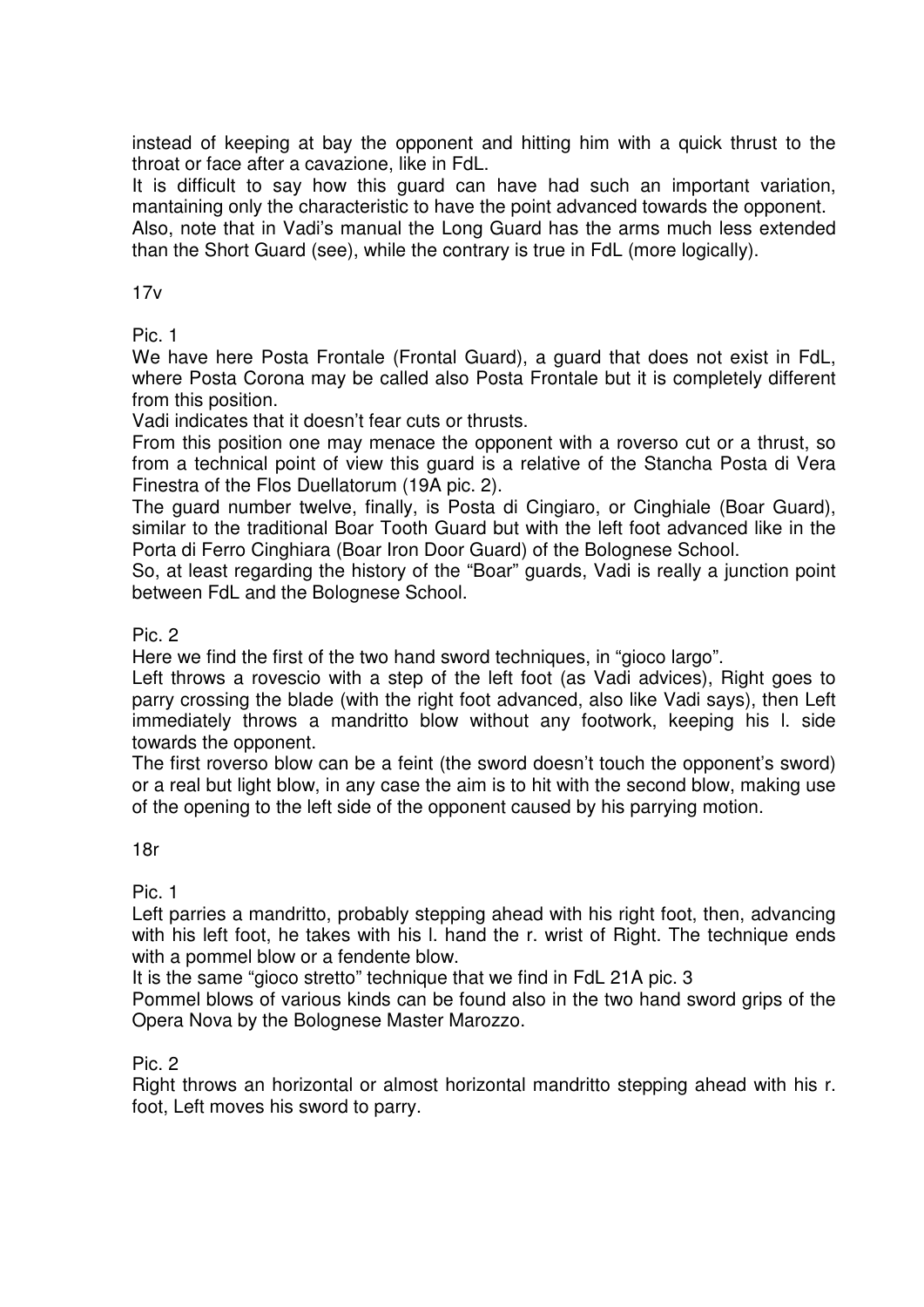instead of keeping at bay the opponent and hitting him with a quick thrust to the throat or face after a cavazione, like in FdL.

It is difficult to say how this guard can have had such an important variation, mantaining only the characteristic to have the point advanced towards the opponent.

Also, note that in Vadi's manual the Long Guard has the arms much less extended than the Short Guard (see), while the contrary is true in FdL (more logically).

 $17v$ 

Pic. 1

We have here Posta Frontale (Frontal Guard), a guard that does not exist in FdL, where Posta Corona may be called also Posta Frontale but it is completely different from this position.

Vadi indicates that it doesn't fear cuts or thrusts.

From this position one may menace the opponent with a roverso cut or a thrust, so from a technical point of view this guard is a relative of the Stancha Posta di Vera Finestra of the Flos Duellatorum (19A pic. 2).

The guard number twelve, finally, is Posta di Cingiaro, or Cinghiale (Boar Guard), similar to the traditional Boar Tooth Guard but with the left foot advanced like in the Porta di Ferro Cinghiara (Boar Iron Door Guard) of the Bolognese School.

So, at least regarding the history of the "Boar" guards, Vadi is really a junction point between FdL and the Bolognese School.

Pic. 2

Here we find the first of the two hand sword techniques, in "gioco largo".

Left throws a rovescio with a step of the left foot (as Vadi advices), Right goes to parry crossing the blade (with the right foot advanced, also like Vadi says), then Left immediately throws a mandritto blow without any footwork, keeping his l. side towards the opponent.

The first roverso blow can be a feint (the sword doesn't touch the opponent's sword) or a real but light blow, in any case the aim is to hit with the second blow, making use of the opening to the left side of the opponent caused by his parrying motion.

18r

Pic. 1

Left parries a mandritto, probably stepping ahead with his right foot, then, advancing with his left foot, he takes with his I. hand the r. wrist of Right. The technique ends with a pommel blow or a fendente blow.

It is the same "gioco stretto" technique that we find in FdL 21A pic. 3

Pommel blows of various kinds can be found also in the two hand sword grips of the Opera Nova by the Bolognese Master Marozzo.

Pic. 2

Right throws an horizontal or almost horizontal mandritto stepping ahead with his r. foot, Left moves his sword to parry.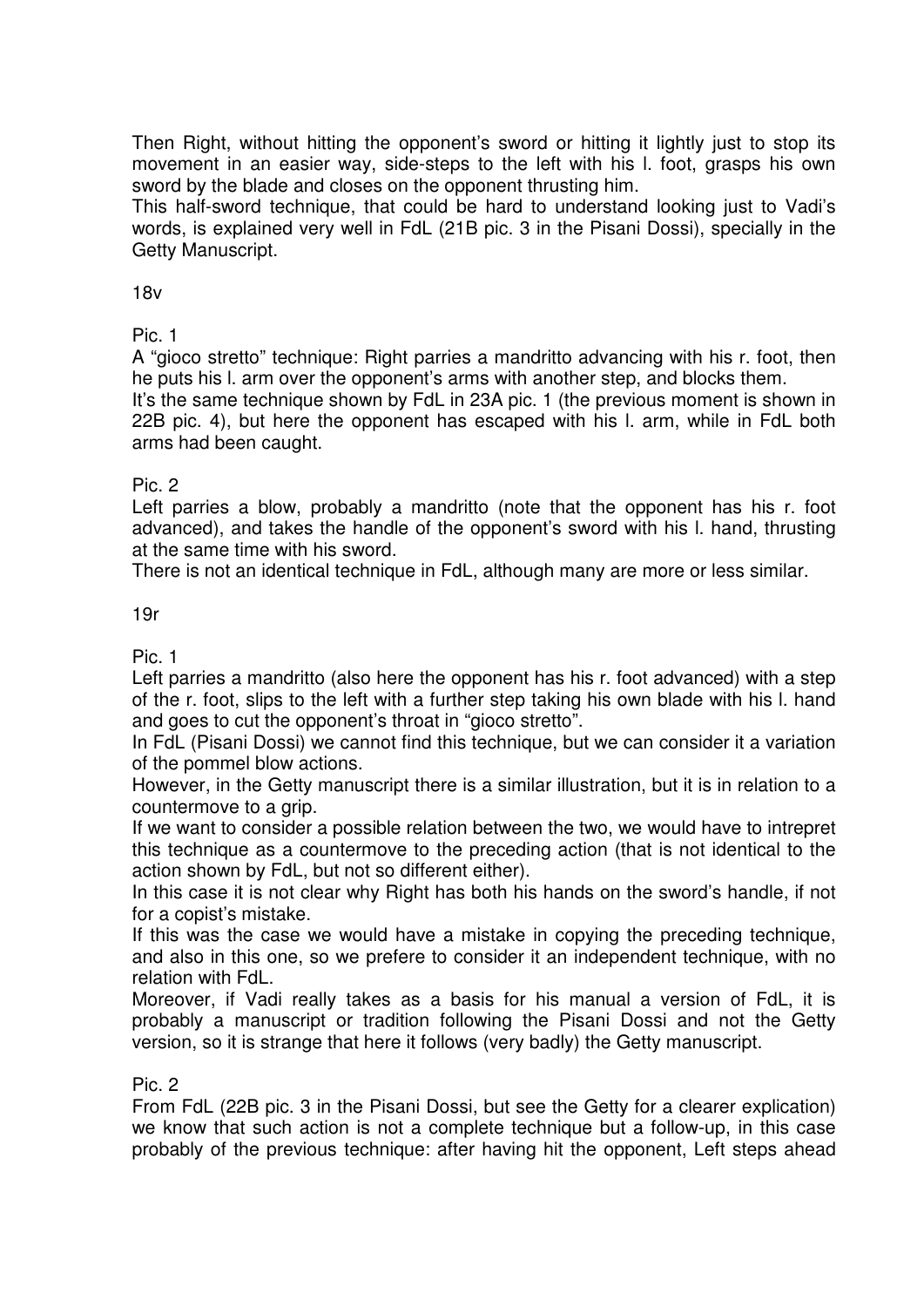Then Right, without hitting the opponent's sword or hitting it lightly just to stop its movement in an easier way, side-steps to the left with his l. foot, grasps his own sword by the blade and closes on the opponent thrusting him.

This half-sword technique, that could be hard to understand looking just to Vadi's words, is explained very well in FdL (21B pic. 3 in the Pisani Dossi), specially in the Getty Manuscript.

18v

Pic. 1

A "gioco stretto" technique: Right parries a mandritto advancing with his r. foot, then he puts his l. arm over the opponent's arms with another step, and blocks them.

It's the same technique shown by FdL in 23A pic. 1 (the previous moment is shown in 22B pic. 4), but here the opponent has escaped with his l. arm, while in FdL both arms had been caught.

#### Pic. 2

Left parries a blow, probably a mandritto (note that the opponent has his r. foot advanced), and takes the handle of the opponent's sword with his l. hand, thrusting at the same time with his sword.

There is not an identical technique in FdL, although many are more or less similar.

#### 19r

Pic. 1

Left parries a mandritto (also here the opponent has his r. foot advanced) with a step of the r. foot, slips to the left with a further step taking his own blade with his l. hand and goes to cut the opponent's throat in "gioco stretto".

In FdL (Pisani Dossi) we cannot find this technique, but we can consider it a variation of the pommel blow actions.

However, in the Getty manuscript there is a similar illustration, but it is in relation to a countermove to a grip.

If we want to consider a possible relation between the two, we would have to intrepret this technique as a countermove to the preceding action (that is not identical to the action shown by FdL, but not so different either).

In this case it is not clear why Right has both his hands on the sword's handle, if not for a copist's mistake.

If this was the case we would have a mistake in copying the preceding technique, and also in this one, so we prefere to consider it an independent technique, with no relation with FdL.

Moreover, if Vadi really takes as a basis for his manual a version of FdL, it is probably a manuscript or tradition following the Pisani Dossi and not the Getty version, so it is strange that here it follows (very badly) the Getty manuscript.

#### Pic. 2

From FdL (22B pic. 3 in the Pisani Dossi, but see the Getty for a clearer explication) we know that such action is not a complete technique but a follow-up, in this case probably of the previous technique: after having hit the opponent, Left steps ahead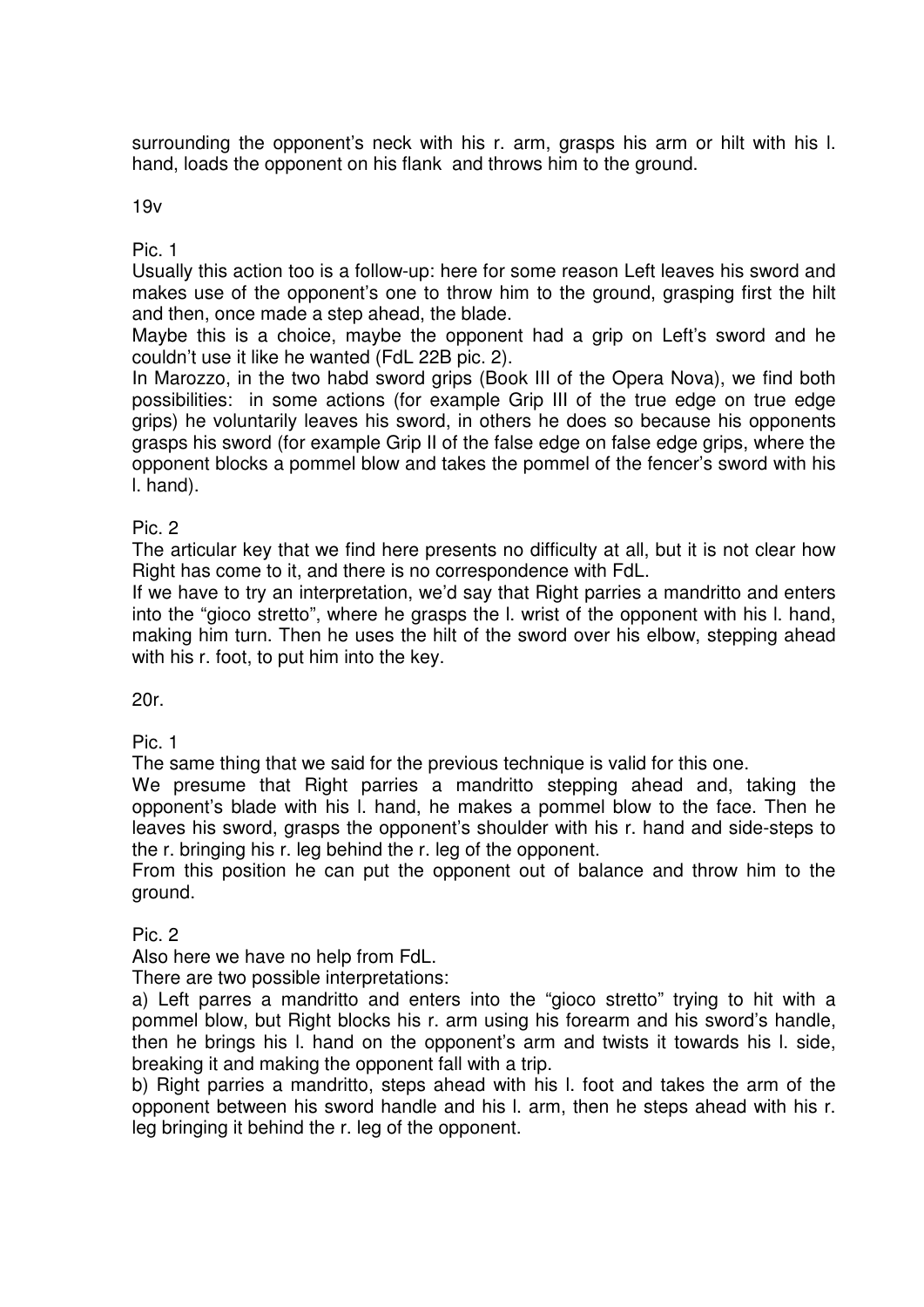surrounding the opponent's neck with his r. arm, grasps his arm or hilt with his l. hand, loads the opponent on his flank and throws him to the ground.

19v

Pic. 1

Usually this action too is a follow-up: here for some reason Left leaves his sword and makes use of the opponent's one to throw him to the ground, grasping first the hilt and then, once made a step ahead, the blade.

Maybe this is a choice, maybe the opponent had a grip on Left's sword and he couldn't use it like he wanted (FdL 22B pic. 2).

In Marozzo, in the two habd sword grips (Book III of the Opera Nova), we find both possibilities: in some actions (for example Grip III of the true edge on true edge grips) he voluntarily leaves his sword, in others he does so because his opponents grasps his sword (for example Grip II of the false edge on false edge grips, where the opponent blocks a pommel blow and takes the pommel of the fencer's sword with his l. hand).

Pic. 2

The articular key that we find here presents no difficulty at all, but it is not clear how Right has come to it, and there is no correspondence with FdL.

If we have to try an interpretation, we'd say that Right parries a mandritto and enters into the "gioco stretto", where he grasps the l. wrist of the opponent with his l. hand, making him turn. Then he uses the hilt of the sword over his elbow, stepping ahead with his r. foot, to put him into the key.

20r.

Pic. 1

The same thing that we said for the previous technique is valid for this one.

We presume that Right parries a mandritto stepping ahead and, taking the opponent's blade with his l. hand, he makes a pommel blow to the face. Then he leaves his sword, grasps the opponent's shoulder with his r. hand and side-steps to the r. bringing his r. leg behind the r. leg of the opponent.

From this position he can put the opponent out of balance and throw him to the ground.

Pic. 2

Also here we have no help from FdL.

There are two possible interpretations:

a) Left parres a mandritto and enters into the "gioco stretto" trying to hit with a pommel blow, but Right blocks his r. arm using his forearm and his sword's handle, then he brings his l. hand on the opponent's arm and twists it towards his l. side, breaking it and making the opponent fall with a trip.

b) Right parries a mandritto, steps ahead with his l. foot and takes the arm of the opponent between his sword handle and his l. arm, then he steps ahead with his r. leg bringing it behind the r. leg of the opponent.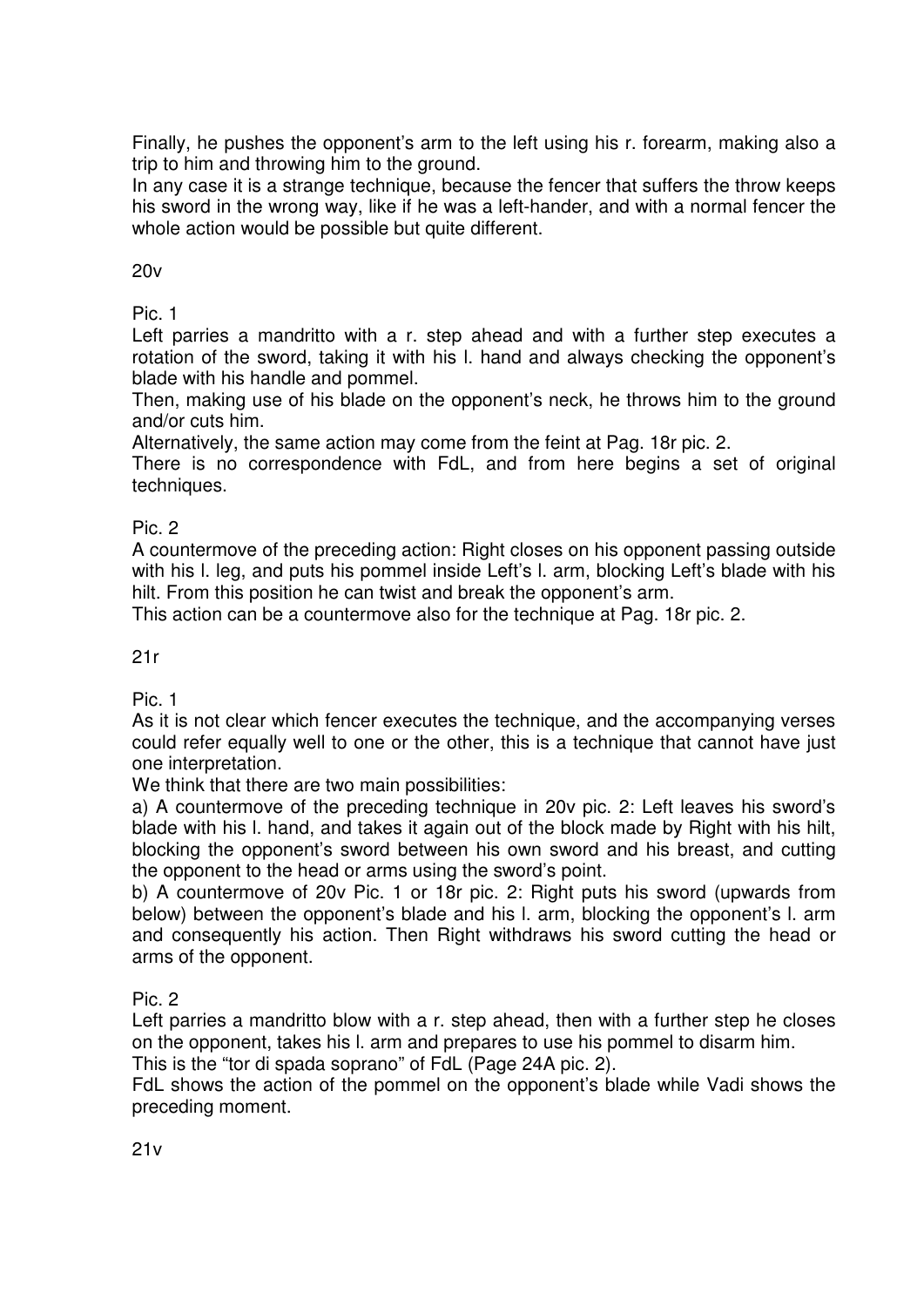Finally, he pushes the opponent's arm to the left using his r. forearm, making also a trip to him and throwing him to the ground.

In any case it is a strange technique, because the fencer that suffers the throw keeps his sword in the wrong way, like if he was a left-hander, and with a normal fencer the whole action would be possible but quite different.

#### 20v

Pic. 1

Left parries a mandritto with a r. step ahead and with a further step executes a rotation of the sword, taking it with his l. hand and always checking the opponent's blade with his handle and pommel.

Then, making use of his blade on the opponent's neck, he throws him to the ground and/or cuts him.

Alternatively, the same action may come from the feint at Pag. 18r pic. 2.

There is no correspondence with FdL, and from here begins a set of original techniques.

#### Pic. 2

A countermove of the preceding action: Right closes on his opponent passing outside with his I. leg, and puts his pommel inside Left's I. arm, blocking Left's blade with his hilt. From this position he can twist and break the opponent's arm.

This action can be a countermove also for the technique at Pag. 18r pic. 2.

## 21r

Pic. 1

As it is not clear which fencer executes the technique, and the accompanying verses could refer equally well to one or the other, this is a technique that cannot have just one interpretation.

We think that there are two main possibilities:

a) A countermove of the preceding technique in 20v pic. 2: Left leaves his sword's blade with his l. hand, and takes it again out of the block made by Right with his hilt, blocking the opponent's sword between his own sword and his breast, and cutting the opponent to the head or arms using the sword's point.

b) A countermove of 20v Pic. 1 or 18r pic. 2: Right puts his sword (upwards from below) between the opponent's blade and his l. arm, blocking the opponent's l. arm and consequently his action. Then Right withdraws his sword cutting the head or arms of the opponent.

# Pic. 2

Left parries a mandritto blow with a r. step ahead, then with a further step he closes on the opponent, takes his l. arm and prepares to use his pommel to disarm him.

This is the "tor di spada soprano" of FdL (Page 24A pic. 2).

FdL shows the action of the pommel on the opponent's blade while Vadi shows the preceding moment.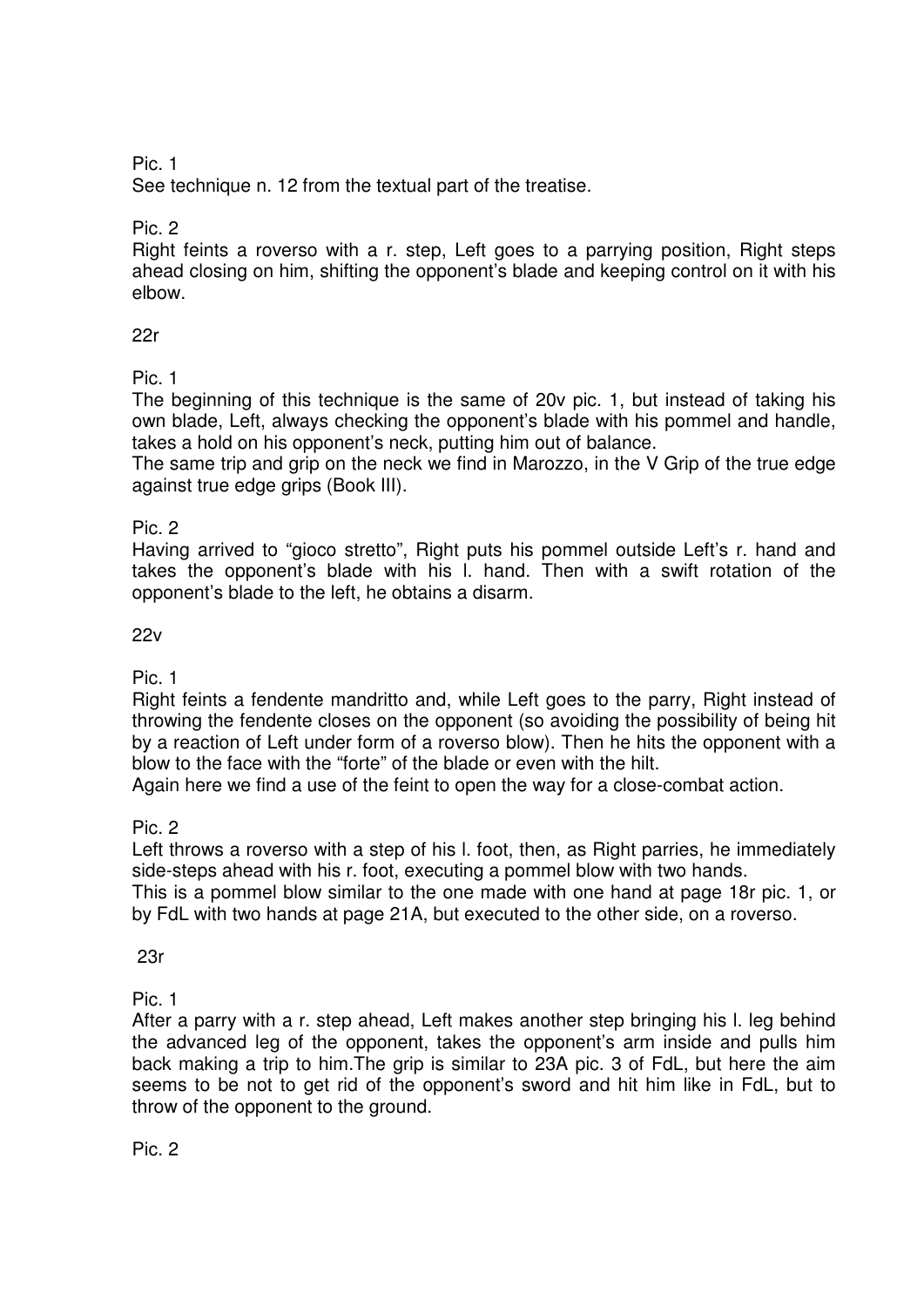# Pic. 1

See technique n. 12 from the textual part of the treatise.

Pic. 2

Right feints a roverso with a r. step, Left goes to a parrying position, Right steps ahead closing on him, shifting the opponent's blade and keeping control on it with his elbow.

# 22r

Pic. 1

The beginning of this technique is the same of 20v pic. 1, but instead of taking his own blade, Left, always checking the opponent's blade with his pommel and handle, takes a hold on his opponent's neck, putting him out of balance.

The same trip and grip on the neck we find in Marozzo, in the V Grip of the true edge against true edge grips (Book III).

# Pic. 2

Having arrived to "gioco stretto", Right puts his pommel outside Left's r. hand and takes the opponent's blade with his l. hand. Then with a swift rotation of the opponent's blade to the left, he obtains a disarm.

# 22v

Pic. 1

Right feints a fendente mandritto and, while Left goes to the parry, Right instead of throwing the fendente closes on the opponent (so avoiding the possibility of being hit by a reaction of Left under form of a roverso blow). Then he hits the opponent with a blow to the face with the "forte" of the blade or even with the hilt.

Again here we find a use of the feint to open the way for a close-combat action.

Pic. 2

Left throws a roverso with a step of his l. foot, then, as Right parries, he immediately side-steps ahead with his r. foot, executing a pommel blow with two hands.

This is a pommel blow similar to the one made with one hand at page 18r pic. 1, or by FdL with two hands at page 21A, but executed to the other side, on a roverso.

23r

Pic. 1

After a parry with a r. step ahead, Left makes another step bringing his l. leg behind the advanced leg of the opponent, takes the opponent's arm inside and pulls him back making a trip to him.The grip is similar to 23A pic. 3 of FdL, but here the aim seems to be not to get rid of the opponent's sword and hit him like in FdL, but to throw of the opponent to the ground.

Pic. 2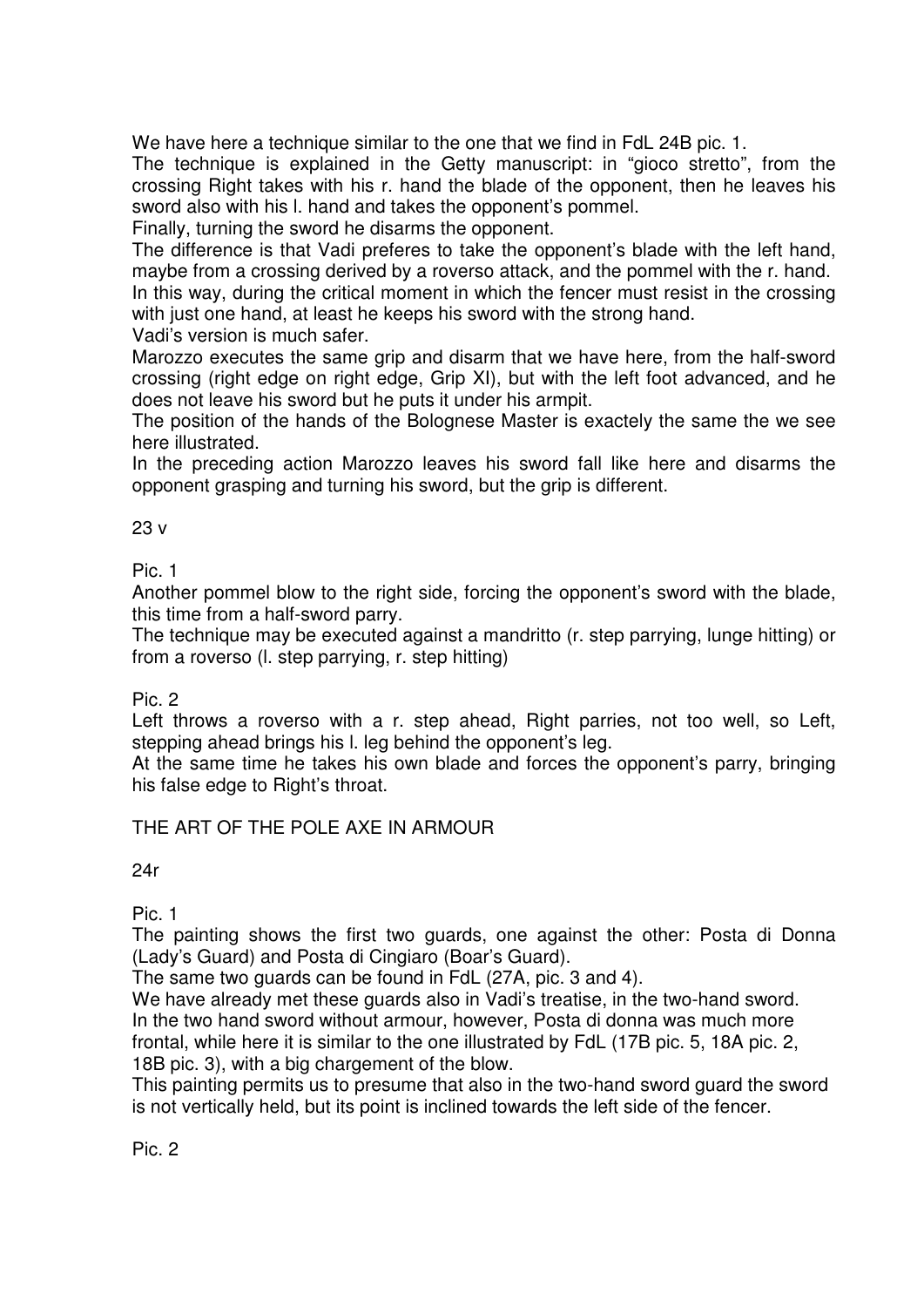We have here a technique similar to the one that we find in FdL 24B pic. 1.

The technique is explained in the Getty manuscript: in "gioco stretto", from the crossing Right takes with his r. hand the blade of the opponent, then he leaves his sword also with his l. hand and takes the opponent's pommel.

Finally, turning the sword he disarms the opponent.

The difference is that Vadi preferes to take the opponent's blade with the left hand, maybe from a crossing derived by a roverso attack, and the pommel with the r. hand.

In this way, during the critical moment in which the fencer must resist in the crossing with just one hand, at least he keeps his sword with the strong hand.

Vadi's version is much safer.

Marozzo executes the same grip and disarm that we have here, from the half-sword crossing (right edge on right edge, Grip XI), but with the left foot advanced, and he does not leave his sword but he puts it under his armpit.

The position of the hands of the Bolognese Master is exactely the same the we see here illustrated.

In the preceding action Marozzo leaves his sword fall like here and disarms the opponent grasping and turning his sword, but the grip is different.

23 v

Pic. 1

Another pommel blow to the right side, forcing the opponent's sword with the blade, this time from a half-sword parry.

The technique may be executed against a mandritto (r. step parrying, lunge hitting) or from a roverso (l. step parrying, r. step hitting)

Pic. 2

Left throws a roverso with a r. step ahead, Right parries, not too well, so Left, stepping ahead brings his l. leg behind the opponent's leg.

At the same time he takes his own blade and forces the opponent's parry, bringing his false edge to Right's throat.

# THE ART OF THE POLE AXE IN ARMOUR

24r

Pic. 1

The painting shows the first two guards, one against the other: Posta di Donna (Lady's Guard) and Posta di Cingiaro (Boar's Guard).

The same two guards can be found in FdL (27A, pic. 3 and 4).

We have already met these quards also in Vadi's treatise, in the two-hand sword. In the two hand sword without armour, however, Posta di donna was much more frontal, while here it is similar to the one illustrated by FdL (17B pic. 5, 18A pic. 2, 18B pic. 3), with a big chargement of the blow.

This painting permits us to presume that also in the two-hand sword guard the sword is not vertically held, but its point is inclined towards the left side of the fencer.

Pic. 2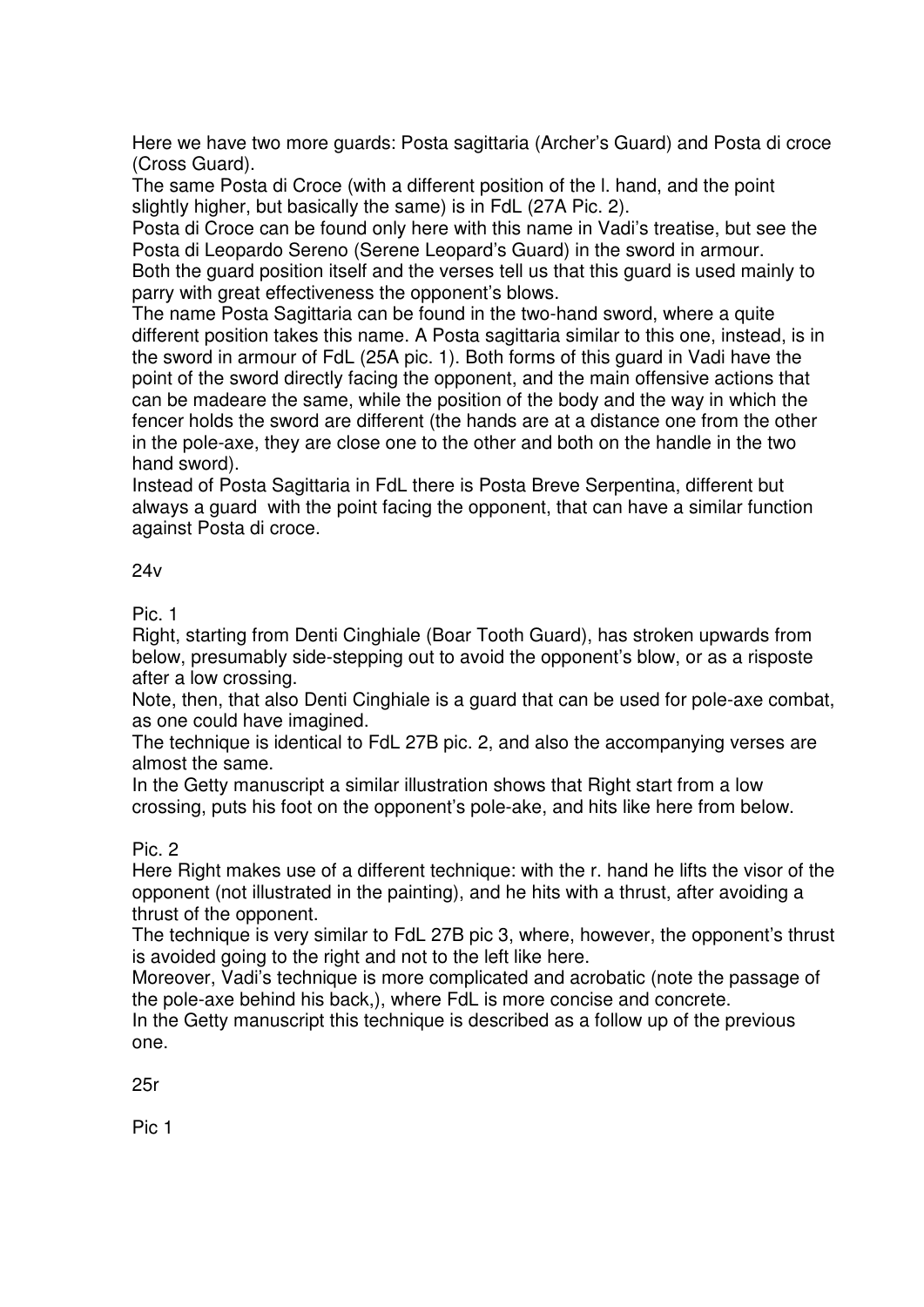Here we have two more guards: Posta sagittaria (Archer's Guard) and Posta di croce (Cross Guard).

The same Posta di Croce (with a different position of the l. hand, and the point slightly higher, but basically the same) is in FdL (27A Pic. 2).

Posta di Croce can be found only here with this name in Vadi's treatise, but see the Posta di Leopardo Sereno (Serene Leopard's Guard) in the sword in armour. Both the guard position itself and the verses tell us that this guard is used mainly to parry with great effectiveness the opponent's blows.

The name Posta Sagittaria can be found in the two-hand sword, where a quite different position takes this name. A Posta sagittaria similar to this one, instead, is in the sword in armour of FdL (25A pic. 1). Both forms of this guard in Vadi have the point of the sword directly facing the opponent, and the main offensive actions that can be madeare the same, while the position of the body and the way in which the fencer holds the sword are different (the hands are at a distance one from the other in the pole-axe, they are close one to the other and both on the handle in the two hand sword).

Instead of Posta Sagittaria in FdL there is Posta Breve Serpentina, different but always a guard with the point facing the opponent, that can have a similar function against Posta di croce.

#### $24v$

Pic. 1

Right, starting from Denti Cinghiale (Boar Tooth Guard), has stroken upwards from below, presumably side-stepping out to avoid the opponent's blow, or as a risposte after a low crossing.

Note, then, that also Denti Cinghiale is a guard that can be used for pole-axe combat, as one could have imagined.

The technique is identical to FdL 27B pic. 2, and also the accompanying verses are almost the same.

In the Getty manuscript a similar illustration shows that Right start from a low crossing, puts his foot on the opponent's pole-ake, and hits like here from below.

# Pic. 2

Here Right makes use of a different technique: with the r. hand he lifts the visor of the opponent (not illustrated in the painting), and he hits with a thrust, after avoiding a thrust of the opponent.

The technique is very similar to FdL 27B pic 3, where, however, the opponent's thrust is avoided going to the right and not to the left like here.

Moreover, Vadi's technique is more complicated and acrobatic (note the passage of the pole-axe behind his back,), where FdL is more concise and concrete.

In the Getty manuscript this technique is described as a follow up of the previous one.

25r

Pic 1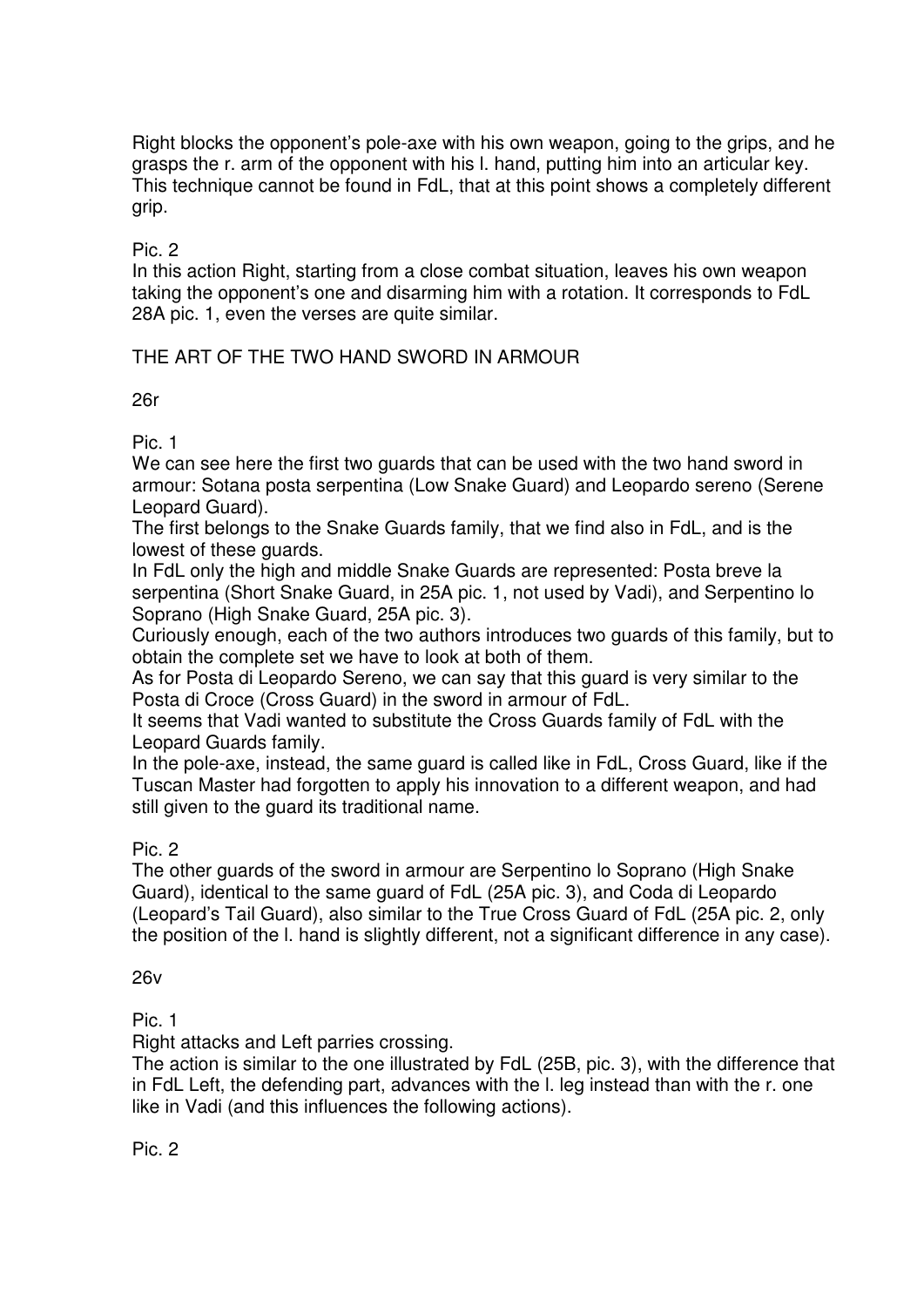Right blocks the opponent's pole-axe with his own weapon, going to the grips, and he grasps the r. arm of the opponent with his l. hand, putting him into an articular key. This technique cannot be found in FdL, that at this point shows a completely different grip.

Pic. 2

In this action Right, starting from a close combat situation, leaves his own weapon taking the opponent's one and disarming him with a rotation. It corresponds to FdL 28A pic. 1, even the verses are quite similar.

# THE ART OF THE TWO HAND SWORD IN ARMOUR

#### 26r

Pic. 1

We can see here the first two guards that can be used with the two hand sword in armour: Sotana posta serpentina (Low Snake Guard) and Leopardo sereno (Serene Leopard Guard).

The first belongs to the Snake Guards family, that we find also in FdL, and is the lowest of these guards.

In FdL only the high and middle Snake Guards are represented: Posta breve la serpentina (Short Snake Guard, in 25A pic. 1, not used by Vadi), and Serpentino lo Soprano (High Snake Guard, 25A pic. 3).

Curiously enough, each of the two authors introduces two guards of this family, but to obtain the complete set we have to look at both of them.

As for Posta di Leopardo Sereno, we can say that this guard is very similar to the Posta di Croce (Cross Guard) in the sword in armour of FdL.

It seems that Vadi wanted to substitute the Cross Guards family of FdL with the Leopard Guards family.

In the pole-axe, instead, the same guard is called like in FdL, Cross Guard, like if the Tuscan Master had forgotten to apply his innovation to a different weapon, and had still given to the guard its traditional name.

# Pic. 2

The other guards of the sword in armour are Serpentino lo Soprano (High Snake Guard), identical to the same guard of FdL (25A pic. 3), and Coda di Leopardo (Leopard's Tail Guard), also similar to the True Cross Guard of FdL (25A pic. 2, only the position of the l. hand is slightly different, not a significant difference in any case).

# 26v

Pic. 1

Right attacks and Left parries crossing.

The action is similar to the one illustrated by FdL (25B, pic. 3), with the difference that in FdL Left, the defending part, advances with the l. leg instead than with the r. one like in Vadi (and this influences the following actions).

Pic. 2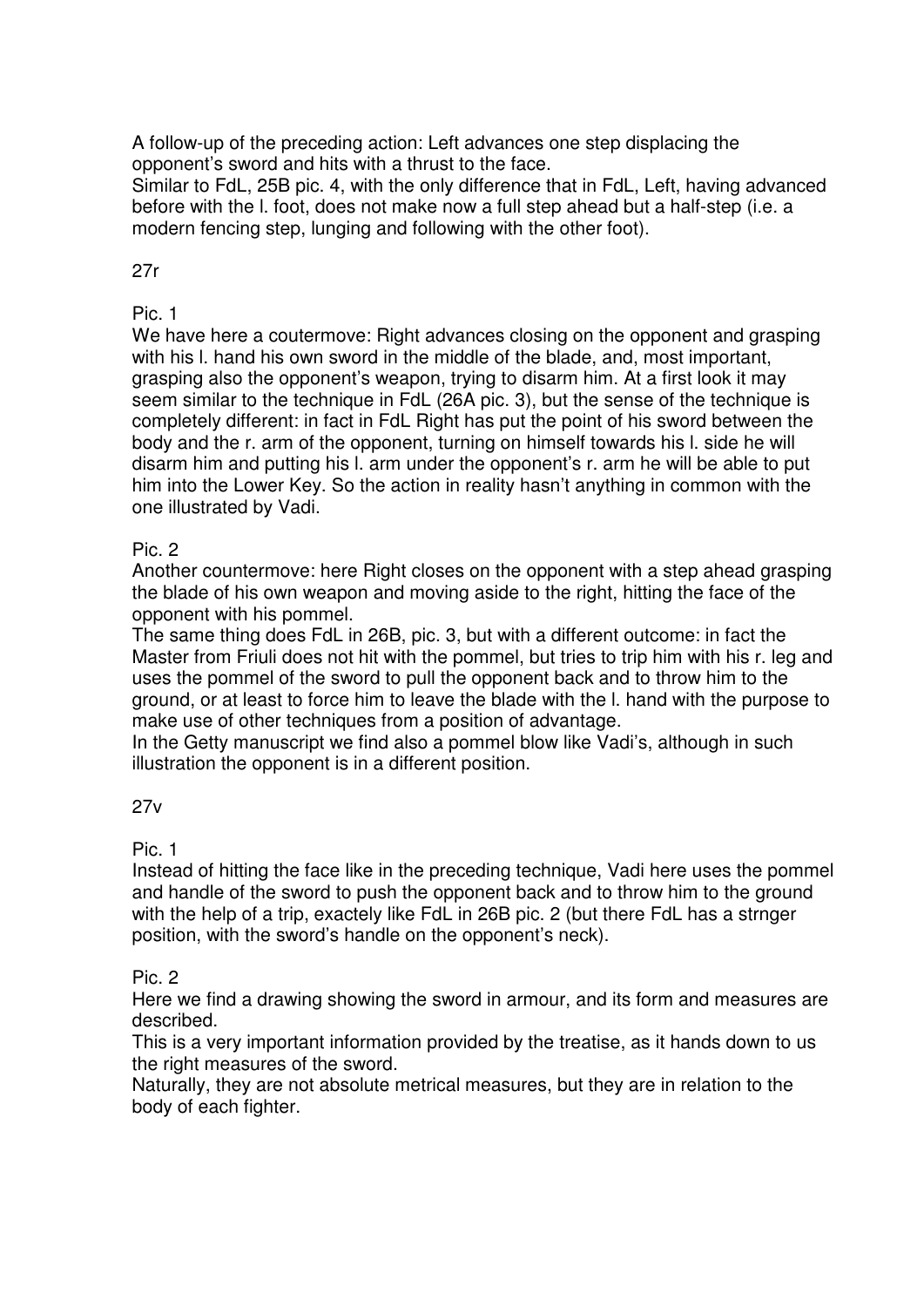A follow-up of the preceding action: Left advances one step displacing the opponent's sword and hits with a thrust to the face.

Similar to FdL, 25B pic. 4, with the only difference that in FdL, Left, having advanced before with the l. foot, does not make now a full step ahead but a half-step (i.e. a modern fencing step, lunging and following with the other foot).

# 27r

# Pic. 1

We have here a coutermove: Right advances closing on the opponent and grasping with his I. hand his own sword in the middle of the blade, and, most important, grasping also the opponent's weapon, trying to disarm him. At a first look it may seem similar to the technique in FdL (26A pic. 3), but the sense of the technique is completely different: in fact in FdL Right has put the point of his sword between the body and the r. arm of the opponent, turning on himself towards his l. side he will disarm him and putting his l. arm under the opponent's r. arm he will be able to put him into the Lower Key. So the action in reality hasn't anything in common with the one illustrated by Vadi.

# Pic. 2

Another countermove: here Right closes on the opponent with a step ahead grasping the blade of his own weapon and moving aside to the right, hitting the face of the opponent with his pommel.

The same thing does FdL in 26B, pic. 3, but with a different outcome: in fact the Master from Friuli does not hit with the pommel, but tries to trip him with his r. leg and uses the pommel of the sword to pull the opponent back and to throw him to the ground, or at least to force him to leave the blade with the l. hand with the purpose to make use of other techniques from a position of advantage.

In the Getty manuscript we find also a pommel blow like Vadi's, although in such illustration the opponent is in a different position.

# 27v

# Pic. 1

Instead of hitting the face like in the preceding technique, Vadi here uses the pommel and handle of the sword to push the opponent back and to throw him to the ground with the help of a trip, exactely like FdL in 26B pic. 2 (but there FdL has a strnger position, with the sword's handle on the opponent's neck).

# Pic. 2

Here we find a drawing showing the sword in armour, and its form and measures are described.

This is a very important information provided by the treatise, as it hands down to us the right measures of the sword.

Naturally, they are not absolute metrical measures, but they are in relation to the body of each fighter.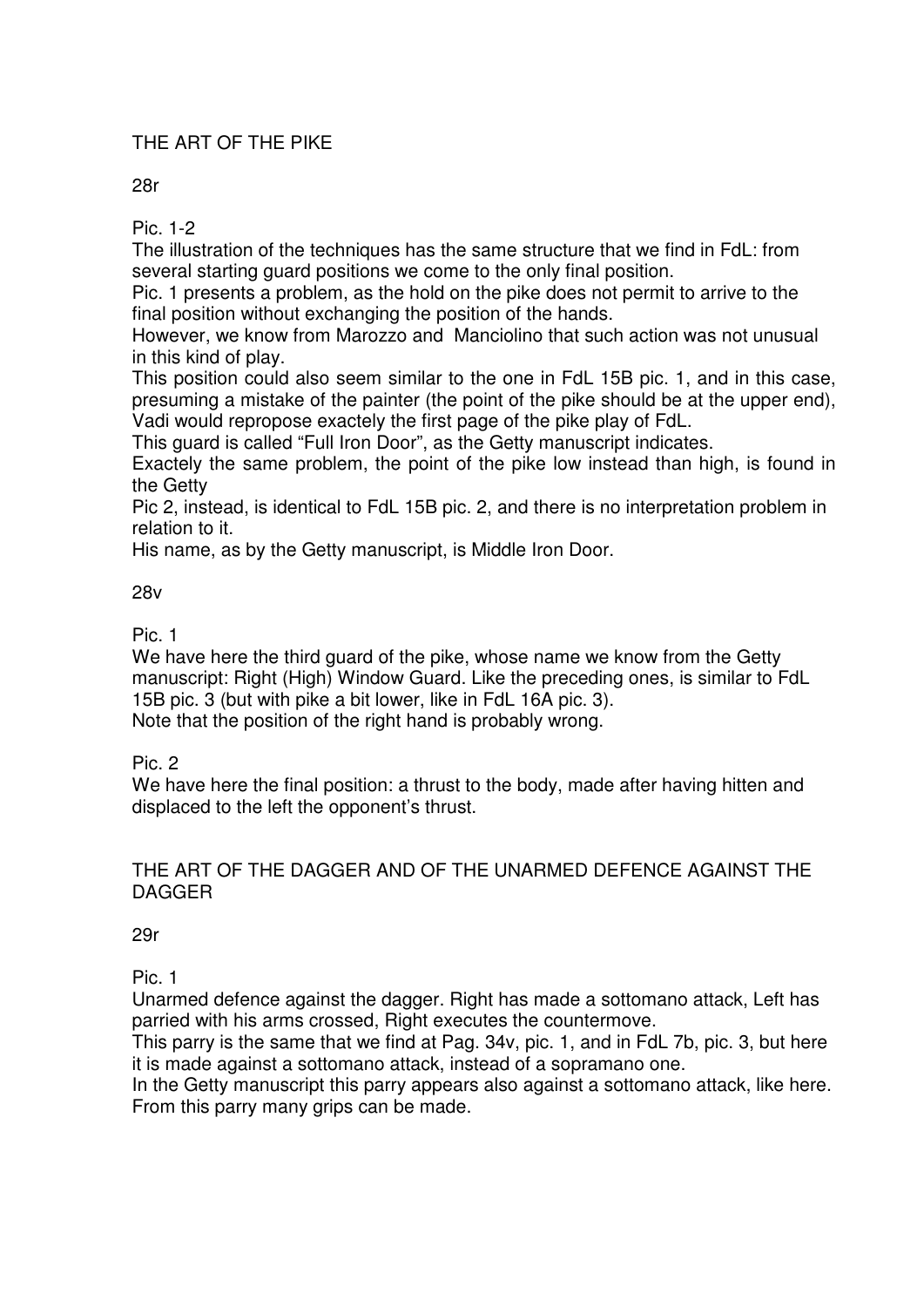# THE ART OF THE PIKE

28r

Pic. 1-2

The illustration of the techniques has the same structure that we find in FdL: from several starting guard positions we come to the only final position.

Pic. 1 presents a problem, as the hold on the pike does not permit to arrive to the final position without exchanging the position of the hands.

However, we know from Marozzo and Manciolino that such action was not unusual in this kind of play.

This position could also seem similar to the one in FdL 15B pic. 1, and in this case, presuming a mistake of the painter (the point of the pike should be at the upper end), Vadi would repropose exactely the first page of the pike play of FdL.

This guard is called "Full Iron Door", as the Getty manuscript indicates.

Exactely the same problem, the point of the pike low instead than high, is found in the Getty

Pic 2, instead, is identical to FdL 15B pic. 2, and there is no interpretation problem in relation to it.

His name, as by the Getty manuscript, is Middle Iron Door.

#### 28v

Pic. 1

We have here the third quard of the pike, whose name we know from the Getty manuscript: Right (High) Window Guard. Like the preceding ones, is similar to FdL 15B pic. 3 (but with pike a bit lower, like in FdL 16A pic. 3). Note that the position of the right hand is probably wrong.

Pic. 2

We have here the final position: a thrust to the body, made after having hitten and displaced to the left the opponent's thrust.

# THE ART OF THE DAGGER AND OF THE UNARMED DEFENCE AGAINST THE DAGGER

29r

Pic. 1

Unarmed defence against the dagger. Right has made a sottomano attack, Left has parried with his arms crossed, Right executes the countermove.

This parry is the same that we find at Pag. 34v, pic. 1, and in FdL 7b, pic. 3, but here it is made against a sottomano attack, instead of a sopramano one.

In the Getty manuscript this parry appears also against a sottomano attack, like here. From this parry many grips can be made.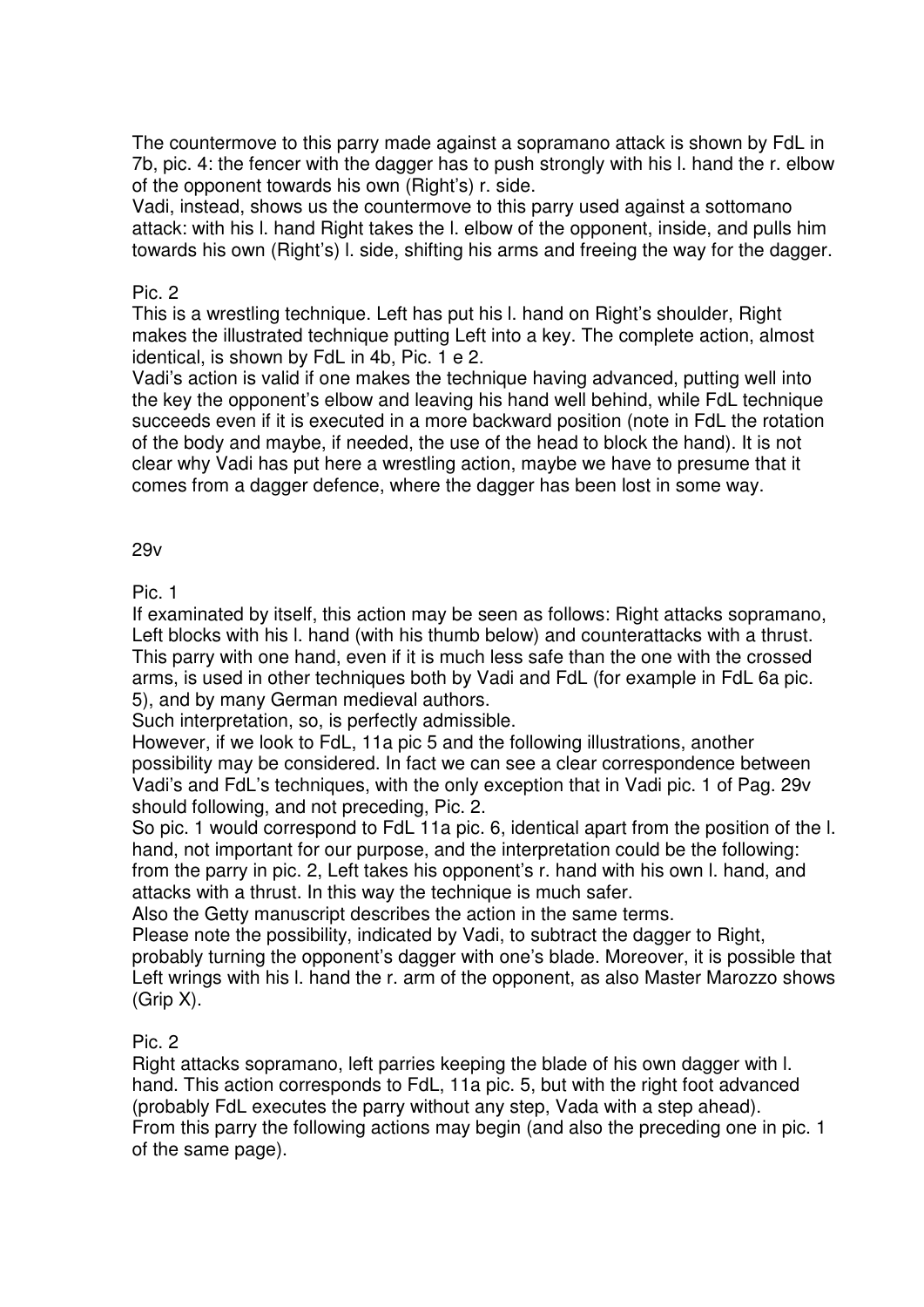The countermove to this parry made against a sopramano attack is shown by FdL in 7b, pic. 4: the fencer with the dagger has to push strongly with his l. hand the r. elbow of the opponent towards his own (Right's) r. side.

Vadi, instead, shows us the countermove to this parry used against a sottomano attack: with his l. hand Right takes the l. elbow of the opponent, inside, and pulls him towards his own (Right's) l. side, shifting his arms and freeing the way for the dagger.

#### Pic. 2

This is a wrestling technique. Left has put his l. hand on Right's shoulder, Right makes the illustrated technique putting Left into a key. The complete action, almost identical, is shown by FdL in 4b, Pic. 1 e 2.

Vadi's action is valid if one makes the technique having advanced, putting well into the key the opponent's elbow and leaving his hand well behind, while FdL technique succeeds even if it is executed in a more backward position (note in FdL the rotation of the body and maybe, if needed, the use of the head to block the hand). It is not clear why Vadi has put here a wrestling action, maybe we have to presume that it comes from a dagger defence, where the dagger has been lost in some way.

# 29v

Pic. 1

If examinated by itself, this action may be seen as follows: Right attacks sopramano, Left blocks with his l. hand (with his thumb below) and counterattacks with a thrust. This parry with one hand, even if it is much less safe than the one with the crossed arms, is used in other techniques both by Vadi and FdL (for example in FdL 6a pic. 5), and by many German medieval authors.

Such interpretation, so, is perfectly admissible.

However, if we look to FdL, 11a pic 5 and the following illustrations, another possibility may be considered. In fact we can see a clear correspondence between Vadi's and FdL's techniques, with the only exception that in Vadi pic. 1 of Pag. 29v should following, and not preceding, Pic. 2.

So pic. 1 would correspond to FdL 11a pic. 6, identical apart from the position of the l. hand, not important for our purpose, and the interpretation could be the following: from the parry in pic. 2, Left takes his opponent's r. hand with his own l. hand, and attacks with a thrust. In this way the technique is much safer.

Also the Getty manuscript describes the action in the same terms.

Please note the possibility, indicated by Vadi, to subtract the dagger to Right, probably turning the opponent's dagger with one's blade. Moreover, it is possible that Left wrings with his l. hand the r. arm of the opponent, as also Master Marozzo shows (Grip X).

# Pic. 2

Right attacks sopramano, left parries keeping the blade of his own dagger with l. hand. This action corresponds to FdL, 11a pic. 5, but with the right foot advanced (probably FdL executes the parry without any step, Vada with a step ahead). From this parry the following actions may begin (and also the preceding one in pic. 1 of the same page).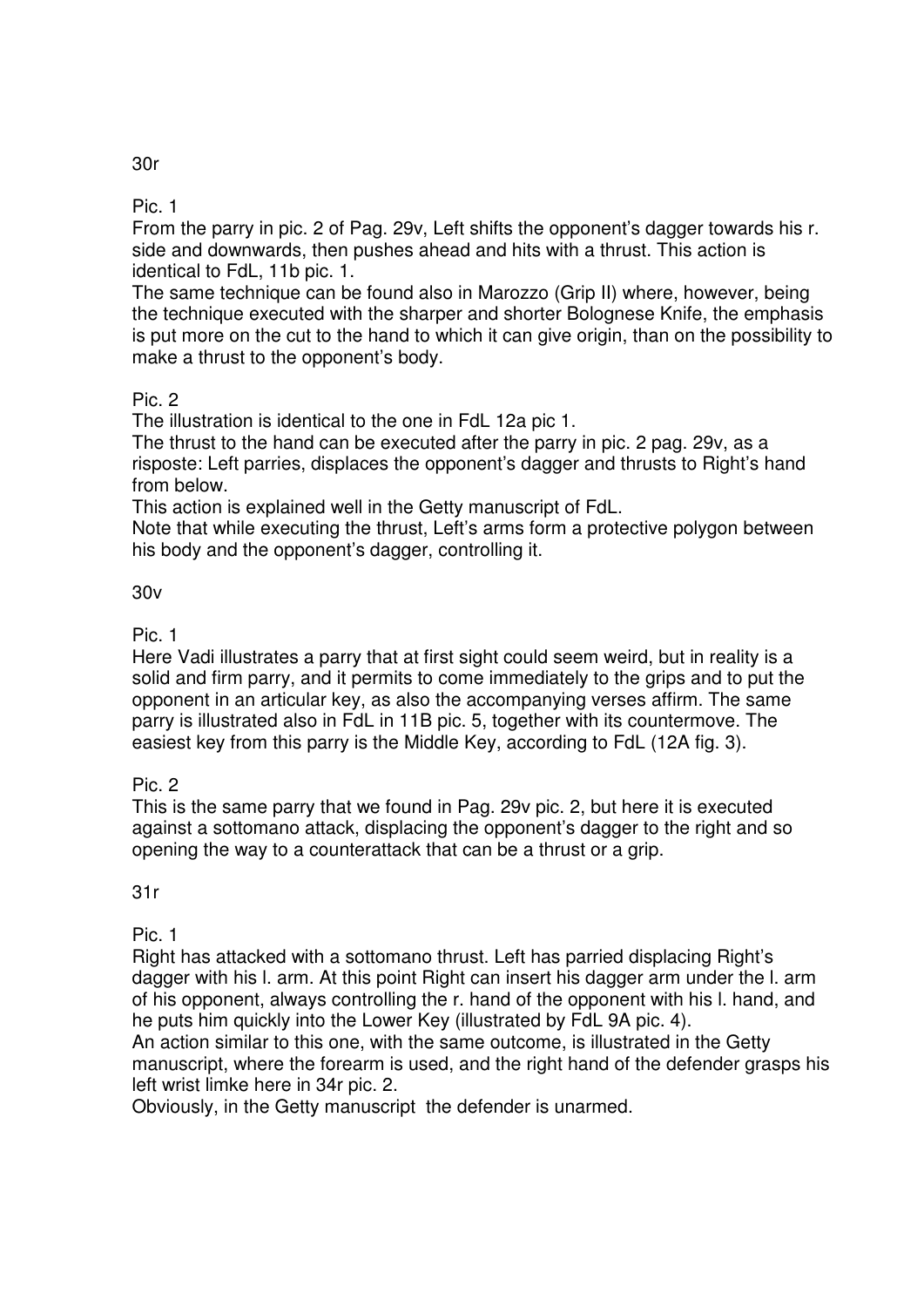Pic. 1

From the parry in pic. 2 of Pag. 29v, Left shifts the opponent's dagger towards his r. side and downwards, then pushes ahead and hits with a thrust. This action is identical to FdL, 11b pic. 1.

The same technique can be found also in Marozzo (Grip II) where, however, being the technique executed with the sharper and shorter Bolognese Knife, the emphasis is put more on the cut to the hand to which it can give origin, than on the possibility to make a thrust to the opponent's body.

Pic. 2

The illustration is identical to the one in FdL 12a pic 1.

The thrust to the hand can be executed after the parry in pic. 2 pag. 29v, as a risposte: Left parries, displaces the opponent's dagger and thrusts to Right's hand from below.

This action is explained well in the Getty manuscript of FdL.

Note that while executing the thrust, Left's arms form a protective polygon between his body and the opponent's dagger, controlling it.

#### 30v

Pic. 1

Here Vadi illustrates a parry that at first sight could seem weird, but in reality is a solid and firm parry, and it permits to come immediately to the grips and to put the opponent in an articular key, as also the accompanying verses affirm. The same parry is illustrated also in FdL in 11B pic. 5, together with its countermove. The easiest key from this parry is the Middle Key, according to FdL (12A fig. 3).

Pic. 2

This is the same parry that we found in Pag. 29v pic. 2, but here it is executed against a sottomano attack, displacing the opponent's dagger to the right and so opening the way to a counterattack that can be a thrust or a grip.

31r

Pic. 1

Right has attacked with a sottomano thrust. Left has parried displacing Right's dagger with his l. arm. At this point Right can insert his dagger arm under the l. arm of his opponent, always controlling the r. hand of the opponent with his l. hand, and he puts him quickly into the Lower Key (illustrated by FdL 9A pic. 4).

An action similar to this one, with the same outcome, is illustrated in the Getty manuscript, where the forearm is used, and the right hand of the defender grasps his left wrist limke here in 34r pic. 2.

Obviously, in the Getty manuscript the defender is unarmed.

30r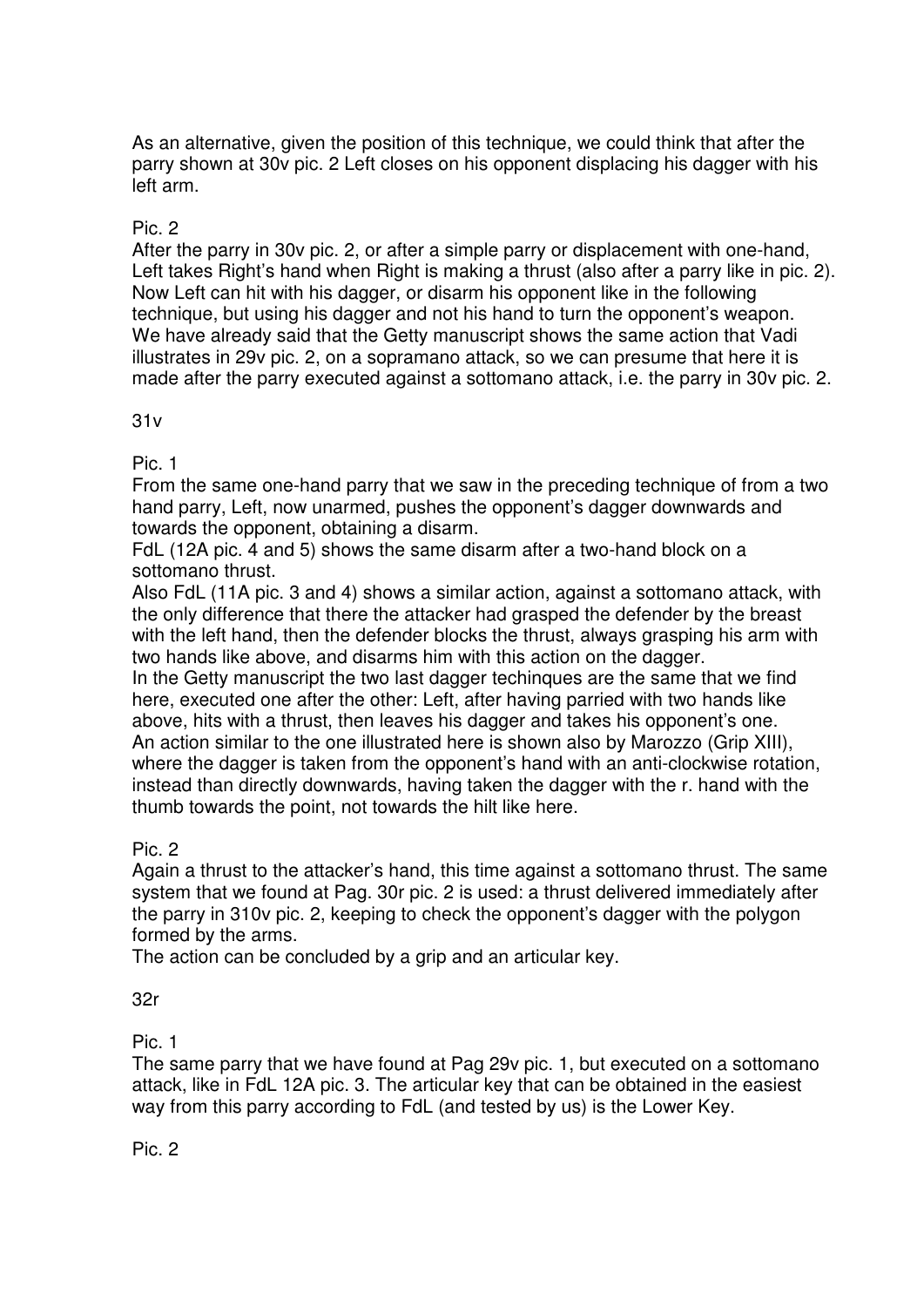As an alternative, given the position of this technique, we could think that after the parry shown at 30v pic. 2 Left closes on his opponent displacing his dagger with his left arm.

#### Pic. 2

After the parry in 30v pic. 2, or after a simple parry or displacement with one-hand, Left takes Right's hand when Right is making a thrust (also after a parry like in pic. 2). Now Left can hit with his dagger, or disarm his opponent like in the following technique, but using his dagger and not his hand to turn the opponent's weapon. We have already said that the Getty manuscript shows the same action that Vadi illustrates in 29v pic. 2, on a sopramano attack, so we can presume that here it is made after the parry executed against a sottomano attack, i.e. the parry in 30v pic. 2.

#### 31v

Pic. 1

From the same one-hand parry that we saw in the preceding technique of from a two hand parry, Left, now unarmed, pushes the opponent's dagger downwards and towards the opponent, obtaining a disarm.

FdL (12A pic. 4 and 5) shows the same disarm after a two-hand block on a sottomano thrust.

Also FdL (11A pic. 3 and 4) shows a similar action, against a sottomano attack, with the only difference that there the attacker had grasped the defender by the breast with the left hand, then the defender blocks the thrust, always grasping his arm with two hands like above, and disarms him with this action on the dagger.

In the Getty manuscript the two last dagger techinques are the same that we find here, executed one after the other: Left, after having parried with two hands like above, hits with a thrust, then leaves his dagger and takes his opponent's one. An action similar to the one illustrated here is shown also by Marozzo (Grip XIII), where the dagger is taken from the opponent's hand with an anti-clockwise rotation, instead than directly downwards, having taken the dagger with the r. hand with the thumb towards the point, not towards the hilt like here.

#### Pic. 2

Again a thrust to the attacker's hand, this time against a sottomano thrust. The same system that we found at Pag. 30r pic. 2 is used: a thrust delivered immediately after the parry in 310v pic. 2, keeping to check the opponent's dagger with the polygon formed by the arms.

The action can be concluded by a grip and an articular key.

#### 32r

Pic. 1

The same parry that we have found at Pag 29v pic. 1, but executed on a sottomano attack, like in FdL 12A pic. 3. The articular key that can be obtained in the easiest way from this parry according to FdL (and tested by us) is the Lower Key.

Pic. 2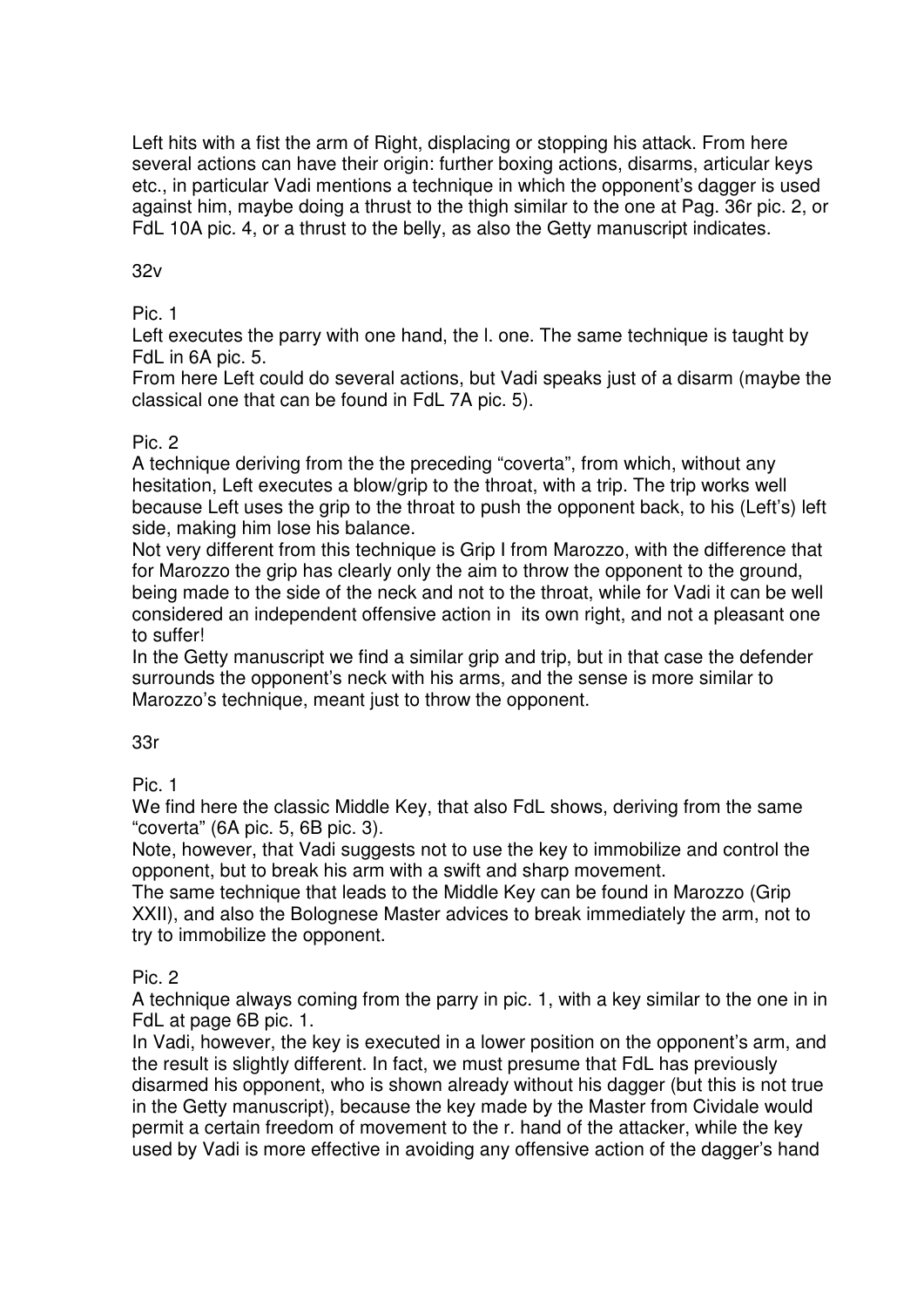Left hits with a fist the arm of Right, displacing or stopping his attack. From here several actions can have their origin: further boxing actions, disarms, articular keys etc., in particular Vadi mentions a technique in which the opponent's dagger is used against him, maybe doing a thrust to the thigh similar to the one at Pag. 36r pic. 2, or FdL 10A pic. 4, or a thrust to the belly, as also the Getty manuscript indicates.

## 32v

# Pic. 1

Left executes the parry with one hand, the l. one. The same technique is taught by FdL in 6A pic. 5.

From here Left could do several actions, but Vadi speaks just of a disarm (maybe the classical one that can be found in FdL 7A pic. 5).

#### Pic. 2

A technique deriving from the the preceding "coverta", from which, without any hesitation, Left executes a blow/grip to the throat, with a trip. The trip works well because Left uses the grip to the throat to push the opponent back, to his (Left's) left side, making him lose his balance.

Not very different from this technique is Grip I from Marozzo, with the difference that for Marozzo the grip has clearly only the aim to throw the opponent to the ground, being made to the side of the neck and not to the throat, while for Vadi it can be well considered an independent offensive action in its own right, and not a pleasant one to suffer!

In the Getty manuscript we find a similar grip and trip, but in that case the defender surrounds the opponent's neck with his arms, and the sense is more similar to Marozzo's technique, meant just to throw the opponent.

#### 33r

Pic. 1

We find here the classic Middle Key, that also FdL shows, deriving from the same "coverta" (6A pic. 5, 6B pic. 3).

Note, however, that Vadi suggests not to use the key to immobilize and control the opponent, but to break his arm with a swift and sharp movement.

The same technique that leads to the Middle Key can be found in Marozzo (Grip XXII), and also the Bolognese Master advices to break immediately the arm, not to try to immobilize the opponent.

# Pic. 2

A technique always coming from the parry in pic. 1, with a key similar to the one in in FdL at page 6B pic. 1.

In Vadi, however, the key is executed in a lower position on the opponent's arm, and the result is slightly different. In fact, we must presume that FdL has previously disarmed his opponent, who is shown already without his dagger (but this is not true in the Getty manuscript), because the key made by the Master from Cividale would permit a certain freedom of movement to the r. hand of the attacker, while the key used by Vadi is more effective in avoiding any offensive action of the dagger's hand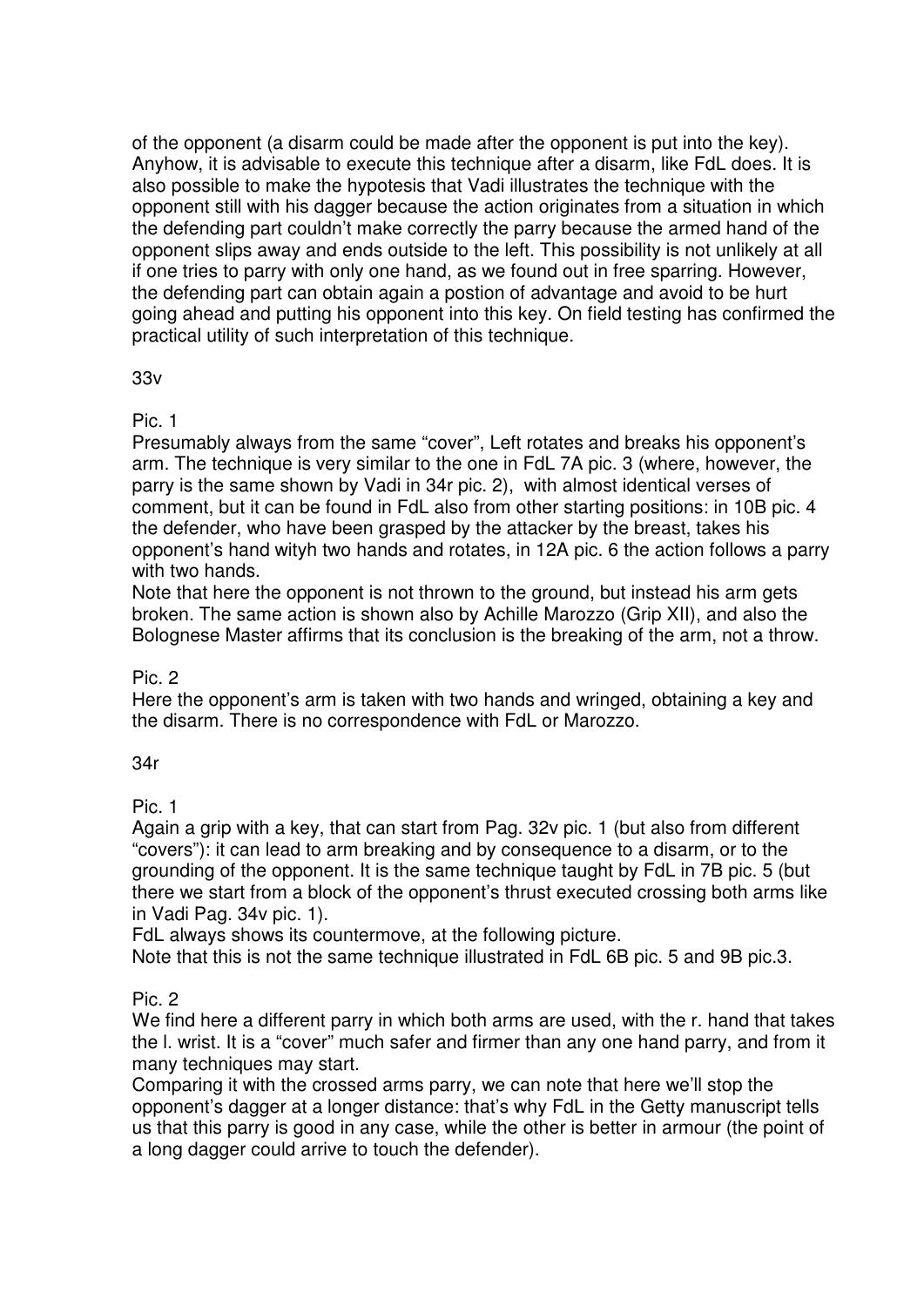of the opponent (a disarm could be made after the opponent is put into the key). Anyhow, it is advisable to execute this technique after a disarm, like FdL does. It is also possible to make the hypotesis that Vadi illustrates the technique with the opponent still with his dagger because the action originates from a situation in which the defending part couldn't make correctly the parry because the armed hand of the opponent slips away and ends outside to the left. This possibility is not unlikely at all if one tries to parry with only one hand, as we found out in free sparring. However, the defending part can obtain again a postion of advantage and avoid to be hurt going ahead and putting his opponent into this key. On field testing has confirmed the practical utility of such interpretation of this technique.

#### 33v

# Pic. 1

Presumably always from the same "cover", Left rotates and breaks his opponent's arm. The technique is very similar to the one in FdL 7A pic. 3 (where, however, the parry is the same shown by Vadi in 34r pic. 2), with almost identical verses of comment, but it can be found in FdL also from other starting positions: in 10B pic. 4 the defender, who have been grasped by the attacker by the breast, takes his opponent's hand wityh two hands and rotates, in 12A pic. 6 the action follows a parry with two hands.

Note that here the opponent is not thrown to the ground, but instead his arm gets broken. The same action is shown also by Achille Marozzo (Grip XII), and also the Bolognese Master affirms that its conclusion is the breaking of the arm, not a throw.

# Pic. 2

Here the opponent's arm is taken with two hands and wringed, obtaining a key and the disarm. There is no correspondence with FdL or Marozzo.

# 34r

Pic. 1

Again a grip with a key, that can start from Pag. 32v pic. 1 (but also from different "covers"): it can lead to arm breaking and by consequence to a disarm, or to the grounding of the opponent. It is the same technique taught by FdL in 7B pic. 5 (but there we start from a block of the opponent's thrust executed crossing both arms like in Vadi Pag. 34v pic. 1).

FdL always shows its countermove, at the following picture.

Note that this is not the same technique illustrated in FdL 6B pic. 5 and 9B pic.3.

# Pic. 2

We find here a different parry in which both arms are used, with the r. hand that takes the l. wrist. It is a "cover" much safer and firmer than any one hand parry, and from it many techniques may start.

Comparing it with the crossed arms parry, we can note that here we'll stop the opponent's dagger at a longer distance: that's why FdL in the Getty manuscript tells us that this parry is good in any case, while the other is better in armour (the point of a long dagger could arrive to touch the defender).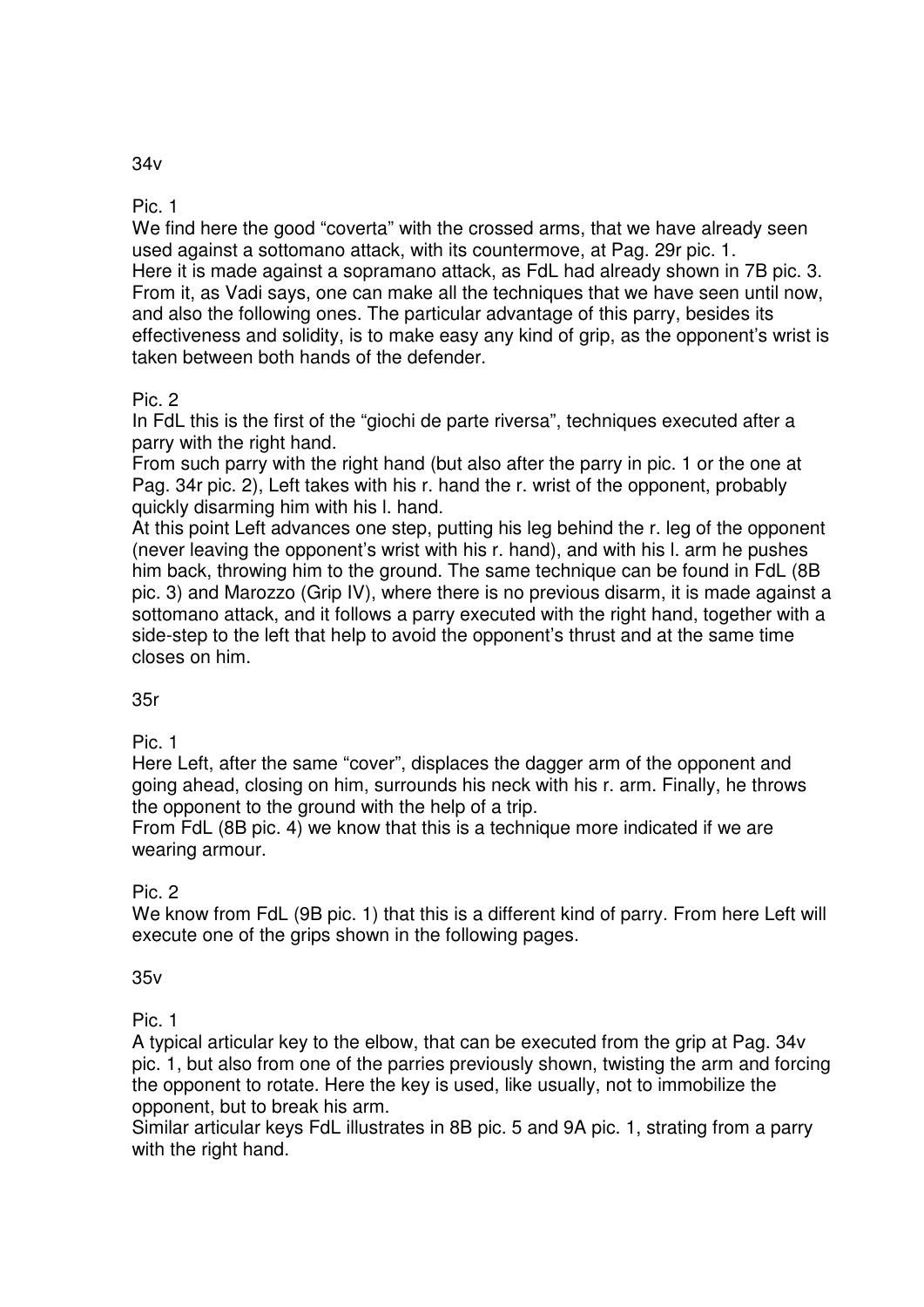# 34v

Pic. 1

We find here the good "coverta" with the crossed arms, that we have already seen used against a sottomano attack, with its countermove, at Pag. 29r pic. 1. Here it is made against a sopramano attack, as FdL had already shown in 7B pic. 3. From it, as Vadi says, one can make all the techniques that we have seen until now, and also the following ones. The particular advantage of this parry, besides its effectiveness and solidity, is to make easy any kind of grip, as the opponent's wrist is taken between both hands of the defender.

# Pic. 2

In FdL this is the first of the "giochi de parte riversa", techniques executed after a parry with the right hand.

From such parry with the right hand (but also after the parry in pic. 1 or the one at Pag. 34r pic. 2), Left takes with his r. hand the r. wrist of the opponent, probably quickly disarming him with his l. hand.

At this point Left advances one step, putting his leg behind the r. leg of the opponent (never leaving the opponent's wrist with his r. hand), and with his l. arm he pushes him back, throwing him to the ground. The same technique can be found in FdL (8B pic. 3) and Marozzo (Grip IV), where there is no previous disarm, it is made against a sottomano attack, and it follows a parry executed with the right hand, together with a side-step to the left that help to avoid the opponent's thrust and at the same time closes on him.

# 35r

Pic. 1

Here Left, after the same "cover", displaces the dagger arm of the opponent and going ahead, closing on him, surrounds his neck with his r. arm. Finally, he throws the opponent to the ground with the help of a trip.

From FdL (8B pic. 4) we know that this is a technique more indicated if we are wearing armour.

# Pic. 2

We know from FdL (9B pic. 1) that this is a different kind of parry. From here Left will execute one of the grips shown in the following pages.

#### 35v

Pic. 1

A typical articular key to the elbow, that can be executed from the grip at Pag. 34v pic. 1, but also from one of the parries previously shown, twisting the arm and forcing the opponent to rotate. Here the key is used, like usually, not to immobilize the opponent, but to break his arm.

Similar articular keys FdL illustrates in 8B pic. 5 and 9A pic. 1, strating from a parry with the right hand.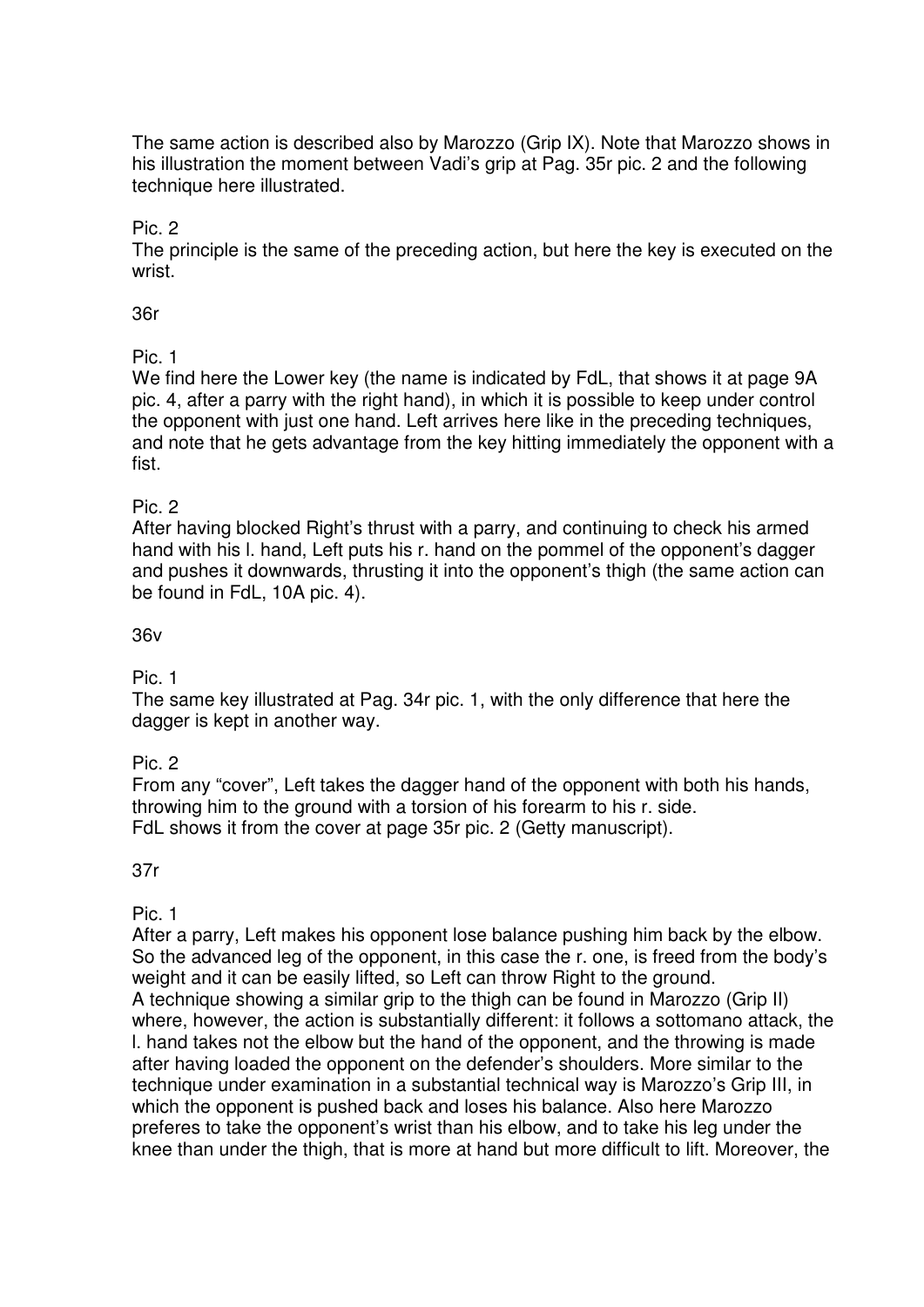The same action is described also by Marozzo (Grip IX). Note that Marozzo shows in his illustration the moment between Vadi's grip at Pag. 35r pic. 2 and the following technique here illustrated.

Pic. 2

The principle is the same of the preceding action, but here the key is executed on the wrist.

36r

Pic. 1

We find here the Lower key (the name is indicated by FdL, that shows it at page 9A pic. 4, after a parry with the right hand), in which it is possible to keep under control the opponent with just one hand. Left arrives here like in the preceding techniques, and note that he gets advantage from the key hitting immediately the opponent with a fist.

#### Pic. 2

After having blocked Right's thrust with a parry, and continuing to check his armed hand with his l. hand, Left puts his r. hand on the pommel of the opponent's dagger and pushes it downwards, thrusting it into the opponent's thigh (the same action can be found in FdL, 10A pic. 4).

#### 36v

Pic. 1

The same key illustrated at Pag. 34r pic. 1, with the only difference that here the dagger is kept in another way.

Pic. 2

From any "cover", Left takes the dagger hand of the opponent with both his hands, throwing him to the ground with a torsion of his forearm to his r. side. FdL shows it from the cover at page 35r pic. 2 (Getty manuscript).

37r

Pic. 1

After a parry, Left makes his opponent lose balance pushing him back by the elbow. So the advanced leg of the opponent, in this case the r. one, is freed from the body's weight and it can be easily lifted, so Left can throw Right to the ground. A technique showing a similar grip to the thigh can be found in Marozzo (Grip II) where, however, the action is substantially different: it follows a sottomano attack, the l. hand takes not the elbow but the hand of the opponent, and the throwing is made after having loaded the opponent on the defender's shoulders. More similar to the technique under examination in a substantial technical way is Marozzo's Grip III, in which the opponent is pushed back and loses his balance. Also here Marozzo preferes to take the opponent's wrist than his elbow, and to take his leg under the knee than under the thigh, that is more at hand but more difficult to lift. Moreover, the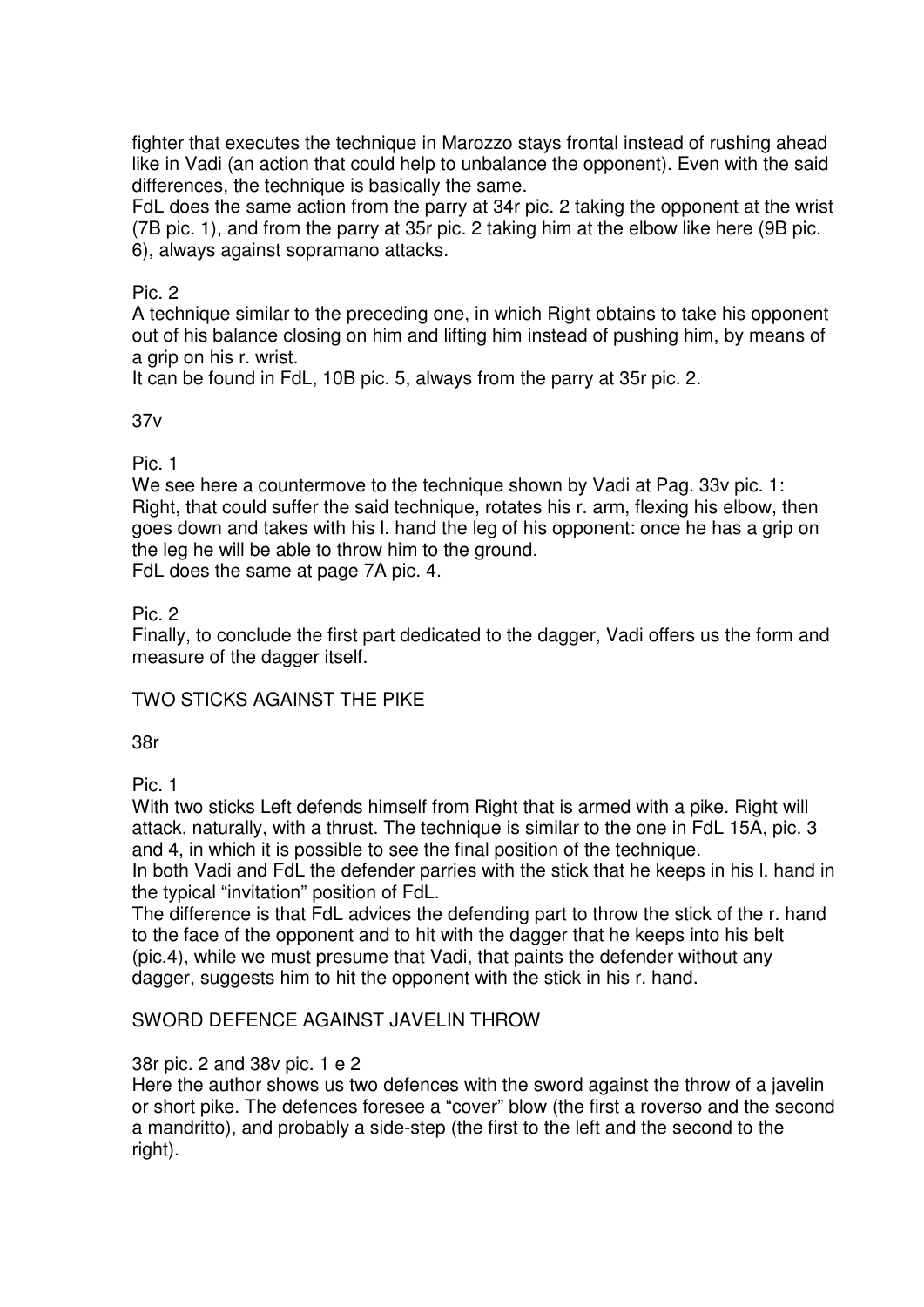fighter that executes the technique in Marozzo stays frontal instead of rushing ahead like in Vadi (an action that could help to unbalance the opponent). Even with the said differences, the technique is basically the same.

FdL does the same action from the parry at 34r pic. 2 taking the opponent at the wrist (7B pic. 1), and from the parry at 35r pic. 2 taking him at the elbow like here (9B pic. 6), always against sopramano attacks.

#### Pic. 2

A technique similar to the preceding one, in which Right obtains to take his opponent out of his balance closing on him and lifting him instead of pushing him, by means of a grip on his r. wrist.

It can be found in FdL, 10B pic. 5, always from the parry at 35r pic. 2.

#### 37v

Pic. 1

We see here a countermove to the technique shown by Vadi at Pag. 33v pic. 1: Right, that could suffer the said technique, rotates his r. arm, flexing his elbow, then goes down and takes with his l. hand the leg of his opponent: once he has a grip on the leg he will be able to throw him to the ground. FdL does the same at page 7A pic. 4.

Pic. 2

Finally, to conclude the first part dedicated to the dagger, Vadi offers us the form and measure of the dagger itself.

TWO STICKS AGAINST THE PIKE

38r

Pic. 1

With two sticks Left defends himself from Right that is armed with a pike. Right will attack, naturally, with a thrust. The technique is similar to the one in FdL 15A, pic. 3 and 4, in which it is possible to see the final position of the technique.

In both Vadi and FdL the defender parries with the stick that he keeps in his l. hand in the typical "invitation" position of FdL.

The difference is that FdL advices the defending part to throw the stick of the r. hand to the face of the opponent and to hit with the dagger that he keeps into his belt (pic.4), while we must presume that Vadi, that paints the defender without any dagger, suggests him to hit the opponent with the stick in his r. hand.

# SWORD DEFENCE AGAINST JAVELIN THROW

#### 38r pic. 2 and 38v pic. 1 e 2

Here the author shows us two defences with the sword against the throw of a javelin or short pike. The defences foresee a "cover" blow (the first a roverso and the second a mandritto), and probably a side-step (the first to the left and the second to the right).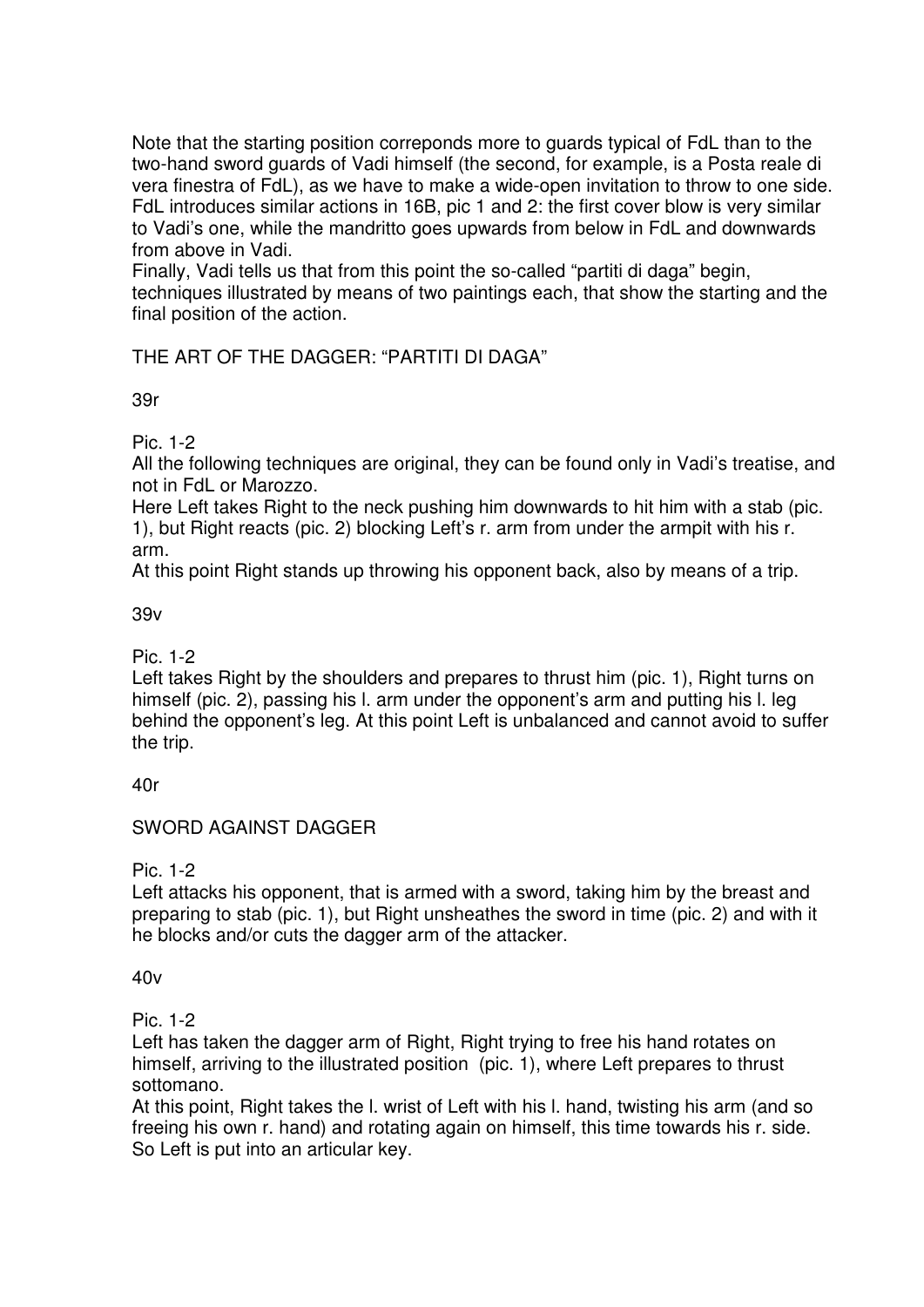Note that the starting position correponds more to guards typical of FdL than to the two-hand sword guards of Vadi himself (the second, for example, is a Posta reale di vera finestra of FdL), as we have to make a wide-open invitation to throw to one side. FdL introduces similar actions in 16B, pic 1 and 2: the first cover blow is very similar to Vadi's one, while the mandritto goes upwards from below in FdL and downwards from above in Vadi.

Finally, Vadi tells us that from this point the so-called "partiti di daga" begin, techniques illustrated by means of two paintings each, that show the starting and the final position of the action.

THE ART OF THE DAGGER: "PARTITI DI DAGA"

39r

Pic. 1-2

All the following techniques are original, they can be found only in Vadi's treatise, and not in FdL or Marozzo.

Here Left takes Right to the neck pushing him downwards to hit him with a stab (pic. 1), but Right reacts (pic. 2) blocking Left's r. arm from under the armpit with his r. arm.

At this point Right stands up throwing his opponent back, also by means of a trip.

39v

Pic. 1-2

Left takes Right by the shoulders and prepares to thrust him (pic. 1). Right turns on himself (pic. 2), passing his l. arm under the opponent's arm and putting his l. leg behind the opponent's leg. At this point Left is unbalanced and cannot avoid to suffer the trip.

40r

# SWORD AGAINST DAGGER

Pic. 1-2

Left attacks his opponent, that is armed with a sword, taking him by the breast and preparing to stab (pic. 1), but Right unsheathes the sword in time (pic. 2) and with it he blocks and/or cuts the dagger arm of the attacker.

 $40v$ 

Pic. 1-2

Left has taken the dagger arm of Right, Right trying to free his hand rotates on himself, arriving to the illustrated position (pic. 1), where Left prepares to thrust sottomano.

At this point, Right takes the l. wrist of Left with his l. hand, twisting his arm (and so freeing his own r. hand) and rotating again on himself, this time towards his r. side. So Left is put into an articular key.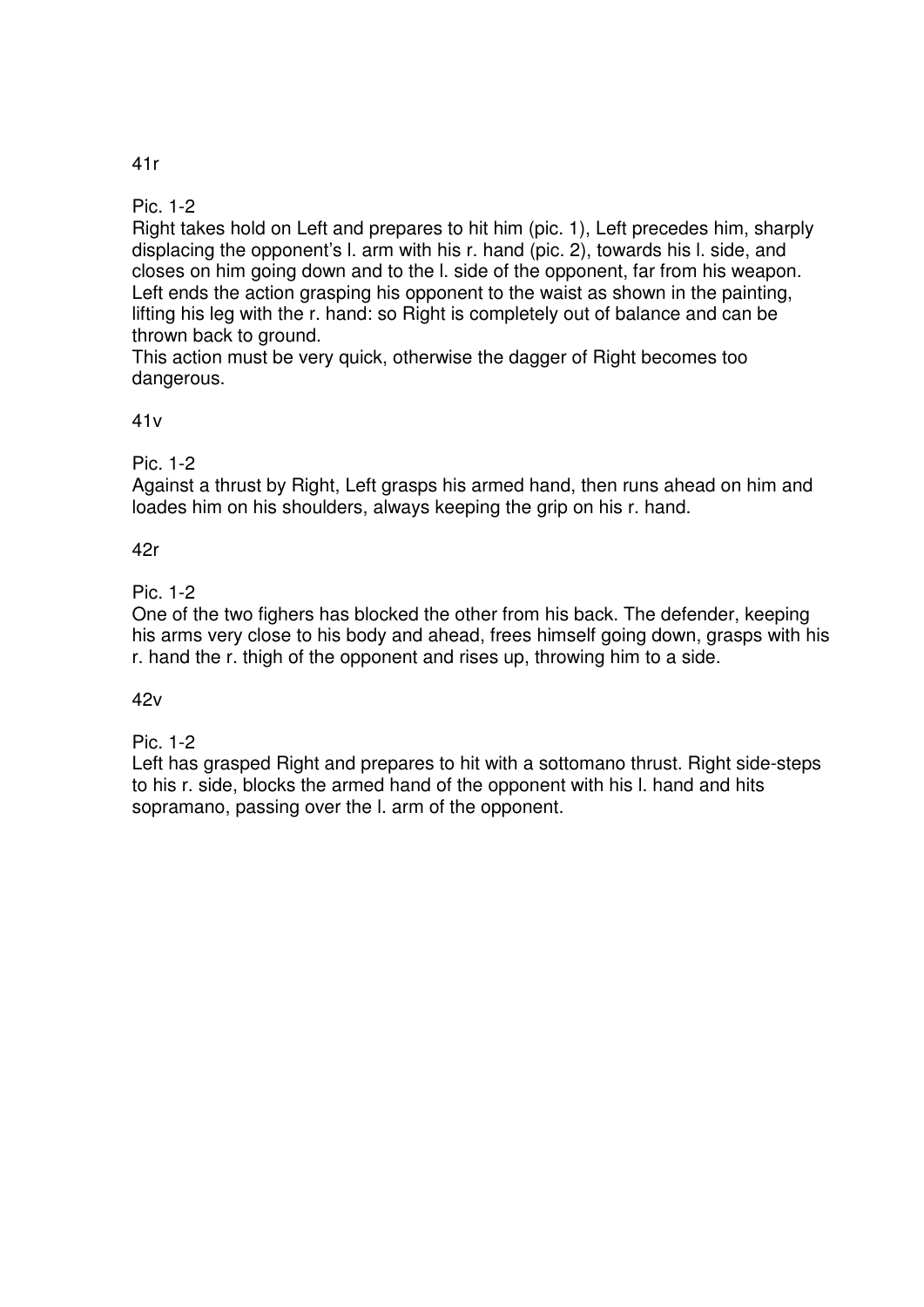# 41r

#### Pic. 1-2

Right takes hold on Left and prepares to hit him (pic. 1), Left precedes him, sharply displacing the opponent's l. arm with his r. hand (pic. 2), towards his l. side, and closes on him going down and to the l. side of the opponent, far from his weapon. Left ends the action grasping his opponent to the waist as shown in the painting, lifting his leg with the r. hand: so Right is completely out of balance and can be thrown back to ground.

This action must be very quick, otherwise the dagger of Right becomes too dangerous.

#### 41v

Pic. 1-2

Against a thrust by Right, Left grasps his armed hand, then runs ahead on him and loades him on his shoulders, always keeping the grip on his r. hand.

#### 42r

# Pic. 1-2

One of the two fighers has blocked the other from his back. The defender, keeping his arms very close to his body and ahead, frees himself going down, grasps with his r. hand the r. thigh of the opponent and rises up, throwing him to a side.

#### 42v

# Pic. 1-2

Left has grasped Right and prepares to hit with a sottomano thrust. Right side-steps to his r. side, blocks the armed hand of the opponent with his l. hand and hits sopramano, passing over the l. arm of the opponent.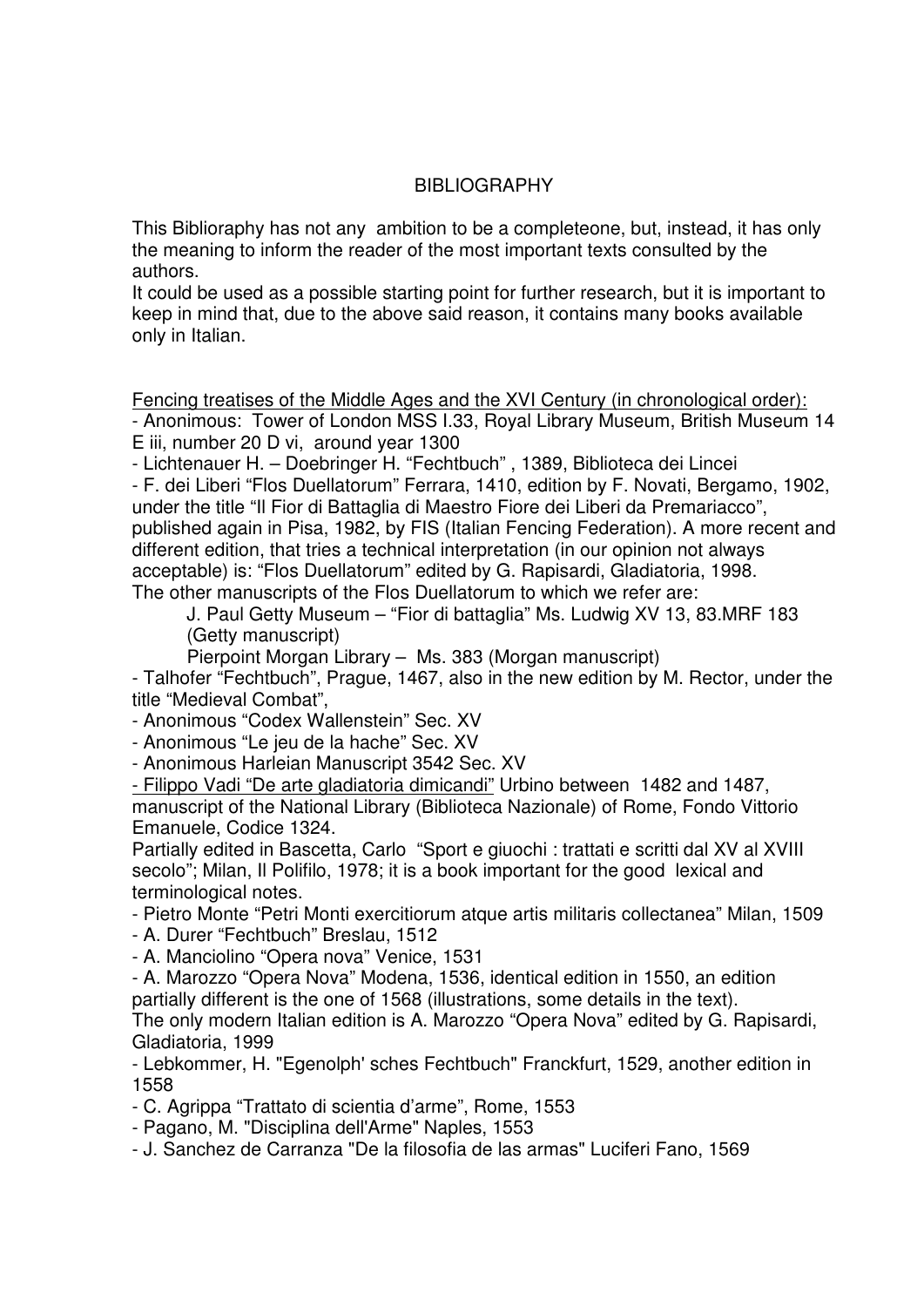#### **BIBLIOGRAPHY**

This Biblioraphy has not any ambition to be a completeone, but, instead, it has only the meaning to inform the reader of the most important texts consulted by the authors.

It could be used as a possible starting point for further research, but it is important to keep in mind that, due to the above said reason, it contains many books available only in Italian.

Fencing treatises of the Middle Ages and the XVI Century (in chronological order):

- Anonimous: Tower of London MSS I.33, Royal Library Museum, British Museum 14 E iii, number 20 D vi, around year 1300

- Lichtenauer H. – Doebringer H. "Fechtbuch" , 1389, Biblioteca dei Lincei

- F. dei Liberi "Flos Duellatorum" Ferrara, 1410, edition by F. Novati, Bergamo, 1902, under the title "Il Fior di Battaglia di Maestro Fiore dei Liberi da Premariacco", published again in Pisa, 1982, by FIS (Italian Fencing Federation). A more recent and different edition, that tries a technical interpretation (in our opinion not always acceptable) is: "Flos Duellatorum" edited by G. Rapisardi, Gladiatoria, 1998. The other manuscripts of the Flos Duellatorum to which we refer are:

J. Paul Getty Museum – "Fior di battaglia" Ms. Ludwig XV 13, 83.MRF 183 (Getty manuscript)

Pierpoint Morgan Library – Ms. 383 (Morgan manuscript)

- Talhofer "Fechtbuch", Prague, 1467, also in the new edition by M. Rector, under the title "Medieval Combat",

- Anonimous "Codex Wallenstein" Sec. XV

- Anonimous "Le jeu de la hache" Sec. XV

- Anonimous Harleian Manuscript 3542 Sec. XV

- Filippo Vadi "De arte gladiatoria dimicandi" Urbino between 1482 and 1487, manuscript of the National Library (Biblioteca Nazionale) of Rome, Fondo Vittorio Emanuele, Codice 1324.

Partially edited in Bascetta, Carlo "Sport e giuochi : trattati e scritti dal XV al XVIII secolo"; Milan, Il Polifilo, 1978; it is a book important for the good lexical and terminological notes.

- Pietro Monte "Petri Monti exercitiorum atque artis militaris collectanea" Milan, 1509

- A. Durer "Fechtbuch" Breslau, 1512

- A. Manciolino "Opera nova" Venice, 1531

- A. Marozzo "Opera Nova" Modena, 1536, identical edition in 1550, an edition partially different is the one of 1568 (illustrations, some details in the text). The only modern Italian edition is A. Marozzo "Opera Nova" edited by G. Rapisardi,

Gladiatoria, 1999

- Lebkommer, H. "Egenolph' sches Fechtbuch" Franckfurt, 1529, another edition in 1558

- C. Agrippa "Trattato di scientia d'arme", Rome, 1553

- Pagano, M. "Disciplina dell'Arme" Naples, 1553

- J. Sanchez de Carranza "De la filosofia de las armas" Luciferi Fano, 1569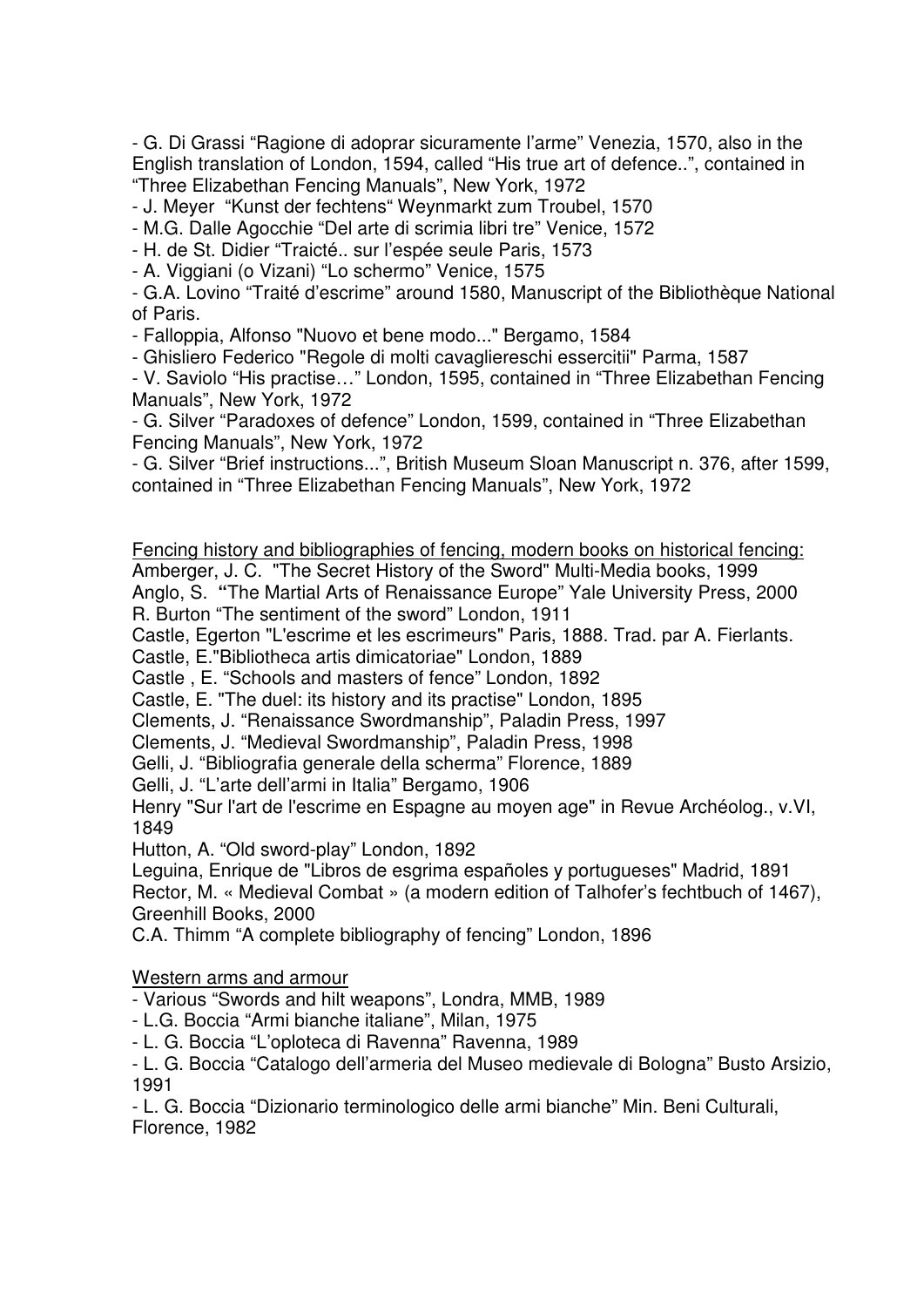- G. Di Grassi "Ragione di adoprar sicuramente l'arme" Venezia, 1570, also in the English translation of London, 1594, called "His true art of defence..", contained in "Three Elizabethan Fencing Manuals", New York, 1972

- J. Meyer "Kunst der fechtens" Weynmarkt zum Troubel, 1570

- M.G. Dalle Agocchie "Del arte di scrimia libri tre" Venice, 1572

- H. de St. Didier "Traicté.. sur l'espée seule Paris, 1573

- A. Viggiani (o Vizani) "Lo schermo" Venice, 1575

- G.A. Lovino "Traité d'escrime" around 1580, Manuscript of the Bibliothèque National of Paris.

- Falloppia, Alfonso "Nuovo et bene modo..." Bergamo, 1584

- Ghisliero Federico "Regole di molti cavagliereschi essercitii" Parma, 1587

- V. Saviolo "His practise…" London, 1595, contained in "Three Elizabethan Fencing Manuals", New York, 1972

- G. Silver "Paradoxes of defence" London, 1599, contained in "Three Elizabethan Fencing Manuals", New York, 1972

- G. Silver "Brief instructions...", British Museum Sloan Manuscript n. 376, after 1599, contained in "Three Elizabethan Fencing Manuals", New York, 1972

Fencing history and bibliographies of fencing, modern books on historical fencing: Amberger, J. C. "The Secret History of the Sword" Multi-Media books, 1999

Anglo, S. **"**The Martial Arts of Renaissance Europe" Yale University Press, 2000 R. Burton "The sentiment of the sword" London, 1911

Castle, Egerton "L'escrime et les escrimeurs" Paris, 1888. Trad. par A. Fierlants.

Castle, E."Bibliotheca artis dimicatoriae" London, 1889

Castle , E. "Schools and masters of fence" London, 1892

Castle, E. "The duel: its history and its practise" London, 1895

Clements, J. "Renaissance Swordmanship", Paladin Press, 1997

Clements, J. "Medieval Swordmanship", Paladin Press, 1998

Gelli, J. "Bibliografia generale della scherma" Florence, 1889

Gelli, J. "L'arte dell'armi in Italia" Bergamo, 1906

Henry "Sur l'art de l'escrime en Espagne au moyen age" in Revue Archéolog., v.VI, 1849

Hutton, A. "Old sword-play" London, 1892

Leguina, Enrique de "Libros de esgrima españoles y portugueses" Madrid, 1891 Rector, M. « Medieval Combat » (a modern edition of Talhofer's fechtbuch of 1467), Greenhill Books, 2000

C.A. Thimm "A complete bibliography of fencing" London, 1896

Western arms and armour

- Various "Swords and hilt weapons", Londra, MMB, 1989

- L.G. Boccia "Armi bianche italiane", Milan, 1975
- L. G. Boccia "L'oploteca di Ravenna" Ravenna, 1989

- L. G. Boccia "Catalogo dell'armeria del Museo medievale di Bologna" Busto Arsizio, 1991

- L. G. Boccia "Dizionario terminologico delle armi bianche" Min. Beni Culturali, Florence, 1982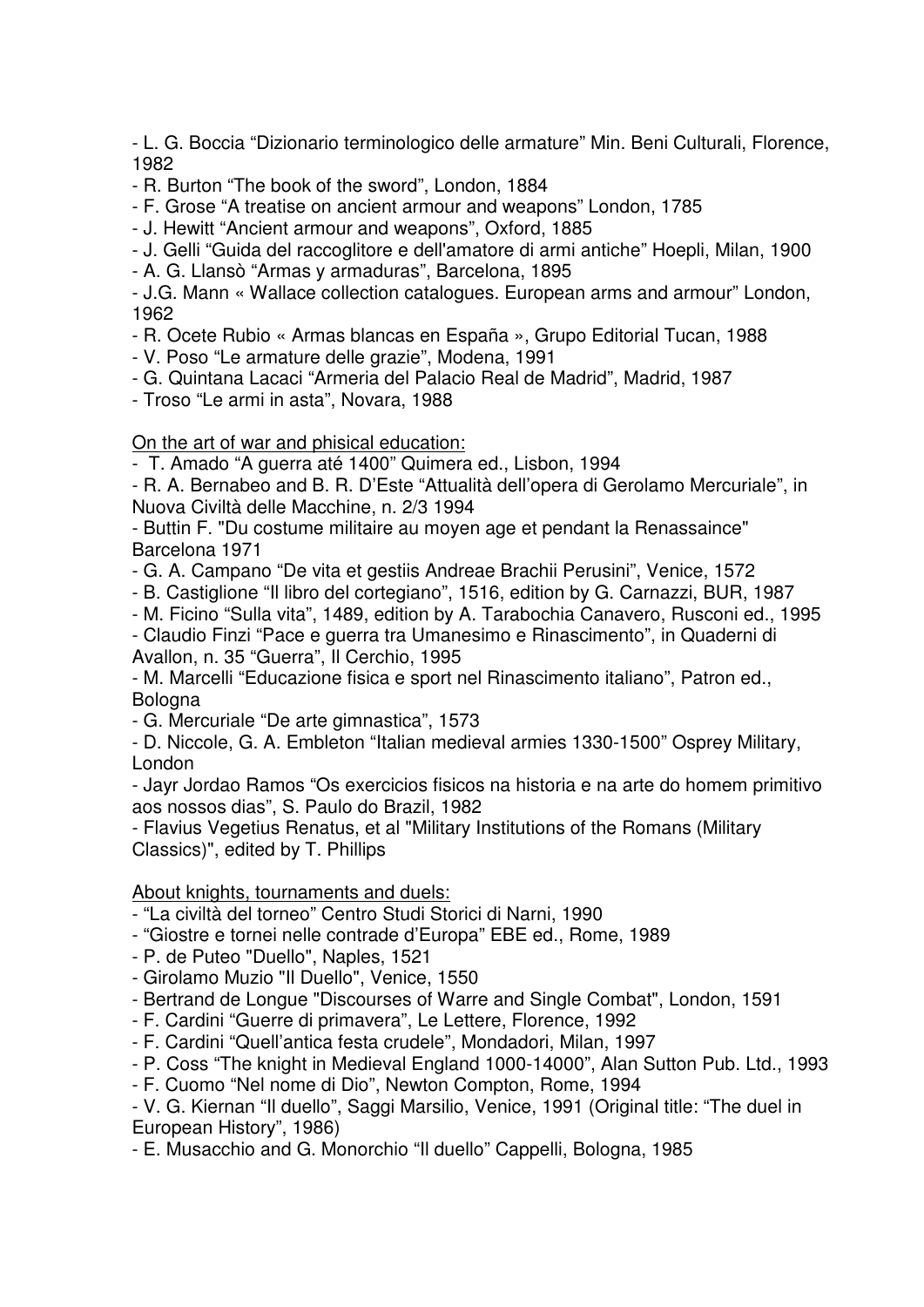- L. G. Boccia "Dizionario terminologico delle armature" Min. Beni Culturali, Florence, 1982

- R. Burton "The book of the sword", London, 1884

- F. Grose "A treatise on ancient armour and weapons" London, 1785

- J. Hewitt "Ancient armour and weapons", Oxford, 1885

- J. Gelli "Guida del raccoglitore e dell'amatore di armi antiche" Hoepli, Milan, 1900

- A. G. Llansò "Armas y armaduras", Barcelona, 1895

- J.G. Mann « Wallace collection catalogues. European arms and armour" London, 1962

- R. Ocete Rubio « Armas blancas en España », Grupo Editorial Tucan, 1988

- V. Poso "Le armature delle grazie", Modena, 1991

- G. Quintana Lacaci "Armeria del Palacio Real de Madrid", Madrid, 1987

- Troso "Le armi in asta", Novara, 1988

# On the art of war and phisical education:

- T. Amado "A guerra até 1400" Quimera ed., Lisbon, 1994

- R. A. Bernabeo and B. R. D'Este "Attualità dell'opera di Gerolamo Mercuriale", in Nuova Civiltà delle Macchine, n. 2/3 1994

- Buttin F. "Du costume militaire au moyen age et pendant la Renassaince" Barcelona 1971

- G. A. Campano "De vita et gestiis Andreae Brachii Perusini", Venice, 1572

- B. Castiglione "Il libro del cortegiano", 1516, edition by G. Carnazzi, BUR, 1987

- M. Ficino "Sulla vita", 1489, edition by A. Tarabochia Canavero, Rusconi ed., 1995

- Claudio Finzi "Pace e guerra tra Umanesimo e Rinascimento", in Quaderni di Avallon, n. 35 "Guerra", Il Cerchio, 1995

- M. Marcelli "Educazione fisica e sport nel Rinascimento italiano", Patron ed., Bologna

- G. Mercuriale "De arte gimnastica", 1573

- D. Niccole, G. A. Embleton "Italian medieval armies 1330-1500" Osprey Military, London

- Jayr Jordao Ramos "Os exercicios fisicos na historia e na arte do homem primitivo aos nossos dias", S. Paulo do Brazil, 1982

- Flavius Vegetius Renatus, et al "Military Institutions of the Romans (Military Classics)", edited by T. Phillips

# About knights, tournaments and duels:

- "La civiltà del torneo" Centro Studi Storici di Narni, 1990

- "Giostre e tornei nelle contrade d'Europa" EBE ed., Rome, 1989

- P. de Puteo "Duello", Naples, 1521

- Girolamo Muzio "Il Duello", Venice, 1550

- Bertrand de Longue "Discourses of Warre and Single Combat", London, 1591

- F. Cardini "Guerre di primavera", Le Lettere, Florence, 1992

- F. Cardini "Quell'antica festa crudele", Mondadori, Milan, 1997

- P. Coss "The knight in Medieval England 1000-14000", Alan Sutton Pub. Ltd., 1993

- F. Cuomo "Nel nome di Dio", Newton Compton, Rome, 1994

- V. G. Kiernan "Il duello", Saggi Marsilio, Venice, 1991 (Original title: "The duel in European History", 1986)

- E. Musacchio and G. Monorchio "Il duello" Cappelli, Bologna, 1985